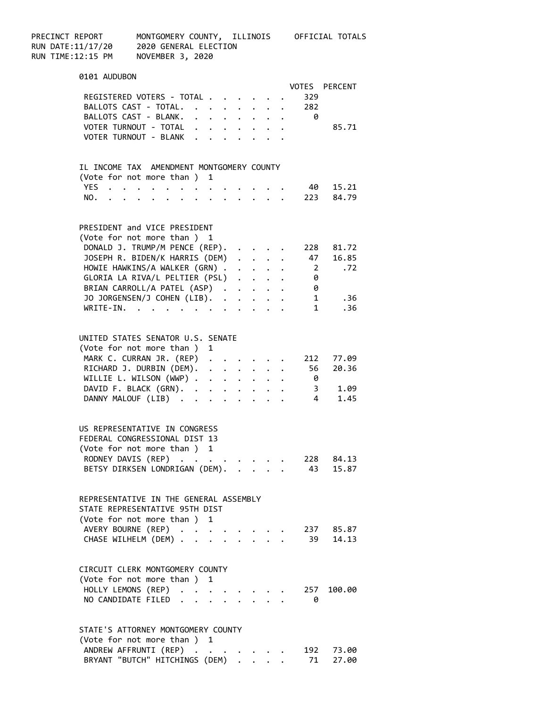| PRECINCT REPORT<br>RUN DATE:11/17/20<br>RUN TIME:12:15 PM | MONTGOMERY COUNTY, ILLINOIS OFFICIAL TOTALS<br>2020 GENERAL ELECTION<br>NOVEMBER 3, 2020 |                      |                                             |  |                         |                                                      |
|-----------------------------------------------------------|------------------------------------------------------------------------------------------|----------------------|---------------------------------------------|--|-------------------------|------------------------------------------------------|
| 0101 AUDUBON                                              |                                                                                          |                      |                                             |  |                         |                                                      |
|                                                           |                                                                                          |                      |                                             |  |                         | VOTES PERCENT                                        |
|                                                           | REGISTERED VOTERS - TOTAL<br>BALLOTS CAST - TOTAL.                                       |                      |                                             |  | 329<br>. 282            |                                                      |
|                                                           | BALLOTS CAST - BLANK.                                                                    |                      |                                             |  | $\theta$                |                                                      |
|                                                           | VOTER TURNOUT - TOTAL                                                                    |                      |                                             |  |                         | 85.71                                                |
|                                                           | VOTER TURNOUT - BLANK                                                                    |                      |                                             |  |                         |                                                      |
|                                                           | IL INCOME TAX AMENDMENT MONTGOMERY COUNTY                                                |                      |                                             |  |                         |                                                      |
|                                                           | (Vote for not more than ) 1                                                              |                      |                                             |  |                         |                                                      |
| YES                                                       | and a series of the contract of                                                          |                      |                                             |  |                         | 40 15.21                                             |
|                                                           | NO. 223 84.79                                                                            |                      |                                             |  |                         |                                                      |
|                                                           | PRESIDENT and VICE PRESIDENT                                                             |                      |                                             |  |                         |                                                      |
|                                                           | (Vote for not more than ) 1                                                              |                      |                                             |  |                         |                                                      |
|                                                           | DONALD J. TRUMP/M PENCE (REP).<br>JOSEPH R. BIDEN/K HARRIS (DEM)                         |                      | $\ddot{\phantom{a}}$ . $\ddot{\phantom{a}}$ |  |                         | 228 81.72<br>47 16.85                                |
|                                                           | HOWIE HAWKINS/A WALKER (GRN).                                                            |                      | $\cdots$                                    |  | $\overline{\mathbf{2}}$ | .72                                                  |
|                                                           | GLORIA LA RIVA/L PELTIER (PSL)                                                           |                      |                                             |  | $\theta$                |                                                      |
|                                                           | BRIAN CARROLL/A PATEL (ASP)                                                              |                      |                                             |  | 0                       |                                                      |
|                                                           | JO JORGENSEN/J COHEN (LIB).                                                              |                      |                                             |  |                         | .36<br>$1 \qquad \qquad$                             |
|                                                           | $WRITE-IN.$                                                                              |                      |                                             |  | 1                       | .36                                                  |
|                                                           | UNITED STATES SENATOR U.S. SENATE                                                        |                      |                                             |  |                         |                                                      |
|                                                           | (Vote for not more than ) 1                                                              |                      |                                             |  |                         |                                                      |
|                                                           | MARK C. CURRAN JR. (REP)                                                                 |                      |                                             |  |                         | 212 77.09                                            |
|                                                           | RICHARD J. DURBIN (DEM).                                                                 |                      |                                             |  | 56                      | 20.36                                                |
|                                                           | WILLIE L. WILSON (WWP)                                                                   |                      |                                             |  | $\theta$                |                                                      |
|                                                           | DAVID F. BLACK (GRN).<br>DANNY MALOUF (LIB)                                              | $\ddot{\phantom{a}}$ |                                             |  |                         | $\begin{array}{cc} 3 & 1.09 \\ 4 & 1.45 \end{array}$ |
|                                                           |                                                                                          |                      |                                             |  |                         |                                                      |
|                                                           | US REPRESENTATIVE IN CONGRESS                                                            |                      |                                             |  |                         |                                                      |
|                                                           | FEDERAL CONGRESSIONAL DIST 13                                                            |                      |                                             |  |                         |                                                      |
|                                                           | (Vote for not more than ) 1<br>RODNEY DAVIS (REP).                                       |                      |                                             |  | 228                     | 84.13                                                |
|                                                           | BETSY DIRKSEN LONDRIGAN (DEM).                                                           |                      |                                             |  | 43                      | 15.87                                                |
|                                                           |                                                                                          |                      |                                             |  |                         |                                                      |
|                                                           | REPRESENTATIVE IN THE GENERAL ASSEMBLY                                                   |                      |                                             |  |                         |                                                      |
|                                                           | STATE REPRESENTATIVE 95TH DIST                                                           |                      |                                             |  |                         |                                                      |
|                                                           | (Vote for not more than) 1                                                               |                      |                                             |  |                         |                                                      |
|                                                           | AVERY BOURNE (REP)                                                                       |                      |                                             |  | 237                     | 85.87                                                |
|                                                           | CHASE WILHELM (DEM) .                                                                    |                      |                                             |  | 39                      | 14.13                                                |
|                                                           | CIRCUIT CLERK MONTGOMERY COUNTY                                                          |                      |                                             |  |                         |                                                      |
|                                                           | (Vote for not more than ) 1                                                              |                      |                                             |  |                         |                                                      |
| HOLLY LEMONS (REP)                                        | $\ddot{\phantom{0}}$                                                                     |                      |                                             |  | 257                     | 100.00                                               |
| NO CANDIDATE FILED.                                       |                                                                                          |                      |                                             |  | 0                       |                                                      |
|                                                           | STATE'S ATTORNEY MONTGOMERY COUNTY                                                       |                      |                                             |  |                         |                                                      |
|                                                           | (Vote for not more than ) 1                                                              |                      |                                             |  |                         |                                                      |
|                                                           | ANDREW AFFRUNTI (REP).                                                                   |                      |                                             |  | 192                     | 73.00                                                |
|                                                           | BRYANT "BUTCH" HITCHINGS (DEM)                                                           |                      |                                             |  | 71                      | 27.00                                                |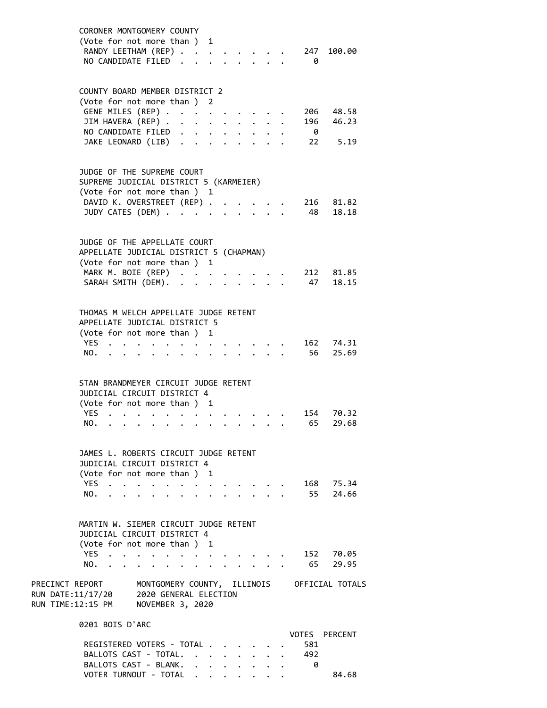|                                                                                                                                              | CORONER MONTGOMERY COUNTY<br>(Vote for not more than ) 1<br>RANDY LEETHAM (REP)<br>NO CANDIDATE FILED.                                             |  |             |                      |              | $\ddot{\phantom{a}}$                                            |        |         |               |                                         |                      | $\theta$   | 247 100.00             |
|----------------------------------------------------------------------------------------------------------------------------------------------|----------------------------------------------------------------------------------------------------------------------------------------------------|--|-------------|----------------------|--------------|-----------------------------------------------------------------|--------|---------|---------------|-----------------------------------------|----------------------|------------|------------------------|
|                                                                                                                                              | COUNTY BOARD MEMBER DISTRICT 2<br>(Vote for not more than ) 2<br>GENE MILES (REP)<br>JIM HAVERA (REP)                                              |  |             |                      |              |                                                                 |        |         |               | $\cdot$ $\cdot$ $\cdot$ $\cdot$ $\cdot$ |                      |            | 206 48.58<br>196 46.23 |
|                                                                                                                                              | NO CANDIDATE FILED<br>JAKE LEONARD (LIB)                                                                                                           |  |             |                      |              |                                                                 |        |         |               |                                         |                      | $\theta$   | 22 5.19                |
|                                                                                                                                              | JUDGE OF THE SUPREME COURT<br>SUPREME JUDICIAL DISTRICT 5 (KARMEIER)<br>(Vote for not more than ) 1                                                |  |             |                      |              |                                                                 |        |         |               |                                         |                      |            |                        |
|                                                                                                                                              | DAVID K. OVERSTREET (REP)<br>JUDY CATES (DEM)                                                                                                      |  |             |                      |              |                                                                 |        | $\cdot$ | $\sim$ $\sim$ |                                         | $\ddot{\phantom{0}}$ |            | 216 81.82<br>48 18.18  |
|                                                                                                                                              | JUDGE OF THE APPELLATE COURT<br>APPELLATE JUDICIAL DISTRICT 5 (CHAPMAN)<br>(Vote for not more than ) 1<br>MARK M. BOIE (REP)<br>SARAH SMITH (DEM). |  |             |                      |              |                                                                 | $\sim$ |         |               | $\cdot$ $\cdot$ $\cdot$ $\cdot$ $\cdot$ |                      | 47         | 212 81.85<br>18.15     |
|                                                                                                                                              | THOMAS M WELCH APPELLATE JUDGE RETENT<br>APPELLATE JUDICIAL DISTRICT 5<br>(Vote for not more than ) 1<br>YES<br>NO.                                |  |             |                      |              |                                                                 |        |         |               |                                         |                      |            | 162 74.31<br>56 25.69  |
|                                                                                                                                              | STAN BRANDMEYER CIRCUIT JUDGE RETENT<br>JUDICIAL CIRCUIT DISTRICT 4<br>(Vote for not more than ) 1<br>YES<br>NO.                                   |  |             | $\sim$ $\sim$        | $\mathbf{r}$ |                                                                 |        |         |               |                                         |                      | 154<br>65  | 70.32<br>29.68         |
|                                                                                                                                              | JAMES L. ROBERTS CIRCUIT JUDGE RETENT                                                                                                              |  |             |                      |              |                                                                 |        |         |               |                                         |                      |            |                        |
|                                                                                                                                              | JUDICIAL CIRCUIT DISTRICT 4<br>(Vote for not more than) 1<br>YES<br>NO.                                                                            |  | $\bullet$ . | $\ddot{\phantom{0}}$ |              | $\bullet$ .<br><br><br><br><br><br><br><br><br><br><br><br><br> |        |         |               |                                         |                      |            | 168 75.34<br>55 24.66  |
|                                                                                                                                              | MARTIN W. SIEMER CIRCUIT JUDGE RETENT<br>JUDICIAL CIRCUIT DISTRICT 4<br>(Vote for not more than ) 1                                                |  |             |                      |              |                                                                 |        |         |               |                                         |                      |            |                        |
|                                                                                                                                              | YES<br>NO.                                                                                                                                         |  |             | $\ddot{\phantom{a}}$ |              |                                                                 |        |         |               |                                         |                      |            | 152 70.05<br>65 29.95  |
| PRECINCT REPORT MONTGOMERY COUNTY, ILLINOIS OFFICIAL TOTALS<br>RUN DATE:11/17/20 2020 GENERAL ELECTION<br>RUN TIME:12:15 PM NOVEMBER 3, 2020 |                                                                                                                                                    |  |             |                      |              |                                                                 |        |         |               |                                         |                      |            |                        |
|                                                                                                                                              | 0201 BOIS D'ARC                                                                                                                                    |  |             |                      |              |                                                                 |        |         |               |                                         |                      |            |                        |
|                                                                                                                                              | REGISTERED VOTERS - TOTAL<br>BALLOTS CAST - TOTAL.                                                                                                 |  |             |                      |              |                                                                 |        |         |               |                                         |                      | 581<br>492 | VOTES PERCENT          |

BALLOTS CAST - BLANK. . . . . . . . 0

VOTER TURNOUT - TOTAL . . . . . . . 84.68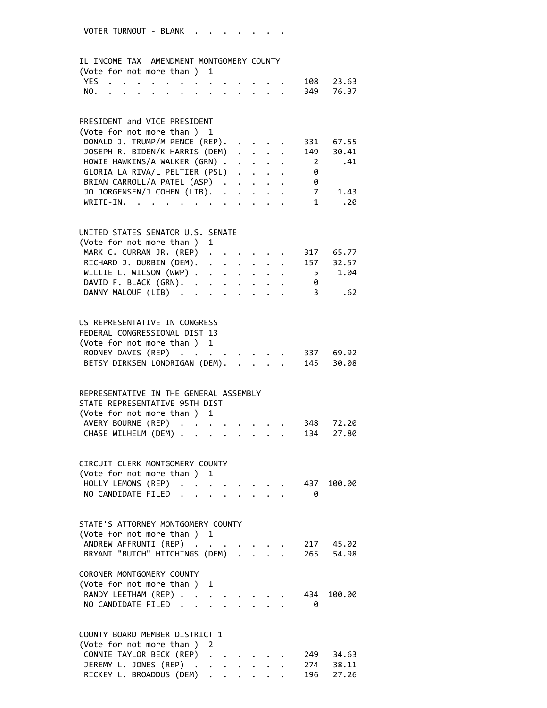## IL INCOME TAX AMENDMENT MONTGOMERY COUNTY

| (Vote for not more than ) 1 |  |  |  |  |  |  |               |  |
|-----------------------------|--|--|--|--|--|--|---------------|--|
|                             |  |  |  |  |  |  | YES 108 23.63 |  |
|                             |  |  |  |  |  |  | NO. 349 76.37 |  |

### PRESIDENT and VICE PRESIDENT

| (Vote for not more than) 1               |  |  |     |       |
|------------------------------------------|--|--|-----|-------|
| DONALD J. TRUMP/M PENCE (REP). 331       |  |  |     | 67.55 |
| JOSEPH R. BIDEN/K HARRIS (DEM) 149 30.41 |  |  |     |       |
| HOWIE HAWKINS/A WALKER (GRN) 2 .41       |  |  |     |       |
| GLORIA LA RIVA/L PELTIER (PSL)           |  |  | - 0 |       |
| BRIAN CARROLL/A PATEL (ASP)              |  |  | - 0 |       |
| JO JORGENSEN/J COHEN (LIB). 7            |  |  |     | 1.43  |
| WRITE-IN.                                |  |  |     | .20   |

# UNITED STATES SENATOR U.S. SENATE

| (Vote for not more than) 1         |  |  |  |   |     |
|------------------------------------|--|--|--|---|-----|
| MARK C. CURRAN JR. (REP) 317 65.77 |  |  |  |   |     |
| RICHARD J. DURBIN (DEM). 157 32.57 |  |  |  |   |     |
| WILLIE L. WILSON (WWP) 5 1.04      |  |  |  |   |     |
| DAVID F. BLACK (GRN).              |  |  |  | 0 |     |
| DANNY MALOUF (LIB) 3               |  |  |  |   | .62 |

# US REPRESENTATIVE IN CONGRESS FEDERAL CONGRESSIONAL DIST 13 (Vote for not more than ) 1 RODNEY DAVIS  $(REP)$  . . . . . . . . 337 69.92 BETSY DIRKSEN LONDRIGAN (DEM). . . . . 145 30.08

| REPRESENTATIVE IN THE GENERAL ASSEMBLY |  |  |  |  |
|----------------------------------------|--|--|--|--|
| STATE REPRESENTATIVE 95TH DIST         |  |  |  |  |
| (Vote for not more than ) 1            |  |  |  |  |
| AVERY BOURNE (REP) 348 72.20           |  |  |  |  |
| CHASE WILHELM (DEM) 134 27.80          |  |  |  |  |

#### CIRCUIT CLERK MONTGOMERY COUNTY (Vote for not more than ) 1 HOLLY LEMONS (REP) . . . . . . . . 437 100.00

| NO CANDIDATE FILED |  |
|--------------------|--|

# STATE'S ATTORNEY MONTGOMERY COUNTY (Vote for not more than ) 1 ANDREW AFFRUNTI (REP) . . . . . . . 217 45.02

| BRYANT "BUTCH" HITCHINGS (DEM) 265 54.98 |  |  |  |
|------------------------------------------|--|--|--|
| CORONER MONTGOMERY COUNTY                |  |  |  |
| (Vote for not more than) 1               |  |  |  |
| RANDY LEETHAM (REP) 434 100.00           |  |  |  |

| NO CANDIDATE FILED |  |  |  |  |  |
|--------------------|--|--|--|--|--|

# COUNTY BOARD MEMBER DISTRICT 1 (Vote for not more than ) 2 CONNIE TAYLOR BECK (REP) . . . . . . 249 34.63 JEREMY L. JONES (REP) . . . . . . . 274 38.11 RICKEY L. BROADDUS (DEM) . . . . . . 196 27.26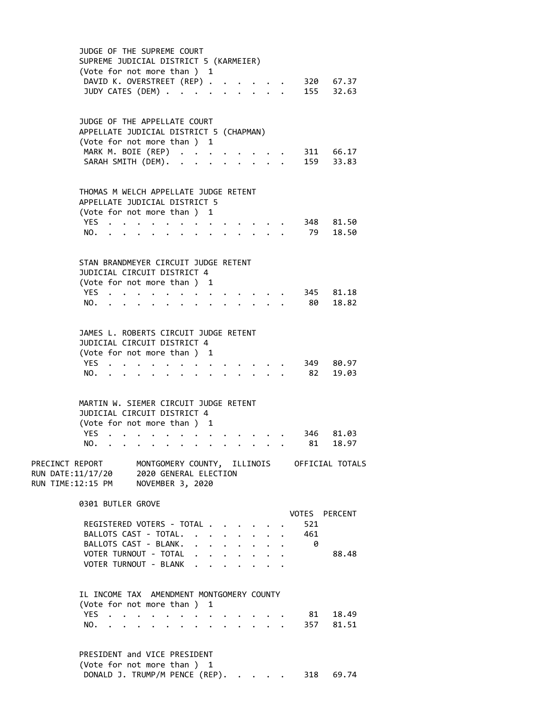| JUDGE OF THE SUPREME COURT                                                                                                                                                                                                                       |
|--------------------------------------------------------------------------------------------------------------------------------------------------------------------------------------------------------------------------------------------------|
| SUPREME JUDICIAL DISTRICT 5 (KARMEIER)<br>(Vote for not more than ) 1<br>DAVID K. OVERSTREET (REP)<br>320 67.37<br>155 32.63<br>JUDY CATES (DEM)<br>$\cdot$ $\cdot$ $\cdot$ $\cdot$<br>$\mathbf{A}$                                              |
| JUDGE OF THE APPELLATE COURT<br>APPELLATE JUDICIAL DISTRICT 5 (CHAPMAN)<br>(Vote for not more than ) 1<br>MARK M. BOIE (REP)<br>311 66.17<br>159 33.83<br>SARAH SMITH (DEM).<br>$\sim$ $\sim$                                                    |
| THOMAS M WELCH APPELLATE JUDGE RETENT<br>APPELLATE JUDICIAL DISTRICT 5<br>(Vote for not more than) 1<br>YES<br>348 81.50<br>79 18.50<br>NO.<br>$\mathbf{A}$                                                                                      |
| STAN BRANDMEYER CIRCUIT JUDGE RETENT<br>JUDICIAL CIRCUIT DISTRICT 4<br>(Vote for not more than ) 1<br>345 81.18<br>YES<br>80 18.82<br>NO.                                                                                                        |
| JAMES L. ROBERTS CIRCUIT JUDGE RETENT<br>JUDICIAL CIRCUIT DISTRICT 4<br>(Vote for not more than ) 1<br>YES.<br>349 80.97<br>82<br>19.03<br>NO.                                                                                                   |
| MARTIN W. SIEMER CIRCUIT JUDGE RETENT<br>JUDICIAL CIRCUIT DISTRICT 4<br>(Vote for not more than ) 1<br>YES<br>346<br>81.03<br>18.97<br>NO.<br>81 —                                                                                               |
| PRECINCT REPORT MONTGOMERY COUNTY, ILLINOIS OFFICIAL TOTALS<br>RUN DATE:11/17/20 2020 GENERAL ELECTION<br>RUN TIME:12:15 PM NOVEMBER 3, 2020                                                                                                     |
| 0301 BUTLER GROVE<br><b>VOTES PERCENT</b><br>REGISTERED VOTERS - TOTAL .<br>521<br>BALLOTS CAST - TOTAL. .<br>461<br>$\sim$<br>$\bullet$<br>BALLOTS CAST - BLANK.<br>- 0<br>$\ddot{\phantom{a}}$<br>$\ddot{\phantom{0}}$<br>$\ddot{\phantom{0}}$ |
| VOTER TURNOUT - TOTAL<br>88.48<br>$\ddot{\phantom{0}}$<br>$\cdot$ $\cdot$ $\cdot$ $\cdot$<br>VOTER TURNOUT - BLANK<br>IL INCOME TAX AMENDMENT MONTGOMERY COUNTY                                                                                  |
| (Vote for not more than ) 1<br><b>YES</b><br>81 18.49<br>$\mathbf{r}$<br>357<br>81.51<br>NO.                                                                                                                                                     |
| PRESIDENT and VICE PRESIDENT                                                                                                                                                                                                                     |

(Vote for not more than ) 1

DONALD J. TRUMP/M PENCE (REP). . . . . 318 69.74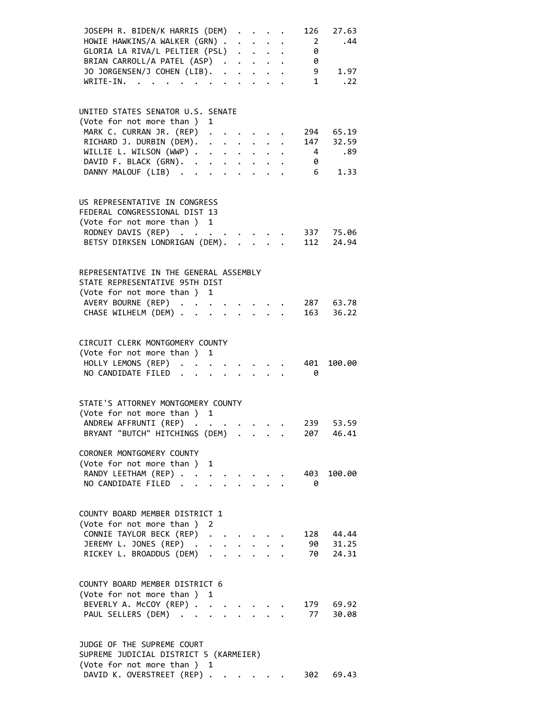| JOSEPH R. BIDEN/K HARRIS (DEM)                                                                    |                           |                           | 126            | 27.63                                     |
|---------------------------------------------------------------------------------------------------|---------------------------|---------------------------|----------------|-------------------------------------------|
| HOWIE HAWKINS/A WALKER (GRN)                                                                      |                           |                           | $2^{\circ}$    | .44                                       |
| GLORIA LA RIVA/L PELTIER (PSL)                                                                    |                           |                           | 0              |                                           |
| BRIAN CARROLL/A PATEL (ASP)                                                                       |                           |                           | 0              |                                           |
| JO JORGENSEN/J COHEN (LIB).                                                                       |                           |                           |                | 9 1.97                                    |
| $WRITE-IN.$ .<br>$\mathbf{r}$ , $\mathbf{r}$ , $\mathbf{r}$ , $\mathbf{r}$ , $\mathbf{r}$         |                           |                           | $\mathbf{1}$   | .22                                       |
|                                                                                                   |                           |                           |                |                                           |
|                                                                                                   |                           |                           |                |                                           |
| UNITED STATES SENATOR U.S. SENATE                                                                 |                           |                           |                |                                           |
| (Vote for not more than ) 1                                                                       |                           |                           |                |                                           |
| MARK C. CURRAN JR. (REP) .                                                                        |                           |                           |                | 294 65.19                                 |
| RICHARD J. DURBIN (DEM).<br>$\begin{array}{cccccccccccccc} . & . & . & . & . & . & . \end{array}$ |                           |                           | 147            | 32.59                                     |
| WILLIE L. WILSON (WWP)                                                                            |                           |                           | $\overline{4}$ | .89                                       |
| DAVID F. BLACK (GRN).                                                                             |                           |                           | - 0            |                                           |
| DANNY MALOUF (LIB)                                                                                |                           |                           | 6 <sup>6</sup> | 1.33                                      |
|                                                                                                   |                           |                           |                |                                           |
|                                                                                                   |                           |                           |                |                                           |
| US REPRESENTATIVE IN CONGRESS                                                                     |                           |                           |                |                                           |
| FEDERAL CONGRESSIONAL DIST 13                                                                     |                           |                           |                |                                           |
| (Vote for not more than ) 1                                                                       |                           |                           |                |                                           |
| RODNEY DAVIS (REP)                                                                                |                           |                           |                | $\cdot$ $\cdot$ $\cdot$ $\cdot$ 337 75.06 |
| BETSY DIRKSEN LONDRIGAN (DEM). 112 24.94                                                          |                           |                           |                |                                           |
|                                                                                                   |                           |                           |                |                                           |
|                                                                                                   |                           |                           |                |                                           |
| REPRESENTATIVE IN THE GENERAL ASSEMBLY                                                            |                           |                           |                |                                           |
| STATE REPRESENTATIVE 95TH DIST                                                                    |                           |                           |                |                                           |
| (Vote for not more than ) 1                                                                       |                           |                           |                |                                           |
| AVERY BOURNE (REP)                                                                                |                           |                           |                | 287 63.78                                 |
| CHASE WILHELM (DEM)                                                                               |                           | $\mathbf{r} = \mathbf{r}$ |                | 163 36.22                                 |
|                                                                                                   |                           |                           |                |                                           |
|                                                                                                   |                           |                           |                |                                           |
| CIRCUIT CLERK MONTGOMERY COUNTY                                                                   |                           |                           |                |                                           |
| (Vote for not more than ) 1                                                                       |                           |                           |                |                                           |
| HOLLY LEMONS (REP)                                                                                |                           |                           | 401            | 100.00                                    |
| NO CANDIDATE FILED.                                                                               | $\mathbf{A}^{\text{max}}$ |                           | - 0            |                                           |
|                                                                                                   |                           |                           |                |                                           |
|                                                                                                   |                           |                           |                |                                           |
| STATE'S ATTORNEY MONTGOMERY COUNTY                                                                |                           |                           |                |                                           |
| (Vote for not more than ) 1                                                                       |                           |                           |                |                                           |
| ANDREW AFFRUNTI (REP)                                                                             |                           |                           | 239            | 53.59                                     |
| BRYANT "BUTCH" HITCHINGS (DEM)                                                                    |                           |                           | 207            | 46.41                                     |
|                                                                                                   |                           |                           |                |                                           |
| CORONER MONTGOMERY COUNTY                                                                         |                           |                           |                |                                           |
| (Vote for not more than ) 1                                                                       |                           |                           |                |                                           |
| RANDY LEETHAM (REP)<br>$\ddot{\phantom{0}}$                                                       |                           |                           | 403            | 100.00                                    |
| NO CANDIDATE FILED.<br><b>Contract</b>                                                            |                           |                           | 0              |                                           |
|                                                                                                   |                           |                           |                |                                           |
|                                                                                                   |                           |                           |                |                                           |
| COUNTY BOARD MEMBER DISTRICT 1                                                                    |                           |                           |                |                                           |
| (Vote for not more than)<br>2                                                                     |                           |                           |                |                                           |
| CONNIE TAYLOR BECK (REP)<br>$\ddot{\phantom{a}}$                                                  |                           |                           | 128            | 44.44                                     |
| JEREMY L. JONES (REP) .<br>$\bullet$                                                              |                           |                           | 90             | 31.25                                     |
| RICKEY L. BROADDUS (DEM)<br>$\ddot{\phantom{0}}$                                                  |                           |                           | 70             | 24.31                                     |
|                                                                                                   |                           |                           |                |                                           |
|                                                                                                   |                           |                           |                |                                           |
| COUNTY BOARD MEMBER DISTRICT 6                                                                    |                           |                           |                |                                           |
| (Vote for not more than )<br>1                                                                    |                           |                           |                |                                           |
| BEVERLY A. McCOY (REP)                                                                            |                           |                           |                | 179 69.92                                 |
| PAUL SELLERS (DEM)                                                                                |                           |                           | 77             | 30.08                                     |
|                                                                                                   |                           |                           |                |                                           |
|                                                                                                   |                           |                           |                |                                           |
| JUDGE OF THE SUPREME COURT                                                                        |                           |                           |                |                                           |
| SUPREME JUDICIAL DISTRICT 5 (KARMEIER)                                                            |                           |                           |                |                                           |
| (Vote for not more than ) 1                                                                       |                           |                           |                |                                           |

DAVID K. OVERSTREET (REP) . . . . . . 302 69.43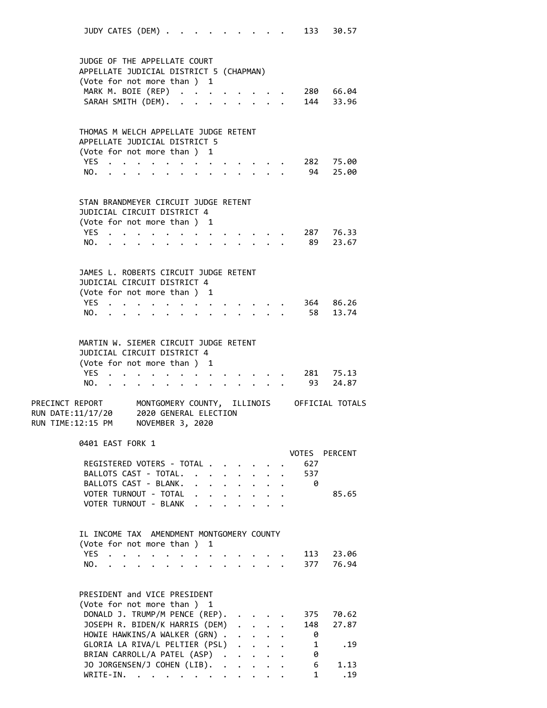JUDY CATES (DEM) . . . . . . . . . . 133 30.57 JUDGE OF THE APPELLATE COURT APPELLATE JUDICIAL DISTRICT 5 (CHAPMAN) (Vote for not more than ) 1 MARK M. BOIE (REP) . . . . . . . . 280 66.04 SARAH SMITH (DEM). . . . . . . . . 144 33.96 THOMAS M WELCH APPELLATE JUDGE RETENT APPELLATE JUDICIAL DISTRICT 5 (Vote for not more than ) 1 YES . . . . . . . . . . . . . 282 75.00 NO. . . . . . . . . . . . . . 94 25.00 STAN BRANDMEYER CIRCUIT JUDGE RETENT JUDICIAL CIRCUIT DISTRICT 4 (Vote for not more than ) 1 YES . . . . . . . . . . . . . 287 76.33 NO. . . . . . . . . . . . . . 89 23.67 JAMES L. ROBERTS CIRCUIT JUDGE RETENT JUDICIAL CIRCUIT DISTRICT 4 (Vote for not more than ) 1 YES . . . . . . . . . . . . . 364 86.26 NO. . . . . . . . . . . . . . 58 13.74 MARTIN W. SIEMER CIRCUIT JUDGE RETENT JUDICIAL CIRCUIT DISTRICT 4 (Vote for not more than ) 1 YES . . . . . . . . . . . . . 281 75.13 NO. . . . . . . . . . . . . . 93 24.87 PRECINCT REPORT MONTGOMERY COUNTY, ILLINOIS OFFICIAL TOTALS RUN DATE:11/17/20 2020 GENERAL ELECTION RUN TIME:12:15 PM NOVEMBER 3, 2020 0401 EAST FORK 1 VOTES PERCENT REGISTERED VOTERS - TOTAL . . . . . . 627 BALLOTS CAST - TOTAL. . . . . . . . 537 BALLOTS CAST - BLANK. . . . . . . . 0 VOTER TURNOUT - TOTAL . . . . . . . . 85.65 VOTER TURNOUT - BLANK . . . . . IL INCOME TAX AMENDMENT MONTGOMERY COUNTY (Vote for not more than ) 1 YES . . . . . . . . . . . . . 113 23.06 NO. . . . . . . . . . . . . . 377 76.94 PRESIDENT and VICE PRESIDENT (Vote for not more than ) 1 DONALD J. TRUMP/M PENCE (REP). . . . . 375 70.62 JOSEPH R. BIDEN/K HARRIS (DEM) . . . . 148 27.87 HOWIE HAWKINS/A WALKER (GRN) . . . . . 0 GLORIA LA RIVA/L PELTIER (PSL) . . . . 1 .19<br>BRIAN CARROLL/A PATEL (ASP) . . . . . 0 BRIAN CARROLL/A PATEL (ASP) . . . . . 0<br>30 JORGENSEN/J COHEN (LIB). . . . . . 6 1.13<br>WRITE-IN. . . . . . . . . . . . 1 .19 JO JORGENSEN/J COHEN (LIB). . WRITE-IN. . . . . . . . . . . .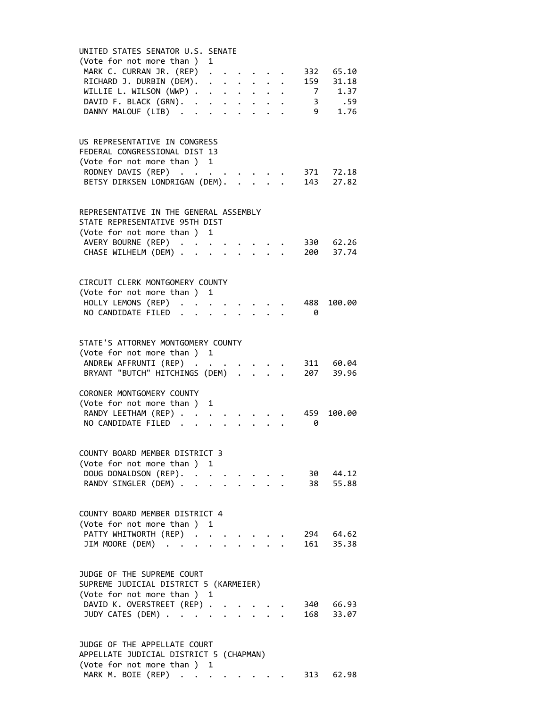| UNITED STATES SENATOR U.S. SENATE          |   |                      |                      |                                          |                                             |                |                        |  |
|--------------------------------------------|---|----------------------|----------------------|------------------------------------------|---------------------------------------------|----------------|------------------------|--|
| (Vote for not more than ) 1                |   |                      |                      |                                          |                                             |                |                        |  |
| MARK C. CURRAN JR. (REP) .                 |   |                      |                      |                                          |                                             |                | 332 65.10              |  |
| RICHARD J. DURBIN (DEM).                   |   | $\sim$ $\sim$        |                      |                                          |                                             |                | 159 31.18              |  |
| WILLIE L. WILSON (WWP)                     |   |                      | $\ddot{\phantom{0}}$ |                                          | $\mathbf{L} = \mathbf{L} \times \mathbf{L}$ |                | $7 \t 1.37$            |  |
| DAVID F. BLACK (GRN).                      |   | $\ddot{\phantom{a}}$ | $\ddot{\phantom{0}}$ | $\mathbf{r} = \mathbf{r} + \mathbf{r}$ . |                                             |                | 3 .59                  |  |
| DANNY MALOUF (LIB)                         |   |                      |                      |                                          |                                             | 9 <sub>1</sub> | 1.76                   |  |
|                                            |   |                      |                      |                                          |                                             |                |                        |  |
|                                            |   |                      |                      |                                          |                                             |                |                        |  |
| US REPRESENTATIVE IN CONGRESS              |   |                      |                      |                                          |                                             |                |                        |  |
| FEDERAL CONGRESSIONAL DIST 13              |   |                      |                      |                                          |                                             |                |                        |  |
| (Vote for not more than ) 1                |   |                      |                      |                                          |                                             |                |                        |  |
| RODNEY DAVIS (REP)                         |   |                      |                      |                                          |                                             |                | 371 72.18              |  |
| BETSY DIRKSEN LONDRIGAN (DEM).             |   |                      |                      |                                          |                                             |                | 143 27.82              |  |
|                                            |   |                      |                      |                                          |                                             |                |                        |  |
|                                            |   |                      |                      |                                          |                                             |                |                        |  |
| REPRESENTATIVE IN THE GENERAL ASSEMBLY     |   |                      |                      |                                          |                                             |                |                        |  |
| STATE REPRESENTATIVE 95TH DIST             |   |                      |                      |                                          |                                             |                |                        |  |
| (Vote for not more than ) 1                |   |                      |                      |                                          |                                             |                |                        |  |
| AVERY BOURNE (REP)                         |   |                      |                      |                                          |                                             |                | 330 62.26              |  |
| CHASE WILHELM (DEM)                        |   |                      | $\ddot{\phantom{0}}$ | $\ddot{\phantom{a}}$                     |                                             |                | 200 37.74              |  |
|                                            |   |                      |                      |                                          |                                             |                |                        |  |
|                                            |   |                      |                      |                                          |                                             |                |                        |  |
| CIRCUIT CLERK MONTGOMERY COUNTY            |   |                      |                      |                                          |                                             |                |                        |  |
| (Vote for not more than ) 1                |   |                      |                      |                                          |                                             |                |                        |  |
| HOLLY LEMONS (REP).                        |   |                      |                      |                                          |                                             | 488            | 100.00                 |  |
| NO CANDIDATE FILED<br>$\ddot{\phantom{a}}$ |   |                      |                      |                                          |                                             | - 0            |                        |  |
|                                            |   |                      |                      |                                          |                                             |                |                        |  |
|                                            |   |                      |                      |                                          |                                             |                |                        |  |
| STATE'S ATTORNEY MONTGOMERY COUNTY         |   |                      |                      |                                          |                                             |                |                        |  |
| (Vote for not more than ) 1                |   |                      |                      |                                          |                                             |                |                        |  |
| ANDREW AFFRUNTI (REP)                      |   |                      |                      |                                          |                                             |                | 311 60.04<br>207 39.96 |  |
| BRYANT "BUTCH" HITCHINGS (DEM) .           |   |                      |                      |                                          |                                             |                |                        |  |
|                                            |   |                      |                      |                                          |                                             |                |                        |  |
| CORONER MONTGOMERY COUNTY                  |   |                      |                      |                                          |                                             |                |                        |  |
| (Vote for not more than)                   | 1 |                      |                      |                                          |                                             |                |                        |  |
| RANDY LEETHAM (REP)                        |   |                      |                      |                                          |                                             | 459            | 100.00                 |  |
| NO CANDIDATE FILED                         |   |                      |                      |                                          |                                             | 0              |                        |  |
|                                            |   |                      |                      |                                          |                                             |                |                        |  |
| COUNTY BOARD MEMBER DISTRICT 3             |   |                      |                      |                                          |                                             |                |                        |  |
| (Vote for not more than ) 1                |   |                      |                      |                                          |                                             |                |                        |  |
| DOUG DONALDSON (REP).                      |   |                      |                      |                                          |                                             |                | 30 44.12               |  |
| RANDY SINGLER (DEM)                        |   |                      |                      | $\mathbf{r} = \mathbf{r}$                |                                             |                | 38 55.88               |  |
|                                            |   |                      |                      |                                          |                                             |                |                        |  |
|                                            |   |                      |                      |                                          |                                             |                |                        |  |
| COUNTY BOARD MEMBER DISTRICT 4             |   |                      |                      |                                          |                                             |                |                        |  |
| (Vote for not more than ) 1                |   |                      |                      |                                          |                                             |                |                        |  |
| PATTY WHITWORTH (REP).                     |   |                      |                      |                                          |                                             |                | 294 64.62              |  |
| JIM MOORE (DEM)                            |   |                      |                      |                                          |                                             |                | 161 35.38              |  |
|                                            |   |                      |                      |                                          |                                             |                |                        |  |
|                                            |   |                      |                      |                                          |                                             |                |                        |  |
| JUDGE OF THE SUPREME COURT                 |   |                      |                      |                                          |                                             |                |                        |  |
| SUPREME JUDICIAL DISTRICT 5 (KARMEIER)     |   |                      |                      |                                          |                                             |                |                        |  |
| (Vote for not more than ) 1                |   |                      |                      |                                          |                                             |                |                        |  |
| DAVID K. OVERSTREET (REP).                 |   |                      |                      |                                          |                                             |                | 340 66.93              |  |
| JUDY CATES (DEM)                           |   |                      |                      |                                          |                                             | 168            | 33.07                  |  |
|                                            |   |                      |                      |                                          |                                             |                |                        |  |
|                                            |   |                      |                      |                                          |                                             |                |                        |  |
| JUDGE OF THE APPELLATE COURT               |   |                      |                      |                                          |                                             |                |                        |  |
| APPELLATE JUDICIAL DISTRICT 5 (CHAPMAN)    |   |                      |                      |                                          |                                             |                |                        |  |
| (Vote for not more than ) 1                |   |                      |                      |                                          |                                             |                |                        |  |

MARK M. BOIE (REP) . . . . . . . . 313 62.98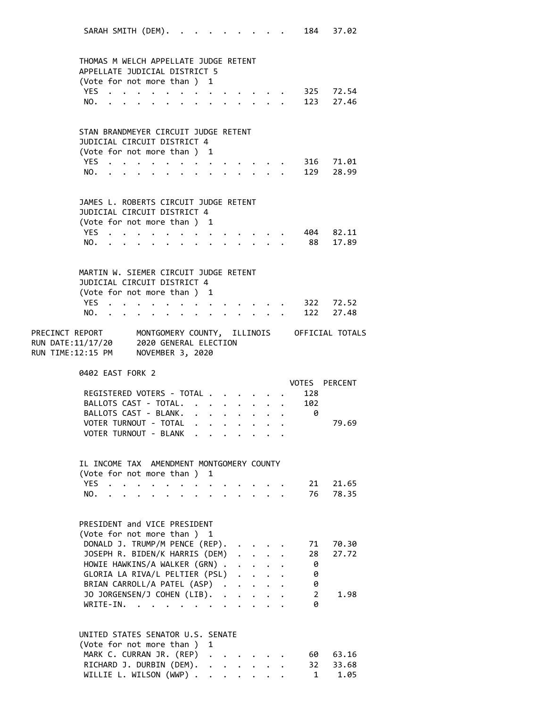SARAH SMITH (DEM). . . . . . . . . 184 37.02 THOMAS M WELCH APPELLATE JUDGE RETENT APPELLATE JUDICIAL DISTRICT 5 (Vote for not more than ) 1 YES . . . . . . . . . . . . . 325 72.54 NO. . . . . . . . . . . . . . 123 27.46 STAN BRANDMEYER CIRCUIT JUDGE RETENT JUDICIAL CIRCUIT DISTRICT 4 (Vote for not more than ) 1 YES . . . . . . . . . . . . . 316 71.01 NO. . . . . . . . . . . . . . 129 28.99 JAMES L. ROBERTS CIRCUIT JUDGE RETENT JUDICIAL CIRCUIT DISTRICT 4 (Vote for not more than ) 1 YES . . . . . . . . . . . . . 404 82.11 NO. . . . . . . . . . . . . . 88 17.89 MARTIN W. SIEMER CIRCUIT JUDGE RETENT JUDICIAL CIRCUIT DISTRICT 4 (Vote for not more than ) 1 YES . . . . . . . . . . . . . 322 72.52 NO. . . . . . . . . . . . . . 122 27.48 PRECINCT REPORT MONTGOMERY COUNTY, ILLINOIS OFFICIAL TOTALS RUN DATE:11/17/20 2020 GENERAL ELECTION RUN TIME:12:15 PM NOVEMBER 3, 2020 0402 EAST FORK 2 VOTES PERCENT REGISTERED VOTERS - TOTAL . . . . . . 128 BALLOTS CAST - TOTAL. . . . . . . . 102 BALLOTS CAST - BLANK. . . . . . . . . 0 VOTER TURNOUT - TOTAL . . . . . . . . 79.69 VOTER TURNOUT - BLANK . . IL INCOME TAX AMENDMENT MONTGOMERY COUNTY (Vote for not more than ) 1 YES . . . . . . . . . . . . . 21 21.65 NO. . . . . . . . . . . . . . 76 78.35 PRESIDENT and VICE PRESIDENT (Vote for not more than ) 1 DONALD J. TRUMP/M PENCE (REP). . . . . 71 70.30 JOSEPH R. BIDEN/K HARRIS (DEM) . . . . 28 27.72 HOWIE HAWKINS/A WALKER (GRN) . . . . . 0 GLORIA LA RIVA/L PELTIER (PSL) . . . . 0 BRIAN CARROLL/A PATEL (ASP) . . . . . 0<br>JO JORGENSEN/J COHEN (LIB). . . . . . 2 JO JORGENSEN/J COHEN (LIB). . . . . . 2 1.98 WRITE-IN. . . . . . . . . . . . 0 UNITED STATES SENATOR U.S. SENATE (Vote for not more than ) 1 MARK C. CURRAN JR. (REP) . . . . . . 60 63.16 RICHARD J. DURBIN (DEM). . . . . . . 32 33.68 WILLIE L. WILSON (WWP) . . . . . . . 1 1.05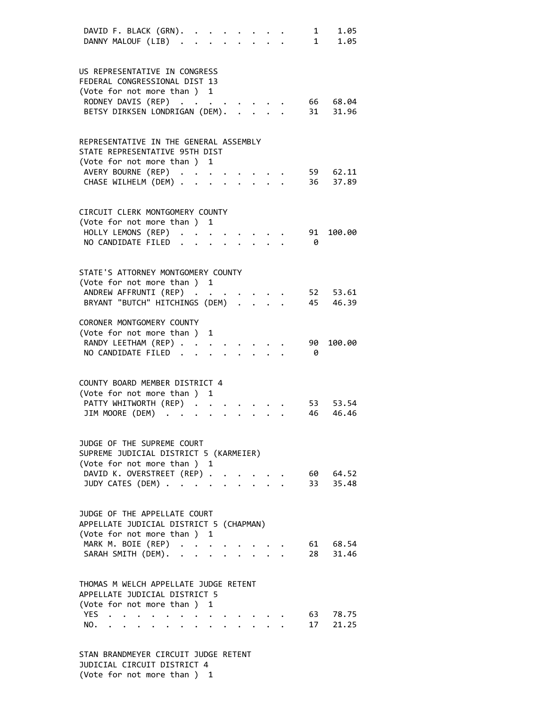|     | DAVID F. BLACK (GRN). .<br>DANNY MALOUF (LIB).                         |                                                     |                      |              |  |  | 1  | 1.05<br>1 1.05    |  |
|-----|------------------------------------------------------------------------|-----------------------------------------------------|----------------------|--------------|--|--|----|-------------------|--|
|     |                                                                        |                                                     |                      |              |  |  |    |                   |  |
|     | US REPRESENTATIVE IN CONGRESS                                          |                                                     |                      |              |  |  |    |                   |  |
|     | FEDERAL CONGRESSIONAL DIST 13                                          |                                                     |                      |              |  |  |    |                   |  |
|     | (Vote for not more than ) 1<br>RODNEY DAVIS (REP)                      |                                                     |                      |              |  |  | 66 | 68.04             |  |
|     | BETSY DIRKSEN LONDRIGAN (DEM).                                         |                                                     |                      |              |  |  | 31 | 31.96             |  |
|     |                                                                        |                                                     |                      |              |  |  |    |                   |  |
|     | REPRESENTATIVE IN THE GENERAL ASSEMBLY                                 |                                                     |                      |              |  |  |    |                   |  |
|     | STATE REPRESENTATIVE 95TH DIST                                         |                                                     |                      |              |  |  |    |                   |  |
|     | (Vote for not more than ) 1                                            |                                                     |                      |              |  |  |    |                   |  |
|     | AVERY BOURNE (REP)                                                     |                                                     |                      |              |  |  |    | 59 62.11          |  |
|     | CHASE WILHELM (DEM) .                                                  |                                                     |                      |              |  |  | 36 | 37.89             |  |
|     | CIRCUIT CLERK MONTGOMERY COUNTY                                        |                                                     |                      |              |  |  |    |                   |  |
|     | (Vote for not more than ) 1                                            |                                                     |                      |              |  |  |    |                   |  |
|     | HOLLY LEMONS (REP) .                                                   |                                                     | $\ddot{\phantom{a}}$ |              |  |  | 91 | 100.00            |  |
|     | NO CANDIDATE FILED.                                                    |                                                     |                      |              |  |  | 0  |                   |  |
|     |                                                                        |                                                     |                      |              |  |  |    |                   |  |
|     | STATE'S ATTORNEY MONTGOMERY COUNTY                                     |                                                     |                      |              |  |  |    |                   |  |
|     | (Vote for not more than ) 1                                            |                                                     |                      |              |  |  |    |                   |  |
|     | ANDREW AFFRUNTI (REP)                                                  |                                                     |                      |              |  |  |    | 52 53.61          |  |
|     | BRYANT "BUTCH" HITCHINGS (DEM) .                                       |                                                     |                      |              |  |  |    | 45 46.39          |  |
|     | CORONER MONTGOMERY COUNTY                                              |                                                     |                      |              |  |  |    |                   |  |
|     | (Vote for not more than)                                               |                                                     |                      | 1            |  |  |    |                   |  |
|     | RANDY LEETHAM (REP)                                                    |                                                     |                      |              |  |  | 90 | 100.00            |  |
|     | NO CANDIDATE FILED.                                                    |                                                     |                      |              |  |  | 0  |                   |  |
|     | COUNTY BOARD MEMBER DISTRICT 4                                         |                                                     |                      |              |  |  |    |                   |  |
|     | (Vote for not more than)                                               |                                                     |                      | 1            |  |  |    |                   |  |
|     | PATTY WHITWORTH (REP) .                                                |                                                     |                      |              |  |  | 53 | 53.54             |  |
|     | JIM MOORE (DEM)                                                        |                                                     |                      |              |  |  | 46 | 46.46             |  |
|     |                                                                        |                                                     |                      |              |  |  |    |                   |  |
|     | JUDGE OF THE SUPREME COURT                                             |                                                     |                      |              |  |  |    |                   |  |
|     | SUPREME JUDICIAL DISTRICT 5 (KARMEIER)                                 |                                                     |                      |              |  |  |    |                   |  |
|     | (Vote for not more than ) 1                                            |                                                     |                      |              |  |  |    |                   |  |
|     | DAVID K. OVERSTREET (REP)                                              |                                                     |                      |              |  |  | 33 | 60 64.52<br>35.48 |  |
|     | JUDY CATES (DEM)                                                       |                                                     |                      |              |  |  |    |                   |  |
|     | JUDGE OF THE APPELLATE COURT                                           |                                                     |                      |              |  |  |    |                   |  |
|     | APPELLATE JUDICIAL DISTRICT 5 (CHAPMAN)                                |                                                     |                      |              |  |  |    |                   |  |
|     | (Vote for not more than ) 1                                            |                                                     |                      |              |  |  |    |                   |  |
|     | MARK M. BOIE (REP)                                                     | $\mathbf{1}$ $\mathbf{1}$ $\mathbf{1}$ $\mathbf{1}$ |                      |              |  |  |    | 61 68.54          |  |
|     | SARAH SMITH (DEM).                                                     |                                                     |                      | $\mathbf{L}$ |  |  | 28 | 31.46             |  |
|     |                                                                        |                                                     |                      |              |  |  |    |                   |  |
|     | THOMAS M WELCH APPELLATE JUDGE RETENT<br>APPELLATE JUDICIAL DISTRICT 5 |                                                     |                      |              |  |  |    |                   |  |
|     | (Vote for not more than ) 1                                            |                                                     |                      |              |  |  |    |                   |  |
| YES |                                                                        |                                                     |                      |              |  |  | 63 | 78.75             |  |
| NO. |                                                                        |                                                     |                      |              |  |  | 17 | 21.25             |  |
|     |                                                                        |                                                     |                      |              |  |  |    |                   |  |
|     |                                                                        |                                                     |                      |              |  |  |    |                   |  |

 STAN BRANDMEYER CIRCUIT JUDGE RETENT JUDICIAL CIRCUIT DISTRICT 4 (Vote for not more than ) 1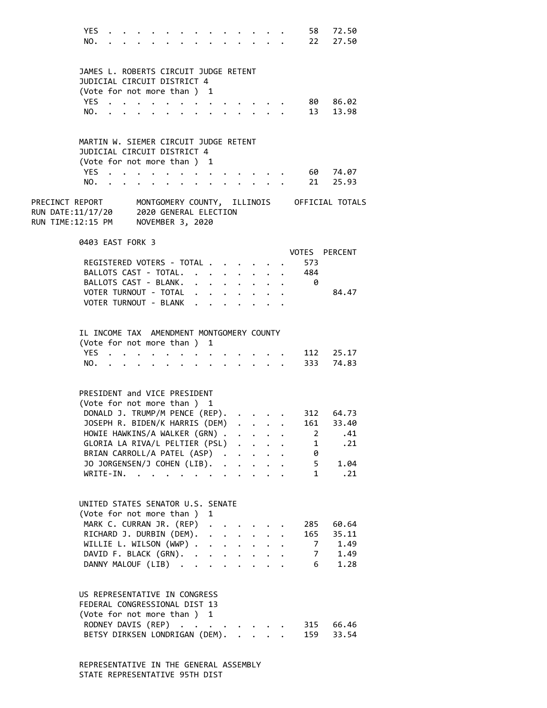|                                                                               | <b>YES</b><br>NO.                                                                                                   |                      |                                                           |  |                      |                      |                      |                      |                                                             |  |                   | 58 72.50<br>22 27.50                                        |  |
|-------------------------------------------------------------------------------|---------------------------------------------------------------------------------------------------------------------|----------------------|-----------------------------------------------------------|--|----------------------|----------------------|----------------------|----------------------|-------------------------------------------------------------|--|-------------------|-------------------------------------------------------------|--|
|                                                                               | JAMES L. ROBERTS CIRCUIT JUDGE RETENT<br>JUDICIAL CIRCUIT DISTRICT 4                                                |                      |                                                           |  |                      |                      |                      |                      |                                                             |  |                   |                                                             |  |
|                                                                               | (Vote for not more than ) 1                                                                                         |                      |                                                           |  |                      |                      |                      |                      |                                                             |  |                   |                                                             |  |
|                                                                               | <b>YES</b>                                                                                                          |                      |                                                           |  |                      |                      |                      |                      |                                                             |  |                   | 80 86.02                                                    |  |
|                                                                               | NO.                                                                                                                 |                      |                                                           |  |                      |                      |                      |                      | $\mathbf{r} = \mathbf{r}$                                   |  |                   | 13 13.98                                                    |  |
|                                                                               | MARTIN W. SIEMER CIRCUIT JUDGE RETENT<br>JUDICIAL CIRCUIT DISTRICT 4<br>(Vote for not more than) 1                  |                      |                                                           |  |                      |                      |                      |                      |                                                             |  |                   |                                                             |  |
|                                                                               | YES.<br>NO.                                                                                                         |                      |                                                           |  |                      |                      |                      |                      |                                                             |  |                   | 60 74.07<br>$21$ 25.93                                      |  |
| RUN DATE:11/17/20 2020 GENERAL ELECTION<br>RUN TIME:12:15 PM NOVEMBER 3, 2020 |                                                                                                                     |                      |                                                           |  |                      |                      |                      |                      |                                                             |  |                   | PRECINCT REPORT MONTGOMERY COUNTY, ILLINOIS OFFICIAL TOTALS |  |
|                                                                               | 0403 EAST FORK 3                                                                                                    |                      |                                                           |  |                      |                      |                      |                      |                                                             |  |                   | VOTES PERCENT                                               |  |
|                                                                               | REGISTERED VOTERS - TOTAL .                                                                                         |                      |                                                           |  |                      |                      | $\mathbf{A}$         |                      |                                                             |  | 573               |                                                             |  |
|                                                                               | BALLOTS CAST - TOTAL.                                                                                               |                      |                                                           |  |                      |                      | $\ddot{\phantom{0}}$ | $\ddot{\phantom{0}}$ | $\ddot{\phantom{0}}$                                        |  | 484               |                                                             |  |
|                                                                               | BALLOTS CAST - BLANK.                                                                                               |                      |                                                           |  |                      |                      |                      | $\ddot{\phantom{0}}$ | $\sim$                                                      |  | - 0               |                                                             |  |
|                                                                               | VOTER TURNOUT - TOTAL                                                                                               |                      |                                                           |  | $\ddot{\phantom{0}}$ |                      | $\ddot{\phantom{a}}$ | $\ddot{\phantom{0}}$ |                                                             |  |                   | 84.47                                                       |  |
|                                                                               | VOTER TURNOUT - BLANK                                                                                               |                      |                                                           |  |                      |                      |                      |                      |                                                             |  |                   |                                                             |  |
|                                                                               | IL INCOME TAX AMENDMENT MONTGOMERY COUNTY<br>(Vote for not more than ) 1<br>YES.                                    |                      |                                                           |  |                      |                      |                      |                      |                                                             |  |                   | 112 25.17                                                   |  |
|                                                                               | NO.                                                                                                                 | $\ddot{\phantom{1}}$ |                                                           |  | $\sim$ $\sim$        | $\bullet$            |                      |                      | $\cdot$ $\cdot$ $\cdot$ $\cdot$ $\cdot$                     |  |                   | 333 74.83                                                   |  |
|                                                                               | PRESIDENT and VICE PRESIDENT<br>(Vote for not more than ) 1                                                         |                      |                                                           |  |                      |                      |                      |                      |                                                             |  |                   |                                                             |  |
|                                                                               | DONALD J. TRUMP/M PENCE (REP).                                                                                      |                      |                                                           |  |                      |                      |                      |                      | $\cdot$ $\cdot$ $\cdot$ $\cdot$                             |  |                   | 312 64.73<br>161 33.40                                      |  |
|                                                                               | JOSEPH R. BIDEN/K HARRIS (DEM)<br>HOWIE HAWKINS/A WALKER (GRN) .                                                    |                      |                                                           |  |                      |                      |                      |                      |                                                             |  |                   | .41                                                         |  |
|                                                                               | GLORIA LA RIVA/L PELTIER (PSL)                                                                                      |                      |                                                           |  |                      |                      |                      |                      | $\mathbf{r}$ and $\mathbf{r}$                               |  | 2<br>$\mathbf{1}$ | .21                                                         |  |
|                                                                               | BRIAN CARROLL/A PATEL (ASP).                                                                                        |                      |                                                           |  |                      |                      |                      |                      | $\cdot$ $\cdot$ $\cdot$ $\cdot$                             |  | 0                 |                                                             |  |
|                                                                               | JO JORGENSEN/J COHEN (LIB).                                                                                         |                      |                                                           |  |                      |                      | $\ddot{\phantom{0}}$ |                      |                                                             |  | 5                 | 1.04                                                        |  |
|                                                                               | WRITE-IN.                                                                                                           |                      | $\mathbf{r}$ , $\mathbf{r}$ , $\mathbf{r}$ , $\mathbf{r}$ |  |                      |                      |                      |                      |                                                             |  | $\mathbf{1}$      | .21                                                         |  |
|                                                                               | UNITED STATES SENATOR U.S. SENATE<br>(Vote for not more than ) 1                                                    |                      |                                                           |  |                      |                      |                      |                      |                                                             |  |                   |                                                             |  |
|                                                                               | MARK C. CURRAN JR. (REP) .                                                                                          |                      |                                                           |  |                      |                      |                      |                      |                                                             |  | 285               | 60.64                                                       |  |
|                                                                               | RICHARD J. DURBIN (DEM).                                                                                            |                      |                                                           |  |                      | $\ddot{\phantom{0}}$ |                      |                      | $\cdot$ $\cdot$ $\cdot$                                     |  |                   | 165 35.11                                                   |  |
|                                                                               | WILLIE L. WILSON (WWP) .                                                                                            |                      |                                                           |  |                      | $\ddot{\phantom{0}}$ |                      |                      | $\mathcal{L}(\mathcal{A})$ , and $\mathcal{L}(\mathcal{A})$ |  |                   | 1.49<br>7                                                   |  |
|                                                                               | DAVID F. BLACK (GRN).                                                                                               |                      |                                                           |  |                      |                      |                      | $\ddot{\phantom{0}}$ |                                                             |  |                   | 1.49<br>7                                                   |  |
|                                                                               | DANNY MALOUF (LIB)                                                                                                  |                      |                                                           |  |                      |                      |                      | $\ddot{\phantom{0}}$ |                                                             |  | 6                 | 1.28                                                        |  |
|                                                                               | US REPRESENTATIVE IN CONGRESS<br>FEDERAL CONGRESSIONAL DIST 13<br>(Vote for not more than ) 1<br>RODNEY DAVIS (REP) |                      |                                                           |  |                      |                      |                      |                      |                                                             |  | 315               | 66.46                                                       |  |
|                                                                               | BETSY DIRKSEN LONDRIGAN (DEM).                                                                                      |                      |                                                           |  |                      |                      |                      |                      |                                                             |  | 159               | 33.54                                                       |  |
|                                                                               |                                                                                                                     |                      |                                                           |  |                      |                      |                      |                      |                                                             |  |                   |                                                             |  |

 REPRESENTATIVE IN THE GENERAL ASSEMBLY STATE REPRESENTATIVE 95TH DIST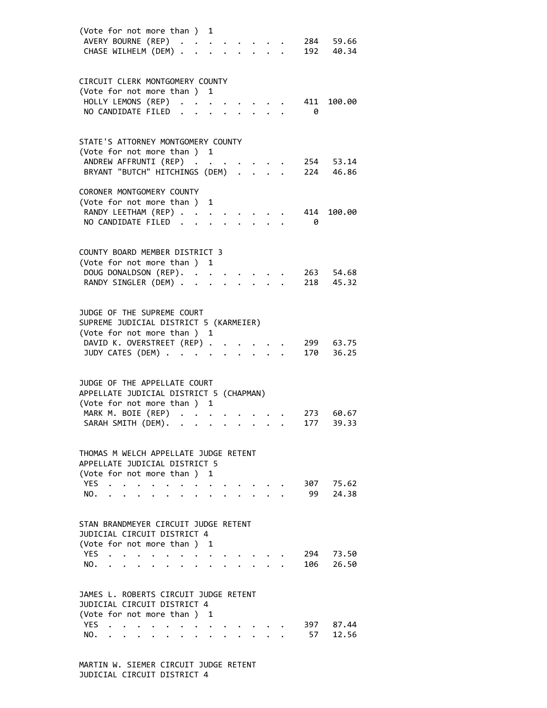| AVERY BOURNE (REP)<br>CHASE WILHELM (DEM)                          | (Vote for not more than ) 1 |  |                               |           |                |
|--------------------------------------------------------------------|-----------------------------|--|-------------------------------|-----------|----------------|
|                                                                    |                             |  |                               |           | 284 59.66      |
|                                                                    |                             |  | $\mathbf{L}$ and $\mathbf{L}$ | 192       | 40.34          |
|                                                                    |                             |  |                               |           |                |
|                                                                    |                             |  |                               |           |                |
| CIRCUIT CLERK MONTGOMERY COUNTY                                    |                             |  |                               |           |                |
| (Vote for not more than ) 1                                        |                             |  |                               |           |                |
| HOLLY LEMONS (REP) .                                               |                             |  |                               | 411       | 100.00         |
|                                                                    |                             |  |                               |           |                |
| NO CANDIDATE FILED<br>$\ddot{\phantom{a}}$                         |                             |  |                               | 0         |                |
|                                                                    |                             |  |                               |           |                |
|                                                                    |                             |  |                               |           |                |
| STATE'S ATTORNEY MONTGOMERY COUNTY                                 |                             |  |                               |           |                |
| (Vote for not more than ) 1                                        |                             |  |                               |           |                |
| ANDREW AFFRUNTI (REP)                                              |                             |  |                               |           | 254 53.14      |
| BRYANT "BUTCH" HITCHINGS (DEM) .                                   |                             |  |                               | 224       | 46.86          |
|                                                                    |                             |  |                               |           |                |
| CORONER MONTGOMERY COUNTY                                          |                             |  |                               |           |                |
| (Vote for not more than )                                          | 1                           |  |                               |           |                |
|                                                                    |                             |  |                               |           |                |
| RANDY LEETHAM (REP)                                                |                             |  |                               | 414       | 100.00         |
| NO CANDIDATE FILED                                                 |                             |  |                               | 0         |                |
|                                                                    |                             |  |                               |           |                |
|                                                                    |                             |  |                               |           |                |
| COUNTY BOARD MEMBER DISTRICT 3                                     |                             |  |                               |           |                |
| (Vote for not more than ) 1                                        |                             |  |                               |           |                |
| DOUG DONALDSON (REP).                                              |                             |  |                               | 263       | 54.68          |
| RANDY SINGLER (DEM)                                                |                             |  |                               | 218       | 45.32          |
|                                                                    |                             |  |                               |           |                |
|                                                                    |                             |  |                               |           |                |
|                                                                    |                             |  |                               |           |                |
| JUDGE OF THE SUPREME COURT                                         |                             |  |                               |           |                |
| SUPREME JUDICIAL DISTRICT 5 (KARMEIER)                             |                             |  |                               |           |                |
| (Vote for not more than ) 1                                        |                             |  |                               |           |                |
| DAVID K. OVERSTREET (REP).                                         |                             |  |                               |           | 299 63.75      |
| JUDY CATES (DEM)                                                   |                             |  |                               | 170       | 36.25          |
|                                                                    |                             |  |                               |           |                |
|                                                                    |                             |  |                               |           |                |
|                                                                    |                             |  |                               |           |                |
| JUDGE OF THE APPELLATE COURT                                       |                             |  |                               |           |                |
| APPELLATE JUDICIAL DISTRICT 5 (CHAPMAN)                            |                             |  |                               |           |                |
|                                                                    | 1                           |  |                               |           |                |
| (Vote for not more than)                                           |                             |  |                               |           |                |
| MARK M. BOIE (REP)<br>$\ddot{\phantom{a}}$<br>$\ddot{\phantom{a}}$ |                             |  |                               | 273       | 60.67          |
|                                                                    |                             |  |                               | 177       | 39.33          |
| SARAH SMITH (DEM).                                                 |                             |  |                               |           |                |
|                                                                    |                             |  |                               |           |                |
|                                                                    |                             |  |                               |           |                |
| THOMAS M WELCH APPELLATE JUDGE RETENT                              |                             |  |                               |           |                |
| APPELLATE JUDICIAL DISTRICT 5                                      |                             |  |                               |           |                |
| (Vote for not more than)                                           | 1                           |  |                               |           |                |
| YES.                                                               |                             |  |                               | 307       | 75.62          |
| NO.                                                                |                             |  |                               | 99        | 24.38          |
|                                                                    |                             |  |                               |           |                |
|                                                                    |                             |  |                               |           |                |
| STAN BRANDMEYER CIRCUIT JUDGE RETENT                               |                             |  |                               |           |                |
|                                                                    |                             |  |                               |           |                |
| JUDICIAL CIRCUIT DISTRICT 4                                        |                             |  |                               |           |                |
| (Vote for not more than)                                           | 1                           |  |                               |           |                |
| YES.<br>$\ddot{\phantom{0}}$                                       |                             |  |                               | 294       | 73.50          |
| NO.                                                                |                             |  |                               | 106       | 26.50          |
|                                                                    |                             |  |                               |           |                |
|                                                                    |                             |  |                               |           |                |
| JAMES L. ROBERTS CIRCUIT JUDGE RETENT                              |                             |  |                               |           |                |
| JUDICIAL CIRCUIT DISTRICT 4                                        |                             |  |                               |           |                |
|                                                                    | 1                           |  |                               |           |                |
| (Vote for not more than )                                          |                             |  |                               |           |                |
| YES.<br>NO.                                                        |                             |  |                               | 397<br>57 | 87.44<br>12.56 |

 MARTIN W. SIEMER CIRCUIT JUDGE RETENT JUDICIAL CIRCUIT DISTRICT 4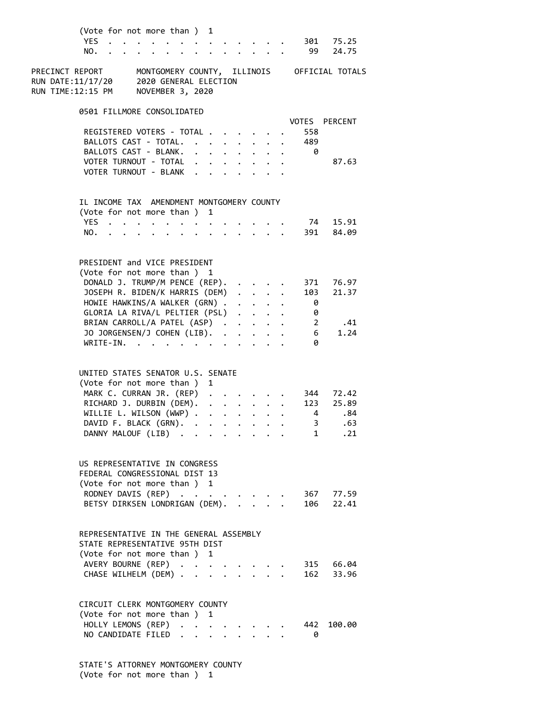| (Vote for not more than ) 1<br><b>YES</b><br>NO.                                                                                                                                                                                                                                                                                                                                                                                                                                    |                             |                                                 |                 |                                                                  | $\ddot{\phantom{0}}$                                                                                                               |                      |                      | 301<br>99                                                                                      | 75.25<br>24.75                                                           |  |
|-------------------------------------------------------------------------------------------------------------------------------------------------------------------------------------------------------------------------------------------------------------------------------------------------------------------------------------------------------------------------------------------------------------------------------------------------------------------------------------|-----------------------------|-------------------------------------------------|-----------------|------------------------------------------------------------------|------------------------------------------------------------------------------------------------------------------------------------|----------------------|----------------------|------------------------------------------------------------------------------------------------|--------------------------------------------------------------------------|--|
| PRECINCT REPORT<br>MONTGOMERY COUNTY, ILLINOIS<br>2020 GENERAL ELECTION<br>RUN DATE:11/17/20<br>RUN TIME:12:15 PM<br>NOVEMBER 3, 2020                                                                                                                                                                                                                                                                                                                                               |                             |                                                 |                 |                                                                  |                                                                                                                                    |                      |                      |                                                                                                | OFFICIAL TOTALS                                                          |  |
| 0501 FILLMORE CONSOLIDATED                                                                                                                                                                                                                                                                                                                                                                                                                                                          |                             |                                                 |                 |                                                                  |                                                                                                                                    |                      |                      | VOTES                                                                                          | <b>PERCENT</b>                                                           |  |
| REGISTERED VOTERS - TOTAL .                                                                                                                                                                                                                                                                                                                                                                                                                                                         |                             |                                                 |                 |                                                                  | $\mathbf{r}$ , $\mathbf{r}$ , $\mathbf{r}$                                                                                         |                      |                      | 558                                                                                            |                                                                          |  |
| BALLOTS CAST - TOTAL.                                                                                                                                                                                                                                                                                                                                                                                                                                                               |                             | $\cdot$ $\cdot$ $\cdot$ $\cdot$ $\cdot$ $\cdot$ |                 |                                                                  |                                                                                                                                    | $\ddot{\phantom{0}}$ |                      | 489                                                                                            |                                                                          |  |
| BALLOTS CAST - BLANK.                                                                                                                                                                                                                                                                                                                                                                                                                                                               | $\ddot{\phantom{0}}$        |                                                 | $\cdot$ $\cdot$ | $\ddot{\phantom{0}}$                                             | $\bullet$                                                                                                                          | $\ddot{\phantom{0}}$ | $\ddot{\phantom{a}}$ | 0                                                                                              |                                                                          |  |
| VOTER TURNOUT - TOTAL<br>VOTER TURNOUT - BLANK                                                                                                                                                                                                                                                                                                                                                                                                                                      | $\bullet$ .<br>$\mathbf{A}$ |                                                 | $\cdot$ $\cdot$ |                                                                  |                                                                                                                                    |                      |                      |                                                                                                | 87.63                                                                    |  |
|                                                                                                                                                                                                                                                                                                                                                                                                                                                                                     |                             |                                                 |                 |                                                                  |                                                                                                                                    |                      |                      |                                                                                                |                                                                          |  |
| IL INCOME TAX AMENDMENT MONTGOMERY COUNTY                                                                                                                                                                                                                                                                                                                                                                                                                                           |                             |                                                 |                 |                                                                  |                                                                                                                                    |                      |                      |                                                                                                |                                                                          |  |
| (Vote for not more than ) 1                                                                                                                                                                                                                                                                                                                                                                                                                                                         |                             |                                                 |                 |                                                                  |                                                                                                                                    |                      |                      |                                                                                                |                                                                          |  |
| YES                                                                                                                                                                                                                                                                                                                                                                                                                                                                                 |                             |                                                 |                 |                                                                  |                                                                                                                                    |                      |                      | 74                                                                                             | 15.91                                                                    |  |
| NO.                                                                                                                                                                                                                                                                                                                                                                                                                                                                                 | $\bullet$                   |                                                 |                 |                                                                  | $\cdot$ $\cdot$ $\cdot$                                                                                                            |                      |                      | 391                                                                                            | 84.09                                                                    |  |
| PRESIDENT and VICE PRESIDENT<br>(Vote for not more than ) 1<br>DONALD J. TRUMP/M PENCE (REP).<br>JOSEPH R. BIDEN/K HARRIS (DEM)<br>HOWIE HAWKINS/A WALKER (GRN) .<br>GLORIA LA RIVA/L PELTIER (PSL)<br>BRIAN CARROLL/A PATEL (ASP).<br>JO JORGENSEN/J COHEN (LIB).<br>WRITE-IN.<br>UNITED STATES SENATOR U.S. SENATE<br>(Vote for not more than)<br>MARK C. CURRAN JR. (REP)<br>RICHARD J. DURBIN (DEM).<br>WILLIE L. WILSON (WWP) .<br>DAVID F. BLACK (GRN).<br>DANNY MALOUF (LIB) |                             | 1<br>$\bullet$                                  |                 | $\mathbf{z} = \mathbf{z} + \mathbf{z}$ .<br>$\ddot{\phantom{0}}$ | $\cdot$ $\cdot$ $\cdot$<br>$\bullet$ .<br>$\ddot{\phantom{0}}$<br>$\mathbf{r} = \mathbf{r} + \mathbf{r} + \mathbf{r} + \mathbf{r}$ | $\bullet$            |                      | 371<br>103<br>0<br>0<br>$\overline{2}$<br>6<br>0<br>123<br>4<br>3 <sup>7</sup><br>$\mathbf{1}$ | 76.97<br>21.37<br>.41<br>1.24<br>344 72.42<br>25.89<br>.84<br>.63<br>.21 |  |
| US REPRESENTATIVE IN CONGRESS<br>FEDERAL CONGRESSIONAL DIST 13<br>(Vote for not more than ) 1<br>RODNEY DAVIS (REP)<br>BETSY DIRKSEN LONDRIGAN (DEM).                                                                                                                                                                                                                                                                                                                               |                             |                                                 |                 |                                                                  | $\mathbf{r}$                                                                                                                       |                      |                      | 106                                                                                            | 367 77.59<br>22.41                                                       |  |
| REPRESENTATIVE IN THE GENERAL ASSEMBLY<br>STATE REPRESENTATIVE 95TH DIST<br>(Vote for not more than ) 1<br>AVERY BOURNE (REP)<br>CHASE WILHELM (DEM)                                                                                                                                                                                                                                                                                                                                |                             | $\ddot{\phantom{0}}$                            |                 |                                                                  | $\mathbf{1}$ $\mathbf{1}$ $\mathbf{1}$                                                                                             |                      |                      | 162                                                                                            | 315 66.04<br>33.96                                                       |  |
| CIRCUIT CLERK MONTGOMERY COUNTY<br>(Vote for not more than ) 1<br>HOLLY LEMONS (REP)<br>NO CANDIDATE FILED                                                                                                                                                                                                                                                                                                                                                                          |                             | $\ddot{\phantom{0}}$                            |                 |                                                                  |                                                                                                                                    |                      |                      | 442<br>0                                                                                       | 100.00                                                                   |  |

 STATE'S ATTORNEY MONTGOMERY COUNTY (Vote for not more than ) 1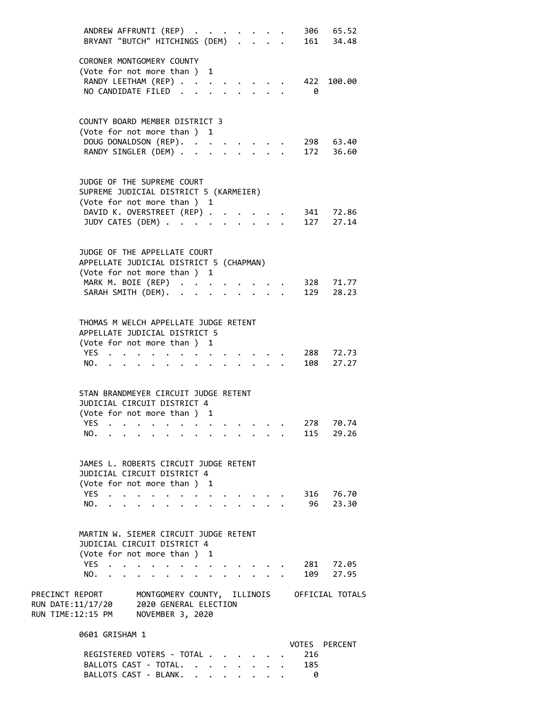| ANDREW AFFRUNTI (REP)<br>BRYANT "BUTCH" HITCHINGS (DEM)                                                                                                                                | 306 65.52<br>161 34.48         |
|----------------------------------------------------------------------------------------------------------------------------------------------------------------------------------------|--------------------------------|
| CORONER MONTGOMERY COUNTY<br>(Vote for not more than ) 1<br>RANDY LEETHAM (REP)<br>NO CANDIDATE FILED                                                                                  | 422<br>100.00<br>0             |
| COUNTY BOARD MEMBER DISTRICT 3<br>(Vote for not more than ) 1<br>DOUG DONALDSON (REP). .<br>RANDY SINGLER (DEM) .                                                                      | 298 63.40<br>172<br>36.60      |
| JUDGE OF THE SUPREME COURT<br>SUPREME JUDICIAL DISTRICT 5 (KARMEIER)<br>(Vote for not more than ) 1<br>DAVID K. OVERSTREET (REP) .<br>JUDY CATES (DEM)                                 | 341 72.86<br>127 27.14         |
| JUDGE OF THE APPELLATE COURT<br>APPELLATE JUDICIAL DISTRICT 5 (CHAPMAN)<br>(Vote for not more than ) 1<br>MARK M. BOIE (REP)<br>SARAH SMITH (DEM).                                     | 328 71.77<br>129<br>28.23      |
| THOMAS M WELCH APPELLATE JUDGE RETENT<br>APPELLATE JUDICIAL DISTRICT 5<br>(Vote for not more than ) 1<br>YES<br>NO.<br>$\cdot$ $\cdot$ $\cdot$ $\cdot$                                 | 288 72.73<br>108 27.27         |
| STAN BRANDMEYER CIRCUIT JUDGE RETENT<br>JUDICIAL CIRCUIT DISTRICT 4<br>(Vote for not more than ) 1<br>YES.<br>NO.                                                                      | 278<br>70.74<br>115 29.26      |
| JAMES L. ROBERTS CIRCUIT JUDGE RETENT<br>JUDICIAL CIRCUIT DISTRICT 4<br>(Vote for not more than ) 1<br>YES<br>$\bullet$ . The set of $\bullet$<br>$\bullet$ $\bullet$ $\bullet$<br>NO. | 316<br>76.70<br>23.30<br>96 —  |
| MARTIN W. SIEMER CIRCUIT JUDGE RETENT<br>JUDICIAL CIRCUIT DISTRICT 4<br>(Vote for not more than ) 1<br>YES<br>NO.                                                                      | 281<br>72.05<br>109<br>27.95   |
| PRECINCT REPORT<br>MONTGOMERY COUNTY, ILLINOIS OFFICIAL TOTALS<br>RUN DATE:11/17/20 2020 GENERAL ELECTION<br>RUN TIME:12:15 PM NOVEMBER 3, 2020                                        |                                |
| 0601 GRISHAM 1<br>REGISTERED VOTERS - TOTAL<br>BALLOTS CAST - TOTAL.<br>$\mathbf{L}$                                                                                                   | VOTES<br>PERCENT<br>216<br>185 |

BALLOTS CAST - BLANK. . . . . . . . 0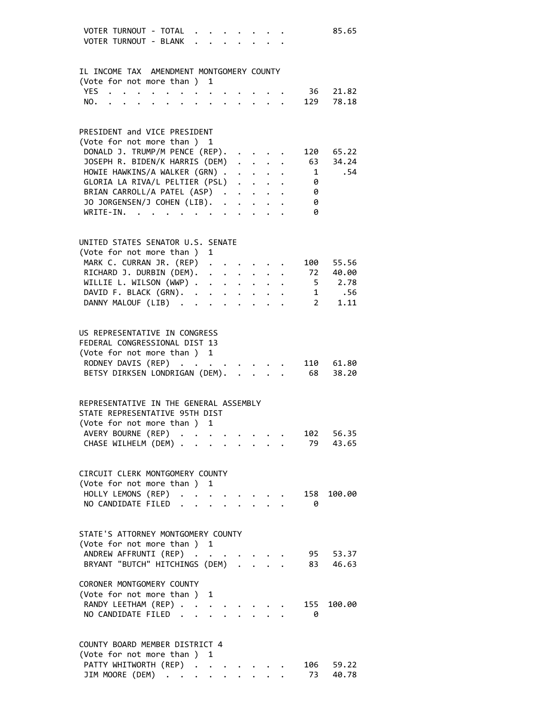| VOTER TURNOUT - TOTAL<br>85.65<br>VOTER TURNOUT - BLANK                                                                |
|------------------------------------------------------------------------------------------------------------------------|
| IL INCOME TAX AMENDMENT MONTGOMERY COUNTY                                                                              |
| (Vote for not more than ) 1                                                                                            |
| YES.<br>21.82<br>36<br>$\cdot$ $\cdot$ $\cdot$ $\cdot$ $\cdot$ $\cdot$                                                 |
| $\mathcal{L}^{\mathcal{L}}$ , and $\mathcal{L}^{\mathcal{L}}$ , and $\mathcal{L}^{\mathcal{L}}$<br>129<br>78.18<br>NO. |
|                                                                                                                        |
| PRESIDENT and VICE PRESIDENT                                                                                           |
| (Vote for not more than ) 1                                                                                            |
| DONALD J. TRUMP/M PENCE (REP).<br>120 65.22<br>63 34.24                                                                |
| JOSEPH R. BIDEN/K HARRIS (DEM)<br>$\sim$<br>HOWIE HAWKINS/A WALKER (GRN)<br>.54                                        |
| $\mathbf{1}$<br>GLORIA LA RIVA/L PELTIER (PSL)<br>0                                                                    |
| BRIAN CARROLL/A PATEL (ASP)<br>0                                                                                       |
| JO JORGENSEN/J COHEN (LIB).<br>0                                                                                       |
| WRITE-IN.<br>0                                                                                                         |
|                                                                                                                        |
| UNITED STATES SENATOR U.S. SENATE                                                                                      |
| (Vote for not more than ) 1                                                                                            |
| MARK C. CURRAN JR. (REP)<br>100 55.56                                                                                  |
| RICHARD J. DURBIN (DEM).<br>72 40.00                                                                                   |
| WILLIE L. WILSON (WWP)<br>$5 \t 2.78$                                                                                  |
| DAVID F. BLACK (GRN).<br>1 .56                                                                                         |
| $2 \quad \blacksquare$<br>DANNY MALOUF (LIB)<br>1.11                                                                   |
|                                                                                                                        |
| US REPRESENTATIVE IN CONGRESS                                                                                          |
| FEDERAL CONGRESSIONAL DIST 13                                                                                          |
| (Vote for not more than ) 1                                                                                            |
| RODNEY DAVIS (REP)<br>110 61.80                                                                                        |
| BETSY DIRKSEN LONDRIGAN (DEM).<br>68<br>38.20                                                                          |
|                                                                                                                        |
| REPRESENTATIVE IN THE GENERAL ASSEMBLY                                                                                 |
| STATE REPRESENTATIVE 95TH DIST                                                                                         |
| (Vote for not more than ) 1                                                                                            |
| AVERY BOURNE (REP)<br>102<br>56.35                                                                                     |
| CHASE WILHELM (DEM)<br>79<br>43.65<br>$\mathbf{r}$ , $\mathbf{r}$ , $\mathbf{r}$<br>$\bullet$                          |
|                                                                                                                        |
| CIRCUIT CLERK MONTGOMERY COUNTY                                                                                        |
| (Vote for not more than ) 1                                                                                            |
| HOLLY LEMONS (REP)<br>158<br>100.00                                                                                    |
| NO CANDIDATE FILED<br>0                                                                                                |
| STATE'S ATTORNEY MONTGOMERY COUNTY                                                                                     |
| (Vote for not more than ) 1                                                                                            |
| ANDREW AFFRUNTI (REP)<br>95<br>53.37                                                                                   |
| BRYANT "BUTCH" HITCHINGS (DEM) .<br>83<br>46.63                                                                        |
|                                                                                                                        |
| CORONER MONTGOMERY COUNTY                                                                                              |
| (Vote for not more than)<br>1                                                                                          |
| RANDY LEETHAM (REP)<br>155<br>100.00                                                                                   |
| NO CANDIDATE FILED<br>0<br>$\ddot{\phantom{a}}$                                                                        |
|                                                                                                                        |
| COUNTY BOARD MEMBER DISTRICT 4                                                                                         |
| (Vote for not more than ) 1                                                                                            |
| PATTY WHITWORTH (REP)<br>106<br>59.22<br>$\ddot{\phantom{a}}$                                                          |
| JIM MOORE (DEM)<br>73<br>40.78                                                                                         |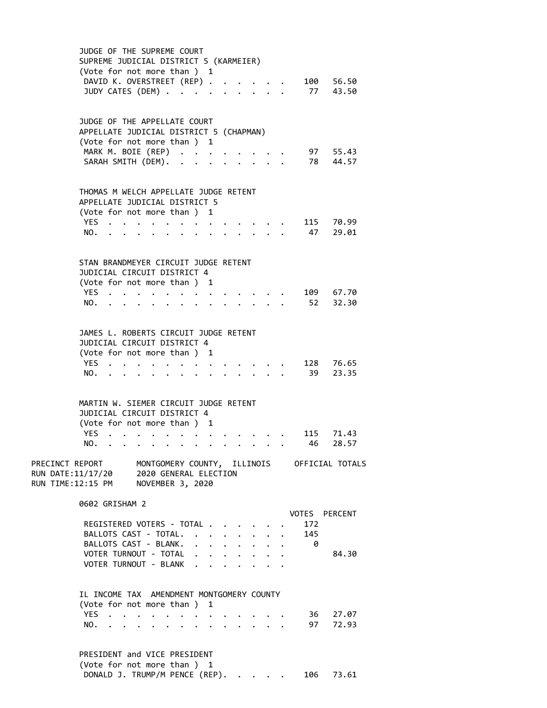| JUDGE OF THE SUPREME COURT<br>SUPREME JUDICIAL DISTRICT 5 (KARMEIER)<br>(Vote for not more than ) 1                                                                              |                 |                       |
|----------------------------------------------------------------------------------------------------------------------------------------------------------------------------------|-----------------|-----------------------|
| DAVID K. OVERSTREET (REP).<br>JUDY CATES (DEM)                                                                                                                                   |                 | 100 56.50<br>77 43.50 |
| JUDGE OF THE APPELLATE COURT<br>APPELLATE JUDICIAL DISTRICT 5 (CHAPMAN)<br>(Vote for not more than ) 1<br>MARK M. BOIE (REP)<br>SARAH SMITH (DEM).<br>$\sim$                     |                 | 97 55.43<br>78 44.57  |
| THOMAS M WELCH APPELLATE JUDGE RETENT                                                                                                                                            |                 |                       |
| APPELLATE JUDICIAL DISTRICT 5<br>(Vote for not more than ) 1<br>YES<br>$\sim$<br>NO.                                                                                             |                 | 115 70.99<br>47 29.01 |
| STAN BRANDMEYER CIRCUIT JUDGE RETENT<br>JUDICIAL CIRCUIT DISTRICT 4<br>(Vote for not more than ) 1                                                                               |                 |                       |
| YES.,<br>NO.                                                                                                                                                                     |                 | 109 67.70<br>52 32.30 |
| JAMES L. ROBERTS CIRCUIT JUDGE RETENT<br>JUDICIAL CIRCUIT DISTRICT 4<br>(Vote for not more than ) 1                                                                              |                 |                       |
| YES.<br>NO.<br>$\mathbf{r}$                                                                                                                                                      |                 | 128 76.65<br>39 23.35 |
| MARTIN W. SIEMER CIRCUIT JUDGE RETENT<br>JUDICIAL CIRCUIT DISTRICT 4<br>(Vote for not more than ) 1                                                                              |                 |                       |
| YES.<br>$\bullet$ . The second contribution of the second contribution $\bullet$<br>NO.                                                                                          | 115<br>46       | 71.43<br>28.57        |
| MONTGOMERY COUNTY, ILLINOIS OFFICIAL TOTALS<br>PRECINCT REPORT<br>RUN DATE:11/17/20 2020 GENERAL ELECTION<br>RUN TIME:12:15 PM<br>NOVEMBER 3, 2020                               |                 |                       |
| 0602 GRISHAM 2                                                                                                                                                                   | VOTES PERCENT   |                       |
| REGISTERED VOTERS - TOTAL<br>BALLOTS CAST - TOTAL.<br>$\ddot{\phantom{1}}$<br>$\mathbf{L}$<br>$\ddot{\phantom{0}}$<br>BALLOTS CAST - BLANK.<br>$\ddot{\phantom{a}}$<br>$\sim$    | 172<br>145<br>0 |                       |
| VOTER TURNOUT - TOTAL<br>$\cdot$ $\cdot$ $\cdot$ $\cdot$<br>$\ddot{\phantom{0}}$<br>VOTER TURNOUT - BLANK<br>$\cdot$ $\cdot$ $\cdot$ $\cdot$<br>$\bullet$ . The set of $\bullet$ |                 | 84.30                 |
| IL INCOME TAX AMENDMENT MONTGOMERY COUNTY<br>(Vote for not more than ) 1                                                                                                         |                 |                       |
| YES<br>$\bullet$ . The set of $\bullet$<br>$\ddot{\phantom{a}}$<br>$\ddot{\phantom{a}}$<br>$\ddot{\phantom{a}}$<br>NO.<br>$\cdot$ $\cdot$ $\cdot$ $\cdot$ $\cdot$                | 36<br>97        | 27.07<br>72.93        |
| PRESIDENT and VICE PRESIDENT<br>(Vote for not more than ) 1                                                                                                                      |                 |                       |

DONALD J. TRUMP/M PENCE (REP). . . . . 106 73.61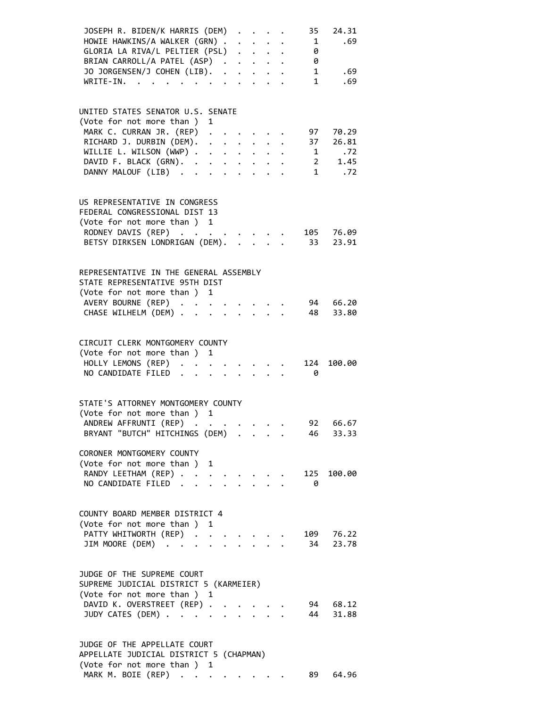| JOSEPH R. BIDEN/K HARRIS (DEM)<br>HOWIE HAWKINS/A WALKER (GRN)                                                                                                            |                    |                           | 35<br>$\mathbf{1}$ | 24.31<br>.69  |
|---------------------------------------------------------------------------------------------------------------------------------------------------------------------------|--------------------|---------------------------|--------------------|---------------|
| GLORIA LA RIVA/L PELTIER (PSL)                                                                                                                                            |                    |                           |                    |               |
|                                                                                                                                                                           |                    |                           | 0                  |               |
| BRIAN CARROLL/A PATEL (ASP)                                                                                                                                               |                    |                           | 0                  |               |
| JO JORGENSEN/J COHEN (LIB).                                                                                                                                               |                    |                           | $\mathbf{1}$       | .69           |
| $WRITE-IN.$<br>$\mathbf{r}$ , $\mathbf{r}$ , $\mathbf{r}$ , $\mathbf{r}$ , $\mathbf{r}$                                                                                   |                    |                           | 1                  | .69           |
|                                                                                                                                                                           |                    |                           |                    |               |
|                                                                                                                                                                           |                    |                           |                    |               |
| UNITED STATES SENATOR U.S. SENATE                                                                                                                                         |                    |                           |                    |               |
| (Vote for not more than ) 1                                                                                                                                               |                    |                           |                    |               |
| MARK C. CURRAN JR. (REP) .                                                                                                                                                |                    |                           | 97                 | 70.29         |
| RICHARD J. DURBIN (DEM).<br>$\begin{array}{cccccccccccccc} \bullet & \bullet & \bullet & \bullet & \bullet & \bullet & \bullet & \bullet & \bullet & \bullet \end{array}$ |                    |                           | 37                 | 26.81         |
| WILLIE L. WILSON (WWP)                                                                                                                                                    |                    |                           |                    | $1 \quad .72$ |
| DAVID F. BLACK (GRN).                                                                                                                                                     |                    |                           |                    | 2 1.45        |
| DANNY MALOUF (LIB)                                                                                                                                                        |                    |                           |                    | $1$ .72       |
|                                                                                                                                                                           |                    |                           |                    |               |
|                                                                                                                                                                           |                    |                           |                    |               |
| US REPRESENTATIVE IN CONGRESS                                                                                                                                             |                    |                           |                    |               |
| FEDERAL CONGRESSIONAL DIST 13                                                                                                                                             |                    |                           |                    |               |
| (Vote for not more than ) 1                                                                                                                                               |                    |                           |                    |               |
| RODNEY DAVIS (REP)                                                                                                                                                        |                    |                           |                    | 105 76.09     |
| BETSY DIRKSEN LONDRIGAN (DEM).                                                                                                                                            |                    |                           | 33                 | 23.91         |
|                                                                                                                                                                           |                    |                           |                    |               |
|                                                                                                                                                                           |                    |                           |                    |               |
| REPRESENTATIVE IN THE GENERAL ASSEMBLY                                                                                                                                    |                    |                           |                    |               |
| STATE REPRESENTATIVE 95TH DIST                                                                                                                                            |                    |                           |                    |               |
|                                                                                                                                                                           |                    |                           |                    |               |
| (Vote for not more than ) 1                                                                                                                                               |                    |                           |                    |               |
| AVERY BOURNE (REP)                                                                                                                                                        |                    |                           | 94                 | 66.20         |
| CHASE WILHELM (DEM)                                                                                                                                                       |                    | $\mathbf{r} = \mathbf{r}$ | 48                 | 33.80         |
|                                                                                                                                                                           |                    |                           |                    |               |
|                                                                                                                                                                           |                    |                           |                    |               |
| CIRCUIT CLERK MONTGOMERY COUNTY                                                                                                                                           |                    |                           |                    |               |
| (Vote for not more than ) 1                                                                                                                                               |                    |                           |                    |               |
| HOLLY LEMONS (REP)                                                                                                                                                        |                    |                           |                    | 124 100.00    |
| NO CANDIDATE FILED.                                                                                                                                                       | $\Delta \sim 10^4$ |                           | - 0                |               |
|                                                                                                                                                                           |                    |                           |                    |               |
|                                                                                                                                                                           |                    |                           |                    |               |
| STATE'S ATTORNEY MONTGOMERY COUNTY                                                                                                                                        |                    |                           |                    |               |
| (Vote for not more than ) 1                                                                                                                                               |                    |                           |                    |               |
| ANDREW AFFRUNTI (REP)                                                                                                                                                     |                    |                           |                    | 92 66.67      |
| BRYANT "BUTCH" HITCHINGS (DEM)                                                                                                                                            |                    |                           | 46 —               | 33.33         |
|                                                                                                                                                                           |                    |                           |                    |               |
| CORONER MONTGOMERY COUNTY                                                                                                                                                 |                    |                           |                    |               |
| (Vote for not more than ) 1                                                                                                                                               |                    |                           |                    |               |
| RANDY LEETHAM (REP)                                                                                                                                                       |                    |                           | 125                | 100.00        |
| NO CANDIDATE FILED.<br>$\sim 10^{-11}$                                                                                                                                    |                    |                           | 0                  |               |
|                                                                                                                                                                           |                    |                           |                    |               |
|                                                                                                                                                                           |                    |                           |                    |               |
| COUNTY BOARD MEMBER DISTRICT 4                                                                                                                                            |                    |                           |                    |               |
|                                                                                                                                                                           |                    |                           |                    |               |
| (Vote for not more than ) 1                                                                                                                                               |                    |                           |                    |               |
| PATTY WHITWORTH (REP).                                                                                                                                                    |                    |                           | 109                | 76.22         |
| JIM MOORE (DEM)                                                                                                                                                           |                    |                           | 34                 | 23.78         |
|                                                                                                                                                                           |                    |                           |                    |               |
|                                                                                                                                                                           |                    |                           |                    |               |
| JUDGE OF THE SUPREME COURT                                                                                                                                                |                    |                           |                    |               |
| SUPREME JUDICIAL DISTRICT 5 (KARMEIER)                                                                                                                                    |                    |                           |                    |               |
| (Vote for not more than ) 1                                                                                                                                               |                    |                           |                    |               |
| DAVID K. OVERSTREET (REP) .                                                                                                                                               |                    |                           | 94                 | 68.12         |
| JUDY CATES (DEM)                                                                                                                                                          |                    |                           | 44                 | 31.88         |
|                                                                                                                                                                           |                    |                           |                    |               |
|                                                                                                                                                                           |                    |                           |                    |               |
| JUDGE OF THE APPELLATE COURT                                                                                                                                              |                    |                           |                    |               |
| APPELLATE JUDICIAL DISTRICT 5 (CHAPMAN)                                                                                                                                   |                    |                           |                    |               |
|                                                                                                                                                                           |                    |                           |                    |               |

MARK M. BOIE (REP) . . . . . . . . 89 64.96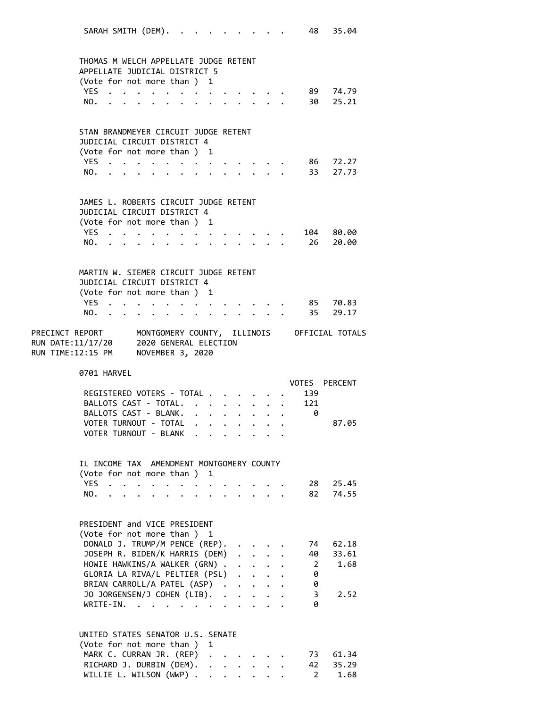| SARAH SMITH (DEM).                                                                                                                           |                                                         |                      |                                         |                           |  | 48 -              | 35.04                |
|----------------------------------------------------------------------------------------------------------------------------------------------|---------------------------------------------------------|----------------------|-----------------------------------------|---------------------------|--|-------------------|----------------------|
| THOMAS M WELCH APPELLATE JUDGE RETENT                                                                                                        |                                                         |                      |                                         |                           |  |                   |                      |
| APPELLATE JUDICIAL DISTRICT 5<br>(Vote for not more than ) 1                                                                                 |                                                         |                      |                                         |                           |  |                   |                      |
| YES.                                                                                                                                         | $\sim$ 100 $\sim$ 100 $\sim$ 100 $\sim$                 |                      |                                         |                           |  |                   | 89 74.79             |
| NO.<br>$\bullet$<br>$\mathbf{r}$ , $\mathbf{r}$ , $\mathbf{r}$ , $\mathbf{r}$<br>$\ddot{\phantom{0}}$<br><b>Contract Contract</b>            |                                                         |                      |                                         |                           |  |                   | 30 25.21             |
|                                                                                                                                              |                                                         |                      |                                         |                           |  |                   |                      |
| STAN BRANDMEYER CIRCUIT JUDGE RETENT                                                                                                         |                                                         |                      |                                         |                           |  |                   |                      |
| JUDICIAL CIRCUIT DISTRICT 4                                                                                                                  |                                                         |                      |                                         |                           |  |                   |                      |
| (Vote for not more than) 1                                                                                                                   |                                                         |                      |                                         |                           |  |                   |                      |
| YES $\cdot \cdot \cdot \cdot \cdot$                                                                                                          |                                                         |                      |                                         |                           |  |                   | 86 72.27<br>33 27.73 |
| NO.                                                                                                                                          |                                                         |                      |                                         |                           |  |                   |                      |
| JAMES L. ROBERTS CIRCUIT JUDGE RETENT                                                                                                        |                                                         |                      |                                         |                           |  |                   |                      |
| JUDICIAL CIRCUIT DISTRICT 4                                                                                                                  |                                                         |                      |                                         |                           |  |                   |                      |
| (Vote for not more than ) 1                                                                                                                  |                                                         |                      |                                         |                           |  |                   |                      |
| YES<br>.                                                                                                                                     |                                                         |                      |                                         |                           |  |                   | 104 80.00            |
| NO.<br><b>Contract Contract Contract Contract Contract</b>                                                                                   | $\cdot$ $\cdot$ $\cdot$ $\cdot$ $\cdot$ $\cdot$ $\cdot$ |                      |                                         |                           |  |                   | 26 20.00             |
| MARTIN W. SIEMER CIRCUIT JUDGE RETENT                                                                                                        |                                                         |                      |                                         |                           |  |                   |                      |
| JUDICIAL CIRCUIT DISTRICT 4                                                                                                                  |                                                         |                      |                                         |                           |  |                   |                      |
| (Vote for not more than ) 1                                                                                                                  |                                                         |                      |                                         |                           |  |                   |                      |
| YES.,                                                                                                                                        |                                                         |                      |                                         |                           |  |                   | 85 70.83             |
| NO.                                                                                                                                          |                                                         |                      |                                         |                           |  |                   | 35 29.17             |
| PRECINCT REPORT MONTGOMERY COUNTY, ILLINOIS OFFICIAL TOTALS<br>RUN DATE:11/17/20 2020 GENERAL ELECTION<br>RUN TIME:12:15 PM NOVEMBER 3, 2020 |                                                         |                      |                                         |                           |  |                   |                      |
|                                                                                                                                              |                                                         |                      |                                         |                           |  |                   |                      |
| 0701 HARVEL                                                                                                                                  |                                                         |                      |                                         |                           |  |                   | VOTES PERCENT        |
| REGISTERED VOTERS - TOTAL .                                                                                                                  |                                                         |                      |                                         |                           |  | 139               |                      |
| BALLOTS CAST - TOTAL.                                                                                                                        | $\ddotsc$ . The contract of $\ddotsc$                   |                      | $\cdot$ $\cdot$ $\cdot$ $\cdot$ $\cdot$ |                           |  | 121               |                      |
| BALLOTS CAST - BLANK.                                                                                                                        |                                                         |                      |                                         |                           |  | 0                 |                      |
| VOTER TURNOUT - TOTAL                                                                                                                        |                                                         |                      |                                         |                           |  |                   | 87.05                |
| VOTER TURNOUT - BLANK                                                                                                                        |                                                         |                      |                                         |                           |  |                   |                      |
| IL INCOME TAX AMENDMENT MONTGOMERY COUNTY                                                                                                    |                                                         |                      |                                         |                           |  |                   |                      |
| (Vote for not more than)                                                                                                                     | 1                                                       |                      |                                         |                           |  |                   |                      |
| <b>YES</b><br>$\ddot{\phantom{0}}$<br>$\bullet$                                                                                              | $\bullet$                                               |                      |                                         |                           |  | 28                | 25.45                |
| NO.<br>.                                                                                                                                     |                                                         |                      |                                         |                           |  | 82                | 74.55                |
|                                                                                                                                              |                                                         |                      |                                         |                           |  |                   |                      |
| PRESIDENT and VICE PRESIDENT                                                                                                                 |                                                         |                      |                                         |                           |  |                   |                      |
| (Vote for not more than ) 1                                                                                                                  |                                                         |                      |                                         |                           |  |                   |                      |
| DONALD J. TRUMP/M PENCE (REP).                                                                                                               |                                                         |                      |                                         |                           |  | 74                | 62.18                |
| JOSEPH R. BIDEN/K HARRIS (DEM)                                                                                                               |                                                         |                      |                                         | $\cdot$ $\cdot$ $\cdot$   |  | 40                | 33.61                |
| HOWIE HAWKINS/A WALKER (GRN).                                                                                                                |                                                         |                      |                                         | $\mathbf{L}^{\text{max}}$ |  | $\overline{2}$    | 1.68                 |
| GLORIA LA RIVA/L PELTIER (PSL)                                                                                                               |                                                         |                      | $\ddot{\phantom{0}}$                    | $\ddot{\phantom{0}}$      |  | 0                 |                      |
| BRIAN CARROLL/A PATEL (ASP).<br>JO JORGENSEN/J COHEN (LIB).                                                                                  |                                                         | $\ddot{\phantom{0}}$ |                                         | $\ddot{\phantom{0}}$      |  | 0<br>3            | 2.52                 |
| $WRITE-IN.$                                                                                                                                  |                                                         |                      |                                         |                           |  | 0                 |                      |
|                                                                                                                                              |                                                         |                      |                                         |                           |  |                   |                      |
| UNITED STATES SENATOR U.S. SENATE                                                                                                            |                                                         |                      |                                         |                           |  |                   |                      |
| (Vote for not more than)                                                                                                                     |                                                         |                      |                                         |                           |  |                   |                      |
|                                                                                                                                              | 1                                                       |                      |                                         |                           |  |                   |                      |
| MARK C. CURRAN JR. (REP)                                                                                                                     | $\mathbf{L}$                                            |                      |                                         |                           |  | 73                | 61.34                |
| RICHARD J. DURBIN (DEM).<br>WILLIE L. WILSON (WWP) .                                                                                         | $\ddot{\phantom{0}}$                                    |                      | $\ddotsc$                               |                           |  | 42<br>$2^{\circ}$ | 35.29<br>1.68        |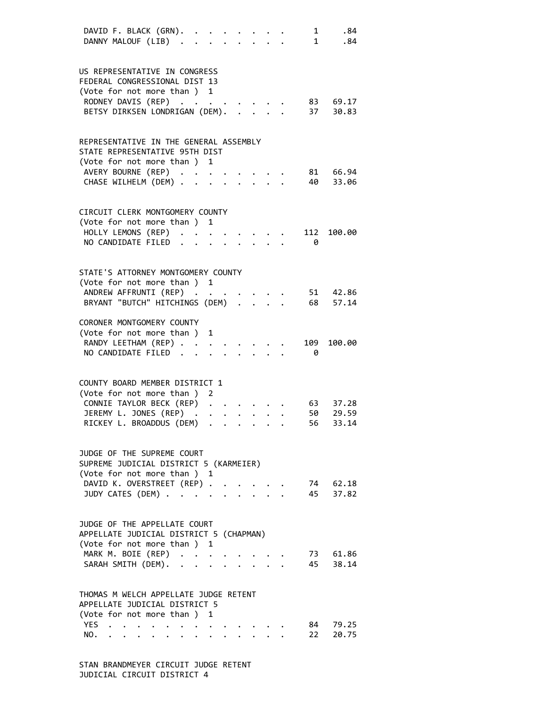|     | DAVID F. BLACK (GRN). .<br>DANNY MALOUF (LIB).                      |                                                                         |                                                                                                                                                                                                                                                                                                                                                                                                                                                             |                           |  |  | $\mathbf{1}$<br>1 | .84<br>.84        |  |
|-----|---------------------------------------------------------------------|-------------------------------------------------------------------------|-------------------------------------------------------------------------------------------------------------------------------------------------------------------------------------------------------------------------------------------------------------------------------------------------------------------------------------------------------------------------------------------------------------------------------------------------------------|---------------------------|--|--|-------------------|-------------------|--|
|     | US REPRESENTATIVE IN CONGRESS                                       |                                                                         |                                                                                                                                                                                                                                                                                                                                                                                                                                                             |                           |  |  |                   |                   |  |
|     | FEDERAL CONGRESSIONAL DIST 13                                       |                                                                         |                                                                                                                                                                                                                                                                                                                                                                                                                                                             |                           |  |  |                   |                   |  |
|     | (Vote for not more than ) 1<br>RODNEY DAVIS (REP)                   |                                                                         |                                                                                                                                                                                                                                                                                                                                                                                                                                                             |                           |  |  |                   | 83 69.17          |  |
|     | BETSY DIRKSEN LONDRIGAN (DEM).                                      |                                                                         |                                                                                                                                                                                                                                                                                                                                                                                                                                                             |                           |  |  | 37                | 30.83             |  |
|     |                                                                     |                                                                         |                                                                                                                                                                                                                                                                                                                                                                                                                                                             |                           |  |  |                   |                   |  |
|     | REPRESENTATIVE IN THE GENERAL ASSEMBLY                              |                                                                         |                                                                                                                                                                                                                                                                                                                                                                                                                                                             |                           |  |  |                   |                   |  |
|     | STATE REPRESENTATIVE 95TH DIST                                      |                                                                         |                                                                                                                                                                                                                                                                                                                                                                                                                                                             |                           |  |  |                   |                   |  |
|     | (Vote for not more than) 1                                          |                                                                         |                                                                                                                                                                                                                                                                                                                                                                                                                                                             |                           |  |  |                   |                   |  |
|     | AVERY BOURNE (REP)                                                  |                                                                         |                                                                                                                                                                                                                                                                                                                                                                                                                                                             |                           |  |  | 81                | 66.94             |  |
|     | CHASE WILHELM (DEM) .                                               |                                                                         |                                                                                                                                                                                                                                                                                                                                                                                                                                                             |                           |  |  | 40                | 33.06             |  |
|     |                                                                     |                                                                         |                                                                                                                                                                                                                                                                                                                                                                                                                                                             |                           |  |  |                   |                   |  |
|     | CIRCUIT CLERK MONTGOMERY COUNTY<br>(Vote for not more than )        |                                                                         |                                                                                                                                                                                                                                                                                                                                                                                                                                                             | 1                         |  |  |                   |                   |  |
|     | HOLLY LEMONS (REP) .                                                |                                                                         |                                                                                                                                                                                                                                                                                                                                                                                                                                                             |                           |  |  | 112               | 100.00            |  |
|     | NO CANDIDATE FILED.                                                 |                                                                         |                                                                                                                                                                                                                                                                                                                                                                                                                                                             |                           |  |  | 0                 |                   |  |
|     |                                                                     |                                                                         |                                                                                                                                                                                                                                                                                                                                                                                                                                                             |                           |  |  |                   |                   |  |
|     | STATE'S ATTORNEY MONTGOMERY COUNTY                                  |                                                                         |                                                                                                                                                                                                                                                                                                                                                                                                                                                             |                           |  |  |                   |                   |  |
|     | (Vote for not more than ) 1                                         |                                                                         |                                                                                                                                                                                                                                                                                                                                                                                                                                                             |                           |  |  |                   |                   |  |
|     | ANDREW AFFRUNTI (REP)                                               |                                                                         |                                                                                                                                                                                                                                                                                                                                                                                                                                                             |                           |  |  |                   | 51 42.86          |  |
|     | BRYANT "BUTCH" HITCHINGS (DEM) .                                    |                                                                         |                                                                                                                                                                                                                                                                                                                                                                                                                                                             |                           |  |  | 68                | 57.14             |  |
|     | CORONER MONTGOMERY COUNTY                                           |                                                                         |                                                                                                                                                                                                                                                                                                                                                                                                                                                             |                           |  |  |                   |                   |  |
|     | (Vote for not more than)                                            |                                                                         |                                                                                                                                                                                                                                                                                                                                                                                                                                                             | 1                         |  |  |                   |                   |  |
|     | RANDY LEETHAM (REP)                                                 |                                                                         |                                                                                                                                                                                                                                                                                                                                                                                                                                                             |                           |  |  | 109               | 100.00            |  |
|     | NO CANDIDATE FILED.                                                 |                                                                         |                                                                                                                                                                                                                                                                                                                                                                                                                                                             |                           |  |  | 0                 |                   |  |
|     |                                                                     |                                                                         |                                                                                                                                                                                                                                                                                                                                                                                                                                                             |                           |  |  |                   |                   |  |
|     | COUNTY BOARD MEMBER DISTRICT 1                                      |                                                                         |                                                                                                                                                                                                                                                                                                                                                                                                                                                             |                           |  |  |                   |                   |  |
|     | (Vote for not more than)                                            |                                                                         |                                                                                                                                                                                                                                                                                                                                                                                                                                                             | 2                         |  |  |                   |                   |  |
|     | CONNIE TAYLOR BECK (REP)<br>JEREMY L. JONES (REP) .                 |                                                                         |                                                                                                                                                                                                                                                                                                                                                                                                                                                             |                           |  |  | 63                | 37.28<br>29.59    |  |
|     | RICKEY L. BROADDUS (DEM)                                            |                                                                         |                                                                                                                                                                                                                                                                                                                                                                                                                                                             |                           |  |  | 50<br>56          | 33.14             |  |
|     |                                                                     |                                                                         |                                                                                                                                                                                                                                                                                                                                                                                                                                                             |                           |  |  |                   |                   |  |
|     | JUDGE OF THE SUPREME COURT                                          |                                                                         |                                                                                                                                                                                                                                                                                                                                                                                                                                                             |                           |  |  |                   |                   |  |
|     | SUPREME JUDICIAL DISTRICT 5 (KARMEIER)                              |                                                                         |                                                                                                                                                                                                                                                                                                                                                                                                                                                             |                           |  |  |                   |                   |  |
|     | (Vote for not more than ) 1                                         |                                                                         |                                                                                                                                                                                                                                                                                                                                                                                                                                                             |                           |  |  |                   |                   |  |
|     | DAVID K. OVERSTREET (REP)                                           |                                                                         |                                                                                                                                                                                                                                                                                                                                                                                                                                                             |                           |  |  |                   | 74 62.18          |  |
|     | JUDY CATES (DEM).                                                   |                                                                         | $\mathbf{L}$                                                                                                                                                                                                                                                                                                                                                                                                                                                | $\mathbf{L} = \mathbf{L}$ |  |  | 45                | 37.82             |  |
|     |                                                                     |                                                                         |                                                                                                                                                                                                                                                                                                                                                                                                                                                             |                           |  |  |                   |                   |  |
|     | JUDGE OF THE APPELLATE COURT                                        |                                                                         |                                                                                                                                                                                                                                                                                                                                                                                                                                                             |                           |  |  |                   |                   |  |
|     | APPELLATE JUDICIAL DISTRICT 5 (CHAPMAN)<br>(Vote for not more than) |                                                                         |                                                                                                                                                                                                                                                                                                                                                                                                                                                             | 1                         |  |  |                   |                   |  |
|     | MARK M. BOIE (REP)                                                  |                                                                         | $\mathcal{L}(\mathcal{L}(\mathcal{L}(\mathcal{L}(\mathcal{L}(\mathcal{L}(\mathcal{L}(\mathcal{L}(\mathcal{L}(\mathcal{L}(\mathcal{L}(\mathcal{L}(\mathcal{L}(\mathcal{L}(\mathcal{L}(\mathcal{L}(\mathcal{L}(\mathcal{L}(\mathcal{L}(\mathcal{L}(\mathcal{L}(\mathcal{L}(\mathcal{L}(\mathcal{L}(\mathcal{L}(\mathcal{L}(\mathcal{L}(\mathcal{L}(\mathcal{L}(\mathcal{L}(\mathcal{L}(\mathcal{L}(\mathcal{L}(\mathcal{L}(\mathcal{L}(\mathcal{L}(\mathcal{$ |                           |  |  |                   | 73 61.86          |  |
|     | SARAH SMITH (DEM).                                                  |                                                                         |                                                                                                                                                                                                                                                                                                                                                                                                                                                             |                           |  |  | 45                | 38.14             |  |
|     |                                                                     |                                                                         |                                                                                                                                                                                                                                                                                                                                                                                                                                                             |                           |  |  |                   |                   |  |
|     | THOMAS M WELCH APPELLATE JUDGE RETENT                               |                                                                         |                                                                                                                                                                                                                                                                                                                                                                                                                                                             |                           |  |  |                   |                   |  |
|     | APPELLATE JUDICIAL DISTRICT 5                                       |                                                                         |                                                                                                                                                                                                                                                                                                                                                                                                                                                             |                           |  |  |                   |                   |  |
|     | (Vote for not more than ) 1                                         |                                                                         |                                                                                                                                                                                                                                                                                                                                                                                                                                                             |                           |  |  |                   |                   |  |
| NO. | YES                                                                 |                                                                         |                                                                                                                                                                                                                                                                                                                                                                                                                                                             |                           |  |  | 22                | 84 79.25<br>20.75 |  |
|     |                                                                     | $\bullet$ .<br><br><br><br><br><br><br><br><br><br><br><br><br><br><br> |                                                                                                                                                                                                                                                                                                                                                                                                                                                             |                           |  |  |                   |                   |  |

 STAN BRANDMEYER CIRCUIT JUDGE RETENT JUDICIAL CIRCUIT DISTRICT 4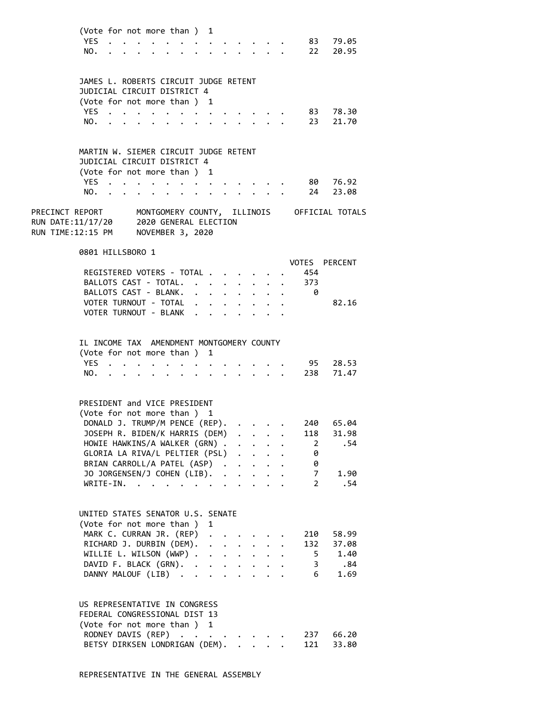| (Vote for not more than ) 1 |  |  |  |  |  |  |               |
|-----------------------------|--|--|--|--|--|--|---------------|
|                             |  |  |  |  |  |  | YES. 83 79.05 |
|                             |  |  |  |  |  |  | NO. 22 20.95  |

| JAMES L. ROBERTS CIRCUIT JUDGE RETENT<br>JUDICIAL CIRCUIT DISTRICT 4<br>(Vote for not more than) 1 |  |  |  |  |  |  |  |       |
|----------------------------------------------------------------------------------------------------|--|--|--|--|--|--|--|-------|
| YES 83                                                                                             |  |  |  |  |  |  |  | 78.30 |
| NO. 23 21.70                                                                                       |  |  |  |  |  |  |  |       |

| JUDICIAL CIRCUIT DISTRICT 4 |  |  |  |  |  |  |              |          |
|-----------------------------|--|--|--|--|--|--|--------------|----------|
| (Vote for not more than) 1  |  |  |  |  |  |  |              |          |
| YES.                        |  |  |  |  |  |  |              | 80 76.92 |
|                             |  |  |  |  |  |  | NO. 24 23.08 |          |

PRECINCT REPORT MONTGOMERY COUNTY, ILLINOIS OFFICIAL TOTALS RUN DATE:11/17/20 2020 GENERAL ELECTION RUN TIME:12:15 PM NOVEMBER 3, 2020

# 0801 HILLSBORO 1

|                           |  |  |  | VOTES PERCENT |       |
|---------------------------|--|--|--|---------------|-------|
| REGISTERED VOTERS - TOTAL |  |  |  | 454           |       |
| BALLOTS CAST - TOTAL.     |  |  |  | 373           |       |
| BALLOTS CAST - BLANK.     |  |  |  |               |       |
| VOTER TURNOUT - TOTAL     |  |  |  |               | 82.16 |
| VOTER TURNOUT - BLANK     |  |  |  |               |       |

# IL INCOME TAX AMENDMENT MONTGOMERY COUNTY

| (Vote for not more than ) 1 |  |  |  |  |  |  |               |
|-----------------------------|--|--|--|--|--|--|---------------|
|                             |  |  |  |  |  |  | YES 95 28.53  |
|                             |  |  |  |  |  |  | NO. 238 71.47 |

### PRESIDENT and VICE PRESIDENT

| (Vote for not more than) 1               |  |  |     |       |
|------------------------------------------|--|--|-----|-------|
| DONALD J. TRUMP/M PENCE (REP). 240       |  |  |     | 65.04 |
| JOSEPH R. BIDEN/K HARRIS (DEM) 118 31.98 |  |  |     |       |
| HOWIE HAWKINS/A WALKER (GRN) 2 .54       |  |  |     |       |
| GLORIA LA RIVA/L PELTIER (PSL)           |  |  | - 0 |       |
| BRIAN CARROLL/A PATEL (ASP)              |  |  |     |       |
| JO JORGENSEN/J COHEN (LIB). 7            |  |  |     | 1.90  |
| WRITE-IN.                                |  |  |     | .54   |
|                                          |  |  |     |       |

# UNITED STATES SENATOR U.S. SENATE (Vote for not more than ) 1 MARK C. CURRAN JR. (REP) . . . . . 210 58.99 RICHARD J. DURBIN (DEM). . . . . . . 132 37.08 WILLIE L. WILSON (WWP) . . . . . . . 5 1.40 DAVID F. BLACK (GRN). . . . . . . . 3 .84 DANNY MALOUF (LIB) . . . . . . . . 6 1.69

# US REPRESENTATIVE IN CONGRESS

|  |  | RODNEY DAVIS (REP) 237 66.20<br>BETSY DIRKSEN LONDRIGAN (DEM). 121 33.80 |
|--|--|--------------------------------------------------------------------------|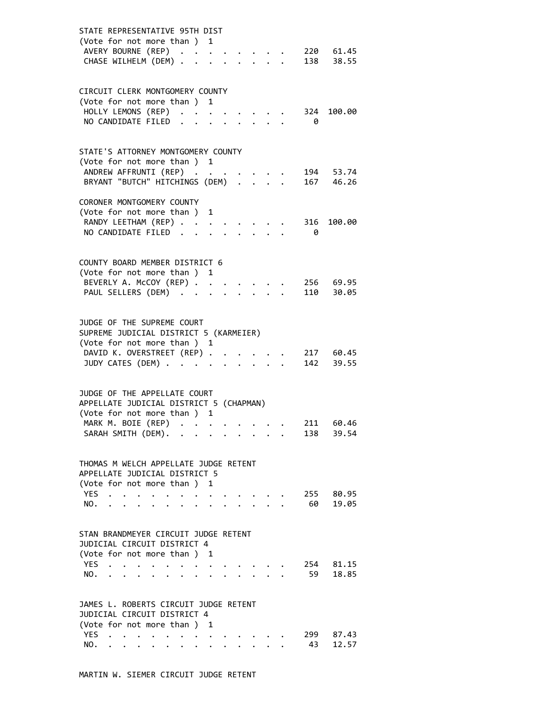| STATE REPRESENTATIVE 95TH DIST<br>(Vote for not more than) 1<br>AVERY BOURNE (REP)<br>220 61.45<br>$\ddot{\phantom{0}}$<br>138 38.55<br>CHASE WILHELM (DEM) .                                                                                                                                                                                                                                                            |                |
|--------------------------------------------------------------------------------------------------------------------------------------------------------------------------------------------------------------------------------------------------------------------------------------------------------------------------------------------------------------------------------------------------------------------------|----------------|
| CIRCUIT CLERK MONTGOMERY COUNTY<br>(Vote for not more than ) 1<br>HOLLY LEMONS (REP)<br>324 100.00<br>NO CANDIDATE FILED<br>- 0                                                                                                                                                                                                                                                                                          |                |
| STATE'S ATTORNEY MONTGOMERY COUNTY<br>(Vote for not more than ) 1<br>194 53.74<br>ANDREW AFFRUNTI (REP)<br>BRYANT "BUTCH" HITCHINGS (DEM)<br>167 46.26                                                                                                                                                                                                                                                                   |                |
| CORONER MONTGOMERY COUNTY<br>(Vote for not more than ) 1<br>RANDY LEETHAM (REP)<br>316 100.00<br>NO CANDIDATE FILED.<br>- 0                                                                                                                                                                                                                                                                                              |                |
| COUNTY BOARD MEMBER DISTRICT 6<br>(Vote for not more than ) 1<br>BEVERLY A. McCOY (REP)<br>256 69.95<br>PAUL SELLERS (DEM)<br>110 30.05<br>$\mathbf{L}$                                                                                                                                                                                                                                                                  |                |
| JUDGE OF THE SUPREME COURT<br>SUPREME JUDICIAL DISTRICT 5 (KARMEIER)<br>(Vote for not more than ) 1<br>DAVID K. OVERSTREET (REP) .<br>217 60.45<br>$\ddot{\phantom{a}}$<br>JUDY CATES (DEM)<br>142 39.55                                                                                                                                                                                                                 |                |
| JUDGE OF THE APPELLATE COURT<br>APPELLATE JUDICIAL DISTRICT 5 (CHAPMAN)<br>(Vote for not more than ) 1<br>MARK M. BOIE (REP)<br>211 60.46<br>SARAH SMITH (DEM).<br>138                                                                                                                                                                                                                                                   | 39.54          |
| THOMAS M WELCH APPELLATE JUDGE RETENT<br>APPELLATE JUDICIAL DISTRICT 5<br>(Vote for not more than ) 1<br>YES<br>255<br>$\ddot{\phantom{a}}$<br>$\begin{array}{cccccccccccccc} \bullet & \bullet & \bullet & \bullet & \bullet & \bullet & \bullet & \bullet & \bullet & \bullet & \bullet & \bullet \end{array}$<br>60<br>NO.<br>$\cdot$ $\cdot$ $\cdot$ $\cdot$ $\cdot$<br>$\ddot{\phantom{0}}$<br>$\ddot{\phantom{0}}$ | 80.95<br>19.05 |
| STAN BRANDMEYER CIRCUIT JUDGE RETENT<br>JUDICIAL CIRCUIT DISTRICT 4<br>(Vote for not more than ) 1<br>YES<br>254<br><b>Contract Contract Contract</b><br>$\ddot{\phantom{0}}$<br>$\bullet$<br>59<br>NO.<br>$\cdot$ $\cdot$ $\cdot$<br>$\ddot{\phantom{a}}$<br>$\ddot{\phantom{a}}$<br>$\overline{\phantom{a}}$<br>$\sim$<br>$\sim$ $\sim$ $\sim$ $\sim$                                                                  | 81.15<br>18.85 |
| JAMES L. ROBERTS CIRCUIT JUDGE RETENT<br>JUDICIAL CIRCUIT DISTRICT 4<br>(Vote for not more than ) 1<br>YES<br>299<br>43<br>NO.                                                                                                                                                                                                                                                                                           | 87.43<br>12.57 |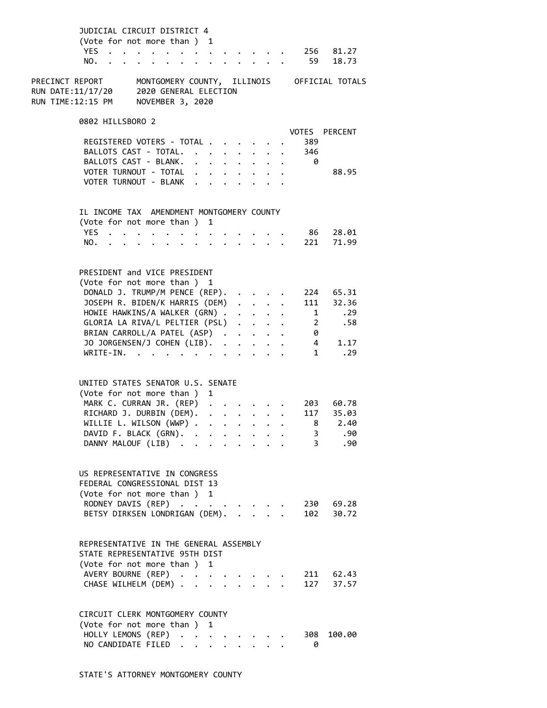| JUDICIAL CIRCUIT DISTRICT 4<br>(Vote for not more than) 1<br>YES.<br>$\cdots$<br>NO.                   |               |                                                                                                                                                                   |                                                | $\cdot$ $\cdot$ $\cdot$ |                      | 59             | 256 81.27<br>18.73                          |
|--------------------------------------------------------------------------------------------------------|---------------|-------------------------------------------------------------------------------------------------------------------------------------------------------------------|------------------------------------------------|-------------------------|----------------------|----------------|---------------------------------------------|
|                                                                                                        |               |                                                                                                                                                                   |                                                |                         |                      |                |                                             |
| PRECINCT REPORT<br>2020 GENERAL ELECTION<br>RUN DATE:11/17/20<br>RUN TIME:12:15 PM<br>NOVEMBER 3, 2020 |               |                                                                                                                                                                   |                                                |                         |                      |                | MONTGOMERY COUNTY, ILLINOIS OFFICIAL TOTALS |
| 0802 HILLSBORO 2                                                                                       |               |                                                                                                                                                                   |                                                |                         |                      |                |                                             |
|                                                                                                        |               |                                                                                                                                                                   |                                                |                         |                      |                | VOTES PERCENT                               |
| REGISTERED VOTERS - TOTAL                                                                              |               |                                                                                                                                                                   |                                                |                         |                      | 389            |                                             |
| BALLOTS CAST - TOTAL.                                                                                  |               |                                                                                                                                                                   | $\cdot$ $\cdot$                                |                         |                      | 346            |                                             |
| BALLOTS CAST - BLANK.<br>VOTER TURNOUT - TOTAL                                                         |               | $\begin{array}{cccccccccccccc} \bullet & \bullet & \bullet & \bullet & \bullet & \bullet & \bullet & \bullet & \bullet & \bullet & \bullet & \bullet \end{array}$ |                                                |                         |                      | - 0            | 88.95                                       |
| VOTER TURNOUT - BLANK                                                                                  |               |                                                                                                                                                                   |                                                |                         |                      |                |                                             |
|                                                                                                        |               |                                                                                                                                                                   |                                                |                         |                      |                |                                             |
| IL INCOME TAX AMENDMENT MONTGOMERY COUNTY<br>(Vote for not more than ) 1                               |               |                                                                                                                                                                   |                                                |                         |                      |                |                                             |
| YES .                                                                                                  |               |                                                                                                                                                                   |                                                |                         |                      |                | 86 28.01                                    |
| NO.                                                                                                    | $\sim$ $\sim$ | $\mathbf{L}$                                                                                                                                                      | $\mathbf{r}$ and $\mathbf{r}$ and $\mathbf{r}$ |                         |                      |                | 221 71.99                                   |
|                                                                                                        |               |                                                                                                                                                                   |                                                |                         |                      |                |                                             |
| PRESIDENT and VICE PRESIDENT                                                                           |               |                                                                                                                                                                   |                                                |                         |                      |                |                                             |
| (Vote for not more than ) 1                                                                            |               |                                                                                                                                                                   |                                                |                         |                      |                |                                             |
| DONALD J. TRUMP/M PENCE (REP).                                                                         |               |                                                                                                                                                                   |                                                |                         | $\bullet$            |                | 224 65.31                                   |
| JOSEPH R. BIDEN/K HARRIS (DEM)                                                                         |               |                                                                                                                                                                   |                                                | $\cdot$ $\cdot$ $\cdot$ |                      |                | 111 32.36                                   |
| HOWIE HAWKINS/A WALKER (GRN)                                                                           |               |                                                                                                                                                                   |                                                |                         |                      | $\overline{1}$ | .29                                         |
| GLORIA LA RIVA/L PELTIER (PSL)                                                                         |               |                                                                                                                                                                   |                                                |                         | $\ddot{\phantom{a}}$ | $\overline{2}$ | .58                                         |
| BRIAN CARROLL/A PATEL (ASP)                                                                            |               |                                                                                                                                                                   |                                                |                         |                      | 0              |                                             |
| JO JORGENSEN/J COHEN (LIB).                                                                            |               |                                                                                                                                                                   |                                                |                         |                      |                | $\overline{4}$<br>1.17                      |
| WRITE-IN.                                                                                              |               |                                                                                                                                                                   |                                                |                         |                      | $\mathbf 1$    | $\ldots$ . 29                               |
|                                                                                                        |               |                                                                                                                                                                   |                                                |                         |                      |                |                                             |
| UNITED STATES SENATOR U.S. SENATE<br>(Vote for not more than ) 1                                       |               |                                                                                                                                                                   |                                                |                         |                      |                |                                             |
| MARK C. CURRAN JR. (REP)                                                                               |               |                                                                                                                                                                   |                                                |                         |                      |                | 203 60.78                                   |
| RICHARD J. DURBIN (DEM).                                                                               |               |                                                                                                                                                                   | $\cdot$ $\cdot$ $\cdot$ $\cdot$ $\cdot$        |                         |                      |                | 117 35.03                                   |
| WILLIE L. WILSON (WWP)                                                                                 |               | $\ddot{\phantom{a}}$                                                                                                                                              |                                                |                         |                      |                | 8 2.40                                      |
| DAVID F. BLACK (GRN).                                                                                  |               |                                                                                                                                                                   |                                                |                         |                      | 3              | .90                                         |
| DANNY MALOUF (LIB)                                                                                     |               |                                                                                                                                                                   | $\cdot$ $\cdot$ $\cdot$ $\cdot$                |                         |                      | $3^{\circ}$    | .90                                         |
|                                                                                                        |               |                                                                                                                                                                   |                                                |                         |                      |                |                                             |
| US REPRESENTATIVE IN CONGRESS<br>FEDERAL CONGRESSIONAL DIST 13                                         |               |                                                                                                                                                                   |                                                |                         |                      |                |                                             |
| (Vote for not more than ) 1                                                                            |               |                                                                                                                                                                   |                                                |                         |                      |                |                                             |
| RODNEY DAVIS (REP)                                                                                     |               |                                                                                                                                                                   |                                                |                         |                      |                | 230 69.28                                   |
| BETSY DIRKSEN LONDRIGAN (DEM).                                                                         |               |                                                                                                                                                                   |                                                | $\sim$ $\sim$           |                      |                | 102 30.72                                   |
| REPRESENTATIVE IN THE GENERAL ASSEMBLY                                                                 |               |                                                                                                                                                                   |                                                |                         |                      |                |                                             |
|                                                                                                        |               |                                                                                                                                                                   |                                                |                         |                      |                |                                             |
| STATE REPRESENTATIVE 95TH DIST<br>(Vote for not more than ) 1                                          |               |                                                                                                                                                                   |                                                |                         |                      |                |                                             |
| AVERY BOURNE (REP)                                                                                     |               |                                                                                                                                                                   |                                                |                         |                      |                | 211 62.43                                   |
| CHASE WILHELM (DEM)                                                                                    |               | $\overline{a}$                                                                                                                                                    |                                                | $\cdot$ $\cdot$         |                      |                | 127 37.57                                   |
|                                                                                                        |               |                                                                                                                                                                   |                                                |                         |                      |                |                                             |
| CIRCUIT CLERK MONTGOMERY COUNTY                                                                        |               |                                                                                                                                                                   |                                                |                         |                      |                |                                             |
| (Vote for not more than ) 1                                                                            |               |                                                                                                                                                                   |                                                |                         |                      |                |                                             |
| HOLLY LEMONS (REP)                                                                                     |               |                                                                                                                                                                   |                                                |                         |                      | 308            | 100.00                                      |
| NO CANDIDATE FILED                                                                                     |               |                                                                                                                                                                   |                                                |                         |                      | 0              |                                             |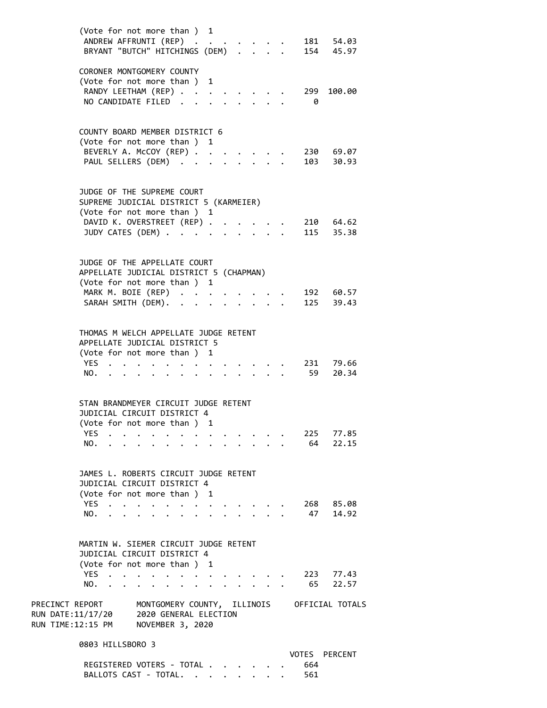|                                                                                                                                              | (Vote for not more than ) 1<br>ANDREW AFFRUNTI (REP)<br>BRYANT "BUTCH" HITCHINGS (DEM)                                                                                                                                            |               |                      |                      |            | 181 54.03<br>154 45.97    |
|----------------------------------------------------------------------------------------------------------------------------------------------|-----------------------------------------------------------------------------------------------------------------------------------------------------------------------------------------------------------------------------------|---------------|----------------------|----------------------|------------|---------------------------|
|                                                                                                                                              | CORONER MONTGOMERY COUNTY<br>(Vote for not more than ) 1<br>RANDY LEETHAM (REP).<br>NO CANDIDATE FILED                                                                                                                            | $\sim$ $\sim$ |                      |                      | 299<br>- 0 | 100.00                    |
|                                                                                                                                              | COUNTY BOARD MEMBER DISTRICT 6<br>(Vote for not more than ) 1<br>BEVERLY A. McCOY (REP)<br>PAUL SELLERS (DEM)                                                                                                                     |               | $\ddot{\phantom{a}}$ |                      |            | 230 69.07<br>103 30.93    |
|                                                                                                                                              | JUDGE OF THE SUPREME COURT<br>SUPREME JUDICIAL DISTRICT 5 (KARMEIER)<br>(Vote for not more than ) 1<br>DAVID K. OVERSTREET (REP)<br>JUDY CATES (DEM)                                                                              |               | $\sim$               | $1 - 1 - 1 = 1$      |            | 210 64.62<br>115 35.38    |
|                                                                                                                                              | JUDGE OF THE APPELLATE COURT<br>APPELLATE JUDICIAL DISTRICT 5 (CHAPMAN)<br>(Vote for not more than ) 1<br>MARK M. BOIE (REP)<br>SARAH SMITH (DEM).                                                                                | $\sim$        |                      |                      |            | 192 60.57<br>125 39.43    |
| YES<br>NO.                                                                                                                                   | THOMAS M WELCH APPELLATE JUDGE RETENT<br>APPELLATE JUDICIAL DISTRICT 5<br>(Vote for not more than ) 1                                                                                                                             |               |                      |                      |            | $231$ $79.66$<br>59 20.34 |
| YES.<br>NO.                                                                                                                                  | STAN BRANDMEYER CIRCUIT JUDGE RETENT<br>JUDICIAL CIRCUIT DISTRICT 4<br>(Vote for not more than ) 1                                                                                                                                |               |                      |                      | 64         | 225 77.85<br>22.15        |
| YES.<br>NO.                                                                                                                                  | JAMES L. ROBERTS CIRCUIT JUDGE RETENT<br>JUDICIAL CIRCUIT DISTRICT 4<br>(Vote for not more than ) 1<br>$\cdot$ $\cdot$ $\cdot$ $\cdot$<br>$\bullet$                                                                               |               |                      |                      | 47         | 268 85.08<br>14.92        |
| YES.<br>NO.                                                                                                                                  | MARTIN W. SIEMER CIRCUIT JUDGE RETENT<br>JUDICIAL CIRCUIT DISTRICT 4<br>(Vote for not more than) 1<br>$\ddot{\phantom{1}}$<br>$\bullet \qquad \bullet \qquad \bullet \qquad \bullet \qquad \bullet \qquad \bullet \qquad \bullet$ |               |                      | $\ddot{\phantom{a}}$ | 65         | 223 77.43<br>22.57        |
| PRECINCT REPORT MONTGOMERY COUNTY, ILLINOIS OFFICIAL TOTALS<br>RUN DATE:11/17/20 2020 GENERAL ELECTION<br>RUN TIME:12:15 PM NOVEMBER 3, 2020 |                                                                                                                                                                                                                                   |               |                      |                      |            |                           |
|                                                                                                                                              | 0803 HILLSBORO 3<br>REGISTERED VOTERS - TOTAL                                                                                                                                                                                     |               |                      |                      | 664        | VOTES PERCENT             |

BALLOTS CAST - TOTAL. . . . . . . . 561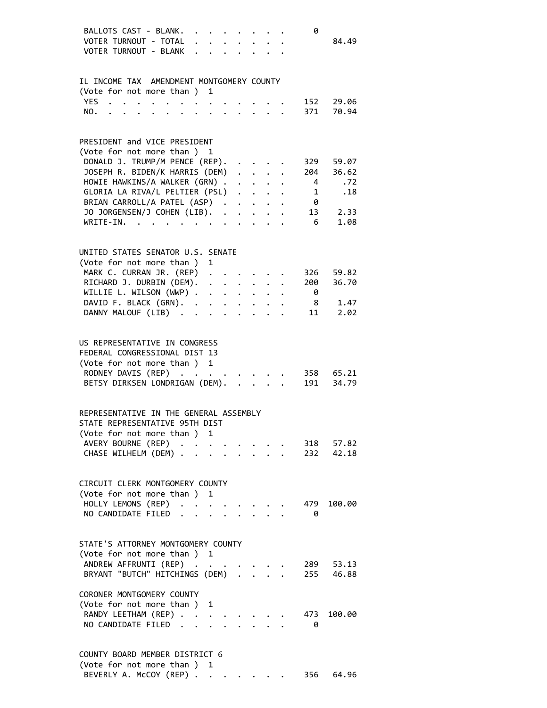| BALLOTS CAST - BLANK.<br>VOTER TURNOUT - TOTAL<br>VOTER TURNOUT - BLANK .                                                                                                                                                                                                                                                                                                                                                                                                                                                                                                                                                                   | $\ddot{\phantom{0}}$ |   | $\begin{array}{cccccccccccccc} \bullet & \bullet & \bullet & \bullet & \bullet & \bullet & \bullet & \bullet & \bullet & \bullet \end{array}$ |                                                           |                           | 0                            | 84.49                  |
|---------------------------------------------------------------------------------------------------------------------------------------------------------------------------------------------------------------------------------------------------------------------------------------------------------------------------------------------------------------------------------------------------------------------------------------------------------------------------------------------------------------------------------------------------------------------------------------------------------------------------------------------|----------------------|---|-----------------------------------------------------------------------------------------------------------------------------------------------|-----------------------------------------------------------|---------------------------|------------------------------|------------------------|
| IL INCOME TAX AMENDMENT MONTGOMERY COUNTY<br>(Vote for not more than ) 1                                                                                                                                                                                                                                                                                                                                                                                                                                                                                                                                                                    |                      |   |                                                                                                                                               |                                                           |                           |                              |                        |
| YES<br>$\ddot{\phantom{a}}$<br>$\mathcal{A}=\mathcal{A}=\mathcal{A}=\mathcal{A}=\mathcal{A}=\mathcal{A}=\mathcal{A}$<br>NO.<br>$\mathbf{r} = \mathbf{r} \times \mathbf{r} \times \mathbf{r} \times \mathbf{r} \times \mathbf{r} \times \mathbf{r} \times \mathbf{r} \times \mathbf{r} \times \mathbf{r} \times \mathbf{r} \times \mathbf{r} \times \mathbf{r} \times \mathbf{r} \times \mathbf{r} \times \mathbf{r} \times \mathbf{r} \times \mathbf{r} \times \mathbf{r} \times \mathbf{r} \times \mathbf{r} \times \mathbf{r} \times \mathbf{r} \times \mathbf{r} \times \mathbf{r} \times \mathbf{r} \times \mathbf{r} \times \mathbf{r$ |                      |   |                                                                                                                                               |                                                           |                           | 152<br>371                   | 29.06<br>70.94         |
| PRESIDENT and VICE PRESIDENT<br>(Vote for not more than ) 1<br>DONALD J. TRUMP/M PENCE (REP).                                                                                                                                                                                                                                                                                                                                                                                                                                                                                                                                               |                      |   |                                                                                                                                               |                                                           |                           | 329                          | 59.07                  |
| JOSEPH R. BIDEN/K HARRIS (DEM)<br>HOWIE HAWKINS/A WALKER (GRN) 4<br>GLORIA LA RIVA/L PELTIER (PSL)<br>BRIAN CARROLL/A PATEL (ASP)                                                                                                                                                                                                                                                                                                                                                                                                                                                                                                           |                      |   |                                                                                                                                               | $\mathbf{r}$ , $\mathbf{r}$ , $\mathbf{r}$ , $\mathbf{r}$ |                           | 204<br>$\overline{1}$<br>- 0 | 36.62<br>.72<br>.18    |
| JO JORGENSEN/J COHEN (LIB).<br>$WRITE-IN.$                                                                                                                                                                                                                                                                                                                                                                                                                                                                                                                                                                                                  |                      |   | $\ddot{\phantom{0}}$                                                                                                                          |                                                           |                           | 6                            | 13 2.33<br>1.08        |
| UNITED STATES SENATOR U.S. SENATE<br>(Vote for not more than ) 1<br>MARK C. CURRAN JR. (REP)                                                                                                                                                                                                                                                                                                                                                                                                                                                                                                                                                |                      |   |                                                                                                                                               |                                                           |                           | 326                          | 59.82                  |
| RICHARD J. DURBIN (DEM).<br>WILLIE L. WILSON (WWP)<br>DAVID F. BLACK (GRN).                                                                                                                                                                                                                                                                                                                                                                                                                                                                                                                                                                 |                      |   | $\mathbf{r} = \mathbf{r} + \mathbf{r} + \mathbf{r} + \mathbf{r}$ .                                                                            |                                                           |                           | 200<br>- 0                   | 36.70<br>8 1.47        |
| DANNY MALOUF (LIB)                                                                                                                                                                                                                                                                                                                                                                                                                                                                                                                                                                                                                          |                      |   | $\mathbf{L}$ and $\mathbf{L}$                                                                                                                 |                                                           | $\mathbf{r} = \mathbf{r}$ |                              | 11 2.02                |
| US REPRESENTATIVE IN CONGRESS<br>FEDERAL CONGRESSIONAL DIST 13<br>(Vote for not more than ) 1<br>RODNEY DAVIS (REP)<br>BETSY DIRKSEN LONDRIGAN (DEM).                                                                                                                                                                                                                                                                                                                                                                                                                                                                                       |                      |   |                                                                                                                                               | $\mathbf{r}$ , $\mathbf{r}$ , $\mathbf{r}$ , $\mathbf{r}$ |                           | 191                          | 358 65.21<br>34.79     |
| REPRESENTATIVE IN THE GENERAL ASSEMBLY<br>STATE REPRESENTATIVE 95TH DIST<br>(Vote for not more than ) 1                                                                                                                                                                                                                                                                                                                                                                                                                                                                                                                                     |                      |   |                                                                                                                                               |                                                           |                           |                              |                        |
| AVERY BOURNE (REP)<br>CHASE WILHELM (DEM)                                                                                                                                                                                                                                                                                                                                                                                                                                                                                                                                                                                                   |                      |   |                                                                                                                                               |                                                           |                           |                              | 318 57.82<br>232 42.18 |
| CIRCUIT CLERK MONTGOMERY COUNTY<br>(Vote for not more than )<br>HOLLY LEMONS (REP).<br>NO CANDIDATE FILED                                                                                                                                                                                                                                                                                                                                                                                                                                                                                                                                   | $\sim$               | 1 |                                                                                                                                               |                                                           |                           | 479<br>- 0                   | 100.00                 |
| STATE'S ATTORNEY MONTGOMERY COUNTY<br>(Vote for not more than ) 1                                                                                                                                                                                                                                                                                                                                                                                                                                                                                                                                                                           |                      |   |                                                                                                                                               |                                                           |                           |                              |                        |
| ANDREW AFFRUNTI (REP)<br>BRYANT "BUTCH" HITCHINGS (DEM).                                                                                                                                                                                                                                                                                                                                                                                                                                                                                                                                                                                    |                      |   |                                                                                                                                               |                                                           |                           | 289<br>255                   | 53.13<br>46.88         |
| CORONER MONTGOMERY COUNTY<br>(Vote for not more than ) 1<br>RANDY LEETHAM (REP)<br>NO CANDIDATE FILED                                                                                                                                                                                                                                                                                                                                                                                                                                                                                                                                       |                      |   |                                                                                                                                               |                                                           |                           | 473<br>0                     | 100.00                 |
| COUNTY BOARD MEMBER DISTRICT 6<br>(Vote for not more than ) 1                                                                                                                                                                                                                                                                                                                                                                                                                                                                                                                                                                               |                      |   |                                                                                                                                               |                                                           |                           |                              |                        |

BEVERLY A. McCOY (REP) . . . . . . . 356 64.96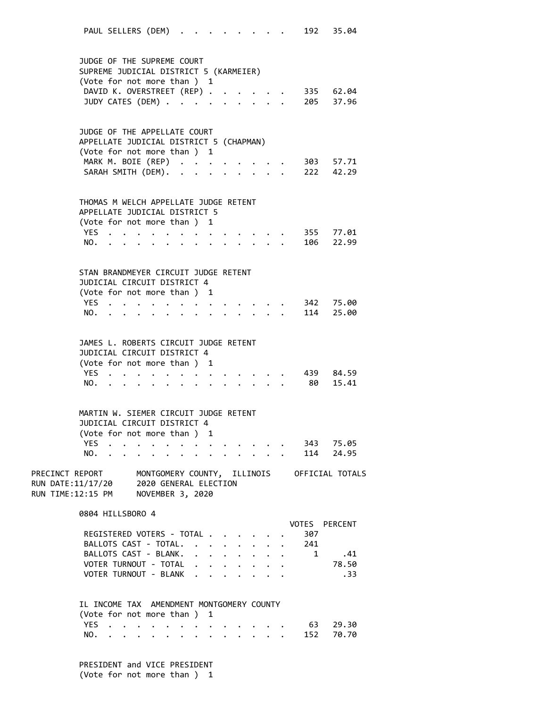PAUL SELLERS (DEM) . . . . . . . . 192 35.04 JUDGE OF THE SUPREME COURT SUPREME JUDICIAL DISTRICT 5 (KARMEIER) (Vote for not more than ) 1 DAVID K. OVERSTREET (REP) . . . . . 335 62.04 JUDY CATES (DEM) . . . . . . . . . 205 37.96 JUDGE OF THE APPELLATE COURT APPELLATE JUDICIAL DISTRICT 5 (CHAPMAN) (Vote for not more than ) 1 MARK M. BOIE (REP) . . . . . . . . 303 57.71 SARAH SMITH (DEM). . . . . . . . . 222 42.29 THOMAS M WELCH APPELLATE JUDGE RETENT APPELLATE JUDICIAL DISTRICT 5 (Vote for not more than ) 1 YES . . . . . . . . . . . . . 355 77.01 NO. . . . . . . . . . . . . . 106 22.99 STAN BRANDMEYER CIRCUIT JUDGE RETENT JUDICIAL CIRCUIT DISTRICT 4 (Vote for not more than ) 1 YES . . . . . . . . . . . . . 342 75.00 NO. . . . . . . . . . . . . . 114 25.00 JAMES L. ROBERTS CIRCUIT JUDGE RETENT JUDICIAL CIRCUIT DISTRICT 4 (Vote for not more than ) 1 YES . . . . . . . . . . . . . 439 84.59 NO. . . . . . . . . . . . . . 80 15.41 MARTIN W. SIEMER CIRCUIT JUDGE RETENT JUDICIAL CIRCUIT DISTRICT 4 (Vote for not more than ) 1 YES . . . . . . . . . . . . . 343 75.05 NO. . . . . . . . . . . . . . 114 24.95 PRECINCT REPORT MONTGOMERY COUNTY, ILLINOIS OFFICIAL TOTALS RUN DATE:11/17/20 2020 GENERAL ELECTION RUN TIME:12:15 PM NOVEMBER 3, 2020 0804 HILLSBORO 4 VOTES PERCENT REGISTERED VOTERS - TOTAL . . . . . . 307 BALLOTS CAST - TOTAL. . . . . . . . 241 BALLOTS CAST - BLANK. . . . . . . . 1 .41<br>VOTER TURNOUT - TOTAL . . . . . . . . 78.50 VOTER TURNOUT - TOTAL . . . . . . . VOTER TURNOUT - BLANK . . . . . . . . . . . . 33 IL INCOME TAX AMENDMENT MONTGOMERY COUNTY (Vote for not more than ) 1 YES . . . . . . . . . . . . . . 63 29.30 NO. . . . . . . . . . . . . . 152 70.70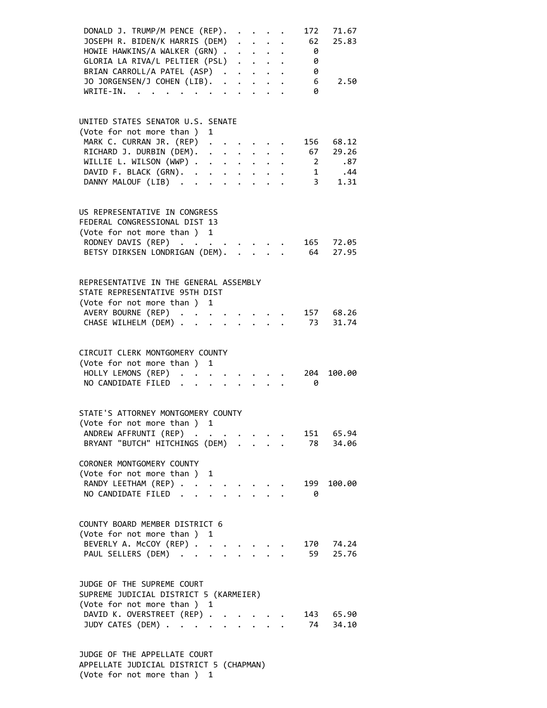| DONALD J. TRUMP/M PENCE (REP).<br>JOSEPH R. BIDEN/K HARRIS (DEM)<br>HOWIE HAWKINS/A WALKER (GRN).<br>GLORIA LA RIVA/L PELTIER (PSL)<br>BRIAN CARROLL/A PATEL (ASP)<br>JO JORGENSEN/J COHEN (LIB).<br>WRITE-IN.                     | $\cdot$ $\cdot$ $\cdot$ $\cdot$ |  | 62<br>$\theta$<br>- 0<br>$\theta$<br>$6\overline{6}$<br>0 | 172 71.67<br>25.83<br>2.50                                              |
|------------------------------------------------------------------------------------------------------------------------------------------------------------------------------------------------------------------------------------|---------------------------------|--|-----------------------------------------------------------|-------------------------------------------------------------------------|
| UNITED STATES SENATOR U.S. SENATE<br>(Vote for not more than ) 1<br>MARK C. CURRAN JR. (REP)<br>RICHARD J. DURBIN (DEM). 67 29.26<br>WILLIE L. WILSON (WWP)<br>DAVID F. BLACK (GRN).<br>DANNY MALOUF (LIB)<br>$\ddot{\phantom{a}}$ | $\mathbf{L} = \mathbf{L}$       |  | $\overline{\mathbf{c}}$                                   | 156 68.12<br>.87<br>$\begin{array}{cc} 1 & .44 \\ 3 & 1.31 \end{array}$ |
| US REPRESENTATIVE IN CONGRESS<br>FEDERAL CONGRESSIONAL DIST 13<br>(Vote for not more than ) 1<br>RODNEY DAVIS (REP)<br>BETSY DIRKSEN LONDRIGAN (DEM).                                                                              |                                 |  |                                                           | 165 72.05<br>64 27.95                                                   |
| REPRESENTATIVE IN THE GENERAL ASSEMBLY<br>STATE REPRESENTATIVE 95TH DIST<br>(Vote for not more than ) 1<br>AVERY BOURNE (REP)<br>CHASE WILHELM (DEM)                                                                               | $\cdot$ $\cdot$ $\cdot$ $\cdot$ |  |                                                           | 157 68.26<br>73 31.74                                                   |
| CIRCUIT CLERK MONTGOMERY COUNTY<br>(Vote for not more than ) 1<br>HOLLY LEMONS (REP)<br>NO CANDIDATE FILED<br>$\sim$<br>$\ddot{\phantom{a}}$                                                                                       | $\cdot$ $\cdot$ $\cdot$         |  | 204<br>- 0                                                | 100.00                                                                  |
| STATE'S ATTORNEY MONTGOMERY COUNTY<br>(Vote for not more than ) 1<br>ANDREW AFFRUNTI (REP).<br>BRYANT "BUTCH" HITCHINGS (DEM)<br>CORONER MONTGOMERY COUNTY                                                                         |                                 |  | 78                                                        | 151 65.94<br>34.06                                                      |
| (Vote for not more than ) 1<br>RANDY LEETHAM (REP)<br>NO CANDIDATE FILED.                                                                                                                                                          |                                 |  | 199<br>$\theta$                                           | 100.00                                                                  |
| COUNTY BOARD MEMBER DISTRICT 6<br>(Vote for not more than ) 1<br>BEVERLY A. McCOY (REP)<br>PAUL SELLERS (DEM)                                                                                                                      |                                 |  | 170<br>59                                                 | 74.24<br>25.76                                                          |
| JUDGE OF THE SUPREME COURT<br>SUPREME JUDICIAL DISTRICT 5 (KARMEIER)<br>(Vote for not more than ) 1<br>DAVID K. OVERSTREET (REP) .<br>JUDY CATES (DEM)                                                                             | $\cdot$ $\cdot$ $\cdot$         |  | 74                                                        | 143 65.90<br>34.10                                                      |

 JUDGE OF THE APPELLATE COURT APPELLATE JUDICIAL DISTRICT 5 (CHAPMAN) (Vote for not more than ) 1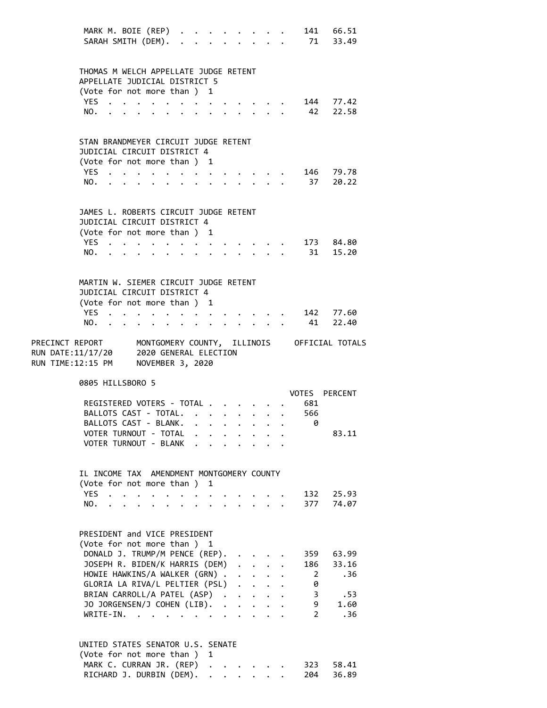|                                                                               | MARK M. BOIE (REP)<br>SARAH SMITH (DEM).                               |                         |                                                                                                                                                                                                                               |                                                                                                                                                                                                                                       |                       |                                                                                          |                      |                      |                           |  |                               | 141 66.51<br>71 33.49                                       |
|-------------------------------------------------------------------------------|------------------------------------------------------------------------|-------------------------|-------------------------------------------------------------------------------------------------------------------------------------------------------------------------------------------------------------------------------|---------------------------------------------------------------------------------------------------------------------------------------------------------------------------------------------------------------------------------------|-----------------------|------------------------------------------------------------------------------------------|----------------------|----------------------|---------------------------|--|-------------------------------|-------------------------------------------------------------|
|                                                                               | THOMAS M WELCH APPELLATE JUDGE RETENT<br>APPELLATE JUDICIAL DISTRICT 5 |                         |                                                                                                                                                                                                                               |                                                                                                                                                                                                                                       |                       |                                                                                          |                      |                      |                           |  |                               |                                                             |
|                                                                               | (Vote for not more than ) 1                                            |                         |                                                                                                                                                                                                                               |                                                                                                                                                                                                                                       |                       |                                                                                          |                      |                      |                           |  |                               |                                                             |
|                                                                               | YES.                                                                   |                         | $\ddot{\phantom{1}}$                                                                                                                                                                                                          |                                                                                                                                                                                                                                       |                       | $\bullet$ . The second contribution of the second contribution $\mathcal{L}_\mathcal{A}$ |                      |                      |                           |  |                               | 144 77.42                                                   |
|                                                                               | NO.                                                                    |                         | and a series and a series of the series of the series of the series of the series of the series of the series of the series of the series of the series of the series of the series of the series of the series of the series |                                                                                                                                                                                                                                       |                       |                                                                                          |                      |                      |                           |  | 42                            | 22.58                                                       |
|                                                                               | STAN BRANDMEYER CIRCUIT JUDGE RETENT<br>JUDICIAL CIRCUIT DISTRICT 4    |                         |                                                                                                                                                                                                                               |                                                                                                                                                                                                                                       |                       |                                                                                          |                      |                      |                           |  |                               |                                                             |
|                                                                               | (Vote for not more than) 1                                             |                         |                                                                                                                                                                                                                               |                                                                                                                                                                                                                                       |                       |                                                                                          |                      |                      |                           |  |                               |                                                             |
|                                                                               | YES                                                                    |                         |                                                                                                                                                                                                                               |                                                                                                                                                                                                                                       |                       |                                                                                          |                      |                      |                           |  |                               | 146 79.78                                                   |
|                                                                               | NO.                                                                    |                         |                                                                                                                                                                                                                               |                                                                                                                                                                                                                                       |                       |                                                                                          |                      |                      |                           |  |                               | 37 20.22                                                    |
|                                                                               | JAMES L. ROBERTS CIRCUIT JUDGE RETENT                                  |                         |                                                                                                                                                                                                                               |                                                                                                                                                                                                                                       |                       |                                                                                          |                      |                      |                           |  |                               |                                                             |
|                                                                               | JUDICIAL CIRCUIT DISTRICT 4<br>(Vote for not more than ) 1             |                         |                                                                                                                                                                                                                               |                                                                                                                                                                                                                                       |                       |                                                                                          |                      |                      |                           |  |                               |                                                             |
|                                                                               | YES                                                                    |                         |                                                                                                                                                                                                                               |                                                                                                                                                                                                                                       |                       |                                                                                          |                      |                      |                           |  |                               | 173 84.80                                                   |
|                                                                               | NO.                                                                    |                         | the contract of the contract of the contract of the contract of the contract of the contract of the contract of                                                                                                               |                                                                                                                                                                                                                                       |                       |                                                                                          |                      |                      |                           |  |                               | 31 15.20                                                    |
|                                                                               | MARTIN W. SIEMER CIRCUIT JUDGE RETENT<br>JUDICIAL CIRCUIT DISTRICT 4   |                         |                                                                                                                                                                                                                               |                                                                                                                                                                                                                                       |                       |                                                                                          |                      |                      |                           |  |                               |                                                             |
|                                                                               | (Vote for not more than ) 1                                            |                         |                                                                                                                                                                                                                               |                                                                                                                                                                                                                                       |                       |                                                                                          |                      |                      |                           |  |                               |                                                             |
|                                                                               | YES.,                                                                  |                         |                                                                                                                                                                                                                               | $\mathbf{r}$ , and $\mathbf{r}$ , and $\mathbf{r}$ , and $\mathbf{r}$ , and $\mathbf{r}$                                                                                                                                              |                       |                                                                                          |                      |                      |                           |  |                               | 142 77.60                                                   |
|                                                                               | NO.                                                                    |                         |                                                                                                                                                                                                                               |                                                                                                                                                                                                                                       |                       |                                                                                          |                      |                      |                           |  | 41                            | 22.40                                                       |
| RUN DATE:11/17/20 2020 GENERAL ELECTION<br>RUN TIME:12:15 PM NOVEMBER 3, 2020 |                                                                        |                         |                                                                                                                                                                                                                               |                                                                                                                                                                                                                                       |                       |                                                                                          |                      |                      |                           |  |                               | PRECINCT REPORT MONTGOMERY COUNTY, ILLINOIS OFFICIAL TOTALS |
|                                                                               | 0805 HILLSBORO 5                                                       |                         |                                                                                                                                                                                                                               |                                                                                                                                                                                                                                       |                       |                                                                                          |                      |                      |                           |  |                               | VOTES PERCENT                                               |
|                                                                               |                                                                        |                         |                                                                                                                                                                                                                               |                                                                                                                                                                                                                                       |                       |                                                                                          |                      |                      |                           |  | REGISTERED VOTERS - TOTAL 681 |                                                             |
|                                                                               | BALLOTS CAST - TOTAL.                                                  |                         |                                                                                                                                                                                                                               |                                                                                                                                                                                                                                       |                       |                                                                                          |                      |                      |                           |  | 566                           |                                                             |
|                                                                               | BALLOTS CAST - BLANK.<br>VOTER TURNOUT - TOTAL                         |                         |                                                                                                                                                                                                                               |                                                                                                                                                                                                                                       |                       |                                                                                          |                      |                      |                           |  | 0                             | 83.11                                                       |
|                                                                               | VOTER TURNOUT - BLANK                                                  |                         |                                                                                                                                                                                                                               |                                                                                                                                                                                                                                       |                       |                                                                                          |                      |                      |                           |  |                               |                                                             |
|                                                                               |                                                                        |                         |                                                                                                                                                                                                                               |                                                                                                                                                                                                                                       |                       |                                                                                          |                      |                      |                           |  |                               |                                                             |
|                                                                               | IL INCOME TAX AMENDMENT MONTGOMERY COUNTY<br>(Vote for not more than)  |                         |                                                                                                                                                                                                                               |                                                                                                                                                                                                                                       |                       |                                                                                          |                      |                      |                           |  |                               |                                                             |
|                                                                               |                                                                        |                         |                                                                                                                                                                                                                               |                                                                                                                                                                                                                                       |                       |                                                                                          |                      |                      |                           |  |                               |                                                             |
|                                                                               | <b>YES</b>                                                             |                         |                                                                                                                                                                                                                               |                                                                                                                                                                                                                                       | $\ddot{\phantom{0}}$  |                                                                                          | 1                    |                      |                           |  | 132                           | 25.93                                                       |
|                                                                               | NO.                                                                    | $\cdot$ $\cdot$ $\cdot$ |                                                                                                                                                                                                                               | $\ddot{\bullet}$ . The contract of the contract of the contract of the contract of the contract of the contract of the contract of the contract of the contract of the contract of the contract of the contract of the contract of th | $\bullet$ . $\bullet$ |                                                                                          |                      |                      |                           |  | 377                           | 74.07                                                       |
|                                                                               |                                                                        |                         |                                                                                                                                                                                                                               |                                                                                                                                                                                                                                       |                       |                                                                                          |                      |                      |                           |  |                               |                                                             |
|                                                                               | PRESIDENT and VICE PRESIDENT                                           |                         |                                                                                                                                                                                                                               |                                                                                                                                                                                                                                       |                       |                                                                                          |                      |                      |                           |  |                               |                                                             |
|                                                                               | (Vote for not more than ) 1                                            |                         |                                                                                                                                                                                                                               |                                                                                                                                                                                                                                       |                       |                                                                                          |                      |                      |                           |  | 359                           | 63.99                                                       |
|                                                                               | DONALD J. TRUMP/M PENCE (REP).<br>JOSEPH R. BIDEN/K HARRIS (DEM)       |                         |                                                                                                                                                                                                                               |                                                                                                                                                                                                                                       |                       |                                                                                          |                      |                      | $\mathbf{L}$ $\mathbf{L}$ |  | 186                           | 33.16                                                       |
|                                                                               | HOWIE HAWKINS/A WALKER (GRN).                                          |                         |                                                                                                                                                                                                                               |                                                                                                                                                                                                                                       |                       |                                                                                          |                      |                      | $\sim 100$ km s $^{-1}$   |  | $\overline{2}$                | .36                                                         |
|                                                                               | GLORIA LA RIVA/L PELTIER (PSL)                                         |                         |                                                                                                                                                                                                                               |                                                                                                                                                                                                                                       |                       |                                                                                          |                      |                      | $\ddot{\phantom{0}}$      |  | 0                             |                                                             |
|                                                                               | BRIAN CARROLL/A PATEL (ASP).<br>JO JORGENSEN/J COHEN (LIB).            |                         |                                                                                                                                                                                                                               |                                                                                                                                                                                                                                       |                       |                                                                                          |                      | $\ddot{\phantom{a}}$ | $\mathbf{L} = \mathbf{L}$ |  | 3<br>9                        | .53<br>1.60                                                 |
|                                                                               | $WRITE-IN.$                                                            |                         |                                                                                                                                                                                                                               |                                                                                                                                                                                                                                       |                       |                                                                                          |                      |                      |                           |  | $\overline{2}$                | .36                                                         |
|                                                                               | UNITED STATES SENATOR U.S. SENATE                                      |                         |                                                                                                                                                                                                                               |                                                                                                                                                                                                                                       |                       |                                                                                          |                      |                      |                           |  |                               |                                                             |
|                                                                               | (Vote for not more than)                                               |                         |                                                                                                                                                                                                                               |                                                                                                                                                                                                                                       |                       |                                                                                          | 1                    |                      |                           |  |                               |                                                             |
|                                                                               | MARK C. CURRAN JR. (REP)<br>RICHARD J. DURBIN (DEM).                   |                         |                                                                                                                                                                                                                               |                                                                                                                                                                                                                                       |                       |                                                                                          | $\ddot{\phantom{0}}$ |                      |                           |  | 323<br>204                    | 58.41<br>36.89                                              |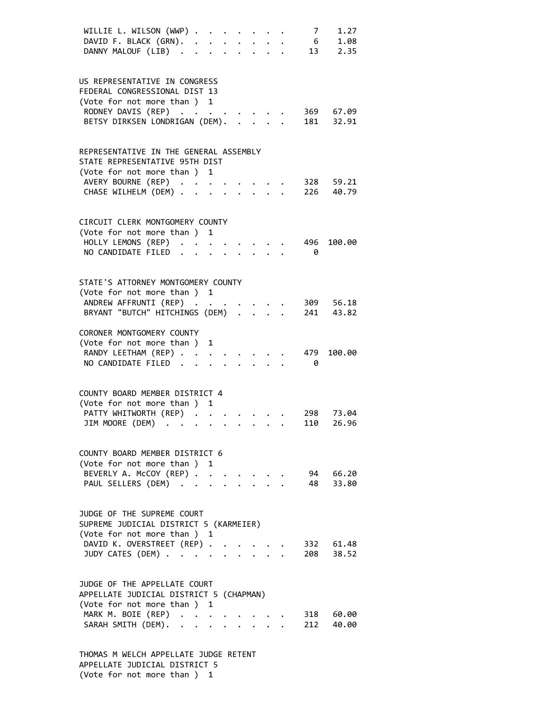| $7^{\circ}$<br>1.27<br>WILLIE L. WILSON (WWP)<br>6 1.08<br>DAVID F. BLACK (GRN). .<br>$\ddot{\phantom{0}}$<br>$\cdot$ $\cdot$ $\cdot$<br>13 2.35<br>DANNY MALOUF (LIB)<br>$\ddot{\phantom{a}}$                                  |  |
|---------------------------------------------------------------------------------------------------------------------------------------------------------------------------------------------------------------------------------|--|
| US REPRESENTATIVE IN CONGRESS<br>FEDERAL CONGRESSIONAL DIST 13<br>(Vote for not more than ) 1<br>RODNEY DAVIS (REP)<br>369 67.09<br>181 32.91<br>BETSY DIRKSEN LONDRIGAN (DEM).                                                 |  |
| REPRESENTATIVE IN THE GENERAL ASSEMBLY<br>STATE REPRESENTATIVE 95TH DIST<br>(Vote for not more than ) 1<br>AVERY BOURNE (REP)<br>328 59.21<br>CHASE WILHELM (DEM) .<br>226<br>40.79                                             |  |
| CIRCUIT CLERK MONTGOMERY COUNTY<br>(Vote for not more than ) 1<br>HOLLY LEMONS (REP)<br>496<br>100.00<br>NO CANDIDATE FILED.<br>0<br>$\ddot{\phantom{a}}$                                                                       |  |
| STATE'S ATTORNEY MONTGOMERY COUNTY<br>(Vote for not more than ) 1<br>ANDREW AFFRUNTI (REP)<br>309 56.18<br>BRYANT "BUTCH" HITCHINGS (DEM) .<br>241<br>43.82                                                                     |  |
| CORONER MONTGOMERY COUNTY<br>(Vote for not more than)<br>1<br>RANDY LEETHAM (REP)<br>479<br>100.00<br>NO CANDIDATE FILED.<br>0                                                                                                  |  |
| COUNTY BOARD MEMBER DISTRICT 4<br>(Vote for not more than)<br>1<br>PATTY WHITWORTH (REP)<br>298<br>73.04<br>JIM MOORE (DEM)<br>26.96<br>110<br>$\epsilon$ , and $\epsilon$ , and $\epsilon$ , and $\epsilon$                    |  |
| COUNTY BOARD MEMBER DISTRICT 6<br>(Vote for not more than) 1<br>BEVERLY A. McCOY (REP)<br>94 66.20<br>48 33.80<br>PAUL SELLERS (DEM)                                                                                            |  |
| JUDGE OF THE SUPREME COURT<br>SUPREME JUDICIAL DISTRICT 5 (KARMEIER)<br>(Vote for not more than ) 1<br>DAVID K. OVERSTREET (REP)<br>332 61.48<br>JUDY CATES (DEM)<br>208 38.52                                                  |  |
| JUDGE OF THE APPELLATE COURT<br>APPELLATE JUDICIAL DISTRICT 5 (CHAPMAN)<br>(Vote for not more than ) 1<br>MARK M. BOIE (REP)<br>318 60.00<br>$\ddot{\phantom{0}}$<br>212 40.00<br>SARAH SMITH (DEM).<br>$\cdot$ $\cdot$ $\cdot$ |  |
|                                                                                                                                                                                                                                 |  |

 THOMAS M WELCH APPELLATE JUDGE RETENT APPELLATE JUDICIAL DISTRICT 5 (Vote for not more than ) 1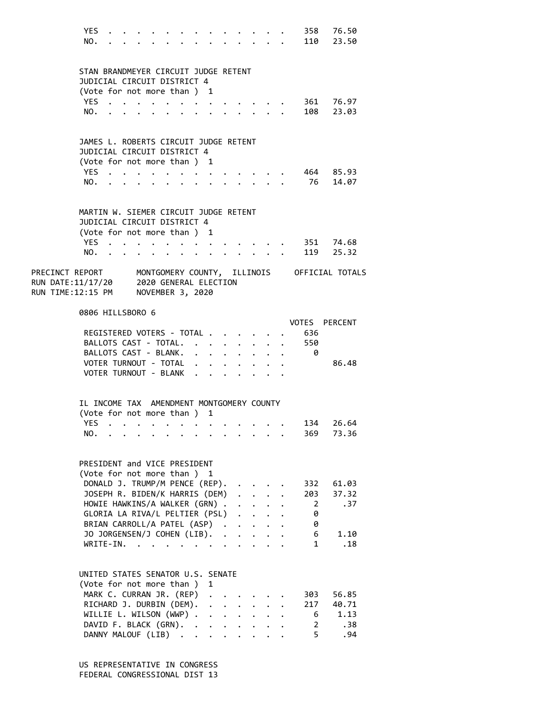|                                    | YES.<br>NO.                                                                                         |                                                                                                                                                                                                                               |                          |                |  |        |                                                                                                 |                      |                      |                                      |                                                                 |                | 358 76.50<br>110 23.50                                                                                                |
|------------------------------------|-----------------------------------------------------------------------------------------------------|-------------------------------------------------------------------------------------------------------------------------------------------------------------------------------------------------------------------------------|--------------------------|----------------|--|--------|-------------------------------------------------------------------------------------------------|----------------------|----------------------|--------------------------------------|-----------------------------------------------------------------|----------------|-----------------------------------------------------------------------------------------------------------------------|
|                                    | STAN BRANDMEYER CIRCUIT JUDGE RETENT<br>JUDICIAL CIRCUIT DISTRICT 4                                 |                                                                                                                                                                                                                               |                          |                |  |        |                                                                                                 |                      |                      |                                      |                                                                 |                |                                                                                                                       |
|                                    | (Vote for not more than ) 1                                                                         |                                                                                                                                                                                                                               |                          |                |  |        |                                                                                                 |                      |                      |                                      |                                                                 |                |                                                                                                                       |
|                                    | YES.<br>NO.                                                                                         |                                                                                                                                                                                                                               |                          |                |  |        |                                                                                                 |                      |                      |                                      |                                                                 |                | 361 76.97<br>108 23.03                                                                                                |
|                                    |                                                                                                     |                                                                                                                                                                                                                               |                          |                |  |        |                                                                                                 |                      |                      |                                      |                                                                 |                |                                                                                                                       |
|                                    | JAMES L. ROBERTS CIRCUIT JUDGE RETENT<br>JUDICIAL CIRCUIT DISTRICT 4                                |                                                                                                                                                                                                                               |                          |                |  |        |                                                                                                 |                      |                      |                                      |                                                                 |                |                                                                                                                       |
|                                    | (Vote for not more than) 1                                                                          |                                                                                                                                                                                                                               |                          |                |  |        |                                                                                                 |                      |                      |                                      |                                                                 |                |                                                                                                                       |
|                                    | YES.                                                                                                | . The contribution of the contribution of the contribution of $\mathcal{A}$                                                                                                                                                   |                          |                |  |        |                                                                                                 |                      |                      |                                      |                                                                 |                | 464 85.93                                                                                                             |
|                                    | NO.                                                                                                 | $\cdot$ $\cdot$ $\cdot$ $\cdot$ $\cdot$                                                                                                                                                                                       |                          |                |  |        |                                                                                                 |                      |                      |                                      | $\cdot$ $\cdot$ $\cdot$ $\cdot$ $\cdot$ $\cdot$ $\cdot$ $\cdot$ |                | 76 14.07                                                                                                              |
|                                    | MARTIN W. SIEMER CIRCUIT JUDGE RETENT<br>JUDICIAL CIRCUIT DISTRICT 4<br>(Vote for not more than ) 1 |                                                                                                                                                                                                                               |                          |                |  |        |                                                                                                 |                      |                      |                                      |                                                                 |                |                                                                                                                       |
|                                    | YES                                                                                                 |                                                                                                                                                                                                                               |                          |                |  |        | $\cdots$                                                                                        |                      |                      |                                      |                                                                 |                | 351 74.68                                                                                                             |
|                                    | NO.                                                                                                 | $\sim$                                                                                                                                                                                                                        | <b>Contract Contract</b> |                |  |        |                                                                                                 |                      |                      |                                      | $\mathbf{r} = \mathbf{r} + \mathbf{r}$ .                        |                | 119 25.32                                                                                                             |
| RUN TIME:12:15 PM NOVEMBER 3, 2020 |                                                                                                     |                                                                                                                                                                                                                               |                          |                |  |        |                                                                                                 |                      |                      |                                      |                                                                 |                | PRECINCT REPORT       MONTGOMERY COUNTY,  ILLINOIS     OFFICIAL TOTALS<br>RUN DATE:11/17/20     2020 GENERAL ELECTION |
|                                    | 0806 HILLSBORO 6                                                                                    |                                                                                                                                                                                                                               |                          |                |  |        |                                                                                                 |                      |                      |                                      |                                                                 |                |                                                                                                                       |
|                                    | REGISTERED VOTERS - TOTAL                                                                           |                                                                                                                                                                                                                               |                          |                |  |        |                                                                                                 |                      |                      |                                      |                                                                 | 636            | VOTES PERCENT                                                                                                         |
|                                    | BALLOTS CAST - TOTAL.                                                                               |                                                                                                                                                                                                                               |                          |                |  |        | $\mathbf{r}=\mathbf{r}+\mathbf{r}+\mathbf{r}+\mathbf{r}+\mathbf{r}$                             |                      |                      |                                      |                                                                 | 550            |                                                                                                                       |
|                                    | BALLOTS CAST - BLANK.                                                                               |                                                                                                                                                                                                                               |                          |                |  |        | $\mathbf{r} = \mathbf{r} \times \mathbf{r}$ , where $\mathbf{r} = \mathbf{r} \times \mathbf{r}$ |                      |                      |                                      |                                                                 | - 0            |                                                                                                                       |
|                                    | VOTER TURNOUT - TOTAL                                                                               |                                                                                                                                                                                                                               |                          |                |  |        | $\mathbf{r} = \mathbf{r} + \mathbf{r}$ , where $\mathbf{r} = \mathbf{r}$                        |                      |                      |                                      |                                                                 |                | 86.48                                                                                                                 |
|                                    | VOTER TURNOUT - BLANK                                                                               |                                                                                                                                                                                                                               |                          |                |  |        |                                                                                                 |                      |                      |                                      |                                                                 |                |                                                                                                                       |
|                                    | IL INCOME TAX AMENDMENT MONTGOMERY COUNTY<br>(Vote for not more than ) 1                            |                                                                                                                                                                                                                               |                          |                |  |        |                                                                                                 |                      |                      |                                      |                                                                 |                |                                                                                                                       |
|                                    | YES.                                                                                                | . As a set of the set of the set of the set of the set of the set of the set of the set of the set of the set of the set of the set of the set of the set of the set of the set of the set of the set of the set of the set o |                          |                |  |        |                                                                                                 |                      |                      |                                      |                                                                 | 134            | 26.64                                                                                                                 |
|                                    | NO.                                                                                                 |                                                                                                                                                                                                                               |                          |                |  |        |                                                                                                 |                      |                      |                                      |                                                                 | 369            | 73.36                                                                                                                 |
|                                    | PRESIDENT and VICE PRESIDENT<br>(Vote for not more than ) 1                                         |                                                                                                                                                                                                                               |                          |                |  |        |                                                                                                 |                      |                      |                                      |                                                                 |                |                                                                                                                       |
|                                    | DONALD J. TRUMP/M PENCE (REP).                                                                      |                                                                                                                                                                                                                               |                          |                |  |        |                                                                                                 |                      |                      |                                      |                                                                 | 332            | 61.03                                                                                                                 |
|                                    | JOSEPH R. BIDEN/K HARRIS (DEM)                                                                      |                                                                                                                                                                                                                               |                          |                |  |        |                                                                                                 |                      | $\ddot{\phantom{0}}$ | $\ddot{\phantom{0}}$                 |                                                                 | 203            | 37.32                                                                                                                 |
|                                    | HOWIE HAWKINS/A WALKER (GRN).                                                                       |                                                                                                                                                                                                                               |                          |                |  |        |                                                                                                 |                      |                      |                                      |                                                                 | $\overline{2}$ | .37                                                                                                                   |
|                                    | GLORIA LA RIVA/L PELTIER (PSL)<br>BRIAN CARROLL/A PATEL (ASP).                                      |                                                                                                                                                                                                                               |                          |                |  |        |                                                                                                 |                      | $\ddot{\phantom{a}}$ | $\mathbf{r}$<br>$\ddot{\phantom{0}}$ |                                                                 | 0<br>0         |                                                                                                                       |
|                                    | JO JORGENSEN/J COHEN (LIB).                                                                         |                                                                                                                                                                                                                               |                          |                |  |        |                                                                                                 | $\ddot{\phantom{a}}$ | $\ddot{\phantom{a}}$ | $\mathbf{r}$                         |                                                                 | 6              | 1.10                                                                                                                  |
|                                    | WRITE-IN.                                                                                           |                                                                                                                                                                                                                               |                          | $\overline{a}$ |  |        |                                                                                                 |                      |                      |                                      |                                                                 | $\mathbf{1}$   | .18                                                                                                                   |
|                                    | UNITED STATES SENATOR U.S. SENATE<br>(Vote for not more than)                                       |                                                                                                                                                                                                                               |                          |                |  |        | 1                                                                                               |                      |                      |                                      |                                                                 |                |                                                                                                                       |
|                                    | MARK C. CURRAN JR. (REP)                                                                            |                                                                                                                                                                                                                               |                          |                |  |        |                                                                                                 |                      |                      |                                      |                                                                 | 303            | 56.85                                                                                                                 |
|                                    | RICHARD J. DURBIN (DEM).                                                                            |                                                                                                                                                                                                                               |                          |                |  |        |                                                                                                 |                      |                      |                                      |                                                                 | 217            | 40.71                                                                                                                 |
|                                    | WILLIE L. WILSON (WWP) .                                                                            |                                                                                                                                                                                                                               |                          |                |  |        | $\ddot{\phantom{a}}$                                                                            |                      |                      | $\mathbf{r}$ . $\mathbf{r}$          |                                                                 | 6              | 1.13                                                                                                                  |
|                                    | DAVID F. BLACK (GRN).                                                                               |                                                                                                                                                                                                                               |                          |                |  | $\sim$ | $\mathbf{r}$ , $\mathbf{r}$ , $\mathbf{r}$                                                      |                      |                      |                                      | $\cdot$ $\cdot$ $\cdot$                                         | 2              | .38                                                                                                                   |
|                                    | DANNY MALOUF (LIB)                                                                                  |                                                                                                                                                                                                                               |                          |                |  |        |                                                                                                 | $\ddot{\phantom{0}}$ |                      |                                      |                                                                 | 5              | .94                                                                                                                   |

 US REPRESENTATIVE IN CONGRESS FEDERAL CONGRESSIONAL DIST 13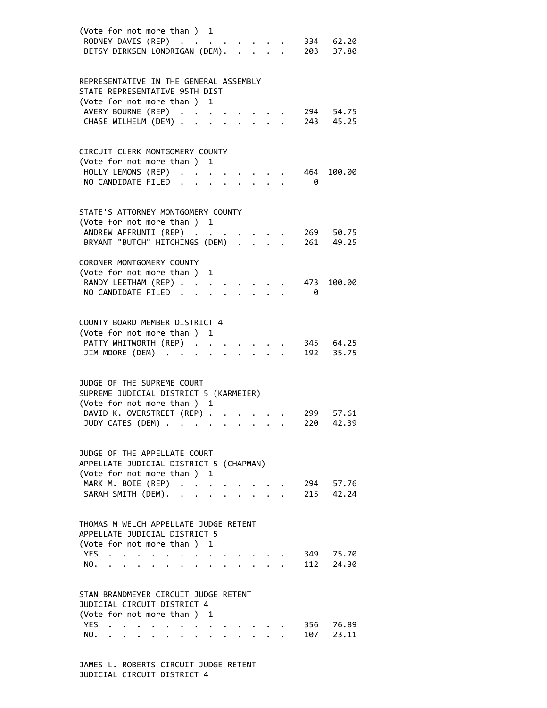| (Vote for not more than ) 1<br>RODNEY DAVIS (REP)<br>BETSY DIRKSEN LONDRIGAN (DEM).<br>$\mathbf{A}$                                                                                                                       | 334 62.20<br>203             | 37.80 |
|---------------------------------------------------------------------------------------------------------------------------------------------------------------------------------------------------------------------------|------------------------------|-------|
| REPRESENTATIVE IN THE GENERAL ASSEMBLY<br>STATE REPRESENTATIVE 95TH DIST<br>(Vote for not more than ) 1<br>AVERY BOURNE (REP)<br>$\sim$<br>CHASE WILHELM (DEM)                                                            | 294 54.75<br>243 45.25       |       |
| CIRCUIT CLERK MONTGOMERY COUNTY<br>(Vote for not more than ) 1<br>HOLLY LEMONS (REP)<br>NO CANDIDATE FILED                                                                                                                | 464<br>100.00<br>0           |       |
| STATE'S ATTORNEY MONTGOMERY COUNTY<br>(Vote for not more than ) 1<br>ANDREW AFFRUNTI (REP)<br>BRYANT "BUTCH" HITCHINGS (DEM)                                                                                              | 269<br>261<br>49.25          | 50.75 |
| CORONER MONTGOMERY COUNTY<br>(Vote for not more than )<br>1<br>RANDY LEETHAM (REP)<br>NO CANDIDATE FILED                                                                                                                  | 473<br>100.00<br>- 0         |       |
| COUNTY BOARD MEMBER DISTRICT 4<br>(Vote for not more than ) 1<br>PATTY WHITWORTH (REP).<br>$\mathbf{r}$<br>JIM MOORE (DEM)<br>$\ddot{\phantom{a}}$                                                                        | 345 64.25<br>192 35.75       |       |
| JUDGE OF THE SUPREME COURT<br>SUPREME JUDICIAL DISTRICT 5 (KARMEIER)<br>(Vote for not more than ) 1<br>DAVID K. OVERSTREET (REP).<br>JUDY CATES (DEM) .<br>$\bullet$<br>$\bullet$                                         | 299<br>42.39<br>220          | 57.61 |
| JUDGE OF THE APPELLATE COURT<br>APPELLATE JUDICIAL DISTRICT 5 (CHAPMAN)<br>(Vote for not more than ) 1<br>MARK M. BOIE (REP)<br>SARAH SMITH (DEM).                                                                        | 294 57.76<br>42.24<br>215    |       |
| THOMAS M WELCH APPELLATE JUDGE RETENT<br>APPELLATE JUDICIAL DISTRICT 5<br>(Vote for not more than) 1<br>YES<br>$\sim$ $\sim$<br>NO.                                                                                       | 349 75.70<br>112<br>24.30    |       |
| STAN BRANDMEYER CIRCUIT JUDGE RETENT<br>JUDICIAL CIRCUIT DISTRICT 4<br>(Vote for not more than ) 1<br>YES.<br>$\ddot{\phantom{0}}$<br>$\bullet$<br>NO.<br>$\bullet$ .<br><br><br><br><br><br><br><br><br><br><br><br><br> | 356<br>76.89<br>107<br>23.11 |       |

 JAMES L. ROBERTS CIRCUIT JUDGE RETENT JUDICIAL CIRCUIT DISTRICT 4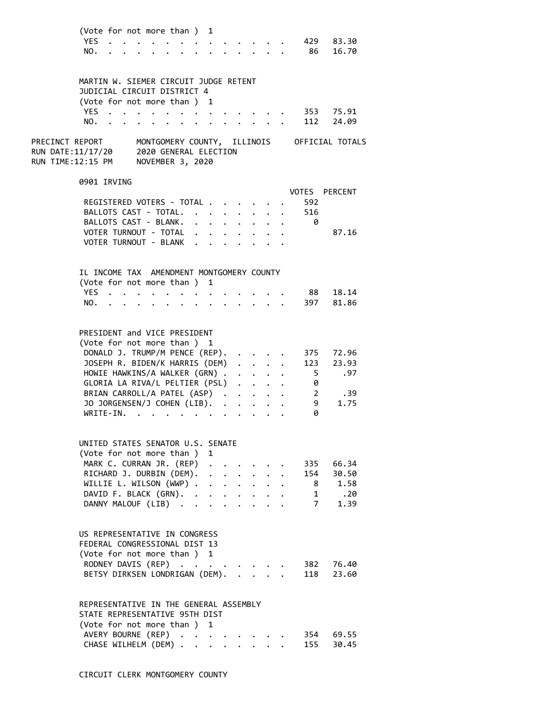| (Vote for not more than ) 1 |  |  |  |  |  |               |  |
|-----------------------------|--|--|--|--|--|---------------|--|
|                             |  |  |  |  |  | YES 429 83.30 |  |
|                             |  |  |  |  |  | NO. 86 16.70  |  |

| YES.                                                                                                  | MARTIN W. SIEMER CIRCUIT JUDGE RETENT<br>JUDICIAL CIRCUIT DISTRICT 4<br>(Vote for not more than) 1                                                                                                    | .                                                                                                                                                                                                                             |                                 |                      |                                        |                                                              |                                        |                      |                                         | 353 75.91                               |  |
|-------------------------------------------------------------------------------------------------------|-------------------------------------------------------------------------------------------------------------------------------------------------------------------------------------------------------|-------------------------------------------------------------------------------------------------------------------------------------------------------------------------------------------------------------------------------|---------------------------------|----------------------|----------------------------------------|--------------------------------------------------------------|----------------------------------------|----------------------|-----------------------------------------|-----------------------------------------|--|
| NO.                                                                                                   |                                                                                                                                                                                                       |                                                                                                                                                                                                                               |                                 |                      |                                        |                                                              |                                        |                      |                                         | 112 24.09                               |  |
| PRECINCT REPORT MONTGOMERY COUNTY, ILLINOIS OFFICIAL TOTALS<br>RUN DATE:11/17/20<br>RUN TIME:12:15 PM |                                                                                                                                                                                                       | 2020 GENERAL ELECTION<br>NOVEMBER 3, 2020                                                                                                                                                                                     |                                 |                      |                                        |                                                              |                                        |                      |                                         |                                         |  |
|                                                                                                       | 0901 IRVING                                                                                                                                                                                           |                                                                                                                                                                                                                               |                                 |                      |                                        |                                                              |                                        |                      |                                         |                                         |  |
|                                                                                                       | REGISTERED VOTERS - TOTAL<br>BALLOTS CAST - TOTAL.<br>BALLOTS CAST - BLANK.<br>VOTER TURNOUT - TOTAL                                                                                                  |                                                                                                                                                                                                                               |                                 |                      | $\mathbf{z} = \mathbf{z} + \mathbf{z}$ | $\sim$                                                       | $\bullet$ .                            | $\ddot{\phantom{a}}$ | 592<br>516<br>- 0                       | VOTES PERCENT<br>87.16                  |  |
|                                                                                                       | VOTER TURNOUT - BLANK                                                                                                                                                                                 |                                                                                                                                                                                                                               |                                 |                      |                                        |                                                              |                                        |                      |                                         |                                         |  |
| NO.                                                                                                   | IL INCOME TAX AMENDMENT MONTGOMERY COUNTY<br>(Vote for not more than ) 1<br>YES                                                                                                                       |                                                                                                                                                                                                                               | $\ddot{\phantom{0}}$            |                      | $\ddot{\phantom{a}}$                   |                                                              |                                        |                      |                                         | 88 18.14<br>397 81.86                   |  |
|                                                                                                       | PRESIDENT and VICE PRESIDENT<br>(Vote for not more than ) 1<br>DONALD J. TRUMP/M PENCE (REP).<br>JOSEPH R. BIDEN/K HARRIS (DEM)<br>HOWIE HAWKINS/A WALKER (GRN)                                       |                                                                                                                                                                                                                               |                                 |                      |                                        |                                                              | $\cdot$ $\cdot$ $\cdot$                |                      | $5^{\circ}$                             | 375 72.96<br>123 23.93<br>.97           |  |
|                                                                                                       | GLORIA LA RIVA/L PELTIER (PSL)<br>BRIAN CARROLL/A PATEL (ASP)<br>JO JORGENSEN/J COHEN (LIB). .<br>WRITE-IN.                                                                                           | . The contract of the contract of the contract of the contract of the contract of the contract of the contract of the contract of the contract of the contract of the contract of the contract of the contract of the contrac |                                 |                      |                                        |                                                              | $\mathbf{r} = \mathbf{r} + \mathbf{r}$ |                      | 0<br>$\overline{\phantom{a}}$<br>9<br>0 | .39<br>1.75                             |  |
|                                                                                                       | UNITED STATES SENATOR U.S. SENATE<br>(Vote for not more than ) 1<br>MARK C. CURRAN JR. (REP)<br>RICHARD J. DURBIN (DEM). .<br>WILLIE L. WILSON $(WWP)$<br>DAVID F. BLACK (GRN).<br>DANNY MALOUF (LIB) |                                                                                                                                                                                                                               | $\mathbf{L}$<br>$\cdot$ $\cdot$ | $\ddot{\phantom{0}}$ |                                        | $\ddot{\phantom{a}}$<br>$\mathbf{L} = \mathbf{L} \mathbf{L}$ |                                        |                      | 335<br>154<br>7                         | 66.34<br>30.50<br>1.58<br>1 .20<br>1.39 |  |
|                                                                                                       | US REPRESENTATIVE IN CONGRESS<br>FEDERAL CONGRESSIONAL DIST 13<br>(Vote for not more than ) 1<br>RODNEY DAVIS (REP)<br>BETSY DIRKSEN LONDRIGAN (DEM).                                                 |                                                                                                                                                                                                                               | $\ddotsc$                       |                      |                                        |                                                              |                                        |                      | 382<br>118                              | 76.40<br>23.60                          |  |
|                                                                                                       | REPRESENTATIVE IN THE GENERAL ASSEMBLY<br>STATE REPRESENTATIVE 95TH DIST<br>(Vote for not more than ) 1<br>AVERY BOURNE (REP)                                                                         |                                                                                                                                                                                                                               |                                 |                      |                                        |                                                              |                                        |                      | 354                                     | 69.55                                   |  |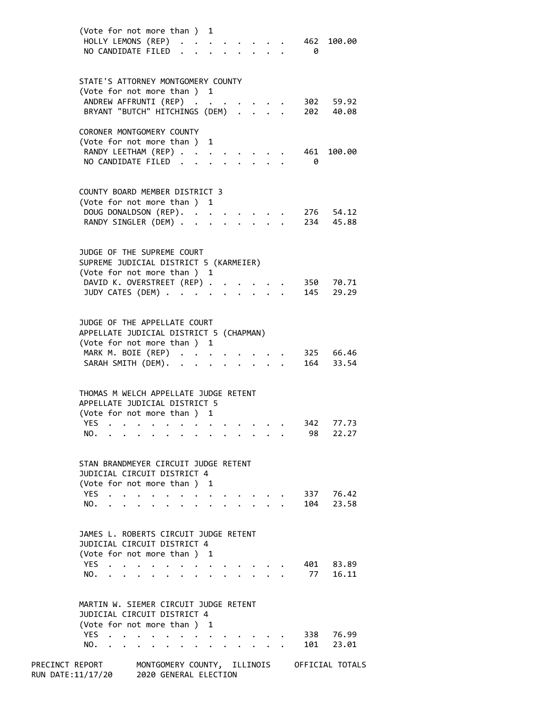| (Vote for not more than ) 1<br>HOLLY LEMONS (REP)<br>462 100.00<br>NO CANDIDATE FILED<br>- 0 |       |
|----------------------------------------------------------------------------------------------|-------|
| STATE'S ATTORNEY MONTGOMERY COUNTY                                                           |       |
| (Vote for not more than ) 1                                                                  |       |
| ANDREW AFFRUNTI (REP)<br>302 59.92                                                           |       |
| BRYANT "BUTCH" HITCHINGS (DEM) .<br>202 40.08                                                |       |
| CORONER MONTGOMERY COUNTY                                                                    |       |
| (Vote for not more than ) 1                                                                  |       |
| RANDY LEETHAM (REP)<br>461<br>100.00                                                         |       |
| $\sim$<br>NO CANDIDATE FILED.<br>- 0<br>$\sim$                                               |       |
|                                                                                              |       |
|                                                                                              |       |
| COUNTY BOARD MEMBER DISTRICT 3                                                               |       |
| (Vote for not more than ) 1                                                                  |       |
| DOUG DONALDSON (REP). .<br>276 54.12<br>$\ddot{\phantom{a}}$                                 |       |
| 234 45.88<br>RANDY SINGLER (DEM) .<br>$\mathbf{r}$                                           |       |
|                                                                                              |       |
|                                                                                              |       |
| JUDGE OF THE SUPREME COURT                                                                   |       |
| SUPREME JUDICIAL DISTRICT 5 (KARMEIER)                                                       |       |
| (Vote for not more than ) 1                                                                  |       |
| DAVID K. OVERSTREET (REP) .<br>350 70.71<br>145                                              |       |
| JUDY CATES (DEM)                                                                             | 29.29 |
|                                                                                              |       |
| JUDGE OF THE APPELLATE COURT                                                                 |       |
| APPELLATE JUDICIAL DISTRICT 5 (CHAPMAN)                                                      |       |
| (Vote for not more than ) 1                                                                  |       |
| MARK M. BOIE (REP)<br>325 66.46                                                              |       |
| SARAH SMITH (DEM).<br>164 33.54<br>$\cdot$                                                   |       |
|                                                                                              |       |
|                                                                                              |       |
| THOMAS M WELCH APPELLATE JUDGE RETENT                                                        |       |
| APPELLATE JUDICIAL DISTRICT 5                                                                |       |
| (Vote for not more than ) 1                                                                  |       |
| YES.<br>342                                                                                  | 77.73 |
| 98<br>NO.                                                                                    | 22.27 |
|                                                                                              |       |
| STAN BRANDMEYER CIRCUIT JUDGE RETENT                                                         |       |
| JUDICIAL CIRCUIT DISTRICT 4                                                                  |       |
| (Vote for not more than)<br>1                                                                |       |
| YES.<br>337                                                                                  | 76.42 |
| 104<br>NO.                                                                                   | 23.58 |
|                                                                                              |       |
|                                                                                              |       |
| JAMES L. ROBERTS CIRCUIT JUDGE RETENT                                                        |       |
| JUDICIAL CIRCUIT DISTRICT 4                                                                  |       |
| (Vote for not more than)<br>1                                                                |       |
| YES<br>401                                                                                   | 83.89 |
| 77<br>NO.                                                                                    | 16.11 |
|                                                                                              |       |
| MARTIN W. SIEMER CIRCUIT JUDGE RETENT                                                        |       |
| JUDICIAL CIRCUIT DISTRICT 4                                                                  |       |
| (Vote for not more than ) 1                                                                  |       |
| <b>YES</b><br>338                                                                            | 76.99 |
| NO.<br>101                                                                                   | 23.01 |
|                                                                                              |       |

PRECINCT REPORT MONTGOMERY COUNTY, ILLINOIS OFFICIAL TOTALS RUN DATE:11/17/20 2020 GENERAL ELECTION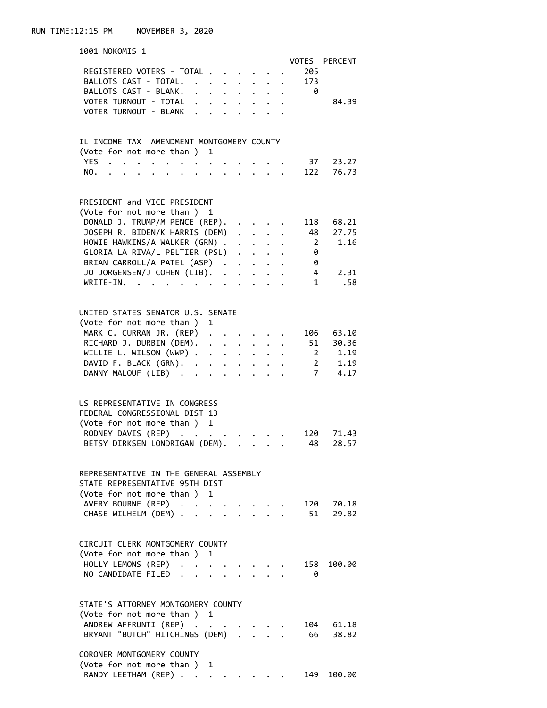| 1001 NOKOMIS 1                                                                                                 |          |  |                                    |                         |       |                         |
|----------------------------------------------------------------------------------------------------------------|----------|--|------------------------------------|-------------------------|-------|-------------------------|
|                                                                                                                |          |  |                                    |                         |       | VOTES PERCENT           |
| REGISTERED VOTERS - TOTAL                                                                                      |          |  |                                    |                         | . 205 |                         |
| BALLOTS CAST - TOTAL.                                                                                          |          |  |                                    | $\sim$                  | 173   |                         |
| BALLOTS CAST - BLANK.                                                                                          |          |  |                                    |                         | - ര   |                         |
| VOTER TURNOUT - TOTAL                                                                                          |          |  |                                    |                         |       | 84.39                   |
| VOTER TURNOUT - BLANK .                                                                                        | $\cdots$ |  |                                    |                         |       |                         |
|                                                                                                                |          |  |                                    |                         |       |                         |
|                                                                                                                |          |  |                                    |                         |       |                         |
| IL INCOME TAX AMENDMENT MONTGOMERY COUNTY                                                                      |          |  |                                    |                         |       |                         |
| (Vote for not more than ) 1                                                                                    |          |  |                                    |                         |       |                         |
| YES<br>$\bullet$ .<br><br><br><br><br><br><br><br><br><br><br><br><br><br>$\ddot{\phantom{0}}$                 |          |  |                                    |                         |       | 37 23.27                |
| $\cdot$ $\cdot$ $\cdot$ $\cdot$ $\cdot$ $\cdot$ $\cdot$<br>NO.<br>$\ddot{\phantom{a}}$<br>$\ddot{\phantom{a}}$ |          |  |                                    |                         | 122   | 76.73                   |
|                                                                                                                |          |  |                                    |                         |       |                         |
|                                                                                                                |          |  |                                    |                         |       |                         |
| PRESIDENT and VICE PRESIDENT                                                                                   |          |  |                                    |                         |       |                         |
| (Vote for not more than ) 1                                                                                    |          |  |                                    |                         |       |                         |
| DONALD J. TRUMP/M PENCE (REP).                                                                                 |          |  |                                    |                         |       | 118 68.21               |
| JOSEPH R. BIDEN/K HARRIS (DEM)                                                                                 |          |  |                                    | $\mathbf{r}$            |       | 48 27.75                |
| HOWIE HAWKINS/A WALKER (GRN)                                                                                   |          |  |                                    |                         |       | 2 1.16                  |
| GLORIA LA RIVA/L PELTIER (PSL)                                                                                 |          |  |                                    |                         | 0     |                         |
| BRIAN CARROLL/A PATEL (ASP)                                                                                    |          |  |                                    |                         | 0     |                         |
| JO JORGENSEN/J COHEN (LIB). .                                                                                  |          |  |                                    |                         |       | $4\overline{ }$<br>2.31 |
|                                                                                                                |          |  |                                    | $\cdot$ $\cdot$ $\cdot$ |       |                         |
| WRITE-IN.                                                                                                      |          |  |                                    |                         |       | 1 .58                   |
|                                                                                                                |          |  |                                    |                         |       |                         |
| UNITED STATES SENATOR U.S. SENATE                                                                              |          |  |                                    |                         |       |                         |
|                                                                                                                |          |  |                                    |                         |       |                         |
| (Vote for not more than ) 1                                                                                    |          |  |                                    |                         |       |                         |
| MARK C. CURRAN JR. (REP)                                                                                       |          |  |                                    |                         |       | 106 63.10               |
| RICHARD J. DURBIN (DEM).                                                                                       |          |  |                                    |                         |       | 51 30.36                |
| WILLIE L. WILSON (WWP)                                                                                         |          |  |                                    |                         |       | 2 1.19                  |
| DAVID F. BLACK (GRN).                                                                                          |          |  |                                    |                         |       | 2, 1.19                 |
| DANNY MALOUF (LIB)                                                                                             |          |  |                                    |                         |       | 7, 4.17                 |
|                                                                                                                |          |  |                                    |                         |       |                         |
|                                                                                                                |          |  |                                    |                         |       |                         |
| US REPRESENTATIVE IN CONGRESS                                                                                  |          |  |                                    |                         |       |                         |
| FEDERAL CONGRESSIONAL DIST 13                                                                                  |          |  |                                    |                         |       |                         |
| (Vote for not more than ) 1                                                                                    |          |  |                                    |                         |       |                         |
| RODNEY DAVIS (REP)                                                                                             |          |  |                                    |                         | 120   | 71.43                   |
| BETSY DIRKSEN LONDRIGAN (DEM).                                                                                 |          |  |                                    |                         | 48    | 28.57                   |
|                                                                                                                |          |  |                                    |                         |       |                         |
|                                                                                                                |          |  |                                    |                         |       |                         |
| REPRESENTATIVE IN THE GENERAL ASSEMBLY                                                                         |          |  |                                    |                         |       |                         |
| STATE REPRESENTATIVE 95TH DIST                                                                                 |          |  |                                    |                         |       |                         |
| (Vote for not more than) 1                                                                                     |          |  |                                    |                         |       |                         |
| AVERY BOURNE (REP)                                                                                             |          |  | $\sim$ $\sim$ $\sim$ $\sim$ $\sim$ |                         | 120   | 70.18                   |
| CHASE WILHELM (DEM)                                                                                            |          |  | $\cdot$ $\cdot$ $\cdot$            |                         | 51    | 29.82                   |
|                                                                                                                |          |  |                                    |                         |       |                         |
|                                                                                                                |          |  |                                    |                         |       |                         |
| CIRCUIT CLERK MONTGOMERY COUNTY                                                                                |          |  |                                    |                         |       |                         |
| (Vote for not more than ) 1                                                                                    |          |  |                                    |                         |       |                         |
| HOLLY LEMONS (REP)                                                                                             |          |  |                                    |                         | 158   | 100.00                  |
|                                                                                                                |          |  |                                    |                         |       |                         |
| NO CANDIDATE FILED<br>$\mathbf{r} = \mathbf{r}$                                                                |          |  |                                    |                         | 0     |                         |
|                                                                                                                |          |  |                                    |                         |       |                         |
| STATE'S ATTORNEY MONTGOMERY COUNTY                                                                             |          |  |                                    |                         |       |                         |
| (Vote for not more than) 1                                                                                     |          |  |                                    |                         |       |                         |
| ANDREW AFFRUNTI (REP)                                                                                          |          |  |                                    |                         |       | 104 61.18               |
| BRYANT "BUTCH" HITCHINGS (DEM)                                                                                 |          |  |                                    |                         | 66    | 38.82                   |
|                                                                                                                |          |  |                                    |                         |       |                         |
| CORONER MONTGOMERY COUNTY                                                                                      |          |  |                                    |                         |       |                         |
| (Vote for not more than) 1                                                                                     |          |  |                                    |                         |       |                         |
|                                                                                                                |          |  |                                    |                         |       |                         |

|  | RANDY LEETHAM (REP) |  |  |  |  |  | 149 100.00 |
|--|---------------------|--|--|--|--|--|------------|
|  |                     |  |  |  |  |  |            |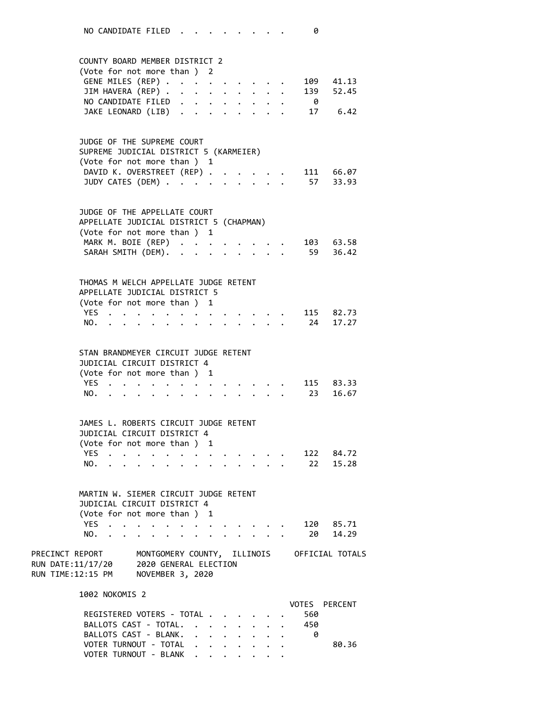|                                                                                                                                              |                | COUNTY BOARD MEMBER DISTRICT 2<br>(Vote for not more than ) 2<br>GENE MILES (REP)<br>JIM HAVERA (REP)<br>NO CANDIDATE FILED<br>JAKE LEONARD (LIB)                                                                                                                                                                                                                                                                   |                                       |        | $\bullet$ .          | $\bullet$ | $\mathbf{r}=\mathbf{r}=\mathbf{r}=\mathbf{r}=\mathbf{r}$  |                         |  | $\theta$   | 109 41.13<br>139 52.45<br>17 6.42 |
|----------------------------------------------------------------------------------------------------------------------------------------------|----------------|---------------------------------------------------------------------------------------------------------------------------------------------------------------------------------------------------------------------------------------------------------------------------------------------------------------------------------------------------------------------------------------------------------------------|---------------------------------------|--------|----------------------|-----------|-----------------------------------------------------------|-------------------------|--|------------|-----------------------------------|
|                                                                                                                                              |                | JUDGE OF THE SUPREME COURT<br>SUPREME JUDICIAL DISTRICT 5 (KARMEIER)<br>(Vote for not more than ) 1<br>DAVID K. OVERSTREET (REP).<br>JUDY CATES (DEM)                                                                                                                                                                                                                                                               |                                       |        |                      |           |                                                           | $\cdot$ $\cdot$ $\cdot$ |  |            | 111 66.07<br>57 33.93             |
|                                                                                                                                              |                | JUDGE OF THE APPELLATE COURT<br>APPELLATE JUDICIAL DISTRICT 5 (CHAPMAN)<br>(Vote for not more than ) 1<br>MARK M. BOIE (REP)<br>SARAH SMITH (DEM).                                                                                                                                                                                                                                                                  |                                       |        |                      |           |                                                           |                         |  |            | 103 63.58<br>59 36.42             |
| <b>YES</b><br>NO.                                                                                                                            |                | THOMAS M WELCH APPELLATE JUDGE RETENT<br>APPELLATE JUDICIAL DISTRICT 5<br>(Vote for not more than ) 1<br>. The contract of the contract of the contract of the contract of the contract of the contract of the contract of the contract of the contract of the contract of the contract of the contract of the contract of the contrac                                                                              | $\ddot{\phantom{0}}$                  |        |                      |           | $\cdot$ $\cdot$ $\cdot$ $\cdot$ $\cdot$                   |                         |  |            | 115 82.73<br>24 17.27             |
| YES                                                                                                                                          | NO.            | STAN BRANDMEYER CIRCUIT JUDGE RETENT<br>JUDICIAL CIRCUIT DISTRICT 4<br>(Vote for not more than ) 1<br>$\cdot$ $\cdot$ $\cdot$                                                                                                                                                                                                                                                                                       | $\bullet$                             | $\sim$ | $\ddot{\phantom{a}}$ |           | $\mathbf{r}$ , $\mathbf{r}$ , $\mathbf{r}$ , $\mathbf{r}$ |                         |  |            | 115 83.33<br>23 16.67             |
| NO.                                                                                                                                          |                | JAMES L. ROBERTS CIRCUIT JUDGE RETENT<br>JUDICIAL CIRCUIT DISTRICT 4<br>(Vote for not more than ) 1<br><b>YFS <i>Contained Contained Contained</i> <b><i>Contained</i></b></b><br>$\mathbf{a}$ , and a set of the set of the set of the set of the set of the set of the set of the set of the set of the set of the set of the set of the set of the set of the set of the set of the set of the set of the set of |                                       |        |                      |           |                                                           |                         |  | 122<br>22  | 84.72<br>15.28                    |
| YES .<br>NO.                                                                                                                                 |                | MARTIN W. SIEMER CIRCUIT JUDGE RETENT<br>JUDICIAL CIRCUIT DISTRICT 4<br>(Vote for not more than ) 1                                                                                                                                                                                                                                                                                                                 | $\sim$ $\sim$<br>$\ddot{\phantom{0}}$ |        |                      |           |                                                           | $\mathbf{r}$            |  | 20         | 120 85.71<br>14.29                |
| PRECINCT REPORT MONTGOMERY COUNTY, ILLINOIS OFFICIAL TOTALS<br>RUN DATE:11/17/20 2020 GENERAL ELECTION<br>RUN TIME:12:15 PM NOVEMBER 3, 2020 |                |                                                                                                                                                                                                                                                                                                                                                                                                                     |                                       |        |                      |           |                                                           |                         |  |            |                                   |
|                                                                                                                                              | 1002 NOKOMIS 2 | REGISTERED VOTERS - TOTAL<br>BALLOTS CAST - TOTAL.                                                                                                                                                                                                                                                                                                                                                                  |                                       |        |                      |           |                                                           |                         |  | 560<br>450 | VOTES PERCENT                     |

BALLOTS CAST - BLANK. . . . . . . . 0

VOTER TURNOUT - BLANK . . . . . . .

VOTER TURNOUT - TOTAL . . . . . . . 80.36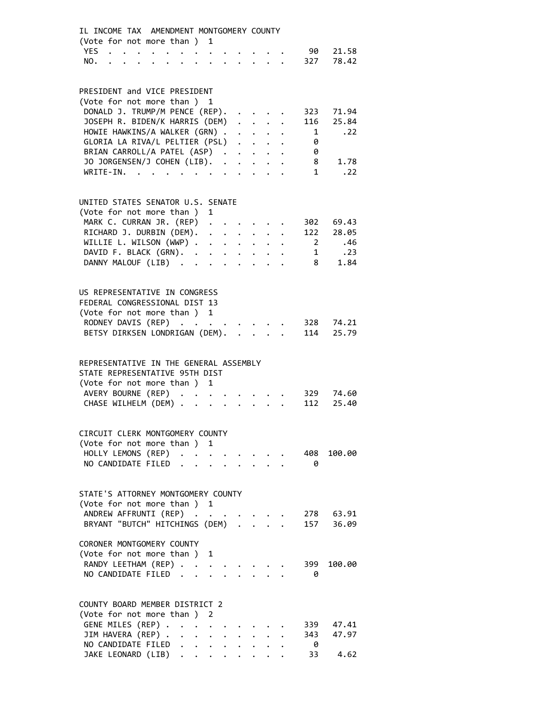| IL INCOME TAX AMENDMENT MONTGOMERY COUNTY<br>(Vote for not more than ) 1                                                                                                        |
|---------------------------------------------------------------------------------------------------------------------------------------------------------------------------------|
| YES .<br>21.58<br>90                                                                                                                                                            |
| $\cdot$ $\cdot$ $\cdot$<br>327<br>78.42<br>NO.                                                                                                                                  |
| $\mathbf{r} = \mathbf{r} \cdot \mathbf{r}$                                                                                                                                      |
|                                                                                                                                                                                 |
| PRESIDENT and VICE PRESIDENT                                                                                                                                                    |
| (Vote for not more than ) 1                                                                                                                                                     |
| DONALD J. TRUMP/M PENCE (REP).<br>323<br>71.94                                                                                                                                  |
| $\sim$ $\sim$ $\sim$<br>25.84                                                                                                                                                   |
| JOSEPH R. BIDEN/K HARRIS (DEM)<br>116<br>$\mathbf{1}$ $\mathbf{1}$ $\mathbf{1}$ $\mathbf{1}$                                                                                    |
| HOWIE HAWKINS/A WALKER (GRN).<br>1<br>.22<br>$\mathbf{r} = \mathbf{r} + \mathbf{r}$ .                                                                                           |
| GLORIA LA RIVA/L PELTIER (PSL)<br>0                                                                                                                                             |
| BRIAN CARROLL/A PATEL (ASP)<br>0                                                                                                                                                |
| JO JORGENSEN/J COHEN (LIB).<br>1.78<br>8<br>$\ddot{\phantom{a}}$                                                                                                                |
| WRITE-IN.<br>$1 \quad$<br>$\cdot$ . 22<br>$\mathcal{A}$ , and $\mathcal{A}$ , and $\mathcal{A}$ , and $\mathcal{A}$<br>$\ddot{\phantom{0}}$<br>$\ddotsc$ $\ddotsc$<br>$\bullet$ |
|                                                                                                                                                                                 |
|                                                                                                                                                                                 |
| UNITED STATES SENATOR U.S. SENATE                                                                                                                                               |
| (Vote for not more than ) 1                                                                                                                                                     |
| MARK C. CURRAN JR. (REP) .<br>69.43<br>302                                                                                                                                      |
| RICHARD J. DURBIN (DEM).<br>122<br>$\ddot{\phantom{a}}$<br>28.05                                                                                                                |
| WILLIE L. WILSON $(WWP)$ .<br>2 .46                                                                                                                                             |
| DAVID F. BLACK (GRN).<br>1.23<br>$\mathbf{r} = \mathbf{r} + \mathbf{r} + \mathbf{r} + \mathbf{r}$                                                                               |
| DANNY MALOUF (LIB)<br>8<br>1.84<br>$\ddot{\phantom{1}}$ . $\ddot{\phantom{1}}$<br>$\sim 100$ km s $^{-1}$                                                                       |
|                                                                                                                                                                                 |
|                                                                                                                                                                                 |
| US REPRESENTATIVE IN CONGRESS                                                                                                                                                   |
| FEDERAL CONGRESSIONAL DIST 13                                                                                                                                                   |
| (Vote for not more than ) 1                                                                                                                                                     |
| RODNEY DAVIS (REP)<br>328 74.21<br>$\mathbf{r} = \mathbf{r} + \mathbf{r} + \mathbf{r}$ .                                                                                        |
| BETSY DIRKSEN LONDRIGAN (DEM).<br>25.79<br>114<br>$\mathbf{L}$                                                                                                                  |
|                                                                                                                                                                                 |
|                                                                                                                                                                                 |
| REPRESENTATIVE IN THE GENERAL ASSEMBLY                                                                                                                                          |
| STATE REPRESENTATIVE 95TH DIST                                                                                                                                                  |
| (Vote for not more than ) 1                                                                                                                                                     |
| AVERY BOURNE (REP)<br>74.60<br>329<br>$\ddot{\phantom{0}}$                                                                                                                      |
| CHASE WILHELM (DEM)<br>112<br>25.40<br>$\mathbf{1}$ $\mathbf{1}$ $\mathbf{1}$<br>$\ddot{\phantom{a}}$                                                                           |
|                                                                                                                                                                                 |
|                                                                                                                                                                                 |
| CIRCUIT CLERK MONTGOMERY COUNTY                                                                                                                                                 |
| (Vote for not more than ) 1                                                                                                                                                     |
| HOLLY LEMONS (REP) .<br>408<br>100.00                                                                                                                                           |
| NO CANDIDATE FILED<br>- 0                                                                                                                                                       |
|                                                                                                                                                                                 |
|                                                                                                                                                                                 |
| STATE'S ATTORNEY MONTGOMERY COUNTY                                                                                                                                              |
| (Vote for not more than ) 1                                                                                                                                                     |
| ANDREW AFFRUNTI (REP)<br>278 63.91                                                                                                                                              |
| BRYANT "BUTCH" HITCHINGS (DEM)<br>157<br>36.09                                                                                                                                  |
|                                                                                                                                                                                 |
| CORONER MONTGOMERY COUNTY                                                                                                                                                       |
| (Vote for not more than ) 1                                                                                                                                                     |
| RANDY LEETHAM (REP)<br>399<br>100.00                                                                                                                                            |
| NO CANDIDATE FILED<br>- 0                                                                                                                                                       |
|                                                                                                                                                                                 |
|                                                                                                                                                                                 |
| COUNTY BOARD MEMBER DISTRICT 2                                                                                                                                                  |
| (Vote for not more than ) 2                                                                                                                                                     |
| GENE MILES (REP)<br>47.41<br>339                                                                                                                                                |
| JIM HAVERA (REP)<br>47.97<br>343                                                                                                                                                |
| $\ddot{\phantom{0}}$                                                                                                                                                            |
| NO CANDIDATE FILED<br>- 0<br>$\ddot{\phantom{0}}$<br>$\ddot{\phantom{0}}$<br>$\ddot{\phantom{0}}$                                                                               |
| JAKE LEONARD (LIB)<br>33<br>4.62                                                                                                                                                |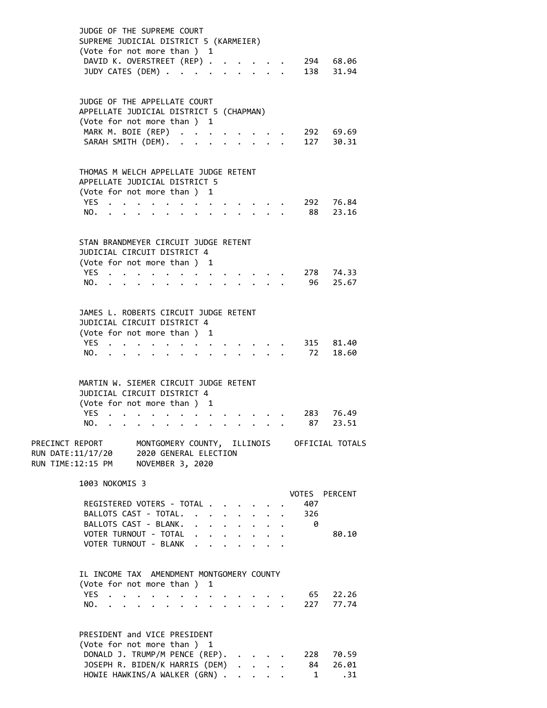|                                                           | JUDGE OF THE SUPREME COURT<br>SUPREME JUDICIAL DISTRICT 5 (KARMEIER)<br>(Vote for not more than ) 1<br>DAVID K. OVERSTREET (REP) .<br>JUDY CATES (DEM) |  |                                                                          |                                  |                      |                                             |                      |                      |                         |  |               | 294 68.06<br>138 31.94 |
|-----------------------------------------------------------|--------------------------------------------------------------------------------------------------------------------------------------------------------|--|--------------------------------------------------------------------------|----------------------------------|----------------------|---------------------------------------------|----------------------|----------------------|-------------------------|--|---------------|------------------------|
|                                                           | JUDGE OF THE APPELLATE COURT                                                                                                                           |  |                                                                          |                                  |                      |                                             |                      |                      |                         |  |               |                        |
|                                                           | APPELLATE JUDICIAL DISTRICT 5 (CHAPMAN)                                                                                                                |  |                                                                          |                                  |                      |                                             |                      |                      |                         |  |               |                        |
|                                                           | (Vote for not more than ) 1                                                                                                                            |  |                                                                          |                                  |                      |                                             |                      |                      |                         |  |               |                        |
|                                                           | MARK M. BOIE (REP)                                                                                                                                     |  |                                                                          |                                  |                      |                                             |                      |                      |                         |  |               | 292 69.69              |
|                                                           | SARAH SMITH (DEM). .                                                                                                                                   |  |                                                                          |                                  |                      |                                             |                      |                      |                         |  |               | 127 30.31              |
|                                                           | THOMAS M WELCH APPELLATE JUDGE RETENT                                                                                                                  |  |                                                                          |                                  |                      |                                             |                      |                      |                         |  |               |                        |
|                                                           | APPELLATE JUDICIAL DISTRICT 5                                                                                                                          |  |                                                                          |                                  |                      |                                             |                      |                      |                         |  |               |                        |
|                                                           | (Vote for not more than)                                                                                                                               |  |                                                                          |                                  |                      | 1                                           |                      |                      |                         |  |               |                        |
|                                                           | YES.                                                                                                                                                   |  |                                                                          |                                  |                      |                                             |                      |                      |                         |  |               | 292 76.84              |
|                                                           | NO.                                                                                                                                                    |  |                                                                          |                                  |                      |                                             |                      |                      |                         |  |               | 88 23.16               |
|                                                           |                                                                                                                                                        |  |                                                                          |                                  |                      |                                             |                      |                      |                         |  |               |                        |
|                                                           | STAN BRANDMEYER CIRCUIT JUDGE RETENT                                                                                                                   |  |                                                                          |                                  |                      |                                             |                      |                      |                         |  |               |                        |
|                                                           | JUDICIAL CIRCUIT DISTRICT 4                                                                                                                            |  |                                                                          |                                  |                      |                                             |                      |                      |                         |  |               |                        |
|                                                           | (Vote for not more than )                                                                                                                              |  |                                                                          |                                  |                      | 1                                           |                      |                      |                         |  |               |                        |
|                                                           | YES                                                                                                                                                    |  |                                                                          |                                  |                      |                                             |                      |                      |                         |  |               | 278 74.33              |
|                                                           | NO.                                                                                                                                                    |  |                                                                          |                                  |                      |                                             |                      |                      |                         |  |               | 96 25.67               |
|                                                           |                                                                                                                                                        |  |                                                                          |                                  |                      |                                             |                      |                      |                         |  |               |                        |
|                                                           | JAMES L. ROBERTS CIRCUIT JUDGE RETENT                                                                                                                  |  |                                                                          |                                  |                      |                                             |                      |                      |                         |  |               |                        |
|                                                           | JUDICIAL CIRCUIT DISTRICT 4                                                                                                                            |  |                                                                          |                                  |                      |                                             |                      |                      |                         |  |               |                        |
|                                                           | (Vote for not more than)                                                                                                                               |  |                                                                          |                                  |                      | 1                                           |                      |                      |                         |  |               |                        |
|                                                           | YES.                                                                                                                                                   |  |                                                                          |                                  |                      |                                             |                      |                      |                         |  |               | 315 81.40              |
|                                                           | NO.                                                                                                                                                    |  |                                                                          |                                  |                      |                                             |                      |                      |                         |  |               | 72 18.60               |
|                                                           |                                                                                                                                                        |  |                                                                          |                                  |                      |                                             |                      |                      |                         |  |               |                        |
|                                                           | MARTIN W. SIEMER CIRCUIT JUDGE RETENT<br>JUDICIAL CIRCUIT DISTRICT 4<br>(Vote for not more than ) 1                                                    |  |                                                                          |                                  |                      |                                             |                      |                      |                         |  |               |                        |
|                                                           | <b>YES</b>                                                                                                                                             |  |                                                                          |                                  |                      |                                             |                      |                      |                         |  | 283           | 76.49                  |
|                                                           | NO.                                                                                                                                                    |  |                                                                          |                                  |                      |                                             |                      |                      |                         |  | 87            | 23.51                  |
| PRECINCT REPORT<br>RUN DATE:11/17/20<br>RUN TIME:12:15 PM |                                                                                                                                                        |  | MONTGOMERY COUNTY, ILLINOIS<br>2020 GENERAL ELECTION<br>NOVEMBER 3, 2020 |                                  |                      |                                             |                      |                      |                         |  |               | OFFICIAL TOTALS        |
|                                                           | 1003 NOKOMIS 3                                                                                                                                         |  |                                                                          |                                  |                      |                                             |                      |                      |                         |  |               |                        |
|                                                           |                                                                                                                                                        |  |                                                                          |                                  |                      |                                             |                      |                      |                         |  | VOTES PERCENT |                        |
|                                                           | REGISTERED VOTERS - TOTAL                                                                                                                              |  |                                                                          |                                  |                      |                                             |                      |                      |                         |  | 407           |                        |
|                                                           | BALLOTS CAST - TOTAL.                                                                                                                                  |  |                                                                          |                                  |                      | $\ddotsc$                                   | $\ddot{\phantom{0}}$ | $\ddot{\phantom{0}}$ | $\ddot{\phantom{0}}$    |  | 326           |                        |
|                                                           | BALLOTS CAST - BLANK.                                                                                                                                  |  |                                                                          |                                  |                      | $\mathbf{L} = \mathbf{L} \times \mathbf{L}$ |                      | $\ddot{\phantom{0}}$ | $\bullet$               |  | 0             |                        |
|                                                           | VOTER TURNOUT - TOTAL<br>VOTER TURNOUT - BLANK                                                                                                         |  |                                                                          |                                  | $\ddot{\phantom{0}}$ |                                             | $\ddot{\phantom{0}}$ |                      |                         |  |               | 80.10                  |
|                                                           |                                                                                                                                                        |  |                                                                          |                                  | $\ddot{\phantom{0}}$ |                                             |                      |                      |                         |  |               |                        |
|                                                           | IL INCOME TAX AMENDMENT MONTGOMERY COUNTY                                                                                                              |  |                                                                          |                                  |                      |                                             |                      |                      |                         |  |               |                        |
|                                                           | (Vote for not more than)                                                                                                                               |  |                                                                          |                                  |                      | 1                                           |                      |                      |                         |  |               |                        |
|                                                           | <b>YES</b>                                                                                                                                             |  | $\ddot{\phantom{a}}$                                                     | $\bullet$ . The set of $\bullet$ | $\bullet$            |                                             |                      |                      |                         |  | 65            | 22.26                  |
|                                                           | NO.                                                                                                                                                    |  | $\bullet$                                                                |                                  | $\bullet$            |                                             |                      |                      | $\cdot$ $\cdot$ $\cdot$ |  | 227           | 77.74                  |
|                                                           |                                                                                                                                                        |  |                                                                          |                                  |                      |                                             |                      |                      |                         |  |               |                        |
|                                                           | PRESIDENT and VICE PRESIDENT<br>(Vote for not more than ) 1<br>DONALD J. TRUMP/M PENCE (REP).                                                          |  |                                                                          |                                  |                      |                                             |                      |                      |                         |  |               | 228 70.59              |
|                                                           | JOSEPH R. BIDEN/K HARRIS (DEM)                                                                                                                         |  |                                                                          |                                  |                      |                                             |                      |                      | $\ddot{\phantom{1}}$    |  | 84 —          | 26.01                  |
|                                                           | HOWIE HAWKINS/A WALKER (GRN) .                                                                                                                         |  |                                                                          |                                  |                      |                                             |                      | $\ddot{\phantom{0}}$ | $\ddot{\phantom{0}}$    |  | $\mathbf{1}$  | .31                    |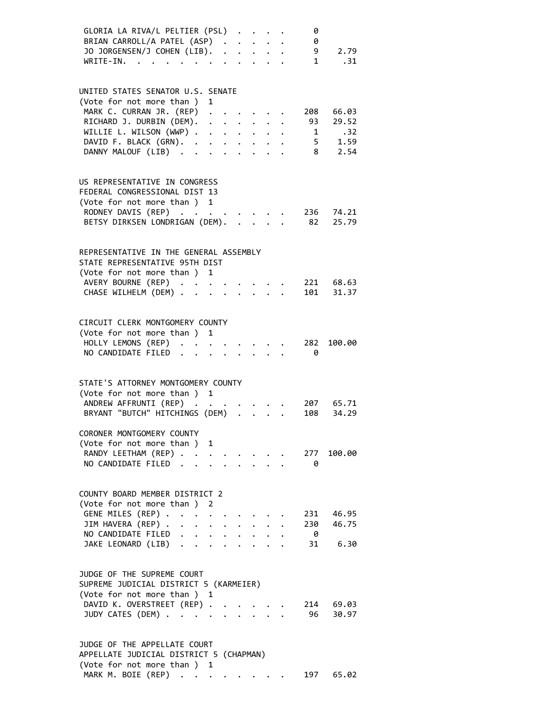| GLORIA LA RIVA/L PELTIER (PSL)                                   |                      |                                                           |                           | 0        |                    |
|------------------------------------------------------------------|----------------------|-----------------------------------------------------------|---------------------------|----------|--------------------|
| BRIAN CARROLL/A PATEL (ASP).                                     |                      | $\mathbf{r} = \mathbf{r} + \mathbf{r}$ . The $\mathbf{r}$ |                           | 0        |                    |
| JO JORGENSEN/J COHEN (LIB).                                      |                      |                                                           | $\ddot{\phantom{a}}$      |          | 9 2.79             |
| WRITE-IN.<br>$\sim$                                              | $\ddot{\phantom{a}}$ |                                                           | $\cdot$ $\cdot$ $\cdot$   | 1        | .31                |
|                                                                  |                      |                                                           |                           |          |                    |
| UNITED STATES SENATOR U.S. SENATE                                |                      |                                                           |                           |          |                    |
| (Vote for not more than ) 1                                      |                      |                                                           |                           |          |                    |
| MARK C. CURRAN JR. (REP) .                                       |                      |                                                           |                           | 208      | 66.03              |
| RICHARD J. DURBIN (DEM).                                         |                      | $\mathbf{L}$ and $\mathbf{L}$                             |                           | 93       | 29.52              |
| WILLIE L. WILSON (WWP)                                           |                      |                                                           |                           |          | 1 .32              |
| DAVID F. BLACK (GRN).                                            |                      |                                                           |                           |          | $5 \t 1.59$        |
| DANNY MALOUF (LIB)<br>$\sim$ $\sim$                              | $\ddot{\phantom{0}}$ |                                                           | $\cdot$ $\cdot$ $\cdot$   |          | 8 2.54             |
|                                                                  |                      |                                                           |                           |          |                    |
|                                                                  |                      |                                                           |                           |          |                    |
| US REPRESENTATIVE IN CONGRESS                                    |                      |                                                           |                           |          |                    |
| FEDERAL CONGRESSIONAL DIST 13                                    |                      |                                                           |                           |          |                    |
| (Vote for not more than ) 1                                      |                      |                                                           |                           |          |                    |
| RODNEY DAVIS (REP)                                               |                      |                                                           |                           |          | 236 74.21          |
| BETSY DIRKSEN LONDRIGAN (DEM).                                   |                      | $\mathbf{L}$                                              |                           | 82       | 25.79              |
|                                                                  |                      |                                                           |                           |          |                    |
| REPRESENTATIVE IN THE GENERAL ASSEMBLY                           |                      |                                                           |                           |          |                    |
| STATE REPRESENTATIVE 95TH DIST                                   |                      |                                                           |                           |          |                    |
| (Vote for not more than ) 1                                      |                      |                                                           |                           |          |                    |
| AVERY BOURNE (REP).                                              |                      |                                                           |                           |          | 221 68.63          |
| CHASE WILHELM (DEM)                                              |                      |                                                           |                           |          | 101 31.37          |
|                                                                  |                      |                                                           |                           |          |                    |
|                                                                  |                      |                                                           |                           |          |                    |
| CIRCUIT CLERK MONTGOMERY COUNTY                                  |                      |                                                           |                           |          |                    |
| (Vote for not more than ) 1                                      |                      |                                                           |                           |          |                    |
| HOLLY LEMONS (REP)                                               |                      |                                                           |                           | 282      | 100.00             |
| NO CANDIDATE FILED                                               |                      |                                                           |                           | - 0      |                    |
|                                                                  |                      |                                                           |                           |          |                    |
| STATE'S ATTORNEY MONTGOMERY COUNTY                               |                      |                                                           |                           |          |                    |
| (Vote for not more than ) 1                                      |                      |                                                           |                           |          |                    |
| ANDREW AFFRUNTI (REP)                                            |                      |                                                           |                           |          | 207 65.71          |
| BRYANT "BUTCH" HITCHINGS (DEM)                                   | $\ddot{\phantom{a}}$ |                                                           |                           | 108      | 34.29              |
|                                                                  |                      |                                                           |                           |          |                    |
| CORONER MONTGOMERY COUNTY                                        |                      |                                                           |                           |          |                    |
| (Vote for not more than ) 1                                      |                      |                                                           |                           |          |                    |
| RANDY LEETHAM (REP)                                              |                      |                                                           |                           | 277      | 100.00             |
| NO CANDIDATE FILED                                               |                      |                                                           |                           | - 0      |                    |
|                                                                  |                      |                                                           |                           |          |                    |
| COUNTY BOARD MEMBER DISTRICT 2                                   |                      |                                                           |                           |          |                    |
| (Vote for not more than ) 2                                      |                      |                                                           |                           |          |                    |
| GENE MILES (REP)                                                 |                      |                                                           |                           |          | 231 46.95          |
| JIM HAVERA (REP)<br>$\ddot{\phantom{a}}$<br>$\ddot{\phantom{0}}$ | $\ddot{\phantom{0}}$ |                                                           |                           | 230      | 46.75              |
| NO CANDIDATE FILED                                               | $\mathbf{r}$         | $\ddot{\phantom{0}}$                                      | $\ddot{\phantom{0}}$      | $\theta$ |                    |
| JAKE LEONARD (LIB)                                               |                      |                                                           |                           |          | 31 6.30            |
|                                                                  |                      |                                                           |                           |          |                    |
|                                                                  |                      |                                                           |                           |          |                    |
| JUDGE OF THE SUPREME COURT                                       |                      |                                                           |                           |          |                    |
| SUPREME JUDICIAL DISTRICT 5 (KARMEIER)                           |                      |                                                           |                           |          |                    |
| (Vote for not more than ) 1                                      |                      |                                                           |                           |          |                    |
| DAVID K. OVERSTREET (REP)<br>JUDY CATES (DEM)                    | $\mathbf{L}$         | $\mathbf{L}$ and $\mathbf{L}$                             |                           | 96       | 214 69.03<br>30.97 |
|                                                                  |                      |                                                           | $\mathbf{L}^{\text{max}}$ |          |                    |
|                                                                  |                      |                                                           |                           |          |                    |
| JUDGE OF THE APPELLATE COURT                                     |                      |                                                           |                           |          |                    |
| APPELLATE JUNICIAL NISTRICT 5 (CHAPMAN)                          |                      |                                                           |                           |          |                    |

 APPELLATE JUDICIAL DISTRICT 5 (CHAPMAN) (Vote for not more than ) 1 (Vote for not more than )  $1$ <br>MARK M. BOIE (REP) . . . . . . . . 197 65.02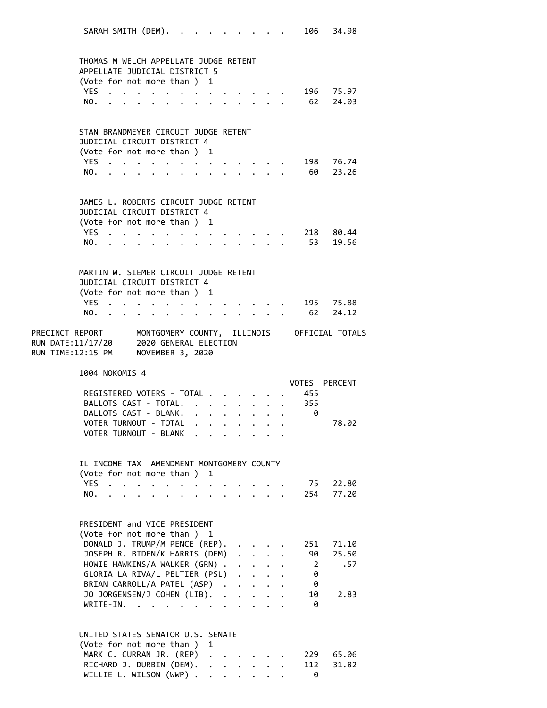|                                                                                                                                                        | SARAH SMITH (DEM).                                                                                              |           |                                                           |                                                               |                      |                      |                                          |                                                         |                | 106 34.98             |
|--------------------------------------------------------------------------------------------------------------------------------------------------------|-----------------------------------------------------------------------------------------------------------------|-----------|-----------------------------------------------------------|---------------------------------------------------------------|----------------------|----------------------|------------------------------------------|---------------------------------------------------------|----------------|-----------------------|
| THOMAS M WELCH APPELLATE JUDGE RETENT<br>APPELLATE JUDICIAL DISTRICT 5                                                                                 |                                                                                                                 |           |                                                           |                                                               |                      |                      |                                          |                                                         |                |                       |
| (Vote for not more than ) 1                                                                                                                            |                                                                                                                 |           |                                                           |                                                               |                      |                      |                                          |                                                         |                |                       |
| YES.<br>$\ddot{\phantom{a}}$<br>NO.                                                                                                                    |                                                                                                                 |           |                                                           | $\mathcal{A}=\mathcal{A}=\mathcal{A}=\mathcal{A}=\mathcal{A}$ |                      |                      |                                          |                                                         |                | 196 75.97<br>62 24.03 |
| $\ddot{\phantom{a}}$                                                                                                                                   |                                                                                                                 |           | $\bullet$ , $\bullet$ , $\bullet$ , $\bullet$ , $\bullet$ |                                                               |                      |                      |                                          |                                                         |                |                       |
| STAN BRANDMEYER CIRCUIT JUDGE RETENT                                                                                                                   |                                                                                                                 |           |                                                           |                                                               |                      |                      |                                          |                                                         |                |                       |
| JUDICIAL CIRCUIT DISTRICT 4                                                                                                                            |                                                                                                                 |           |                                                           |                                                               |                      |                      |                                          |                                                         |                |                       |
| (Vote for not more than) 1                                                                                                                             |                                                                                                                 |           |                                                           |                                                               |                      |                      |                                          |                                                         |                |                       |
| NO.                                                                                                                                                    | YES                                                                                                             |           |                                                           |                                                               |                      |                      |                                          |                                                         |                | 198 76.74<br>60 23.26 |
|                                                                                                                                                        | the contract of the contract of the contract of the contract of the contract of the contract of the contract of |           |                                                           |                                                               |                      |                      |                                          |                                                         |                |                       |
| JAMES L. ROBERTS CIRCUIT JUDGE RETENT                                                                                                                  |                                                                                                                 |           |                                                           |                                                               |                      |                      |                                          |                                                         |                |                       |
| JUDICIAL CIRCUIT DISTRICT 4                                                                                                                            |                                                                                                                 |           |                                                           |                                                               |                      |                      |                                          |                                                         |                |                       |
| (Vote for not more than ) 1                                                                                                                            |                                                                                                                 |           |                                                           |                                                               |                      |                      |                                          |                                                         |                |                       |
| YES<br>NO.                                                                                                                                             |                                                                                                                 |           |                                                           |                                                               |                      |                      |                                          |                                                         |                | 218 80.44<br>53 19.56 |
|                                                                                                                                                        | $\mathbf{r}$ , $\mathbf{r}$ , $\mathbf{r}$ , $\mathbf{r}$ , $\mathbf{r}$                                        |           | $\bullet$ , $\bullet$ , $\bullet$ , $\bullet$ , $\bullet$ |                                                               |                      |                      |                                          | $\cdot$ $\cdot$ $\cdot$ $\cdot$ $\cdot$ $\cdot$ $\cdot$ |                |                       |
| MARTIN W. SIEMER CIRCUIT JUDGE RETENT                                                                                                                  |                                                                                                                 |           |                                                           |                                                               |                      |                      |                                          |                                                         |                |                       |
| JUDICIAL CIRCUIT DISTRICT 4                                                                                                                            |                                                                                                                 |           |                                                           |                                                               |                      |                      |                                          |                                                         |                |                       |
| (Vote for not more than ) 1                                                                                                                            |                                                                                                                 |           |                                                           |                                                               |                      |                      |                                          |                                                         |                |                       |
| YES.,                                                                                                                                                  |                                                                                                                 |           | $\bullet$ . The set of $\bullet$                          |                                                               |                      |                      | $\cdot$ $\cdot$ $\cdot$ $\cdot$ $\cdot$  |                                                         |                | 195 75.88             |
|                                                                                                                                                        | NO.                                                                                                             |           |                                                           |                                                               |                      |                      |                                          |                                                         |                | 62 24.12              |
| PRECINCT REPORT       MONTGOMERY COUNTY, ILLINOIS     OFFICIAL TOTALS<br>RUN DATE:11/17/20 2020 GENERAL ELECTION<br>RUN TIME:12:15 PM NOVEMBER 3, 2020 |                                                                                                                 |           |                                                           |                                                               |                      |                      |                                          |                                                         |                |                       |
| 1004 NOKOMIS 4                                                                                                                                         |                                                                                                                 |           |                                                           |                                                               |                      |                      |                                          |                                                         |                | VOTES PERCENT         |
|                                                                                                                                                        | REGISTERED VOTERS - TOTAL.                                                                                      |           |                                                           |                                                               |                      |                      |                                          | $\cdot$ $\cdot$ $\cdot$ $\cdot$                         | 455            |                       |
|                                                                                                                                                        | BALLOTS CAST - TOTAL.                                                                                           |           |                                                           | $\cdot$ $\cdot$ $\cdot$ $\cdot$ $\cdot$ $\cdot$ $\cdot$       |                      |                      |                                          |                                                         | 355            |                       |
|                                                                                                                                                        | BALLOTS CAST - BLANK.                                                                                           |           |                                                           |                                                               |                      |                      |                                          |                                                         | 0              |                       |
|                                                                                                                                                        | VOTER TURNOUT - TOTAL                                                                                           |           |                                                           |                                                               |                      |                      |                                          |                                                         |                | 78.02                 |
|                                                                                                                                                        | VOTER TURNOUT - BLANK .                                                                                         |           |                                                           |                                                               |                      |                      |                                          |                                                         |                |                       |
| IL INCOME TAX AMENDMENT MONTGOMERY COUNTY                                                                                                              |                                                                                                                 |           |                                                           |                                                               |                      |                      |                                          |                                                         |                |                       |
| (Vote for not more than)                                                                                                                               |                                                                                                                 |           |                                                           | 1                                                             |                      |                      |                                          |                                                         |                |                       |
| <b>YES</b><br>$\ddot{\phantom{a}}$                                                                                                                     | $\ddot{\phantom{0}}$                                                                                            | $\bullet$ |                                                           |                                                               |                      |                      |                                          |                                                         | 75             | 22.80                 |
| NO.                                                                                                                                                    | $\cdot$ $\cdot$ $\cdot$ $\cdot$ $\cdot$ $\cdot$                                                                 |           | $\bullet$ $\bullet$ $\bullet$                             |                                                               |                      |                      |                                          |                                                         | 254            | 77.20                 |
|                                                                                                                                                        |                                                                                                                 |           |                                                           |                                                               |                      |                      |                                          |                                                         |                |                       |
| PRESIDENT and VICE PRESIDENT                                                                                                                           |                                                                                                                 |           |                                                           |                                                               |                      |                      |                                          |                                                         |                |                       |
| (Vote for not more than ) 1                                                                                                                            |                                                                                                                 |           |                                                           |                                                               |                      |                      |                                          |                                                         |                |                       |
|                                                                                                                                                        | DONALD J. TRUMP/M PENCE (REP).                                                                                  |           |                                                           |                                                               |                      |                      |                                          |                                                         | 251            | 71.10                 |
|                                                                                                                                                        | JOSEPH R. BIDEN/K HARRIS (DEM)                                                                                  |           |                                                           |                                                               |                      |                      | $\mathbf{L}$                             |                                                         | 90             | 25.50                 |
|                                                                                                                                                        | HOWIE HAWKINS/A WALKER (GRN).                                                                                   |           |                                                           |                                                               |                      |                      | $\ddot{\phantom{0}}$                     |                                                         | $\overline{2}$ | .57                   |
|                                                                                                                                                        | GLORIA LA RIVA/L PELTIER (PSL)                                                                                  |           |                                                           |                                                               |                      | $\ddot{\phantom{0}}$ | $\ddot{\phantom{a}}$                     |                                                         | 0              |                       |
|                                                                                                                                                        | BRIAN CARROLL/A PATEL (ASP).                                                                                    |           |                                                           |                                                               |                      |                      | $\ddot{\phantom{0}}$                     |                                                         | 0<br>10        | 2.83                  |
|                                                                                                                                                        | JO JORGENSEN/J COHEN (LIB).<br>$WRITE-IN.$                                                                      |           |                                                           |                                                               | $\ddot{\phantom{0}}$ |                      |                                          |                                                         | 0              |                       |
|                                                                                                                                                        |                                                                                                                 |           |                                                           |                                                               |                      |                      |                                          |                                                         |                |                       |
| UNITED STATES SENATOR U.S. SENATE                                                                                                                      |                                                                                                                 |           |                                                           |                                                               |                      |                      |                                          |                                                         |                |                       |
| (Vote for not more than)                                                                                                                               |                                                                                                                 |           |                                                           | 1                                                             |                      |                      |                                          |                                                         |                |                       |
|                                                                                                                                                        | MARK C. CURRAN JR. (REP)                                                                                        |           |                                                           |                                                               |                      |                      |                                          |                                                         | 229            | 65.06                 |
|                                                                                                                                                        | RICHARD J. DURBIN (DEM).<br>WILLIE L. WILSON (WWP) .                                                            |           |                                                           | $\ddot{\phantom{0}}$                                          |                      |                      | $\mathbf{r} = \mathbf{r} + \mathbf{r}$ . |                                                         | 112            | 31.82                 |
|                                                                                                                                                        |                                                                                                                 |           |                                                           |                                                               |                      |                      |                                          |                                                         | 0              |                       |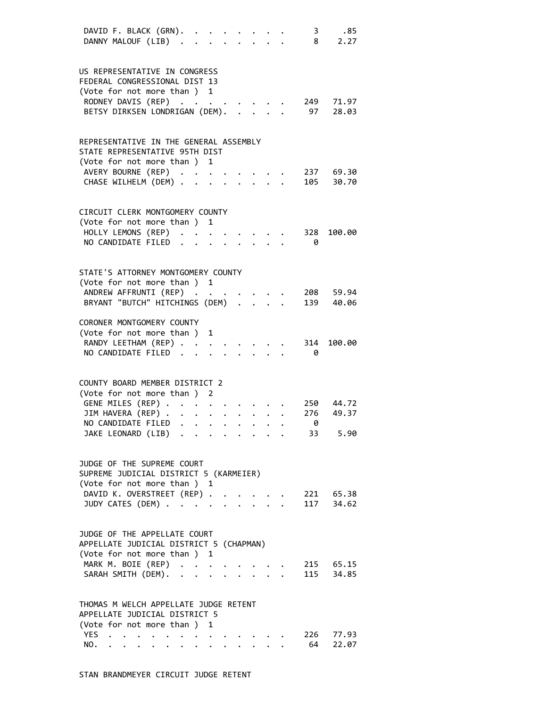| DAVID F. BLACK (GRN).<br>DANNY MALOUF (LIB).                           |                      |                             |                      |                               |  |                                                             |  | $\mathbf{3}$<br>8 | .85<br>2.27        |  |
|------------------------------------------------------------------------|----------------------|-----------------------------|----------------------|-------------------------------|--|-------------------------------------------------------------|--|-------------------|--------------------|--|
|                                                                        |                      |                             |                      |                               |  |                                                             |  |                   |                    |  |
| US REPRESENTATIVE IN CONGRESS                                          |                      |                             |                      |                               |  |                                                             |  |                   |                    |  |
| FEDERAL CONGRESSIONAL DIST 13                                          |                      |                             |                      |                               |  |                                                             |  |                   |                    |  |
| (Vote for not more than ) 1                                            |                      |                             |                      |                               |  |                                                             |  |                   |                    |  |
| RODNEY DAVIS (REP)                                                     |                      |                             |                      |                               |  |                                                             |  | 249               | 71.97              |  |
| BETSY DIRKSEN LONDRIGAN (DEM).                                         |                      |                             |                      |                               |  |                                                             |  | 97                | 28.03              |  |
| REPRESENTATIVE IN THE GENERAL ASSEMBLY                                 |                      |                             |                      |                               |  |                                                             |  |                   |                    |  |
| STATE REPRESENTATIVE 95TH DIST                                         |                      |                             |                      |                               |  |                                                             |  |                   |                    |  |
| (Vote for not more than) 1                                             |                      |                             |                      |                               |  |                                                             |  |                   |                    |  |
| AVERY BOURNE (REP)                                                     |                      |                             |                      |                               |  |                                                             |  |                   | 237 69.30          |  |
| CHASE WILHELM (DEM)                                                    |                      |                             |                      |                               |  |                                                             |  | 105               | 30.70              |  |
|                                                                        |                      |                             |                      |                               |  |                                                             |  |                   |                    |  |
| CIRCUIT CLERK MONTGOMERY COUNTY                                        |                      |                             |                      |                               |  |                                                             |  |                   |                    |  |
| (Vote for not more than ) 1                                            |                      |                             |                      |                               |  |                                                             |  |                   |                    |  |
| HOLLY LEMONS (REP)<br>NO CANDIDATE FILED.                              |                      |                             |                      |                               |  |                                                             |  | 328               | 100.00             |  |
|                                                                        |                      |                             |                      |                               |  |                                                             |  | 0                 |                    |  |
| STATE'S ATTORNEY MONTGOMERY COUNTY                                     |                      |                             |                      |                               |  |                                                             |  |                   |                    |  |
| (Vote for not more than ) 1                                            |                      |                             |                      |                               |  |                                                             |  |                   |                    |  |
| ANDREW AFFRUNTI (REP)                                                  |                      |                             |                      |                               |  |                                                             |  |                   | 208 59.94          |  |
| BRYANT "BUTCH" HITCHINGS (DEM) .                                       |                      |                             |                      |                               |  |                                                             |  |                   | 139 40.06          |  |
| CORONER MONTGOMERY COUNTY                                              |                      |                             |                      |                               |  |                                                             |  |                   |                    |  |
| (Vote for not more than )                                              |                      |                             |                      | 1                             |  |                                                             |  |                   |                    |  |
| RANDY LEETHAM (REP)                                                    |                      |                             |                      |                               |  |                                                             |  | 314               | 100.00             |  |
| NO CANDIDATE FILED.                                                    |                      |                             |                      |                               |  |                                                             |  | - 0               |                    |  |
|                                                                        |                      |                             |                      |                               |  |                                                             |  |                   |                    |  |
| COUNTY BOARD MEMBER DISTRICT 2<br>(Vote for not more than)             |                      |                             |                      | 2                             |  |                                                             |  |                   |                    |  |
| GENE MILES (REP) .                                                     |                      |                             | $\ddot{\phantom{0}}$ |                               |  |                                                             |  |                   | 250 44.72          |  |
| JIM HAVERA (REP)                                                       |                      |                             |                      | $\bullet$ $\bullet$ $\bullet$ |  | $\mathbf{r} = \mathbf{r} + \mathbf{r}$ , where $\mathbf{r}$ |  | 276               | 49.37              |  |
| NO CANDIDATE FILED                                                     |                      |                             |                      |                               |  |                                                             |  | 0                 |                    |  |
| JAKE LEONARD (LIB) .                                                   |                      |                             |                      |                               |  |                                                             |  | 33                | 5.90               |  |
|                                                                        |                      |                             |                      |                               |  |                                                             |  |                   |                    |  |
| JUDGE OF THE SUPREME COURT                                             |                      |                             |                      |                               |  |                                                             |  |                   |                    |  |
| SUPREME JUDICIAL DISTRICT 5 (KARMEIER)                                 |                      |                             |                      |                               |  |                                                             |  |                   |                    |  |
| (Vote for not more than ) 1<br>DAVID K. OVERSTREET (REP) .             |                      |                             |                      |                               |  |                                                             |  |                   |                    |  |
| JUDY CATES (DEM)                                                       |                      |                             |                      |                               |  |                                                             |  | 117               | 221 65.38<br>34.62 |  |
|                                                                        |                      |                             |                      |                               |  |                                                             |  |                   |                    |  |
| JUDGE OF THE APPELLATE COURT                                           |                      |                             |                      |                               |  |                                                             |  |                   |                    |  |
| APPELLATE JUDICIAL DISTRICT 5 (CHAPMAN)                                |                      |                             |                      |                               |  |                                                             |  |                   |                    |  |
| (Vote for not more than ) 1                                            |                      |                             |                      |                               |  |                                                             |  |                   |                    |  |
| MARK M. BOIE (REP)                                                     |                      |                             |                      | $\ddot{\phantom{0}}$          |  |                                                             |  |                   | 215 65.15          |  |
| SARAH SMITH (DEM).                                                     |                      |                             |                      | $\ddot{\phantom{a}}$          |  |                                                             |  |                   | 115 34.85          |  |
|                                                                        |                      |                             |                      |                               |  |                                                             |  |                   |                    |  |
| THOMAS M WELCH APPELLATE JUDGE RETENT<br>APPELLATE JUDICIAL DISTRICT 5 |                      |                             |                      |                               |  |                                                             |  |                   |                    |  |
| (Vote for not more than ) 1                                            |                      |                             |                      |                               |  |                                                             |  |                   |                    |  |
| YES<br>$\ddot{\phantom{a}}$                                            | $\ddot{\phantom{a}}$ | $\sim$ $\sim$ $\sim$ $\sim$ |                      | <b>All Contracts</b>          |  |                                                             |  | 226               | 77.93              |  |
| NO.                                                                    |                      |                             | $\bullet$            |                               |  |                                                             |  | 64                | 22.07              |  |
|                                                                        |                      |                             |                      |                               |  |                                                             |  |                   |                    |  |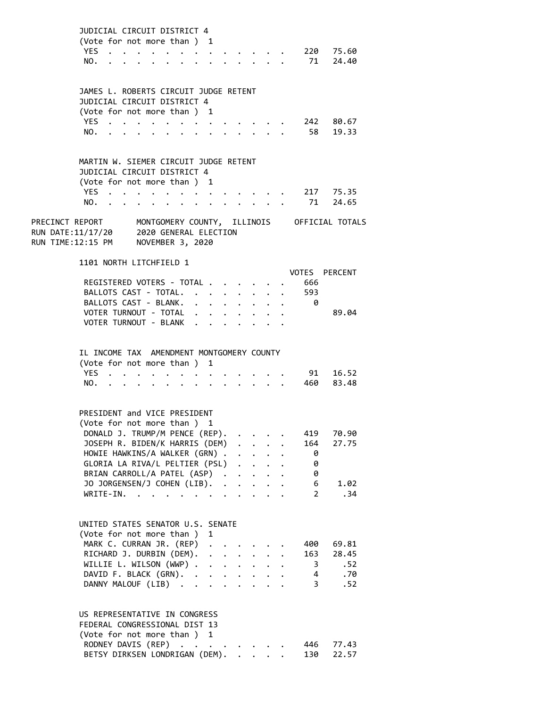|                                                              | JUDICIAL CIRCUIT DISTRICT 4<br>(Vote for not more than ) 1               |                                |                                         |                                         |                                                             |                                        |                      |                                                                    |                            |                                                                          |           |                         |                                                             |
|--------------------------------------------------------------|--------------------------------------------------------------------------|--------------------------------|-----------------------------------------|-----------------------------------------|-------------------------------------------------------------|----------------------------------------|----------------------|--------------------------------------------------------------------|----------------------------|--------------------------------------------------------------------------|-----------|-------------------------|-------------------------------------------------------------|
|                                                              | <b>YES</b>                                                               | $\sim 10^{-10}$                | $\cdot$ $\cdot$ $\cdot$ $\cdot$ $\cdot$ |                                         |                                                             |                                        |                      |                                                                    |                            |                                                                          |           |                         | 220 75.60                                                   |
|                                                              | NO.                                                                      |                                |                                         |                                         |                                                             |                                        |                      | $\mathbf{r}$ . The contract of the contract of $\mathbf{r}$        |                            |                                                                          |           | 71                      | 24.40                                                       |
|                                                              |                                                                          |                                |                                         |                                         |                                                             |                                        |                      |                                                                    |                            |                                                                          |           |                         |                                                             |
|                                                              | JAMES L. ROBERTS CIRCUIT JUDGE RETENT                                    |                                |                                         |                                         |                                                             |                                        |                      |                                                                    |                            |                                                                          |           |                         |                                                             |
|                                                              | JUDICIAL CIRCUIT DISTRICT 4                                              |                                |                                         |                                         |                                                             |                                        |                      |                                                                    |                            |                                                                          |           |                         |                                                             |
|                                                              | (Vote for not more than ) 1                                              |                                |                                         |                                         |                                                             |                                        |                      |                                                                    |                            |                                                                          |           |                         |                                                             |
|                                                              | YES.                                                                     |                                |                                         |                                         |                                                             |                                        |                      |                                                                    |                            |                                                                          |           | 242                     | 80.67                                                       |
|                                                              | NO.                                                                      | $\mathbf{r}$<br>$\sim$         |                                         |                                         |                                                             |                                        | $\sim 100$           |                                                                    | $\mathbf{r} = \mathbf{r}$  |                                                                          |           | 58                      | 19.33                                                       |
|                                                              |                                                                          |                                |                                         |                                         |                                                             |                                        |                      |                                                                    |                            |                                                                          |           |                         |                                                             |
|                                                              | MARTIN W. SIEMER CIRCUIT JUDGE RETENT                                    |                                |                                         |                                         |                                                             |                                        |                      |                                                                    |                            |                                                                          |           |                         |                                                             |
|                                                              | JUDICIAL CIRCUIT DISTRICT 4                                              |                                |                                         |                                         |                                                             |                                        |                      |                                                                    |                            |                                                                          |           |                         |                                                             |
|                                                              | (Vote for not more than) 1                                               |                                |                                         |                                         |                                                             |                                        |                      |                                                                    |                            |                                                                          |           |                         |                                                             |
|                                                              | YES .                                                                    |                                |                                         |                                         |                                                             |                                        |                      |                                                                    |                            |                                                                          |           |                         | 217 75.35                                                   |
|                                                              | NO.                                                                      |                                |                                         | $\cdot$ $\cdot$ $\cdot$ $\cdot$ $\cdot$ |                                                             |                                        |                      |                                                                    |                            |                                                                          |           | 71                      | 24.65                                                       |
|                                                              |                                                                          |                                |                                         |                                         |                                                             |                                        |                      |                                                                    | $\ddot{\phantom{0}}$       |                                                                          |           |                         |                                                             |
| RUN DATE:11/17/20 2020 GENERAL ELECTION<br>RUN TIME:12:15 PM |                                                                          |                                | NOVEMBER 3, 2020                        |                                         |                                                             |                                        |                      |                                                                    |                            |                                                                          |           |                         | PRECINCT REPORT MONTGOMERY COUNTY, ILLINOIS OFFICIAL TOTALS |
|                                                              |                                                                          |                                |                                         |                                         |                                                             |                                        |                      |                                                                    |                            |                                                                          |           |                         |                                                             |
|                                                              | 1101 NORTH LITCHFIELD 1                                                  |                                |                                         |                                         |                                                             |                                        |                      |                                                                    |                            |                                                                          |           |                         | VOTES PERCENT                                               |
|                                                              |                                                                          | REGISTERED VOTERS - TOTAL      |                                         |                                         |                                                             |                                        |                      |                                                                    |                            |                                                                          |           | 666                     |                                                             |
|                                                              |                                                                          | BALLOTS CAST - TOTAL.          |                                         |                                         |                                                             |                                        |                      |                                                                    |                            | $\bullet$                                                                |           | 593                     |                                                             |
|                                                              |                                                                          | BALLOTS CAST - BLANK.          |                                         |                                         |                                                             |                                        | $\ddot{\phantom{0}}$ | $\ddot{\phantom{0}}$                                               | $\sim$                     | $\ddot{\phantom{0}}$                                                     |           | 0                       |                                                             |
|                                                              |                                                                          |                                |                                         |                                         |                                                             |                                        |                      | $\cdot$ $\cdot$ $\cdot$ $\cdot$ $\cdot$                            | $\ddot{\phantom{0}}$       | $\ddot{\phantom{0}}$                                                     | $\bullet$ |                         |                                                             |
|                                                              |                                                                          | VOTER TURNOUT - TOTAL          |                                         |                                         |                                                             | $\mathbf{r} = \mathbf{r} + \mathbf{r}$ |                      | $\ddot{\phantom{0}}$                                               |                            | $\ddot{\phantom{a}}$                                                     |           |                         | 89.04                                                       |
|                                                              |                                                                          | VOTER TURNOUT - BLANK          |                                         |                                         |                                                             |                                        |                      |                                                                    |                            |                                                                          |           |                         |                                                             |
|                                                              | IL INCOME TAX AMENDMENT MONTGOMERY COUNTY<br>(Vote for not more than ) 1 |                                |                                         |                                         |                                                             |                                        |                      |                                                                    |                            |                                                                          |           |                         |                                                             |
|                                                              | <b>YES</b>                                                               | $\sim$ $\sim$                  |                                         |                                         |                                                             |                                        |                      |                                                                    |                            |                                                                          |           | 91                      | 16.52                                                       |
|                                                              | NO.                                                                      | $\ddot{\phantom{a}}$           | $\ddot{\phantom{0}}$                    | $\bullet$                               | $\bullet$ .<br><br><br><br><br><br><br><br><br><br><br><br> |                                        |                      |                                                                    |                            |                                                                          |           | 460                     | 83.48                                                       |
|                                                              |                                                                          |                                |                                         |                                         |                                                             |                                        |                      |                                                                    |                            |                                                                          |           |                         |                                                             |
|                                                              | PRESIDENT and VICE PRESIDENT                                             |                                |                                         |                                         |                                                             |                                        |                      |                                                                    |                            |                                                                          |           |                         |                                                             |
|                                                              |                                                                          | (Vote for not more than)       |                                         |                                         |                                                             | 1                                      |                      |                                                                    |                            |                                                                          |           |                         |                                                             |
|                                                              |                                                                          | DONALD J. TRUMP/M PENCE (REP). |                                         |                                         |                                                             |                                        |                      |                                                                    |                            |                                                                          |           | 419                     | 70.90                                                       |
|                                                              |                                                                          | JOSEPH R. BIDEN/K HARRIS (DEM) |                                         |                                         |                                                             |                                        |                      | $\ddot{\phantom{0}}$                                               | $\mathcal{L}^{\text{max}}$ |                                                                          |           | 164                     | 27.75                                                       |
|                                                              |                                                                          | HOWIE HAWKINS/A WALKER (GRN).  |                                         |                                         |                                                             |                                        |                      |                                                                    |                            | $\mathbf{L}^{\text{max}}$ , and $\mathbf{L}^{\text{max}}$                |           | - 0                     |                                                             |
|                                                              |                                                                          | GLORIA LA RIVA/L PELTIER (PSL) |                                         |                                         |                                                             |                                        |                      |                                                                    |                            |                                                                          |           | 0                       |                                                             |
|                                                              |                                                                          | BRIAN CARROLL/A PATEL (ASP).   |                                         |                                         |                                                             |                                        |                      |                                                                    |                            |                                                                          |           | 0                       |                                                             |
|                                                              |                                                                          |                                |                                         |                                         |                                                             |                                        |                      |                                                                    | $\ddot{\phantom{0}}$       | $\ddot{\phantom{0}}$                                                     |           |                         |                                                             |
|                                                              |                                                                          | JO JORGENSEN/J COHEN (LIB). .  |                                         |                                         |                                                             |                                        |                      | $\ddot{\phantom{a}}$                                               | $\ddot{\phantom{0}}$       | $\bullet$                                                                |           | 6                       | 1.02                                                        |
|                                                              | WRITE-IN.                                                                |                                |                                         |                                         |                                                             |                                        |                      | $\bullet$                                                          |                            | $\cdot$ $\cdot$ $\cdot$                                                  |           | $\overline{2}$          | .34                                                         |
|                                                              |                                                                          |                                |                                         |                                         |                                                             |                                        |                      |                                                                    |                            |                                                                          |           |                         |                                                             |
|                                                              | UNITED STATES SENATOR U.S. SENATE                                        |                                |                                         |                                         |                                                             |                                        |                      |                                                                    |                            |                                                                          |           |                         |                                                             |
|                                                              | (Vote for not more than ) 1                                              |                                |                                         |                                         |                                                             |                                        |                      |                                                                    |                            |                                                                          |           |                         |                                                             |
|                                                              |                                                                          | MARK C. CURRAN JR. (REP)       |                                         |                                         |                                                             |                                        |                      |                                                                    |                            |                                                                          |           | 400                     | 69.81                                                       |
|                                                              |                                                                          | RICHARD J. DURBIN (DEM).       |                                         |                                         |                                                             | $\ddot{\phantom{a}}$                   |                      | $\mathbf{r}$ . $\mathbf{r}$                                        |                            |                                                                          |           | 163                     | 28.45                                                       |
|                                                              |                                                                          | WILLIE L. WILSON (WWP) .       |                                         |                                         |                                                             |                                        |                      | $\mathbf{r} = \mathbf{r} + \mathbf{r} + \mathbf{r} + \mathbf{r}$ . |                            | $\ddot{\phantom{0}}$                                                     |           | $\overline{\mathbf{3}}$ | .52                                                         |
|                                                              |                                                                          | DAVID F. BLACK (GRN).          |                                         |                                         |                                                             |                                        |                      |                                                                    |                            | $\mathbf{r} = \mathbf{r} + \mathbf{r}$ , where $\mathbf{r} = \mathbf{r}$ |           | $\overline{4}$          | .70                                                         |
|                                                              |                                                                          | DANNY MALOUF (LIB)             |                                         |                                         |                                                             | $\ddot{\phantom{0}}$                   |                      | $\bullet$                                                          | $\ddot{\phantom{a}}$       |                                                                          |           | $\overline{3}$          | .52                                                         |
|                                                              |                                                                          |                                |                                         |                                         |                                                             |                                        |                      |                                                                    |                            |                                                                          |           |                         |                                                             |
|                                                              | US REPRESENTATIVE IN CONGRESS                                            |                                |                                         |                                         |                                                             |                                        |                      |                                                                    |                            |                                                                          |           |                         |                                                             |
|                                                              | FEDERAL CONGRESSIONAL DIST 13                                            |                                |                                         |                                         |                                                             |                                        |                      |                                                                    |                            |                                                                          |           |                         |                                                             |
|                                                              | (Vote for not more than ) 1                                              |                                |                                         |                                         |                                                             |                                        |                      |                                                                    |                            |                                                                          |           |                         |                                                             |
|                                                              |                                                                          | RODNEY DAVIS (REP)             |                                         |                                         |                                                             |                                        |                      |                                                                    |                            |                                                                          |           | 446                     | 77.43                                                       |
|                                                              |                                                                          | BETSY DIRKSEN LONDRIGAN (DEM). |                                         |                                         |                                                             |                                        |                      |                                                                    |                            |                                                                          |           | 130                     | 22.57                                                       |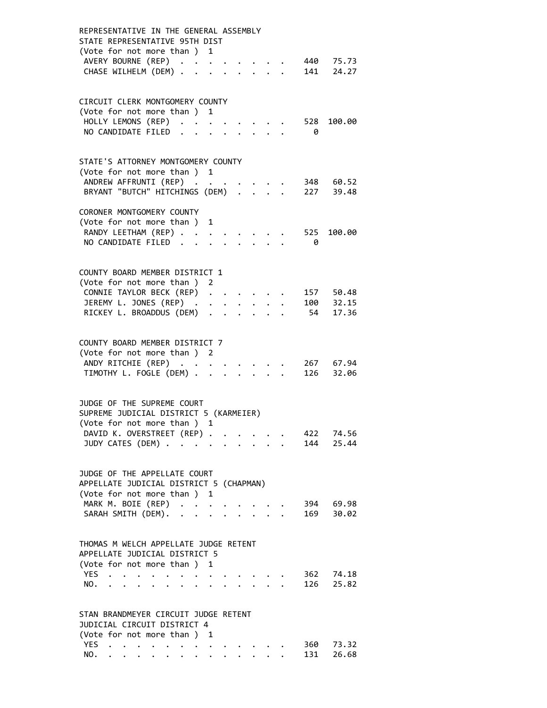| REPRESENTATIVE IN THE GENERAL ASSEMBLY<br>STATE REPRESENTATIVE 95TH DIST<br>(Vote for not more than ) 1<br>AVERY BOURNE (REP)<br>440 75.73<br>141<br>CHASE WILHELM (DEM) .<br>24.27                                                                                                                                                                                                                                            |
|--------------------------------------------------------------------------------------------------------------------------------------------------------------------------------------------------------------------------------------------------------------------------------------------------------------------------------------------------------------------------------------------------------------------------------|
| CIRCUIT CLERK MONTGOMERY COUNTY<br>(Vote for not more than ) 1<br>HOLLY LEMONS (REP)<br>528<br>100.00<br>NO CANDIDATE FILED<br>ø                                                                                                                                                                                                                                                                                               |
| STATE'S ATTORNEY MONTGOMERY COUNTY<br>(Vote for not more than ) 1<br>ANDREW AFFRUNTI (REP)<br>348 60.52<br>BRYANT "BUTCH" HITCHINGS (DEM) .<br>227 39.48                                                                                                                                                                                                                                                                       |
| CORONER MONTGOMERY COUNTY<br>(Vote for not more than)<br>1<br>RANDY LEETHAM (REP)<br>525<br>100.00<br>NO CANDIDATE FILED.<br>0                                                                                                                                                                                                                                                                                                 |
| COUNTY BOARD MEMBER DISTRICT 1<br>(Vote for not more than ) 2<br>CONNIE TAYLOR BECK (REP)<br>157 50.48<br>JEREMY L. JONES (REP) .<br>$100$ $32.15$<br>$\bullet$ .<br><br><br>$\bullet$<br>RICKEY L. BROADDUS (DEM)<br>54 17.36<br>$\sim$                                                                                                                                                                                       |
| COUNTY BOARD MEMBER DISTRICT 7<br>(Vote for not more than ) 2<br>ANDY RITCHIE (REP)<br>267 67.94<br>TIMOTHY L. FOGLE (DEM) .<br>126 32.06                                                                                                                                                                                                                                                                                      |
| JUDGE OF THE SUPREME COURT<br>SUPREME JUDICIAL DISTRICT 5 (KARMEIER)<br>(Vote for not more than ) 1<br>DAVID K. OVERSTREET (REP)<br>422<br>74.56<br>144<br>25.44<br>JUDY CATES (DEM)<br>$\ddot{\phantom{0}}$<br>$\ddot{\phantom{0}}$                                                                                                                                                                                           |
| JUDGE OF THE APPELLATE COURT<br>APPELLATE JUDICIAL DISTRICT 5 (CHAPMAN)<br>(Vote for not more than ) 1<br>MARK M. BOIE (REP)<br>394 69.98<br>SARAH SMITH (DEM).<br>30.02<br>169<br>$\cdot$ $\cdot$ $\cdot$ $\cdot$<br>$\ddot{\phantom{a}}$                                                                                                                                                                                     |
| THOMAS M WELCH APPELLATE JUDGE RETENT<br>APPELLATE JUDICIAL DISTRICT 5<br>(Vote for not more than ) 1<br>YES<br>362<br>74.18<br>$\bullet$ .<br><br><br><br><br><br><br><br><br><br><br><br><br><br>$\bullet$ .<br><br><br><br><br><br><br><br><br><br><br><br><br>25.82<br>NO.<br>126<br>$\ddot{\phantom{a}}$<br>$\ddot{\phantom{a}}$<br>$\ddot{\phantom{a}}$<br>$\ddot{\phantom{a}}$<br>$\sim$ $\sim$ $\sim$ $\sim$<br>$\sim$ |
| STAN BRANDMEYER CIRCUIT JUDGE RETENT<br>JUDICIAL CIRCUIT DISTRICT 4<br>(Vote for not more than ) 1<br>YES.<br>360<br>73.32<br>$\cdot$ $\cdot$ $\cdot$ $\cdot$<br>$\ddot{\phantom{a}}$<br>131<br>26.68<br>NO.                                                                                                                                                                                                                   |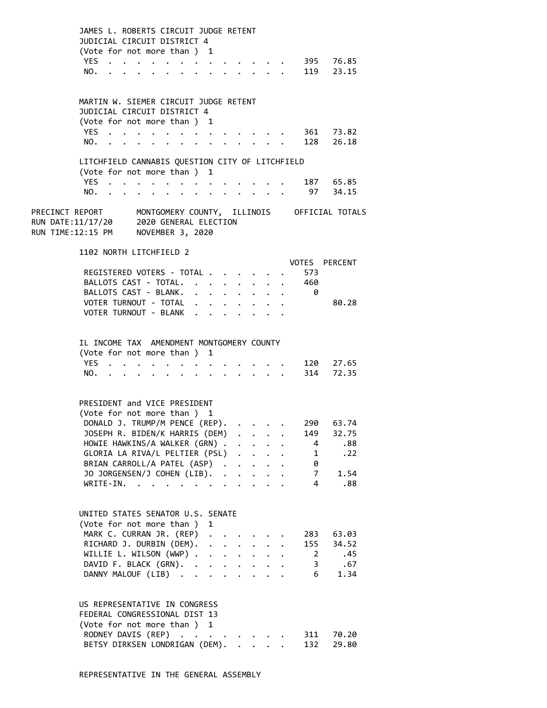| JAMES L. ROBERTS CIRCUIT JUDGE RETENT<br>JUDICIAL CIRCUIT DISTRICT 4<br>(Vote for not more than ) 1<br>YES.<br>NO.                                                                                                                                                               |                                                                                                                                                                                       |                                                     | $\begin{array}{cccccccccccccc} \bullet & \bullet & \bullet & \bullet & \bullet & \bullet & \bullet \end{array}$ |                 |                      | $\sim$ 100 $\sim$                                                                                                                                              |              |                      |                                                             | 395 76.85<br>119 23.15                      |  |
|----------------------------------------------------------------------------------------------------------------------------------------------------------------------------------------------------------------------------------------------------------------------------------|---------------------------------------------------------------------------------------------------------------------------------------------------------------------------------------|-----------------------------------------------------|-----------------------------------------------------------------------------------------------------------------|-----------------|----------------------|----------------------------------------------------------------------------------------------------------------------------------------------------------------|--------------|----------------------|-------------------------------------------------------------|---------------------------------------------|--|
| MARTIN W. SIEMER CIRCUIT JUDGE RETENT<br>JUDICIAL CIRCUIT DISTRICT 4<br>(Vote for not more than) 1<br>YES.<br>NO.                                                                                                                                                                | $\mathbf{r} = \mathbf{r} + \mathbf{r} + \mathbf{r} + \mathbf{r}$ .<br>and a series of the contract of the contract of the contract of the contract of the contract of the contract of | $\cdot$ $\cdot$ $\cdot$ $\cdot$ $\cdot$ $\cdot$     |                                                                                                                 |                 |                      |                                                                                                                                                                |              |                      |                                                             | 361 73.82<br>128 26.18                      |  |
| LITCHFIELD CANNABIS QUESTION CITY OF LITCHFIELD<br>(Vote for not more than ) 1<br>YES<br>NO.                                                                                                                                                                                     |                                                                                                                                                                                       | $\bullet$                                           |                                                                                                                 |                 |                      |                                                                                                                                                                |              |                      |                                                             | 187 65.85<br>97 34.15                       |  |
| PRECINCT REPORT MONTGOMERY COUNTY, ILLINOIS OFFICIAL TOTALS<br>RUN DATE:11/17/20<br>RUN TIME:12:15 PM                                                                                                                                                                            |                                                                                                                                                                                       | 2020 GENERAL ELECTION<br>NOVEMBER 3, 2020           |                                                                                                                 |                 |                      |                                                                                                                                                                |              |                      |                                                             |                                             |  |
| 1102 NORTH LITCHFIELD 2<br>REGISTERED VOTERS - TOTAL<br>BALLOTS CAST - TOTAL.<br>BALLOTS CAST - BLANK.<br>VOTER TURNOUT - TOTAL<br>VOTER TURNOUT - BLANK                                                                                                                         |                                                                                                                                                                                       |                                                     | $\cdot$ $\cdot$ $\cdot$ $\cdot$ $\cdot$ $\cdot$ $\cdot$<br>$\mathbf{r} = \mathbf{r} + \mathbf{r}$               |                 | $\ddot{\phantom{0}}$ | $\ddot{\phantom{0}}$<br>$\ddot{\phantom{0}}$                                                                                                                   |              | $\ddot{\phantom{a}}$ | 573<br>460<br>- 0                                           | VOTES PERCENT<br>80.28                      |  |
| IL INCOME TAX AMENDMENT MONTGOMERY COUNTY<br>(Vote for not more than ) 1<br>YES.<br>NO.                                                                                                                                                                                          |                                                                                                                                                                                       | $\mathbf{r} = \mathbf{r} + \mathbf{r} + \mathbf{r}$ | $\bullet$                                                                                                       |                 |                      | $\cdot$ $\cdot$ $\cdot$ $\cdot$                                                                                                                                |              |                      |                                                             | 120 27.65<br>314 72.35                      |  |
| PRESIDENT and VICE PRESIDENT<br>(Vote for not more than ) 1<br>DONALD J. TRUMP/M PENCE (REP).<br>JOSEPH R. BIDEN/K HARRIS (DEM)<br>HOWIE HAWKINS/A WALKER (GRN).<br>GLORIA LA RIVA/L PELTIER (PSL)<br>BRIAN CARROLL/A PATEL (ASP).<br>JO JORGENSEN/J COHEN (LIB). .<br>WRITE-IN. | $\mathbf{L}$                                                                                                                                                                          |                                                     |                                                                                                                 |                 | $\ddot{\phantom{a}}$ | $\ddot{\phantom{0}}$<br>$\mathbf{L}$<br>$\ddot{\phantom{0}}$<br>$\ddot{\phantom{0}}$                                                                           | $\mathbf{r}$ |                      | 290<br>149<br>4<br>$\mathbf{1}$<br>0<br>$\overline{7}$<br>4 | 63.74<br>32.75<br>.88<br>.22<br>1.54<br>.88 |  |
| UNITED STATES SENATOR U.S. SENATE<br>(Vote for not more than ) 1<br>MARK C. CURRAN JR. (REP)<br>RICHARD J. DURBIN (DEM).<br>WILLIE L. WILSON (WWP) .<br>DAVID F. BLACK (GRN). .<br>DANNY MALOUF (LIB).                                                                           |                                                                                                                                                                                       |                                                     | $\ddot{\phantom{0}}$<br>$\ddot{\phantom{a}}$                                                                    | $\sim 10^{-10}$ |                      | $\mathbf{r} = \mathbf{r} \mathbf{r}$ .<br>$\mathcal{L}^{\text{max}}$ , and $\mathcal{L}^{\text{max}}$<br>$\mathbf{r} = \mathbf{r} + \mathbf{r} + \mathbf{r}$ . |              |                      | 283<br>155<br>$\overline{2}$<br>3<br>6                      | 63.03<br>34.52<br>.45<br>.67<br>1.34        |  |
| US REPRESENTATIVE IN CONGRESS<br>FEDERAL CONGRESSIONAL DIST 13<br>(Vote for not more than ) 1<br>RODNEY DAVIS (REP) .<br>BETSY DIRKSEN LONDRIGAN (DEM).                                                                                                                          |                                                                                                                                                                                       | $\sim 10^{-11}$                                     | $\bullet$                                                                                                       |                 |                      |                                                                                                                                                                |              |                      | 311<br>132                                                  | 70.20<br>29.80                              |  |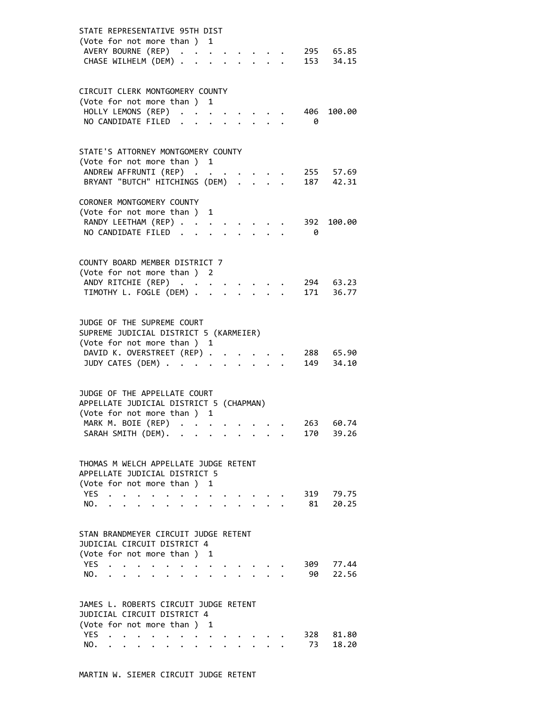| STATE REPRESENTATIVE 95TH DIST<br>(Vote for not more than) 1<br>AVERY BOURNE (REP)<br>295 65.85<br>$153$ $34.15$<br>CHASE WILHELM (DEM) .                                                                                                                                                          |  |
|----------------------------------------------------------------------------------------------------------------------------------------------------------------------------------------------------------------------------------------------------------------------------------------------------|--|
| CIRCUIT CLERK MONTGOMERY COUNTY<br>(Vote for not more than ) 1<br>HOLLY LEMONS (REP)<br>406<br>100.00<br>NO CANDIDATE FILED<br>- 0                                                                                                                                                                 |  |
| STATE'S ATTORNEY MONTGOMERY COUNTY<br>(Vote for not more than ) 1<br>255 57.69<br>ANDREW AFFRUNTI (REP)<br>BRYANT "BUTCH" HITCHINGS (DEM)<br>187 42.31                                                                                                                                             |  |
| CORONER MONTGOMERY COUNTY<br>(Vote for not more than ) 1<br>RANDY LEETHAM (REP)<br>392<br>100.00<br>NO CANDIDATE FILED.<br>- 0                                                                                                                                                                     |  |
| COUNTY BOARD MEMBER DISTRICT 7<br>(Vote for not more than ) 2<br>ANDY RITCHIE (REP)<br>294 63.23<br>TIMOTHY L. FOGLE (DEM) .<br>171 36.77                                                                                                                                                          |  |
| JUDGE OF THE SUPREME COURT<br>SUPREME JUDICIAL DISTRICT 5 (KARMEIER)<br>(Vote for not more than ) 1<br>DAVID K. OVERSTREET (REP) .<br>288 65.90<br>$\ddot{\phantom{a}}$<br>JUDY CATES (DEM)<br>149 34.10<br>and the contract of the con-                                                           |  |
| JUDGE OF THE APPELLATE COURT<br>APPELLATE JUDICIAL DISTRICT 5 (CHAPMAN)<br>(Vote for not more than ) 1<br>MARK M. BOIE (REP)<br>263<br>60.74<br>SARAH SMITH (DEM). .<br>39.26<br>170 -                                                                                                             |  |
| THOMAS M WELCH APPELLATE JUDGE RETENT<br>APPELLATE JUDICIAL DISTRICT 5<br>(Vote for not more than ) 1<br>79.75<br>YES<br>319<br>$\ddot{\phantom{0}}$<br>$\ddot{\phantom{a}}$<br>$\sim$ $\sim$ $\sim$ $\sim$ $\sim$<br>20.25<br>NO.<br>81<br>$\ddot{\phantom{0}}$<br>$\ddot{\phantom{0}}$<br>$\sim$ |  |
| STAN BRANDMEYER CIRCUIT JUDGE RETENT<br>JUDICIAL CIRCUIT DISTRICT 4<br>(Vote for not more than ) 1<br>YES<br>309<br>77.44<br>$\sim$ $\sim$<br>$\ddot{\phantom{0}}$<br>$\bullet$ . The set of $\bullet$<br>NO.<br>90<br>22.56<br>$\cdot$ $\cdot$ $\cdot$<br>$\ddot{\phantom{a}}$<br>$\sim$          |  |
| JAMES L. ROBERTS CIRCUIT JUDGE RETENT<br>JUDICIAL CIRCUIT DISTRICT 4<br>(Vote for not more than ) 1<br>YES<br>81.80<br>328<br>73<br>18.20<br>NO.                                                                                                                                                   |  |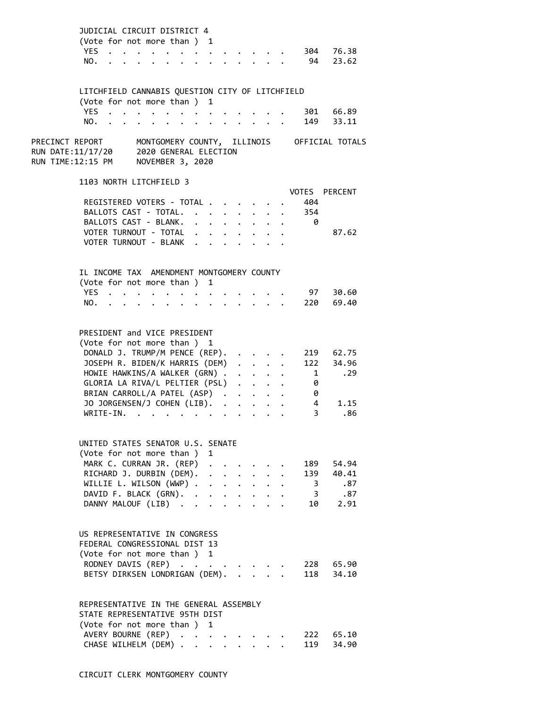|                 | JUDICIAL CIRCUIT DISTRICT 4<br>(Vote for not more than ) 1<br>YES<br>NO.                                                                                                                                                                                                         |                                                                                                                                                                      |                                                                           |                                                                                   |                                   |                                                                                              |                                         |                                         |                                                 | 304 76.38<br>94 23.62                                 |  |
|-----------------|----------------------------------------------------------------------------------------------------------------------------------------------------------------------------------------------------------------------------------------------------------------------------------|----------------------------------------------------------------------------------------------------------------------------------------------------------------------|---------------------------------------------------------------------------|-----------------------------------------------------------------------------------|-----------------------------------|----------------------------------------------------------------------------------------------|-----------------------------------------|-----------------------------------------|-------------------------------------------------|-------------------------------------------------------|--|
|                 | LITCHFIELD CANNABIS QUESTION CITY OF LITCHFIELD<br>(Vote for not more than)<br>YES .<br>NO.                                                                                                                                                                                      | $\cdot$ $\cdot$ $\cdot$ $\cdot$<br>$\mathbf{r} = \mathbf{r} + \mathbf{r} + \mathbf{r} + \mathbf{r} + \mathbf{r} + \mathbf{r} + \mathbf{r} + \mathbf{r} + \mathbf{r}$ |                                                                           | $\mathbf{1}$                                                                      |                                   |                                                                                              |                                         |                                         |                                                 | 301 66.89<br>149 33.11                                |  |
| PRECINCT REPORT | RUN DATE:11/17/20 2020 GENERAL ELECTION<br>RUN TIME:12:15 PM                                                                                                                                                                                                                     | NOVEMBER 3, 2020                                                                                                                                                     |                                                                           |                                                                                   |                                   |                                                                                              |                                         |                                         |                                                 | MONTGOMERY COUNTY, ILLINOIS OFFICIAL TOTALS           |  |
|                 | 1103 NORTH LITCHFIELD 3<br>REGISTERED VOTERS - TOTAL .<br>BALLOTS CAST - TOTAL.<br>BALLOTS CAST - BLANK.<br>VOTER TURNOUT - TOTAL<br>VOTER TURNOUT - BLANK                                                                                                                       |                                                                                                                                                                      | $\ddot{\phantom{0}}$<br>$\ddot{\phantom{0}}$<br>$\mathbf{r} = \mathbf{r}$ | $\ddot{\phantom{0}}$<br>$\mathbf{L}^{\text{max}}$<br>$\mathbf{A}$                 | $\bullet$<br>$\ddot{\phantom{0}}$ |                                                                                              |                                         |                                         | 404<br>354<br>- 0                               | VOTES PERCENT<br>87.62                                |  |
|                 | IL INCOME TAX AMENDMENT MONTGOMERY COUNTY<br>(Vote for not more than)<br>YES.<br>NO.                                                                                                                                                                                             |                                                                                                                                                                      |                                                                           | 1                                                                                 |                                   |                                                                                              |                                         |                                         |                                                 | 97 30.60<br>220 69.40                                 |  |
|                 | PRESIDENT and VICE PRESIDENT<br>(Vote for not more than ) 1<br>DONALD J. TRUMP/M PENCE (REP).<br>JOSEPH R. BIDEN/K HARRIS (DEM)<br>HOWIE HAWKINS/A WALKER (GRN).<br>GLORIA LA RIVA/L PELTIER (PSL)<br>BRIAN CARROLL/A PATEL (ASP).<br>JO JORGENSEN/J COHEN (LIB). .<br>WRITE-IN. | $\mathbf{r}$ , $\mathbf{r}$ , $\mathbf{r}$ , $\mathbf{r}$ , $\mathbf{r}$                                                                                             |                                                                           |                                                                                   | $\ddot{\phantom{a}}$              | $\ddot{\phantom{0}}$<br>$\ddot{\phantom{a}}$<br>$\ddot{\phantom{a}}$<br>$\ddot{\phantom{a}}$ | $\ddot{\phantom{a}}$<br>$\cdot$ $\cdot$ |                                         | 1<br>0<br>0<br>$\overline{4}$<br>3 <sup>7</sup> | 219 62.75<br>122 34.96<br>.29<br>1.15<br>.86          |  |
|                 | UNITED STATES SENATOR U.S. SENATE<br>(Vote for not more than)<br>MARK C. CURRAN JR. (REP)<br>RICHARD J. DURBIN (DEM).<br>WILLIE L. WILSON (WWP) .<br>DAVID F. BLACK (GRN).<br>DANNY MALOUF (LIB)                                                                                 |                                                                                                                                                                      |                                                                           | $\mathbf{1}$<br>$\mathbf{L}^{\text{max}}$<br>$\ddot{\phantom{a}}$<br>$\mathbf{L}$ | $\ddot{\phantom{0}}$              | $\sim$ $\sim$                                                                                |                                         | $\cdot$ $\cdot$ $\cdot$ $\cdot$ $\cdot$ |                                                 | 189 54.94<br>139 40.41<br>3 .87<br>3 .87<br>. 10 2.91 |  |
|                 | US REPRESENTATIVE IN CONGRESS<br>FEDERAL CONGRESSIONAL DIST 13<br>(Vote for not more than ) 1<br>RODNEY DAVIS (REP)<br>BETSY DIRKSEN LONDRIGAN (DEM).                                                                                                                            |                                                                                                                                                                      |                                                                           |                                                                                   |                                   |                                                                                              |                                         |                                         |                                                 | 228 65.90<br>118 34.10                                |  |
|                 | REPRESENTATIVE IN THE GENERAL ASSEMBLY<br>STATE REPRESENTATIVE 95TH DIST<br>(Vote for not more than ) 1<br>AVERY BOURNE (REP)<br>CHASE WILHELM (DEM)                                                                                                                             |                                                                                                                                                                      |                                                                           | $\ddot{\phantom{0}}$                                                              |                                   |                                                                                              |                                         |                                         |                                                 | 222 65.10<br>119 34.90                                |  |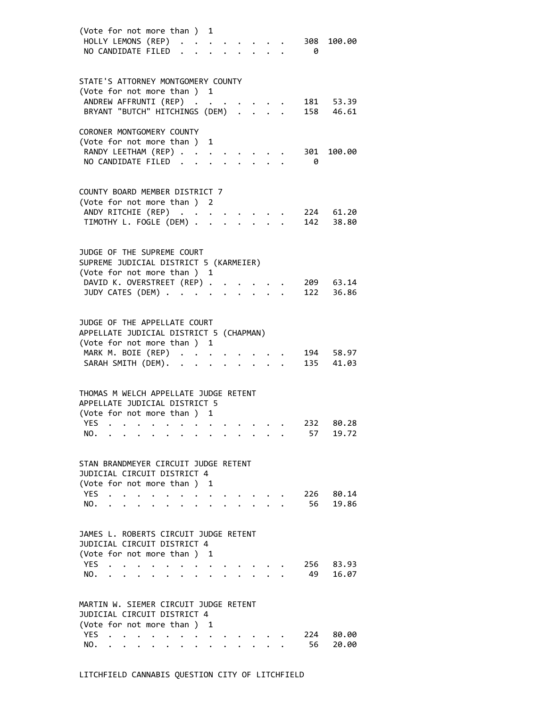| (Vote for not more than ) 1<br>HOLLY LEMONS (REP)<br>100.00<br>308<br>NO CANDIDATE FILED<br>- 0                                                                                                                                                                                                                                                  |  |
|--------------------------------------------------------------------------------------------------------------------------------------------------------------------------------------------------------------------------------------------------------------------------------------------------------------------------------------------------|--|
| STATE'S ATTORNEY MONTGOMERY COUNTY<br>(Vote for not more than ) 1<br>ANDREW AFFRUNTI (REP)<br>181 53.39<br>BRYANT "BUTCH" HITCHINGS (DEM)<br>158 46.61                                                                                                                                                                                           |  |
| CORONER MONTGOMERY COUNTY<br>(Vote for not more than ) 1<br>RANDY LEETHAM (REP)<br>301<br>100.00<br>NO CANDIDATE FILED<br>- 0                                                                                                                                                                                                                    |  |
| COUNTY BOARD MEMBER DISTRICT 7<br>(Vote for not more than ) 2<br>ANDY RITCHIE (REP)<br>224 61.20<br>142 38.80<br>TIMOTHY L. FOGLE (DEM) .<br>$\mathbf{L}^{\text{max}}$                                                                                                                                                                           |  |
| JUDGE OF THE SUPREME COURT<br>SUPREME JUDICIAL DISTRICT 5 (KARMEIER)<br>(Vote for not more than ) 1<br>DAVID K. OVERSTREET (REP) .<br>209 63.14<br>JUDY CATES (DEM)<br>122 36.86                                                                                                                                                                 |  |
| JUDGE OF THE APPELLATE COURT<br>APPELLATE JUDICIAL DISTRICT 5 (CHAPMAN)<br>(Vote for not more than ) 1<br>MARK M. BOIE (REP)<br>194 58.97<br>$\ddot{\phantom{a}}$<br>SARAH SMITH (DEM). .<br>135<br>41.03<br>$\ddot{\phantom{a}}$                                                                                                                |  |
| THOMAS M WELCH APPELLATE JUDGE RETENT<br>APPELLATE JUDICIAL DISTRICT 5<br>(Vote for not more than ) 1<br>YES<br>80.28<br>232<br>the contract of the contract of the contract of the contract of the contract of the contract of the contract of<br>57<br>19.72<br>NO.                                                                            |  |
| STAN BRANDMEYER CIRCUIT JUDGE RETENT<br>JUDICIAL CIRCUIT DISTRICT 4<br>(Vote for not more than)<br>1<br>YES.<br>226<br>80.14<br>56<br>19.86<br>NO.                                                                                                                                                                                               |  |
| JAMES L. ROBERTS CIRCUIT JUDGE RETENT<br>JUDICIAL CIRCUIT DISTRICT 4<br>(Vote for not more than) 1<br>YES.<br>256<br>83.93<br>49<br>16.07<br>NO.<br>$\bullet$ . The set of $\bullet$                                                                                                                                                             |  |
| MARTIN W. SIEMER CIRCUIT JUDGE RETENT<br>JUDICIAL CIRCUIT DISTRICT 4<br>(Vote for not more than ) 1<br><b>YES</b><br>224<br>80.00<br>$\mathbf{a}^{\prime}=\mathbf{a}^{\prime}=\mathbf{a}^{\prime}=\mathbf{a}^{\prime}=\mathbf{a}^{\prime}=\mathbf{a}^{\prime}=\mathbf{a}^{\prime}=\mathbf{a}^{\prime}=\mathbf{a}^{\prime}$<br>56<br>20.00<br>NO. |  |
|                                                                                                                                                                                                                                                                                                                                                  |  |

# LITCHFIELD CANNABIS QUESTION CITY OF LITCHFIELD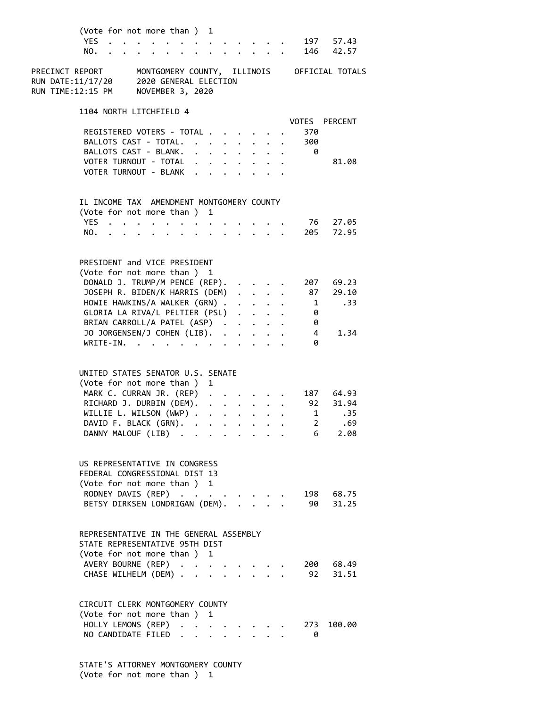| (Vote for not more than ) 1<br><b>YES</b><br>NO.                                                                                                                                                                                                                                                 |                                                                                                           |                      | $\cdot$ $\cdot$ $\cdot$ $\cdot$                                                               |                                                                                                                                                                                          |  |                       | 197 57.43<br>146 42.57               |  |
|--------------------------------------------------------------------------------------------------------------------------------------------------------------------------------------------------------------------------------------------------------------------------------------------------|-----------------------------------------------------------------------------------------------------------|----------------------|-----------------------------------------------------------------------------------------------|------------------------------------------------------------------------------------------------------------------------------------------------------------------------------------------|--|-----------------------|--------------------------------------|--|
| MONTGOMERY COUNTY, ILLINOIS OFFICIAL TOTALS<br>PRECINCT REPORT<br>2020 GENERAL ELECTION<br>RUN DATE:11/17/20<br>RUN TIME:12:15 PM<br>NOVEMBER 3, 2020                                                                                                                                            |                                                                                                           |                      |                                                                                               |                                                                                                                                                                                          |  |                       |                                      |  |
| 1104 NORTH LITCHFIELD 4                                                                                                                                                                                                                                                                          |                                                                                                           |                      |                                                                                               |                                                                                                                                                                                          |  |                       | VOTES PERCENT                        |  |
| REGISTERED VOTERS - TOTAL .                                                                                                                                                                                                                                                                      |                                                                                                           |                      | $\cdot$ $\cdot$ $\cdot$ $\cdot$                                                               |                                                                                                                                                                                          |  | 370                   |                                      |  |
| BALLOTS CAST - TOTAL.                                                                                                                                                                                                                                                                            |                                                                                                           |                      |                                                                                               |                                                                                                                                                                                          |  | 300                   |                                      |  |
| BALLOTS CAST - BLANK.<br>VOTER TURNOUT - TOTAL                                                                                                                                                                                                                                                   | $\cdot$ $\cdot$ $\cdot$ $\cdot$ $\cdot$ $\cdot$ $\cdot$ $\cdot$<br>$\mathbf{r} = \mathbf{r} + \mathbf{r}$ |                      |                                                                                               |                                                                                                                                                                                          |  | 0                     | 81.08                                |  |
| VOTER TURNOUT - BLANK                                                                                                                                                                                                                                                                            | $\mathbf{L} = \mathbf{L}$                                                                                 |                      |                                                                                               |                                                                                                                                                                                          |  |                       |                                      |  |
| IL INCOME TAX AMENDMENT MONTGOMERY COUNTY                                                                                                                                                                                                                                                        |                                                                                                           |                      |                                                                                               |                                                                                                                                                                                          |  |                       |                                      |  |
| (Vote for not more than)<br>YES                                                                                                                                                                                                                                                                  | 1                                                                                                         |                      |                                                                                               |                                                                                                                                                                                          |  |                       | 76 27.05                             |  |
| NO.                                                                                                                                                                                                                                                                                              |                                                                                                           |                      |                                                                                               | $\cdot$ $\cdot$                                                                                                                                                                          |  |                       | 205 72.95                            |  |
| PRESIDENT and VICE PRESIDENT<br>(Vote for not more than ) 1<br>DONALD J. TRUMP/M PENCE (REP).<br>JOSEPH R. BIDEN/K HARRIS (DEM)<br>HOWIE HAWKINS/A WALKER (GRN) .<br>GLORIA LA RIVA/L PELTIER (PSL)<br>BRIAN CARROLL/A PATEL (ASP).<br>JO JORGENSEN/J COHEN (LIB).<br>WRITE-IN.<br>$\sim$ $\sim$ |                                                                                                           | $\ddot{\phantom{a}}$ |                                                                                               | $\cdot$ $\cdot$ $\cdot$ $\cdot$<br>$\mathbf{r} = \mathbf{r} + \mathbf{r}$<br>$\mathbf{r} = \mathbf{r} + \mathbf{r}$ , where $\mathbf{r} = \mathbf{r}$<br>$\cdot$ $\cdot$ $\cdot$ $\cdot$ |  | 1<br>0<br>0<br>4<br>ø | 207 69.23<br>87 29.10<br>.33<br>1.34 |  |
| UNITED STATES SENATOR U.S. SENATE<br>(Vote for not more than )                                                                                                                                                                                                                                   | 1                                                                                                         |                      |                                                                                               |                                                                                                                                                                                          |  |                       |                                      |  |
| MARK C. CURRAN JR. (REP)<br>RICHARD J. DURBIN (DEM).                                                                                                                                                                                                                                             |                                                                                                           |                      | $\mathbf{1}^{\prime}$ , $\mathbf{1}^{\prime}$ , $\mathbf{1}^{\prime}$ , $\mathbf{1}^{\prime}$ |                                                                                                                                                                                          |  |                       | 187 64.93<br>$92 \quad 31.94$        |  |
| WILLIE L. WILSON (WWP) .                                                                                                                                                                                                                                                                         | $\ddot{\phantom{0}}$                                                                                      |                      | $\cdots$ $\cdots$                                                                             |                                                                                                                                                                                          |  | $\mathbf{1}$          | .35                                  |  |
| DAVID F. BLACK (GRN).                                                                                                                                                                                                                                                                            |                                                                                                           |                      |                                                                                               |                                                                                                                                                                                          |  |                       | 2 .69                                |  |
| DANNY MALOUF (LIB)                                                                                                                                                                                                                                                                               |                                                                                                           |                      |                                                                                               |                                                                                                                                                                                          |  | 6                     | 2.08                                 |  |
| US REPRESENTATIVE IN CONGRESS<br>FEDERAL CONGRESSIONAL DIST 13<br>(Vote for not more than ) 1<br>RODNEY DAVIS (REP)<br>BETSY DIRKSEN LONDRIGAN (DEM).                                                                                                                                            |                                                                                                           |                      | $\mathbf{r}$ and $\mathbf{r}$                                                                 |                                                                                                                                                                                          |  |                       | 198 68.75<br>90 31.25                |  |
| REPRESENTATIVE IN THE GENERAL ASSEMBLY<br>STATE REPRESENTATIVE 95TH DIST<br>(Vote for not more than ) 1                                                                                                                                                                                          |                                                                                                           |                      |                                                                                               |                                                                                                                                                                                          |  |                       |                                      |  |
| AVERY BOURNE (REP)<br>CHASE WILHELM (DEM)                                                                                                                                                                                                                                                        |                                                                                                           |                      |                                                                                               |                                                                                                                                                                                          |  |                       | 200 68.49<br>92 31.51                |  |
| CIRCUIT CLERK MONTGOMERY COUNTY<br>(Vote for not more than ) 1<br>HOLLY LEMONS (REP)                                                                                                                                                                                                             |                                                                                                           |                      |                                                                                               |                                                                                                                                                                                          |  | 273                   | 100.00                               |  |
| NO CANDIDATE FILED.                                                                                                                                                                                                                                                                              |                                                                                                           |                      |                                                                                               |                                                                                                                                                                                          |  | 0                     |                                      |  |

 STATE'S ATTORNEY MONTGOMERY COUNTY (Vote for not more than ) 1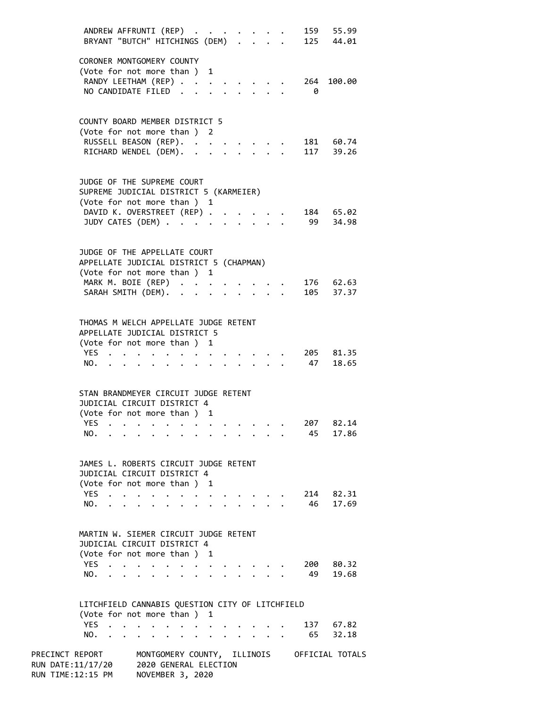|                                                                                                        | ANDREW AFFRUNTI (REP)<br>BRYANT "BUTCH" HITCHINGS (DEM)                        |                               |                             |                                                                                                                 |           |                      |                                              |           |                                                           |                           |  |            | 159 55.99<br>125 44.01 |
|--------------------------------------------------------------------------------------------------------|--------------------------------------------------------------------------------|-------------------------------|-----------------------------|-----------------------------------------------------------------------------------------------------------------|-----------|----------------------|----------------------------------------------|-----------|-----------------------------------------------------------|---------------------------|--|------------|------------------------|
|                                                                                                        | CORONER MONTGOMERY COUNTY<br>(Vote for not more than ) 1                       |                               |                             |                                                                                                                 |           |                      |                                              |           |                                                           |                           |  |            |                        |
|                                                                                                        | RANDY LEETHAM (REP)<br>NO CANDIDATE FILED.                                     |                               |                             |                                                                                                                 |           |                      |                                              |           |                                                           |                           |  | 264<br>- 0 | 100.00                 |
|                                                                                                        | COUNTY BOARD MEMBER DISTRICT 5<br>(Vote for not more than ) 2                  |                               |                             |                                                                                                                 |           |                      |                                              |           |                                                           |                           |  |            |                        |
|                                                                                                        | RUSSELL BEASON (REP). .<br>RICHARD WENDEL (DEM).                               |                               |                             |                                                                                                                 |           | $\ddot{\phantom{a}}$ |                                              | $\ddotsc$ |                                                           |                           |  |            | 181 60.74<br>117 39.26 |
|                                                                                                        | JUDGE OF THE SUPREME COURT<br>SUPREME JUDICIAL DISTRICT 5 (KARMEIER)           |                               |                             |                                                                                                                 |           |                      |                                              |           |                                                           |                           |  |            |                        |
|                                                                                                        | (Vote for not more than ) 1                                                    |                               |                             |                                                                                                                 |           |                      |                                              |           |                                                           |                           |  |            |                        |
|                                                                                                        | DAVID K. OVERSTREET (REP)<br>JUDY CATES (DEM)                                  |                               |                             |                                                                                                                 |           |                      |                                              |           |                                                           |                           |  |            | 184 65.02<br>99 34.98  |
|                                                                                                        | JUDGE OF THE APPELLATE COURT<br>APPELLATE JUDICIAL DISTRICT 5 (CHAPMAN)        |                               |                             |                                                                                                                 |           |                      |                                              |           |                                                           |                           |  |            |                        |
|                                                                                                        | (Vote for not more than ) 1                                                    |                               |                             |                                                                                                                 |           |                      |                                              |           |                                                           |                           |  |            |                        |
|                                                                                                        | MARK M. BOIE (REP)<br>SARAH SMITH (DEM).                                       |                               |                             |                                                                                                                 |           |                      |                                              |           | $\mathbf{r}$ , $\mathbf{r}$ , $\mathbf{r}$ , $\mathbf{r}$ |                           |  |            | 176 62.63<br>105 37.37 |
|                                                                                                        | THOMAS M WELCH APPELLATE JUDGE RETENT<br>APPELLATE JUDICIAL DISTRICT 5         |                               |                             |                                                                                                                 |           |                      |                                              |           |                                                           |                           |  |            |                        |
|                                                                                                        | (Vote for not more than ) 1<br>YES                                             |                               |                             |                                                                                                                 |           |                      |                                              |           |                                                           |                           |  |            | 205 81.35              |
|                                                                                                        | NO.                                                                            |                               | $\sim$ $\sim$ $\sim$ $\sim$ | $\bullet$                                                                                                       | $\bullet$ |                      | $\ddot{\phantom{0}}$<br>$\ddot{\phantom{0}}$ |           |                                                           |                           |  | 47         | 18.65                  |
|                                                                                                        | STAN BRANDMEYER CIRCUIT JUDGE RETENT                                           |                               |                             |                                                                                                                 |           |                      |                                              |           |                                                           |                           |  |            |                        |
|                                                                                                        | JUDICIAL CIRCUIT DISTRICT 4                                                    |                               |                             |                                                                                                                 |           |                      |                                              |           |                                                           |                           |  |            |                        |
|                                                                                                        | (Vote for not more than ) 1<br>$YFS$                                           |                               |                             |                                                                                                                 |           |                      |                                              |           |                                                           |                           |  | 207        | 82.14                  |
|                                                                                                        | NO.                                                                            |                               |                             | the contract of the contract of the contract of the contract of the contract of the contract of the contract of |           |                      |                                              |           |                                                           |                           |  | 45         | 17.86                  |
|                                                                                                        | JAMES L. ROBERTS CIRCUIT JUDGE RETENT<br>JUDICIAL CIRCUIT DISTRICT 4           |                               |                             |                                                                                                                 |           |                      |                                              |           |                                                           |                           |  |            |                        |
|                                                                                                        | (Vote for not more than ) 1                                                    |                               |                             |                                                                                                                 |           |                      |                                              |           |                                                           |                           |  |            |                        |
|                                                                                                        | YES<br>NO.                                                                     | $\mathbf{r} = \mathbf{r}$     |                             |                                                                                                                 |           | $\cdot$              | $\bullet$                                    | $\bullet$ | $\bullet$ , $\bullet$ , $\bullet$ , $\bullet$ , $\bullet$ | $\ddot{\phantom{0}}$      |  |            | 214 82.31<br>46 17.69  |
|                                                                                                        | MARTIN W. SIEMER CIRCUIT JUDGE RETENT<br>JUDICIAL CIRCUIT DISTRICT 4           |                               |                             |                                                                                                                 |           |                      |                                              |           |                                                           |                           |  |            |                        |
|                                                                                                        | (Vote for not more than ) 1                                                    |                               |                             |                                                                                                                 |           |                      |                                              |           |                                                           |                           |  |            |                        |
|                                                                                                        | YES<br>NO.                                                                     | $\mathbf{r}$ and $\mathbf{r}$ |                             |                                                                                                                 |           |                      |                                              |           |                                                           | $\mathbf{r} = \mathbf{r}$ |  | 200<br>49  | 80.32<br>19.68         |
|                                                                                                        | LITCHFIELD CANNABIS QUESTION CITY OF LITCHFIELD<br>(Vote for not more than ) 1 |                               |                             |                                                                                                                 |           |                      |                                              |           |                                                           |                           |  |            |                        |
|                                                                                                        | YES.<br>NO.                                                                    |                               |                             | the contract of the contract of the contract of the contract of the contract of the contract of the contract of |           |                      |                                              |           |                                                           |                           |  |            | 137 67.82<br>65 32.18  |
| PRECINCT REPORT MONTGOMERY COUNTY, ILLINOIS OFFICIAL TOTALS<br>RUN DATE:11/17/20 2020 GENERAL ELECTION |                                                                                |                               |                             |                                                                                                                 |           |                      |                                              |           |                                                           |                           |  |            |                        |

RUN TIME:12:15 PM NOVEMBER 3, 2020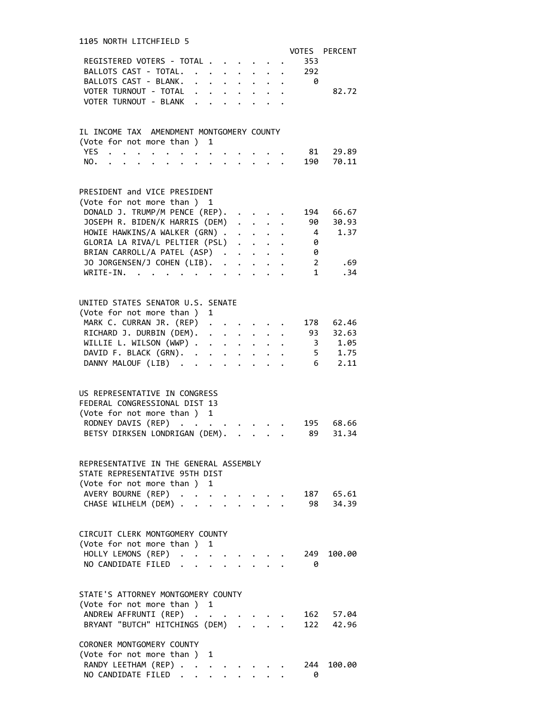| 1105 NORTH LITCHFIELD 5<br>REGISTERED VOTERS - TOTAL<br>BALLOTS CAST - TOTAL. .<br>$\ddot{\phantom{0}}$<br>$\ddot{\phantom{a}}$<br>$\ddot{\phantom{0}}$<br>$\ddot{\phantom{a}}$<br>$\sim$                                                                 | VOTES PERCENT<br>353<br>292                 |                        |
|-----------------------------------------------------------------------------------------------------------------------------------------------------------------------------------------------------------------------------------------------------------|---------------------------------------------|------------------------|
| BALLOTS CAST - BLANK.<br>$\mathbf{L}^{\text{max}}$<br>$\mathbf{A}$ and $\mathbf{A}$ and $\mathbf{A}$<br>$\mathbf{r}$<br>$\mathbf{L}$<br>VOTER TURNOUT - TOTAL<br>$\cdot$ $\cdot$ $\cdot$ $\cdot$ $\cdot$<br>$\ddot{\phantom{0}}$<br>VOTER TURNOUT - BLANK | - 0                                         | 82.72                  |
| IL INCOME TAX AMENDMENT MONTGOMERY COUNTY<br>(Vote for not more than ) 1                                                                                                                                                                                  |                                             |                        |
| YES.<br>NO.<br>$\mathbf{L}^{\text{max}}$                                                                                                                                                                                                                  | 81<br>190                                   | 29.89<br>70.11         |
| PRESIDENT and VICE PRESIDENT<br>(Vote for not more than ) 1                                                                                                                                                                                               |                                             |                        |
| DONALD J. TRUMP/M PENCE (REP).<br>$\ddot{\phantom{0}}$<br>JOSEPH R. BIDEN/K HARRIS (DEM)<br>$\mathbf{L} = \mathbf{L}$<br>HOWIE HAWKINS/A WALKER (GRN) .<br>$\mathbf{r} = \mathbf{r} + \mathbf{r}$ , where $\mathbf{r}$                                    | 194<br>90<br>4                              | 66.67<br>30.93<br>1.37 |
| GLORIA LA RIVA/L PELTIER (PSL)<br>BRIAN CARROLL/A PATEL (ASP)                                                                                                                                                                                             | 0<br>0                                      |                        |
| JO JORGENSEN/J COHEN (LIB).<br>$\mathbf{L}^{\text{max}}$<br>WRITE-IN.<br>$\mathcal{A}$ , and $\mathcal{A}$ , and $\mathcal{A}$ , and $\mathcal{A}$<br>$\mathbf{r} = \mathbf{r} - \mathbf{r}$<br>$\ddot{\phantom{a}}$<br>$\ddot{\phantom{a}}$              | $2 \left( \frac{1}{2} \right)$<br>$1 \quad$ | .69<br>.34             |
| UNITED STATES SENATOR U.S. SENATE<br>(Vote for not more than)<br>1                                                                                                                                                                                        |                                             |                        |
| MARK C. CURRAN JR. (REP)<br>$\mathbf{r} = \mathbf{r} + \mathbf{r} + \mathbf{r}$ .<br>RICHARD J. DURBIN (DEM).<br>$\cdot$ $\cdot$ $\cdot$ $\cdot$ $\cdot$ $\cdot$<br>WILLIE L. WILSON (WWP)                                                                | 178<br>93 32.63                             | 62.46<br>3 1.05        |
| DAVID F. BLACK (GRN).<br>DANNY MALOUF (LIB)<br>$\sim 100$ km s $^{-1}$<br>$\mathbf{r} = \mathbf{r} + \mathbf{r}$ .                                                                                                                                        |                                             | 5 1.75<br>6 2.11       |
| US REPRESENTATIVE IN CONGRESS                                                                                                                                                                                                                             |                                             |                        |
| FEDERAL CONGRESSIONAL DIST 13<br>(Vote for not more than ) 1<br>RODNEY DAVIS (REP)<br>$\sim$ $\sim$                                                                                                                                                       | 195                                         | 68.66                  |
| BETSY DIRKSEN LONDRIGAN (DEM).<br>$\ddotsc$<br>$\ddot{\phantom{0}}$                                                                                                                                                                                       | 89                                          | 31.34                  |
| REPRESENTATIVE IN THE GENERAL ASSEMBLY<br>STATE REPRESENTATIVE 95TH DIST                                                                                                                                                                                  |                                             |                        |
| (Vote for not more than ) 1<br>AVERY BOURNE (REP)<br>$\ddot{\phantom{0}}$<br>CHASE WILHELM (DEM)                                                                                                                                                          | 98 34.39                                    | 187 65.61              |
| CIRCUIT CLERK MONTGOMERY COUNTY<br>(Vote for not more than)<br>1                                                                                                                                                                                          |                                             |                        |
| HOLLY LEMONS (REP)<br>NO CANDIDATE FILED                                                                                                                                                                                                                  | 249<br>0                                    | 100.00                 |
| STATE'S ATTORNEY MONTGOMERY COUNTY<br>(Vote for not more than)<br>1                                                                                                                                                                                       |                                             |                        |
| ANDREW AFFRUNTI (REP)<br>BRYANT "BUTCH" HITCHINGS (DEM)                                                                                                                                                                                                   | 162 57.04                                   | 122 42.96              |
| CORONER MONTGOMERY COUNTY<br>(Vote for not more than )<br>1                                                                                                                                                                                               |                                             |                        |
| RANDY LEETHAM (REP)<br>NO CANDIDATE FILED.<br>$\ddot{\phantom{0}}$                                                                                                                                                                                        | 244<br>0                                    | 100.00                 |

# 1105 NORTH LITCHFIELD 5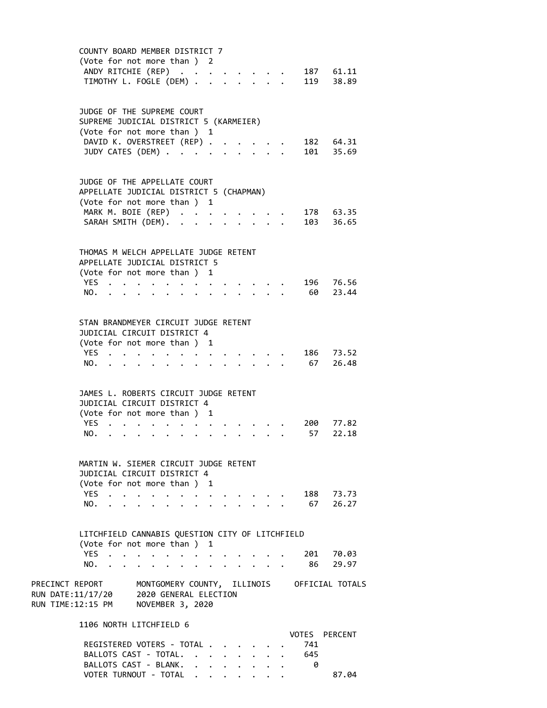| COUNTY BOARD MEMBER DISTRICT 7<br>(Vote for not more than ) 2<br>ANDY RITCHIE (REP)<br>187 61.11<br>119 38.89<br>TIMOTHY L. FOGLE (DEM) .                                                                                                                                                                                                                           |  |
|---------------------------------------------------------------------------------------------------------------------------------------------------------------------------------------------------------------------------------------------------------------------------------------------------------------------------------------------------------------------|--|
| JUDGE OF THE SUPREME COURT<br>SUPREME JUDICIAL DISTRICT 5 (KARMEIER)<br>(Vote for not more than ) 1<br>DAVID K. OVERSTREET (REP).<br>182 64.31<br>JUDY CATES (DEM)<br>101 35.69                                                                                                                                                                                     |  |
| JUDGE OF THE APPELLATE COURT<br>APPELLATE JUDICIAL DISTRICT 5 (CHAPMAN)<br>(Vote for not more than ) 1<br>MARK M. BOIE (REP)<br>178 63.35<br>SARAH SMITH (DEM).<br>103 36.65                                                                                                                                                                                        |  |
| THOMAS M WELCH APPELLATE JUDGE RETENT<br>APPELLATE JUDICIAL DISTRICT 5<br>(Vote for not more than ) 1<br>196 76.56<br>YES<br>$\ddot{\phantom{0}}$<br>60<br>23.44<br>NO.<br>$\mathbf{r} = \mathbf{r} \cdot \mathbf{r}$ .<br>$\bullet$                                                                                                                                |  |
| STAN BRANDMEYER CIRCUIT JUDGE RETENT<br>JUDICIAL CIRCUIT DISTRICT 4<br>(Vote for not more than ) 1<br>YES<br>186 73.52<br>$\mathbf{z} = \mathbf{z} + \mathbf{z}$<br>67<br>26.48<br>NO.<br>$\mathbf{L} = \mathbf{L} \mathbf{L}$<br>$\cdot$ $\cdot$ $\cdot$<br>$\ddot{\phantom{0}}$                                                                                   |  |
| JAMES L. ROBERTS CIRCUIT JUDGE RETENT<br>JUDICIAL CIRCUIT DISTRICT 4<br>(Vote for not more than ) 1<br>YES<br>200 77.82<br>57<br>22.18<br>NO.                                                                                                                                                                                                                       |  |
| MARTIN W. SIEMER CIRCUIT JUDGE RETENT<br>JUDICIAL CIRCUIT DISTRICT 4<br>(Vote for not more than ) 1<br>YES<br>188 73.73<br>$\ddot{\phantom{a}}$<br>$\ddot{\phantom{a}}$<br>$\cdot$ $\cdot$ $\cdot$<br>$\cdot$ $\cdot$ $\cdot$ $\cdot$<br>$\bullet$ . The set of $\bullet$<br>67 26.27<br>NO.<br>$\mathbf{r} = \mathbf{r}$<br>$\mathbf{r} = \mathbf{r} - \mathbf{r}$ |  |
| LITCHFIELD CANNABIS QUESTION CITY OF LITCHFIELD<br>(Vote for not more than)<br>1<br>YES<br>201 70.03<br>86<br>29.97<br>NO.                                                                                                                                                                                                                                          |  |
| PRECINCT REPORT<br>MONTGOMERY COUNTY, ILLINOIS OFFICIAL TOTALS<br>RUN DATE:11/17/20 2020 GENERAL ELECTION<br>RUN TIME:12:15 PM NOVEMBER 3, 2020                                                                                                                                                                                                                     |  |
| 1106 NORTH LITCHFIELD 6<br>VOTES PERCENT<br>REGISTERED VOTERS - TOTAL<br>741<br>BALLOTS CAST - TOTAL.<br>645<br>$\mathbf{r}$<br>BALLOTS CAST - BLANK.<br>0                                                                                                                                                                                                          |  |

VOTER TURNOUT - TOTAL . . . . . . . 87.04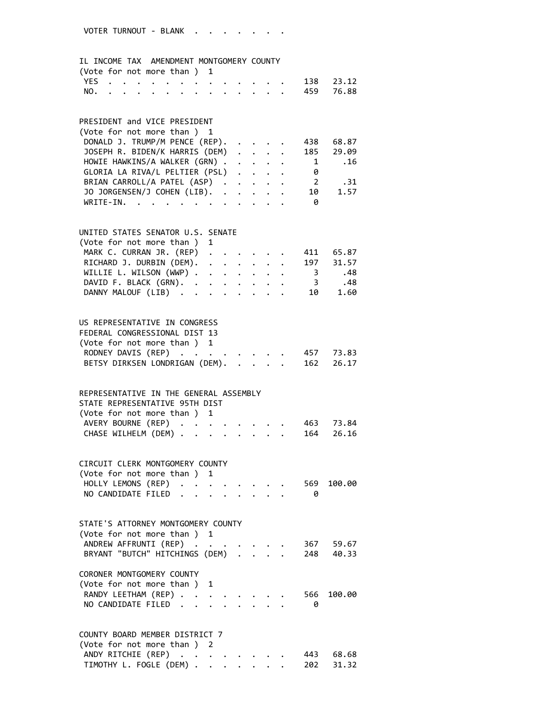# IL INCOME TAX AMENDMENT MONTGOMERY COUNTY

| (Vote for not more than ) 1 |  |  |  |  |  |  |               |  |
|-----------------------------|--|--|--|--|--|--|---------------|--|
|                             |  |  |  |  |  |  | YES 138 23.12 |  |
|                             |  |  |  |  |  |  | NO. 459 76.88 |  |

# PRESIDENT and VICE PRESIDENT<br>(Vote for not more than ) 1

| (Vote for not more than) 1               |  |  |                |       |
|------------------------------------------|--|--|----------------|-------|
| DONALD J. TRUMP/M PENCE (REP).           |  |  | 438            | 68.87 |
| JOSEPH R. BIDEN/K HARRIS (DEM) 185 29.09 |  |  |                |       |
| HOWIE HAWKINS/A WALKER (GRN) 1 .16       |  |  |                |       |
| GLORIA LA RIVA/L PELTIER (PSL)           |  |  | 0              |       |
| BRIAN CARROLL/A PATEL (ASP)              |  |  | $\overline{2}$ | .31   |
| JO JORGENSEN/J COHEN (LIB). 10 1.57      |  |  |                |       |
| WRITE-IN.                                |  |  | 0              |       |

### UNITED STATES SENATOR U.S. SENATE

| (Vote for not more than) 1         |  |  |  |     |
|------------------------------------|--|--|--|-----|
| MARK C. CURRAN JR. (REP) 411 65.87 |  |  |  |     |
| RICHARD J. DURBIN (DEM). 197 31.57 |  |  |  |     |
| WILLIE L. WILSON (WWP) 3           |  |  |  | .48 |
| DAVID F. BLACK (GRN). 3            |  |  |  | .48 |
| DANNY MALOUF (LIB) 10 1.60         |  |  |  |     |

# US REPRESENTATIVE IN CONGRESS FEDERAL CONGRESSIONAL DIST 13 (Vote for not more than ) 1 RODNEY DAVIS (REP) . . . . . . . . 457 73.83 BETSY DIRKSEN LONDRIGAN (DEM). . . . . 162 26.17

| REPRESENTATIVE IN THE GENERAL ASSEMBLY |                               |  |  |  |  |  |
|----------------------------------------|-------------------------------|--|--|--|--|--|
| STATE REPRESENTATIVE 95TH DIST         |                               |  |  |  |  |  |
| (Vote for not more than) 1             |                               |  |  |  |  |  |
|                                        | AVERY BOURNE (REP) 463 73.84  |  |  |  |  |  |
|                                        | CHASE WILHELM (DEM) 164 26.16 |  |  |  |  |  |
|                                        |                               |  |  |  |  |  |

### CIRCUIT CLERK MONTGOMERY COUNTY (Vote for not more than ) 1 HOLLY LEMONS (REP) . . . . . . . . 569 100.00

|  | NO CANDIDATE FILED |  |  |  |  |  |  |
|--|--------------------|--|--|--|--|--|--|

# STATE'S ATTORNEY MONTGOMERY COUNTY (Vote for not more than ) 1 ANDREW AFFRUNTI (REP) . . . . . . . 367 59.67

| CORONER MONTGOMERY COUNTY |                            |  |  |                                                                                       |
|---------------------------|----------------------------|--|--|---------------------------------------------------------------------------------------|
|                           |                            |  |  |                                                                                       |
|                           |                            |  |  | 566 100.00                                                                            |
|                           |                            |  |  |                                                                                       |
|                           | (Vote for not more than) 1 |  |  | BRYANT "BUTCH" HITCHINGS (DEM) 248 40.33<br>RANDY LEETHAM (REP)<br>NO CANDIDATE FILED |

| COUNTY BOARD MEMBER DISTRICT 7   |  |  |  |  |
|----------------------------------|--|--|--|--|
| (Vote for not more than ) 2      |  |  |  |  |
| ANDY RITCHIE (REP) 443 68.68     |  |  |  |  |
| TIMOTHY L. FOGLE (DEM) 202 31.32 |  |  |  |  |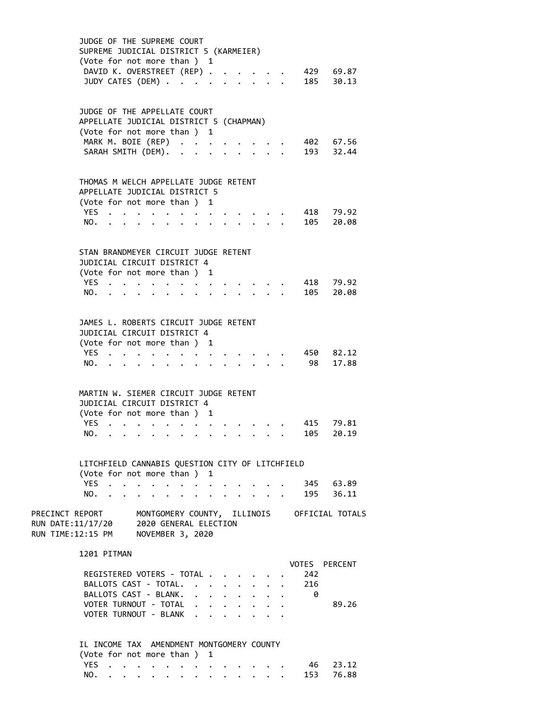|                                                                                                  | JUDGE OF THE SUPREME COURT<br>SUPREME JUDICIAL DISTRICT 5 (KARMEIER)<br>(Vote for not more than ) 1 |                                               |                      |                                                                       |                      |   |  |                                                 |  |     |                                             |  |
|--------------------------------------------------------------------------------------------------|-----------------------------------------------------------------------------------------------------|-----------------------------------------------|----------------------|-----------------------------------------------------------------------|----------------------|---|--|-------------------------------------------------|--|-----|---------------------------------------------|--|
|                                                                                                  |                                                                                                     | DAVID K. OVERSTREET (REP)<br>JUDY CATES (DEM) |                      |                                                                       |                      |   |  |                                                 |  |     | 429 69.87<br>185 30.13                      |  |
|                                                                                                  | JUDGE OF THE APPELLATE COURT<br>APPELLATE JUDICIAL DISTRICT 5 (CHAPMAN)                             |                                               |                      |                                                                       |                      |   |  |                                                 |  |     |                                             |  |
|                                                                                                  | (Vote for not more than ) 1                                                                         |                                               |                      |                                                                       |                      |   |  |                                                 |  |     |                                             |  |
|                                                                                                  | MARK M. BOIE (REP)                                                                                  |                                               |                      |                                                                       |                      |   |  |                                                 |  |     | 402 67.56                                   |  |
|                                                                                                  |                                                                                                     | SARAH SMITH (DEM). .                          |                      |                                                                       |                      |   |  |                                                 |  |     | 193 32.44                                   |  |
|                                                                                                  | THOMAS M WELCH APPELLATE JUDGE RETENT<br>APPELLATE JUDICIAL DISTRICT 5                              |                                               |                      |                                                                       |                      |   |  |                                                 |  |     |                                             |  |
|                                                                                                  | (Vote for not more than ) 1                                                                         |                                               |                      |                                                                       |                      |   |  |                                                 |  |     |                                             |  |
|                                                                                                  | YES $\cdot \cdot \cdot \cdot \cdot$                                                                 |                                               |                      |                                                                       |                      |   |  |                                                 |  |     | 418 79.92                                   |  |
|                                                                                                  | NO.                                                                                                 |                                               |                      |                                                                       |                      |   |  |                                                 |  |     | 105 20.08                                   |  |
|                                                                                                  | STAN BRANDMEYER CIRCUIT JUDGE RETENT                                                                |                                               |                      |                                                                       |                      |   |  |                                                 |  |     |                                             |  |
|                                                                                                  | JUDICIAL CIRCUIT DISTRICT 4                                                                         |                                               |                      |                                                                       |                      |   |  |                                                 |  |     |                                             |  |
|                                                                                                  | (Vote for not more than ) 1                                                                         |                                               |                      |                                                                       |                      |   |  |                                                 |  |     |                                             |  |
|                                                                                                  | YES                                                                                                 |                                               |                      |                                                                       |                      |   |  |                                                 |  |     | 418 79.92                                   |  |
|                                                                                                  | NO.                                                                                                 |                                               |                      |                                                                       |                      |   |  | $\cdot$ $\cdot$ $\cdot$ $\cdot$                 |  |     | 105 20.08                                   |  |
|                                                                                                  | JAMES L. ROBERTS CIRCUIT JUDGE RETENT                                                               |                                               |                      |                                                                       |                      |   |  |                                                 |  |     |                                             |  |
|                                                                                                  | JUDICIAL CIRCUIT DISTRICT 4                                                                         |                                               |                      |                                                                       |                      |   |  |                                                 |  |     |                                             |  |
|                                                                                                  | (Vote for not more than ) 1                                                                         |                                               |                      |                                                                       |                      |   |  |                                                 |  |     |                                             |  |
|                                                                                                  | YES                                                                                                 |                                               |                      |                                                                       |                      |   |  | $\cdot$ $\cdot$ $\cdot$ $\cdot$ $\cdot$ $\cdot$ |  |     | 450 82.12                                   |  |
|                                                                                                  |                                                                                                     | NO.                                           |                      |                                                                       | $\ddot{\phantom{0}}$ |   |  | $\cdot$ $\cdot$ $\cdot$ $\cdot$ $\cdot$ $\cdot$ |  |     | 98 17.88                                    |  |
|                                                                                                  | MARTIN W. SIEMER CIRCUIT JUDGE RETENT                                                               |                                               |                      |                                                                       |                      |   |  |                                                 |  |     |                                             |  |
|                                                                                                  | JUDICIAL CIRCUIT DISTRICT 4                                                                         |                                               |                      |                                                                       |                      |   |  |                                                 |  |     |                                             |  |
|                                                                                                  | (Vote for not more than ) 1                                                                         |                                               |                      |                                                                       |                      |   |  |                                                 |  |     |                                             |  |
|                                                                                                  |                                                                                                     | YES                                           | $\ddot{\phantom{a}}$ | $\mathbf{r}$ , and $\mathbf{r}$ , and $\mathbf{r}$ , and $\mathbf{r}$ |                      |   |  |                                                 |  |     | 415 79.81                                   |  |
|                                                                                                  |                                                                                                     | NO.                                           |                      |                                                                       |                      | . |  |                                                 |  |     | 105 20.19                                   |  |
|                                                                                                  | LITCHFIELD CANNABIS QUESTION CITY OF LITCHFIELD                                                     |                                               |                      |                                                                       |                      |   |  |                                                 |  |     |                                             |  |
|                                                                                                  | (Vote for not more than ) 1                                                                         | YES                                           |                      |                                                                       |                      |   |  |                                                 |  |     | 345 63.89                                   |  |
|                                                                                                  | NO.                                                                                                 |                                               |                      |                                                                       | $\ddot{\phantom{0}}$ |   |  | $\ddot{\phantom{a}}$                            |  |     | 195 36.11                                   |  |
|                                                                                                  |                                                                                                     |                                               |                      |                                                                       |                      |   |  |                                                 |  |     |                                             |  |
| PRECINCT REPORT<br>RUN DATE:11/17/20 2020 GENERAL ELECTION<br>RUN TIME:12:15 PM NOVEMBER 3, 2020 |                                                                                                     |                                               |                      |                                                                       |                      |   |  |                                                 |  |     | MONTGOMERY COUNTY, ILLINOIS OFFICIAL TOTALS |  |
|                                                                                                  | 1201 PITMAN                                                                                         |                                               |                      |                                                                       |                      |   |  |                                                 |  |     | VOTES PERCENT                               |  |
|                                                                                                  |                                                                                                     | REGISTERED VOTERS - TOTAL                     |                      |                                                                       |                      |   |  |                                                 |  | 242 |                                             |  |
|                                                                                                  |                                                                                                     | BALLOTS CAST - TOTAL.                         |                      |                                                                       |                      |   |  |                                                 |  | 216 |                                             |  |
|                                                                                                  |                                                                                                     | BALLOTS CAST - BLANK.                         |                      |                                                                       |                      |   |  |                                                 |  | 0   |                                             |  |
|                                                                                                  |                                                                                                     | VOTER TURNOUT - TOTAL                         |                      |                                                                       |                      |   |  |                                                 |  |     | 89.26                                       |  |
|                                                                                                  |                                                                                                     | VOTER TURNOUT - BLANK                         |                      |                                                                       |                      |   |  |                                                 |  |     |                                             |  |
|                                                                                                  | IL INCOME TAX AMENDMENT MONTGOMERY COUNTY                                                           |                                               |                      |                                                                       |                      |   |  |                                                 |  |     |                                             |  |
|                                                                                                  | (Vote for not more than ) 1                                                                         |                                               |                      |                                                                       |                      |   |  |                                                 |  |     |                                             |  |
|                                                                                                  | YES                                                                                                 |                                               |                      |                                                                       |                      |   |  |                                                 |  |     | 46 23.12                                    |  |
|                                                                                                  |                                                                                                     | NO.                                           |                      |                                                                       |                      |   |  |                                                 |  |     | 153 76.88                                   |  |

NO. . . . . . . . . . . . . .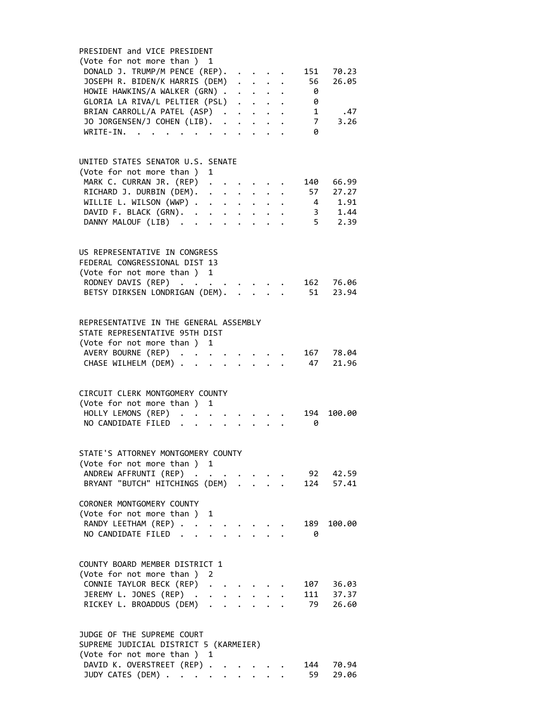| PRESIDENT and VICE PRESIDENT                                                                                      |
|-------------------------------------------------------------------------------------------------------------------|
| (Vote for not more than ) 1                                                                                       |
| DONALD J. TRUMP/M PENCE (REP).<br>70.23<br>151<br>$\mathbf{r} = \mathbf{r} + \mathbf{r}$                          |
| JOSEPH R. BIDEN/K HARRIS (DEM)<br>56<br>26.05                                                                     |
| HOWIE HAWKINS/A WALKER (GRN) .<br>0<br>$\mathbf{r} = \mathbf{r} + \mathbf{r} + \mathbf{r} + \mathbf{r}$           |
| GLORIA LA RIVA/L PELTIER (PSL)<br>0                                                                               |
| BRIAN CARROLL/A PATEL (ASP).<br>1<br>.47<br>$\mathbf{1}=\mathbf{1}=\mathbf{1}=\mathbf{1}=\mathbf{1}=\mathbf{1}$   |
| JO JORGENSEN/J COHEN (LIB).<br>7 <sup>7</sup><br>3.26                                                             |
| $\ddot{\phantom{0}}$                                                                                              |
| $WRITE-IN.$<br>0<br>$\sim$                                                                                        |
|                                                                                                                   |
|                                                                                                                   |
| UNITED STATES SENATOR U.S. SENATE                                                                                 |
| (Vote for not more than )<br>1                                                                                    |
| MARK C. CURRAN JR. (REP)<br>140<br>66.99                                                                          |
| RICHARD J. DURBIN (DEM).<br>57<br>27.27                                                                           |
| WILLIE L. WILSON (WWP) .<br>1.91<br>4<br>$\mathbf{r}$ , $\mathbf{r}$ , $\mathbf{r}$ , $\mathbf{r}$ , $\mathbf{r}$ |
| 3, 1.44<br>DAVID F. BLACK (GRN).                                                                                  |
| $5$ 2.39<br>DANNY MALOUF (LIB)<br>$\ddot{\phantom{0}}$                                                            |
|                                                                                                                   |
|                                                                                                                   |
|                                                                                                                   |
| US REPRESENTATIVE IN CONGRESS                                                                                     |
| FEDERAL CONGRESSIONAL DIST 13                                                                                     |
| (Vote for not more than ) 1                                                                                       |
| RODNEY DAVIS (REP).<br>162<br>76.06                                                                               |
| 51<br>BETSY DIRKSEN LONDRIGAN (DEM).<br>23.94                                                                     |
|                                                                                                                   |
|                                                                                                                   |
| REPRESENTATIVE IN THE GENERAL ASSEMBLY                                                                            |
|                                                                                                                   |
| STATE REPRESENTATIVE 95TH DIST                                                                                    |
| (Vote for not more than ) 1                                                                                       |
| AVERY BOURNE (REP)<br>78.04<br>167                                                                                |
| 47<br>CHASE WILHELM (DEM) .<br>21.96<br>$\ddot{\phantom{a}}$                                                      |
|                                                                                                                   |
|                                                                                                                   |
| CIRCUIT CLERK MONTGOMERY COUNTY                                                                                   |
| (Vote for not more than)<br>1                                                                                     |
| 194                                                                                                               |
| HOLLY LEMONS (REP)<br>100.00<br>$\ddot{\phantom{a}}$                                                              |
| NO CANDIDATE FILED<br>0                                                                                           |
|                                                                                                                   |
|                                                                                                                   |
| STATE'S ATTORNEY MONTGOMERY COUNTY                                                                                |
| (Vote for not more than ) 1                                                                                       |
| ANDREW AFFRUNTI (REP)<br>92<br>42.59                                                                              |
| BRYANT "BUTCH" HITCHINGS (DEM)<br>57.41<br>124                                                                    |
|                                                                                                                   |
| CORONER MONTGOMERY COUNTY                                                                                         |
|                                                                                                                   |
| (Vote for not more than)<br>1                                                                                     |
| RANDY LEETHAM (REP) .<br>189<br>100.00                                                                            |
| NO CANDIDATE FILED.<br>0                                                                                          |
|                                                                                                                   |
|                                                                                                                   |
| COUNTY BOARD MEMBER DISTRICT 1                                                                                    |
| (Vote for not more than)<br>2                                                                                     |
| CONNIE TAYLOR BECK (REP)<br>107<br>36.03<br>$\ddot{\phantom{a}}$                                                  |
| JEREMY L. JONES (REP) .<br>111<br>37.37                                                                           |
| 79<br>26.60                                                                                                       |
| RICKEY L. BROADDUS (DEM)                                                                                          |
|                                                                                                                   |
|                                                                                                                   |
| JUDGE OF THE SUPREME COURT                                                                                        |
| SUPREME JUDICIAL DISTRICT 5 (KARMEIER)                                                                            |
| (Vote for not more than ) 1                                                                                       |
| DAVID K. OVERSTREET (REP).<br>144<br>70.94                                                                        |

JUDY CATES (DEM) . . . . . . . . . 59 29.06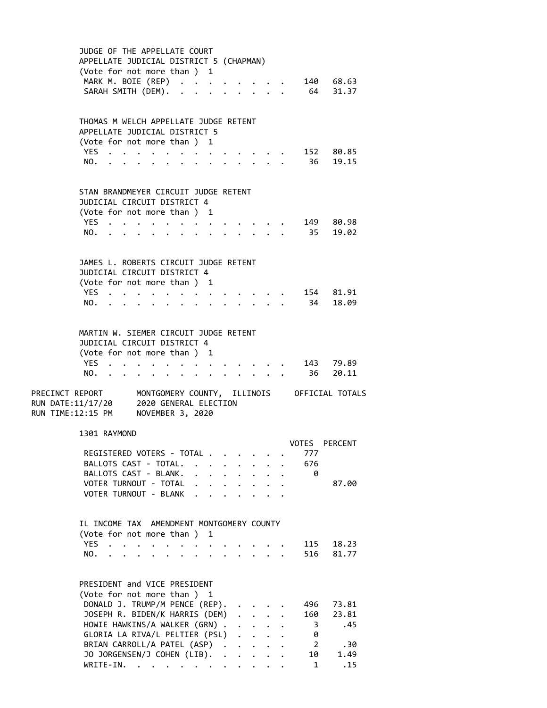|                                                              | APPELLATE JUDICIAL DISTRICT 5 (CHAPMAN)                                | JUDGE OF THE APPELLATE COURT<br>(Vote for not more than ) 1                                       |                  |                               |                                      |              |              |                                              |                                      |  |                           |                                                             |
|--------------------------------------------------------------|------------------------------------------------------------------------|---------------------------------------------------------------------------------------------------|------------------|-------------------------------|--------------------------------------|--------------|--------------|----------------------------------------------|--------------------------------------|--|---------------------------|-------------------------------------------------------------|
|                                                              |                                                                        | MARK M. BOIE (REP)<br>SARAH SMITH (DEM).                                                          |                  |                               |                                      |              |              |                                              |                                      |  |                           | 140 68.63<br>64 31.37                                       |
|                                                              | THOMAS M WELCH APPELLATE JUDGE RETENT<br>APPELLATE JUDICIAL DISTRICT 5 | (Vote for not more than) 1                                                                        |                  |                               |                                      |              |              |                                              |                                      |  |                           |                                                             |
|                                                              | NO.                                                                    | YES                                                                                               |                  | $\bullet$ $\bullet$ $\bullet$ |                                      |              |              |                                              |                                      |  |                           | 152 80.85<br>36 19.15                                       |
|                                                              | STAN BRANDMEYER CIRCUIT JUDGE RETENT                                   | JUDICIAL CIRCUIT DISTRICT 4<br>(Vote for not more than ) 1                                        |                  |                               |                                      |              |              |                                              |                                      |  |                           |                                                             |
|                                                              | YES.<br>NO.                                                            |                                                                                                   |                  |                               |                                      |              |              |                                              |                                      |  |                           | 149 80.98<br>35 19.02                                       |
|                                                              |                                                                        | JAMES L. ROBERTS CIRCUIT JUDGE RETENT<br>JUDICIAL CIRCUIT DISTRICT 4                              |                  |                               |                                      |              |              |                                              |                                      |  |                           |                                                             |
|                                                              | YES.<br>NO.                                                            | (Vote for not more than ) 1<br>$\sim$ $\sim$ $\sim$                                               |                  |                               |                                      |              |              |                                              |                                      |  |                           | 154 81.91<br>34 18.09                                       |
|                                                              | MARTIN W. SIEMER CIRCUIT JUDGE RETENT                                  | JUDICIAL CIRCUIT DISTRICT 4<br>(Vote for not more than ) 1                                        |                  |                               |                                      |              |              |                                              |                                      |  |                           |                                                             |
|                                                              | YES.<br>NO.                                                            |                                                                                                   |                  |                               |                                      |              |              |                                              |                                      |  |                           | 143 79.89<br>36 20.11                                       |
| RUN DATE:11/17/20 2020 GENERAL ELECTION<br>RUN TIME:12:15 PM |                                                                        |                                                                                                   | NOVEMBER 3, 2020 |                               |                                      |              |              |                                              |                                      |  |                           | PRECINCT REPORT MONTGOMERY COUNTY, ILLINOIS OFFICIAL TOTALS |
|                                                              |                                                                        | 1301 RAYMOND                                                                                      |                  |                               |                                      |              |              |                                              |                                      |  | VOTES                     | <b>PERCENT</b>                                              |
|                                                              |                                                                        | REGISTERED VOTERS - TOTAL .<br>BALLOTS CAST - TOTAL.<br>BALLOTS CAST - BLANK.                     |                  |                               |                                      | $\ddotsc$    | $\mathbf{A}$ | $\ddot{\phantom{0}}$                         |                                      |  | 777<br>676<br>0           |                                                             |
|                                                              |                                                                        | VOTER TURNOUT - TOTAL<br>VOTER TURNOUT - BLANK                                                    |                  |                               | $\ddot{\phantom{0}}$<br>$\mathbf{L}$ | $\mathbf{r}$ | $\mathbf{r}$ | $\mathbf{r}$                                 |                                      |  |                           | 87.00                                                       |
|                                                              | <b>YES</b>                                                             | IL INCOME TAX AMENDMENT MONTGOMERY COUNTY<br>(Vote for not more than ) 1<br>$\sim$ $\sim$         |                  |                               |                                      |              |              |                                              |                                      |  | 115                       | 18.23                                                       |
|                                                              | NO.                                                                    |                                                                                                   |                  |                               |                                      |              |              |                                              |                                      |  | 516                       | 81.77                                                       |
|                                                              |                                                                        | PRESIDENT and VICE PRESIDENT<br>(Vote for not more than ) 1<br>DONALD J. TRUMP/M PENCE (REP).     |                  |                               |                                      |              |              |                                              |                                      |  | 496                       | 73.81                                                       |
|                                                              |                                                                        | JOSEPH R. BIDEN/K HARRIS (DEM)<br>HOWIE HAWKINS/A WALKER (GRN).<br>GLORIA LA RIVA/L PELTIER (PSL) |                  |                               |                                      |              |              | $\ddot{\phantom{0}}$<br>$\mathbf{r}$         | $\ddot{\phantom{a}}$<br>$\mathbf{r}$ |  | 160<br>3<br>0             | 23.81<br>.45                                                |
|                                                              |                                                                        | BRIAN CARROLL/A PATEL (ASP).<br>JO JORGENSEN/J COHEN (LIB). .<br>WRITE-IN.                        |                  |                               |                                      |              |              | $\ddot{\phantom{0}}$<br>$\ddot{\phantom{a}}$ | $\mathbf{r}$                         |  | $\overline{2}$<br>10<br>1 | .30<br>1.49<br>.15                                          |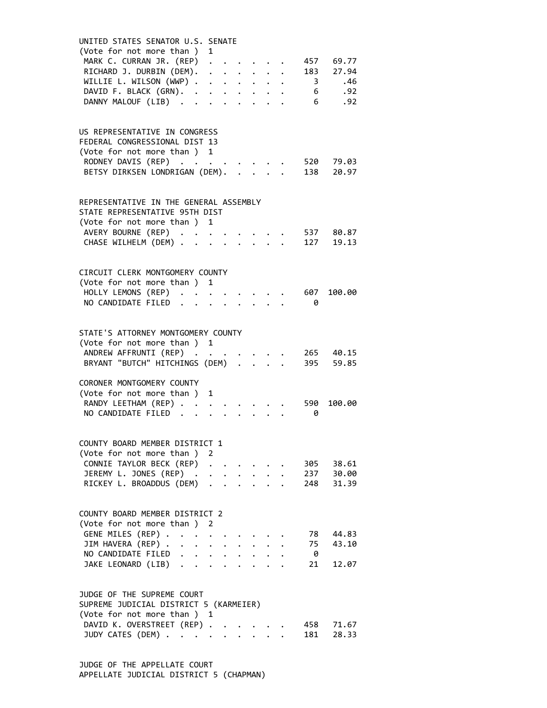| UNITED STATES SENATOR U.S. SENATE<br>(Vote for not more than ) 1<br>MARK C. CURRAN JR. (REP)<br>RICHARD J. DURBIN (DEM).<br>WILLIE L. WILSON (WWP) .<br>DAVID F. BLACK (GRN). .<br>DANNY MALOUF (LIB)          | $\ddot{\phantom{a}}$<br>$\ddot{\phantom{0}}$<br>$\ddot{\phantom{0}}$      | $\ddot{\bullet}$ . The contract of the contract of the contract of the contract of the contract of the contract of the contract of the contract of the contract of the contract of the contract of the contract of the contract of th |  | $6\overline{6}$            | 457 69.77<br>183 27.94<br>3 .46<br>6 .92<br>.92 |
|----------------------------------------------------------------------------------------------------------------------------------------------------------------------------------------------------------------|---------------------------------------------------------------------------|---------------------------------------------------------------------------------------------------------------------------------------------------------------------------------------------------------------------------------------|--|----------------------------|-------------------------------------------------|
| US REPRESENTATIVE IN CONGRESS<br>FEDERAL CONGRESSIONAL DIST 13<br>(Vote for not more than ) 1<br>RODNEY DAVIS (REP)<br>BETSY DIRKSEN LONDRIGAN (DEM).                                                          |                                                                           |                                                                                                                                                                                                                                       |  |                            | 520 79.03<br>138 20.97                          |
| REPRESENTATIVE IN THE GENERAL ASSEMBLY<br>STATE REPRESENTATIVE 95TH DIST<br>(Vote for not more than ) 1<br>AVERY BOURNE (REP)<br>CHASE WILHELM (DEM) .                                                         |                                                                           |                                                                                                                                                                                                                                       |  |                            | 537       80.87<br>127      19.13               |
| CIRCUIT CLERK MONTGOMERY COUNTY<br>(Vote for not more than ) 1<br>HOLLY LEMONS (REP) .<br>NO CANDIDATE FILED.                                                                                                  |                                                                           |                                                                                                                                                                                                                                       |  | 607<br>0                   | 100.00                                          |
| STATE'S ATTORNEY MONTGOMERY COUNTY<br>(Vote for not more than ) 1<br>ANDREW AFFRUNTI (REP)<br>BRYANT "BUTCH" HITCHINGS (DEM) .<br>CORONER MONTGOMERY COUNTY                                                    |                                                                           |                                                                                                                                                                                                                                       |  |                            | 265 40.15<br>395 59.85                          |
| (Vote for not more than)<br>RANDY LEETHAM (REP)<br>NO CANDIDATE FILED.                                                                                                                                         | 1                                                                         |                                                                                                                                                                                                                                       |  | 590<br>0                   | 100.00                                          |
| COUNTY BOARD MEMBER DISTRICT 1<br>(Vote for not more than ) 2<br>CONNIE TAYLOR BECK (REP)<br>JEREMY L. JONES (REP) .<br>RICKEY L. BROADDUS (DEM)                                                               |                                                                           |                                                                                                                                                                                                                                       |  | 305<br>237<br>248          | 38.61<br>30.00<br>31.39                         |
| COUNTY BOARD MEMBER DISTRICT 2<br>(Vote for not more than )<br>GENE MILES (REP) .<br>$\sim$<br>$\ddot{\phantom{a}}$<br>JIM HAVERA (REP)<br>$\sim$<br>NO CANDIDATE FILED.<br>$\mathbf{L}$<br>JAKE LEONARD (LIB) | 2<br>$\ddot{\phantom{0}}$<br>$\ddot{\phantom{a}}$<br>$\ddot{\phantom{a}}$ |                                                                                                                                                                                                                                       |  | 78<br>75<br>$\theta$<br>21 | 44.83<br>43.10<br>12.07                         |
| JUDGE OF THE SUPREME COURT<br>SUPREME JUDICIAL DISTRICT 5 (KARMEIER)<br>(Vote for not more than ) 1<br>DAVID K. OVERSTREET (REP)<br>JUDY CATES (DEM)                                                           | $\ddot{\phantom{a}}$                                                      |                                                                                                                                                                                                                                       |  | 181                        | 458 71.67<br>28.33                              |

 JUDGE OF THE APPELLATE COURT APPELLATE JUDICIAL DISTRICT 5 (CHAPMAN)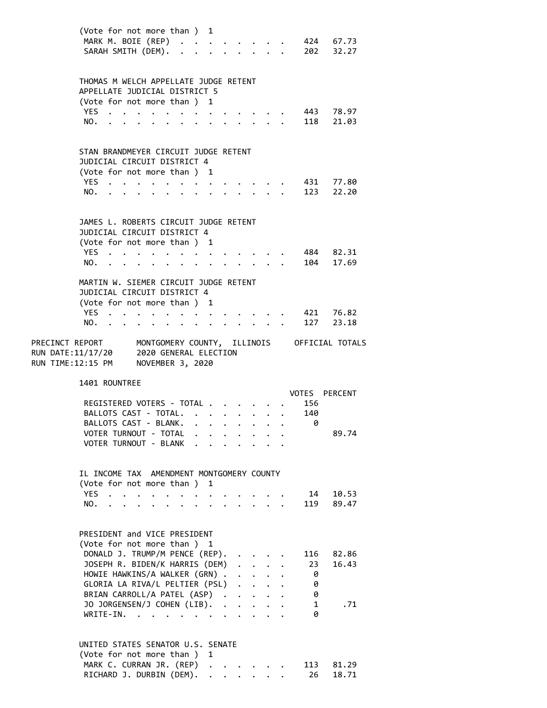|                                    |                                                      |                | (Vote for not more than ) 1                                                                    |                      |           |                                 |                      |                      |                      |                      |                                             |
|------------------------------------|------------------------------------------------------|----------------|------------------------------------------------------------------------------------------------|----------------------|-----------|---------------------------------|----------------------|----------------------|----------------------|----------------------|---------------------------------------------|
|                                    | MARK M. BOIE (REP)                                   |                |                                                                                                |                      |           |                                 |                      |                      |                      |                      | 424 67.73                                   |
|                                    | SARAH SMITH (DEM). .                                 |                |                                                                                                |                      |           |                                 |                      |                      |                      |                      | $\cdot$ $\cdot$ $\cdot$ $\cdot$ 202 32.27   |
|                                    |                                                      |                |                                                                                                |                      |           |                                 |                      |                      |                      |                      |                                             |
|                                    |                                                      |                |                                                                                                |                      |           |                                 |                      |                      |                      |                      |                                             |
|                                    | THOMAS M WELCH APPELLATE JUDGE RETENT                |                |                                                                                                |                      |           |                                 |                      |                      |                      |                      |                                             |
|                                    | APPELLATE JUDICIAL DISTRICT 5                        |                |                                                                                                |                      |           |                                 |                      |                      |                      |                      |                                             |
|                                    | (Vote for not more than ) 1                          |                |                                                                                                |                      |           |                                 |                      |                      |                      |                      |                                             |
|                                    | YES.,                                                |                |                                                                                                |                      |           |                                 |                      |                      |                      |                      | 443 78.97                                   |
|                                    | NO.                                                  |                |                                                                                                |                      |           | $\cdots$ $\cdots$               |                      |                      |                      |                      | 118 21.03                                   |
|                                    |                                                      |                |                                                                                                | $\ddot{\phantom{a}}$ |           |                                 |                      |                      |                      |                      |                                             |
|                                    |                                                      |                |                                                                                                |                      |           |                                 |                      |                      |                      |                      |                                             |
|                                    |                                                      |                |                                                                                                |                      |           |                                 |                      |                      |                      |                      |                                             |
|                                    | STAN BRANDMEYER CIRCUIT JUDGE RETENT                 |                |                                                                                                |                      |           |                                 |                      |                      |                      |                      |                                             |
|                                    | JUDICIAL CIRCUIT DISTRICT 4                          |                |                                                                                                |                      |           |                                 |                      |                      |                      |                      |                                             |
|                                    | (Vote for not more than) 1                           |                |                                                                                                |                      |           |                                 |                      |                      |                      |                      |                                             |
|                                    | YES.                                                 |                | $\bullet$                                                                                      | $\ddot{\phantom{0}}$ | $\bullet$ |                                 |                      |                      |                      |                      | 431 77.80                                   |
|                                    | NO.                                                  |                |                                                                                                |                      |           |                                 |                      | $\mathbf{A}$         |                      |                      | 123 22.20                                   |
|                                    |                                                      |                |                                                                                                |                      |           |                                 |                      |                      |                      |                      |                                             |
|                                    |                                                      |                |                                                                                                |                      |           |                                 |                      |                      |                      |                      |                                             |
|                                    | JAMES L. ROBERTS CIRCUIT JUDGE RETENT                |                |                                                                                                |                      |           |                                 |                      |                      |                      |                      |                                             |
|                                    | JUDICIAL CIRCUIT DISTRICT 4                          |                |                                                                                                |                      |           |                                 |                      |                      |                      |                      |                                             |
|                                    | (Vote for not more than ) 1                          |                |                                                                                                |                      |           |                                 |                      |                      |                      |                      |                                             |
|                                    | YES.                                                 |                |                                                                                                |                      |           |                                 |                      |                      |                      |                      | 484 82.31                                   |
|                                    | NO.                                                  | $\bullet$      |                                                                                                |                      |           |                                 |                      |                      |                      |                      | 104 17.69                                   |
|                                    |                                                      |                |                                                                                                |                      |           |                                 |                      |                      |                      |                      |                                             |
|                                    |                                                      |                |                                                                                                |                      |           |                                 |                      |                      |                      |                      |                                             |
|                                    | MARTIN W. SIEMER CIRCUIT JUDGE RETENT                |                |                                                                                                |                      |           |                                 |                      |                      |                      |                      |                                             |
|                                    | JUDICIAL CIRCUIT DISTRICT 4                          |                |                                                                                                |                      |           |                                 |                      |                      |                      |                      |                                             |
|                                    | (Vote for not more than ) 1                          |                |                                                                                                |                      |           |                                 |                      |                      |                      |                      |                                             |
|                                    | YES.                                                 |                |                                                                                                | $\ddot{\phantom{a}}$ |           |                                 |                      |                      |                      |                      | 421 76.82                                   |
|                                    | NO.                                                  |                | . The contract of the contract of the contract of the contract of the contract of the $\alpha$ |                      |           |                                 |                      |                      |                      | 127                  | 23.18                                       |
|                                    |                                                      |                |                                                                                                |                      |           |                                 |                      |                      |                      |                      |                                             |
| PRECINCT REPORT                    |                                                      |                |                                                                                                |                      |           |                                 |                      |                      |                      |                      | MONTGOMERY COUNTY, ILLINOIS OFFICIAL TOTALS |
| RUN DATE:11/17/20                  |                                                      |                | 2020 GENERAL ELECTION                                                                          |                      |           |                                 |                      |                      |                      |                      |                                             |
| RUN TIME:12:15 PM NOVEMBER 3, 2020 |                                                      |                |                                                                                                |                      |           |                                 |                      |                      |                      |                      |                                             |
|                                    |                                                      |                |                                                                                                |                      |           |                                 |                      |                      |                      |                      |                                             |
|                                    | 1401 ROUNTREE                                        |                |                                                                                                |                      |           |                                 |                      |                      |                      |                      |                                             |
|                                    |                                                      |                |                                                                                                |                      |           |                                 |                      |                      |                      | <b>VOTES PERCENT</b> |                                             |
|                                    |                                                      |                |                                                                                                |                      |           |                                 |                      |                      |                      |                      |                                             |
|                                    |                                                      |                |                                                                                                |                      |           |                                 |                      |                      |                      |                      |                                             |
|                                    | REGISTERED VOTERS - TOTAL.                           |                |                                                                                                |                      |           |                                 |                      |                      |                      | 156                  |                                             |
|                                    | BALLOTS CAST - TOTAL.                                |                |                                                                                                |                      |           | $\cdot$ $\cdot$ $\cdot$ $\cdot$ |                      | $\bullet$            |                      | 140                  |                                             |
|                                    | BALLOTS CAST - BLANK.                                |                |                                                                                                |                      |           |                                 |                      |                      |                      | 0                    |                                             |
|                                    | VOTER TURNOUT - TOTAL                                |                |                                                                                                |                      |           |                                 |                      |                      |                      |                      | 89.74                                       |
|                                    | VOTER TURNOUT - BLANK                                |                |                                                                                                |                      |           |                                 |                      |                      |                      |                      |                                             |
|                                    |                                                      |                |                                                                                                |                      |           |                                 |                      |                      |                      |                      |                                             |
|                                    |                                                      |                |                                                                                                |                      |           |                                 |                      |                      |                      |                      |                                             |
|                                    | IL INCOME TAX AMENDMENT MONTGOMERY COUNTY            |                |                                                                                                |                      |           |                                 |                      |                      |                      |                      |                                             |
|                                    | (Vote for not more than)                             |                |                                                                                                |                      |           | 1                               |                      |                      |                      |                      |                                             |
|                                    | <b>YES</b>                                           |                |                                                                                                |                      |           |                                 |                      |                      |                      | 14                   | 10.53                                       |
|                                    | NO.                                                  |                |                                                                                                |                      |           |                                 |                      |                      |                      | 119                  | 89.47                                       |
|                                    |                                                      |                |                                                                                                |                      |           |                                 |                      |                      |                      |                      |                                             |
|                                    |                                                      |                |                                                                                                |                      |           |                                 |                      |                      |                      |                      |                                             |
|                                    |                                                      |                |                                                                                                |                      |           |                                 |                      |                      |                      |                      |                                             |
|                                    | PRESIDENT and VICE PRESIDENT                         |                |                                                                                                |                      |           |                                 |                      |                      |                      |                      |                                             |
|                                    | (Vote for not more than ) 1                          |                |                                                                                                |                      |           |                                 |                      |                      |                      |                      |                                             |
|                                    | DONALD J. TRUMP/M PENCE (REP).                       |                |                                                                                                |                      |           |                                 |                      |                      |                      | 116                  | 82.86                                       |
|                                    | JOSEPH R. BIDEN/K HARRIS (DEM)                       |                |                                                                                                |                      |           |                                 |                      |                      |                      | 23                   | 16.43                                       |
|                                    | HOWIE HAWKINS/A WALKER (GRN) .                       |                |                                                                                                |                      |           |                                 |                      |                      |                      | 0                    |                                             |
|                                    | GLORIA LA RIVA/L PELTIER (PSL)                       |                |                                                                                                |                      |           |                                 |                      | $\ddot{\phantom{a}}$ |                      | 0                    |                                             |
|                                    | BRIAN CARROLL/A PATEL (ASP).                         |                |                                                                                                |                      |           |                                 |                      | $\ddot{\phantom{1}}$ | $\ddot{\phantom{0}}$ | 0                    |                                             |
|                                    | JO JORGENSEN/J COHEN (LIB).                          |                |                                                                                                |                      |           |                                 | $\ddot{\phantom{a}}$ |                      |                      | $\mathbf{1}$         | .71                                         |
|                                    | WRITE-IN.                                            | $\overline{a}$ | $\sim$                                                                                         |                      |           |                                 | $\ddot{\phantom{0}}$ |                      |                      | 0                    |                                             |
|                                    |                                                      |                |                                                                                                |                      |           |                                 |                      |                      |                      |                      |                                             |
|                                    |                                                      |                |                                                                                                |                      |           |                                 |                      |                      |                      |                      |                                             |
|                                    | UNITED STATES SENATOR U.S. SENATE                    |                |                                                                                                |                      |           |                                 |                      |                      |                      |                      |                                             |
|                                    | (Vote for not more than)                             |                |                                                                                                |                      |           | 1                               |                      |                      |                      |                      |                                             |
|                                    |                                                      |                |                                                                                                |                      |           | $\ddot{\phantom{0}}$            |                      |                      |                      | 113                  | 81.29                                       |
|                                    | MARK C. CURRAN JR. (REP)<br>RICHARD J. DURBIN (DEM). |                |                                                                                                |                      |           |                                 |                      |                      |                      | 26                   | 18.71                                       |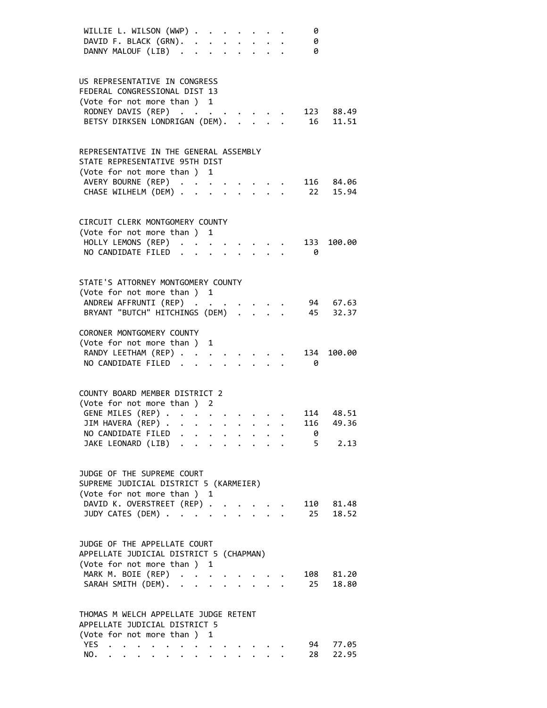|            | WILLIE L. WILSON (WWP)<br>DAVID F. BLACK (GRN).<br>DANNY MALOUF (LIB)                                                                                 |              |                                                                       |                           | 0<br>0<br>0 |                                |
|------------|-------------------------------------------------------------------------------------------------------------------------------------------------------|--------------|-----------------------------------------------------------------------|---------------------------|-------------|--------------------------------|
|            | US REPRESENTATIVE IN CONGRESS<br>FEDERAL CONGRESSIONAL DIST 13<br>(Vote for not more than ) 1<br>RODNEY DAVIS (REP)<br>BETSY DIRKSEN LONDRIGAN (DEM). |              |                                                                       | $\mathbf{r} = \mathbf{r}$ |             | 123 88.49<br>16 11.51          |
|            | REPRESENTATIVE IN THE GENERAL ASSEMBLY<br>STATE REPRESENTATIVE 95TH DIST<br>(Vote for not more than ) 1<br>AVERY BOURNE (REP)<br>CHASE WILHELM (DEM)  |              |                                                                       |                           |             | 116 84.06<br>22 15.94          |
|            | CIRCUIT CLERK MONTGOMERY COUNTY<br>(Vote for not more than ) 1<br>HOLLY LEMONS (REP)<br>NO CANDIDATE FILED.                                           |              |                                                                       |                           | 133<br>- 0  | 100.00                         |
|            | STATE'S ATTORNEY MONTGOMERY COUNTY<br>(Vote for not more than ) 1<br>ANDREW AFFRUNTI (REP)<br>BRYANT "BUTCH" HITCHINGS (DEM) 45 32.37                 |              |                                                                       |                           |             | 94 67.63                       |
|            | CORONER MONTGOMERY COUNTY<br>(Vote for not more than ) 1<br>RANDY LEETHAM (REP)<br>NO CANDIDATE FILED                                                 |              |                                                                       |                           | 134<br>0    | 100.00                         |
|            | COUNTY BOARD MEMBER DISTRICT 2<br>(Vote for not more than ) 2<br>GENE MILES (REP)<br>JIM HAVERA (REP)<br>NO CANDIDATE FILED<br>JAKE LEONARD (LIB)     |              | $\mathbf{r}$ , and $\mathbf{r}$ , and $\mathbf{r}$ , and $\mathbf{r}$ |                           | ø<br>$5 -$  | 114 48.51<br>116 49.36<br>2.13 |
|            | JUDGE OF THE SUPREME COURT<br>SUPREME JUDICIAL DISTRICT 5 (KARMEIER)<br>(Vote for not more than ) 1<br>DAVID K. OVERSTREET (REP).<br>JUDY CATES (DEM) |              |                                                                       |                           | 110<br>25   | 81.48<br>18.52                 |
|            | JUDGE OF THE APPELLATE COURT<br>APPELLATE JUDICIAL DISTRICT 5 (CHAPMAN)<br>(Vote for not more than ) 1<br>MARK M. BOIE (REP)<br>SARAH SMITH (DEM). .  | $\mathbf{r}$ |                                                                       | $\mathbf{A}$              | 108<br>25   | 81.20<br>18.80                 |
| YES<br>NO. | THOMAS M WELCH APPELLATE JUDGE RETENT<br>APPELLATE JUDICIAL DISTRICT 5<br>(Vote for not more than ) 1<br><b>Contract Contract Contract</b>            |              |                                                                       |                           | 94<br>28    | 77.05<br>22.95                 |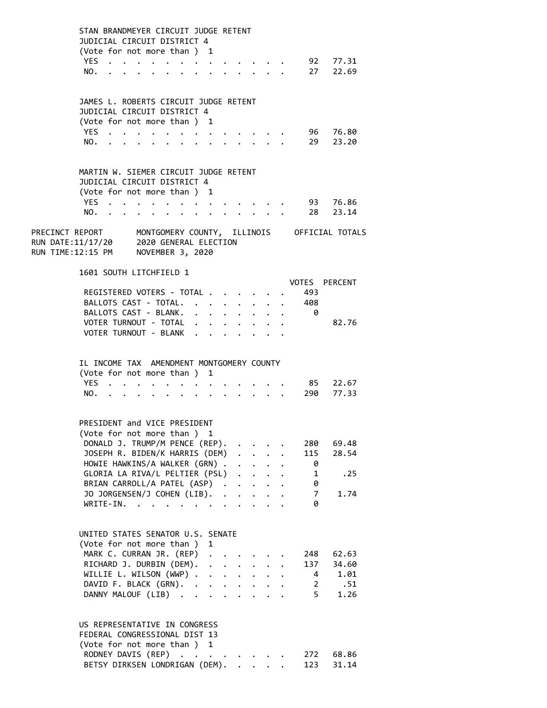STAN BRANDMEYER CIRCUIT JUDGE RETENT JUDICIAL CIRCUIT DISTRICT 4 (Vote for not more than ) 1 YES . . . . . . . . . . . . . 92 77.31 NO. . . . . . . . . . . . . . 27 22.69 JAMES L. ROBERTS CIRCUIT JUDGE RETENT JUDICIAL CIRCUIT DISTRICT 4 (Vote for not more than ) 1 YES . . . . . . . . . . . . . . 96 76.80 NO. . . . . . . . . . . . . . 29 23.20 MARTIN W. SIEMER CIRCUIT JUDGE RETENT JUDICIAL CIRCUIT DISTRICT 4 (Vote for not more than ) 1 YES . . . . . . . . . . . . . 93 76.86<br>NO. . . . . . . . . . . . . . 28 23.14 NO. . . . . . . . . . . . . . 28 23.14 PRECINCT REPORT MONTGOMERY COUNTY, ILLINOIS OFFICIAL TOTALS RUN DATE:11/17/20 2020 GENERAL ELECTION RUN TIME:12:15 PM NOVEMBER 3, 2020 1601 SOUTH LITCHFIELD 1 VOTES PERCENT REGISTERED VOTERS - TOTAL . . . . . . 493 BALLOTS CAST - TOTAL. . . . . . . . 408 BALLOTS CAST - BLANK. . . . . . . . . 0 VOTER TURNOUT - TOTAL . . . . . . . . 82.76 VOTER TURNOUT - BLANK . . . . . . . IL INCOME TAX AMENDMENT MONTGOMERY COUNTY (Vote for not more than ) 1 YES . . . . . . . . . . . . . 85 22.67 NO. . . . . . . . . . . . . . 290 77.33 PRESIDENT and VICE PRESIDENT (Vote for not more than ) 1 DONALD J. TRUMP/M PENCE (REP). . . . . 280 69.48 JOSEPH R. BIDEN/K HARRIS (DEM) . . . . 115 28.54 HOWIE HAWKINS/A WALKER (GRN) . . . . . 0 GLORIA LA RIVA/L PELTIER (PSL) . . . . 1 .25 BRIAN CARROLL/A PATEL (ASP) . . . . . 0 JO JORGENSEN/J COHEN (LIB). . . . . . 7 1.74<br>WRITE-IN. . . . . . . . . . . . 0 WRITE-IN. . . . . . . . . . . . UNITED STATES SENATOR U.S. SENATE (Vote for not more than ) 1 MARK C. CURRAN JR. (REP) . . . . . 248 62.63 RICHARD J. DURBIN (DEM). . . . . . . 137 34.60<br>WILLIE L. WILSON (WWP). . . . . . . 4 1.01 WILLIE L. WILSON  $(WWP)$  . . . . . . . DAVID F. BLACK (GRN). . . . . . . . 2 .51 DANNY MALOUF (LIB) . . . . . . . . 5 1.26 US REPRESENTATIVE IN CONGRESS FEDERAL CONGRESSIONAL DIST 13 (Vote for not more than ) 1 RODNEY DAVIS (REP) . . . . . . . . 272 68.86 BETSY DIRKSEN LONDRIGAN (DEM). . . . . 123 31.14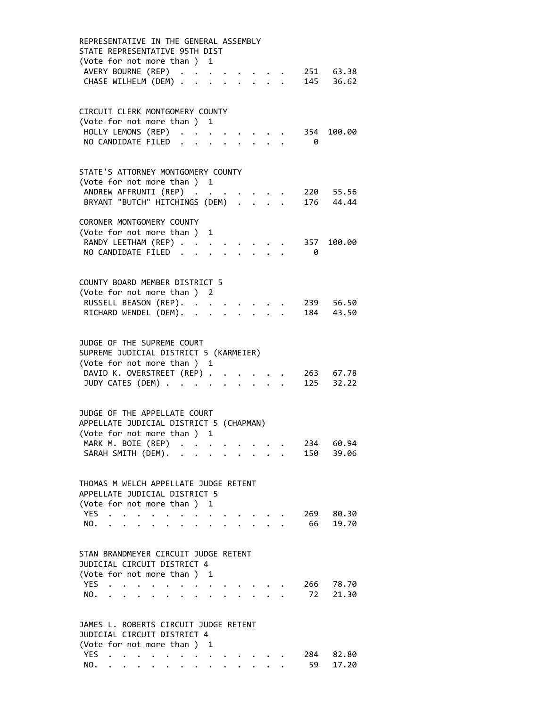| REPRESENTATIVE IN THE GENERAL ASSEMBLY<br>STATE REPRESENTATIVE 95TH DIST                                                                                                                                                                                                                |  |
|-----------------------------------------------------------------------------------------------------------------------------------------------------------------------------------------------------------------------------------------------------------------------------------------|--|
| (Vote for not more than ) 1<br>AVERY BOURNE (REP)<br>251 63.38<br>145 36.62<br>CHASE WILHELM (DEM) .<br>$\mathbf{L}$<br>$\Delta \sim 10^{-11}$                                                                                                                                          |  |
|                                                                                                                                                                                                                                                                                         |  |
| CIRCUIT CLERK MONTGOMERY COUNTY<br>(Vote for not more than ) 1                                                                                                                                                                                                                          |  |
| HOLLY LEMONS (REP)<br>354 100.00<br>NO CANDIDATE FILED.<br>- 0                                                                                                                                                                                                                          |  |
|                                                                                                                                                                                                                                                                                         |  |
| STATE'S ATTORNEY MONTGOMERY COUNTY<br>(Vote for not more than ) 1                                                                                                                                                                                                                       |  |
| ANDREW AFFRUNTI (REP)<br>220 55.56                                                                                                                                                                                                                                                      |  |
| BRYANT "BUTCH" HITCHINGS (DEM)<br>176 44.44                                                                                                                                                                                                                                             |  |
| CORONER MONTGOMERY COUNTY                                                                                                                                                                                                                                                               |  |
| (Vote for not more than ) 1                                                                                                                                                                                                                                                             |  |
| RANDY LEETHAM (REP)<br>100.00<br>357<br>NO CANDIDATE FILED.<br>0                                                                                                                                                                                                                        |  |
|                                                                                                                                                                                                                                                                                         |  |
| COUNTY BOARD MEMBER DISTRICT 5                                                                                                                                                                                                                                                          |  |
| (Vote for not more than ) 2                                                                                                                                                                                                                                                             |  |
| RUSSELL BEASON (REP). .<br>239 56.50<br>RICHARD WENDEL (DEM).<br>184 43.50                                                                                                                                                                                                              |  |
|                                                                                                                                                                                                                                                                                         |  |
| JUDGE OF THE SUPREME COURT                                                                                                                                                                                                                                                              |  |
| SUPREME JUDICIAL DISTRICT 5 (KARMEIER)                                                                                                                                                                                                                                                  |  |
| (Vote for not more than ) 1<br>DAVID K. OVERSTREET (REP)                                                                                                                                                                                                                                |  |
| 263 67.78<br>JUDY CATES (DEM)<br>125 32.22<br>$\mathbf{r}$ , $\mathbf{r}$                                                                                                                                                                                                               |  |
|                                                                                                                                                                                                                                                                                         |  |
| JUDGE OF THE APPELLATE COURT                                                                                                                                                                                                                                                            |  |
| APPELLATE JUDICIAL DISTRICT 5 (CHAPMAN)<br>(Vote for not more than ) 1                                                                                                                                                                                                                  |  |
| MARK M. BOIE (REP) .<br>234<br>60.94<br>$\ddot{\phantom{a}}$                                                                                                                                                                                                                            |  |
| SARAH SMITH (DEM).<br>150<br>39.06<br>$\ddot{\phantom{a}}$                                                                                                                                                                                                                              |  |
|                                                                                                                                                                                                                                                                                         |  |
| THOMAS M WELCH APPELLATE JUDGE RETENT<br>APPELLATE JUDICIAL DISTRICT 5                                                                                                                                                                                                                  |  |
| (Vote for not more than)<br>1                                                                                                                                                                                                                                                           |  |
| <b>YES</b><br>269<br>80.30                                                                                                                                                                                                                                                              |  |
| 66<br>19.70<br>NO.<br><b>Contract Contract</b><br>$\ddot{\bullet}$ . The contract of the contract of the contract of the contract of the contract of the contract of the contract of the contract of the contract of the contract of the contract of the contract of the contract of th |  |
| STAN BRANDMEYER CIRCUIT JUDGE RETENT                                                                                                                                                                                                                                                    |  |
| JUDICIAL CIRCUIT DISTRICT 4                                                                                                                                                                                                                                                             |  |
| (Vote for not more than ) 1                                                                                                                                                                                                                                                             |  |
| <b>YES</b><br>266<br>78.70<br>72<br>NO.<br>21.30                                                                                                                                                                                                                                        |  |
| $\ddot{\phantom{0}}$<br>$\bullet$<br>$\bullet$<br>$\ddot{\phantom{0}}$                                                                                                                                                                                                                  |  |
| JAMES L. ROBERTS CIRCUIT JUDGE RETENT                                                                                                                                                                                                                                                   |  |
| JUDICIAL CIRCUIT DISTRICT 4                                                                                                                                                                                                                                                             |  |
| (Vote for not more than ) 1<br><b>YES</b><br>284<br>82.80<br>$\ddot{\phantom{a}}$<br>$\bullet$<br>$\ddot{\phantom{0}}$                                                                                                                                                                  |  |
| 59<br>17.20<br>NO.                                                                                                                                                                                                                                                                      |  |
|                                                                                                                                                                                                                                                                                         |  |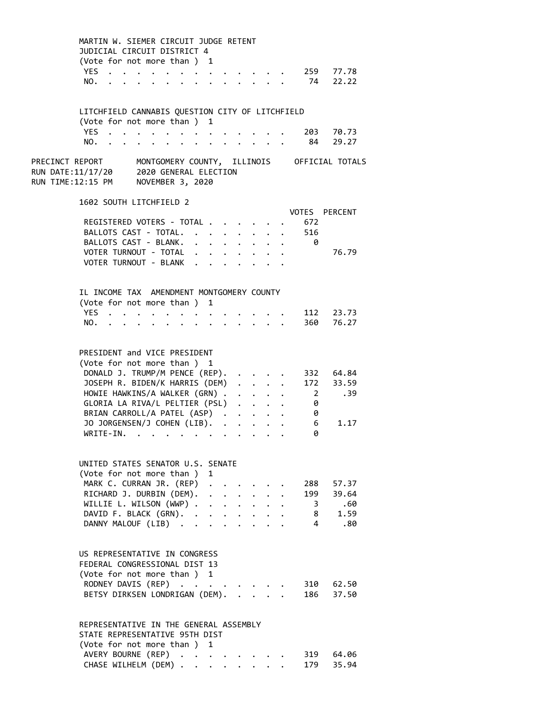| MARTIN W. SIEMER CIRCUIT JUDGE RETENT<br>JUDICIAL CIRCUIT DISTRICT 4                                                |                                                                                          |                          |                      |                      |                                                                                                                                                           |                                                     |                         |                        |  |
|---------------------------------------------------------------------------------------------------------------------|------------------------------------------------------------------------------------------|--------------------------|----------------------|----------------------|-----------------------------------------------------------------------------------------------------------------------------------------------------------|-----------------------------------------------------|-------------------------|------------------------|--|
| (Vote for not more than ) 1                                                                                         |                                                                                          |                          |                      |                      |                                                                                                                                                           |                                                     |                         |                        |  |
| YES                                                                                                                 | $\mathbf{r}$ , and $\mathbf{r}$ , and $\mathbf{r}$ , and $\mathbf{r}$ , and $\mathbf{r}$ |                          |                      |                      |                                                                                                                                                           |                                                     |                         | 259 77.78              |  |
| NO.                                                                                                                 | $\bullet$ , $\bullet$ , $\bullet$ , $\bullet$ , $\bullet$ , $\bullet$                    |                          | $\ddot{\phantom{0}}$ |                      | $\cdot$ $\cdot$ $\cdot$ $\cdot$ $\cdot$ $\cdot$ $\cdot$                                                                                                   |                                                     |                         | 74 22.22               |  |
| LITCHFIELD CANNABIS QUESTION CITY OF LITCHFIELD                                                                     |                                                                                          |                          |                      |                      |                                                                                                                                                           |                                                     |                         |                        |  |
| (Vote for not more than ) 1                                                                                         |                                                                                          |                          |                      |                      |                                                                                                                                                           |                                                     |                         |                        |  |
| YES                                                                                                                 | $\cdot$ $\cdot$ $\cdot$ $\cdot$                                                          |                          |                      |                      |                                                                                                                                                           |                                                     |                         | 203 70.73              |  |
| NO.                                                                                                                 | .                                                                                        |                          |                      |                      |                                                                                                                                                           |                                                     |                         | 84 29.27               |  |
| PRECINCT REPORT<br>RUN DATE:11/17/20 2020 GENERAL ELECTION<br>RUN TIME:12:15 PM NOVEMBER 3, 2020                    | MONTGOMERY COUNTY, ILLINOIS OFFICIAL TOTALS                                              |                          |                      |                      |                                                                                                                                                           |                                                     |                         |                        |  |
| 1602 SOUTH LITCHFIELD 2                                                                                             |                                                                                          |                          |                      |                      |                                                                                                                                                           |                                                     |                         |                        |  |
| REGISTERED VOTERS - TOTAL                                                                                           |                                                                                          |                          |                      |                      |                                                                                                                                                           |                                                     | 672                     | VOTES PERCENT          |  |
| BALLOTS CAST - TOTAL.                                                                                               |                                                                                          |                          |                      |                      |                                                                                                                                                           |                                                     | 516                     |                        |  |
| BALLOTS CAST - BLANK.                                                                                               |                                                                                          |                          |                      |                      |                                                                                                                                                           |                                                     | 0                       |                        |  |
| VOTER TURNOUT - TOTAL                                                                                               |                                                                                          |                          |                      |                      |                                                                                                                                                           |                                                     |                         | 76.79                  |  |
| VOTER TURNOUT - BLANK                                                                                               |                                                                                          |                          |                      |                      |                                                                                                                                                           |                                                     |                         |                        |  |
|                                                                                                                     |                                                                                          |                          |                      |                      |                                                                                                                                                           |                                                     |                         |                        |  |
| IL INCOME TAX AMENDMENT MONTGOMERY COUNTY                                                                           |                                                                                          |                          |                      |                      |                                                                                                                                                           |                                                     |                         |                        |  |
| (Vote for not more than ) 1                                                                                         |                                                                                          |                          |                      |                      |                                                                                                                                                           |                                                     |                         |                        |  |
| YES                                                                                                                 | $\mathbf{r}$ , and $\mathbf{r}$ , and $\mathbf{r}$ , and $\mathbf{r}$                    |                          |                      |                      |                                                                                                                                                           |                                                     |                         | 112 23.73              |  |
| NO.<br>$\sim$ $\sim$ $\sim$ $\sim$                                                                                  |                                                                                          |                          |                      |                      |                                                                                                                                                           |                                                     |                         | 360 76.27              |  |
| PRESIDENT and VICE PRESIDENT<br>(Vote for not more than ) 1<br>DONALD J. TRUMP/M PENCE (REP).                       |                                                                                          |                          |                      |                      |                                                                                                                                                           |                                                     |                         |                        |  |
| JOSEPH R. BIDEN/K HARRIS (DEM)                                                                                      |                                                                                          |                          |                      |                      |                                                                                                                                                           |                                                     |                         | 332 64.84<br>172 33.59 |  |
| HOWIE HAWKINS/A WALKER (GRN) .                                                                                      |                                                                                          |                          |                      |                      |                                                                                                                                                           | $\mathbf{L} = \mathbf{L} \times \mathbf{L}$         |                         | $2^{\sim}$<br>.39      |  |
| GLORIA LA RIVA/L PELTIER (PSL)                                                                                      |                                                                                          |                          |                      |                      | $\ddot{\phantom{0}}$                                                                                                                                      | $\ddotsc$ $\ddotsc$                                 | 0                       |                        |  |
| BRIAN CARROLL/A PATEL (ASP).                                                                                        |                                                                                          |                          |                      |                      |                                                                                                                                                           | $\mathbf{r} = \mathbf{r} + \mathbf{r} + \mathbf{r}$ | 0                       |                        |  |
| JO JORGENSEN/J COHEN (LIB).                                                                                         |                                                                                          |                          |                      |                      |                                                                                                                                                           |                                                     | 6                       | 1.17                   |  |
| WRITE-IN.                                                                                                           | . The contribution of the contribution of the $\mathcal{A}_\mathcal{A}$                  |                          |                      |                      |                                                                                                                                                           |                                                     | 0                       |                        |  |
|                                                                                                                     |                                                                                          |                          |                      |                      |                                                                                                                                                           |                                                     |                         |                        |  |
| UNITED STATES SENATOR U.S. SENATE                                                                                   |                                                                                          |                          |                      |                      |                                                                                                                                                           |                                                     |                         |                        |  |
| (Vote for not more than ) 1                                                                                         |                                                                                          |                          |                      |                      |                                                                                                                                                           |                                                     |                         |                        |  |
| MARK C. CURRAN JR. (REP)                                                                                            |                                                                                          |                          |                      |                      |                                                                                                                                                           |                                                     |                         | 288 57.37              |  |
| RICHARD J. DURBIN (DEM).<br>WILLIE L. WILSON (WWP) .                                                                |                                                                                          |                          |                      | $\ddot{\phantom{a}}$ | $\mathcal{L}(\mathcal{A})$ , and $\mathcal{L}(\mathcal{A})$ , and $\mathcal{L}(\mathcal{A})$<br>$\mathbf{r}$ , $\mathbf{r}$ , $\mathbf{r}$ , $\mathbf{r}$ |                                                     | $\overline{\mathbf{3}}$ | 199 39.64<br>.60       |  |
| DAVID F. BLACK (GRN). .                                                                                             |                                                                                          |                          |                      |                      |                                                                                                                                                           |                                                     | 8                       | 1.59                   |  |
| DANNY MALOUF (LIB).                                                                                                 |                                                                                          |                          |                      |                      |                                                                                                                                                           |                                                     | $\overline{4}$          | .80                    |  |
|                                                                                                                     |                                                                                          |                          |                      |                      |                                                                                                                                                           |                                                     |                         |                        |  |
| US REPRESENTATIVE IN CONGRESS<br>FEDERAL CONGRESSIONAL DIST 13<br>(Vote for not more than ) 1<br>RODNEY DAVIS (REP) |                                                                                          |                          |                      |                      |                                                                                                                                                           |                                                     |                         | 310 62.50              |  |
| BETSY DIRKSEN LONDRIGAN (DEM).                                                                                      |                                                                                          |                          |                      |                      |                                                                                                                                                           |                                                     |                         | 186 37.50              |  |
| REPRESENTATIVE IN THE GENERAL ASSEMBLY<br>STATE REPRESENTATIVE 95TH DIST<br>(Vote for not more than)                |                                                                                          |                          |                      | 1                    |                                                                                                                                                           |                                                     |                         |                        |  |
| AVERY BOURNE (REP)                                                                                                  |                                                                                          | <b>Contract Contract</b> |                      |                      |                                                                                                                                                           |                                                     | 319                     | 64.06                  |  |

CHASE WILHELM (DEM) . . . . . . . . 179 35.94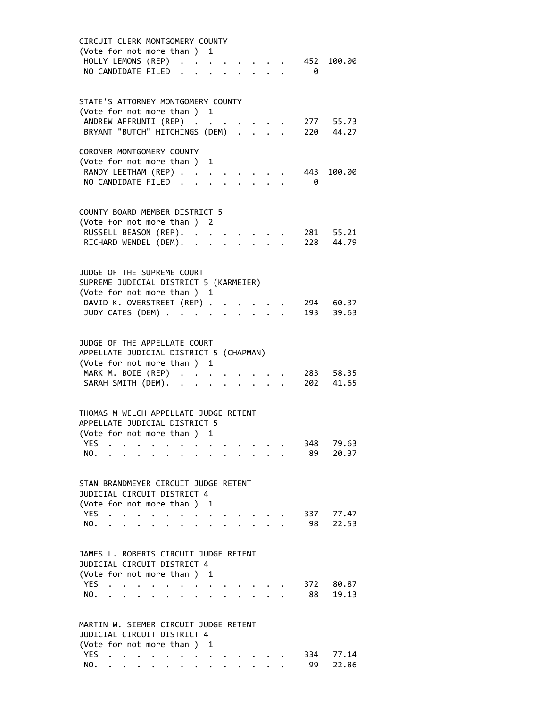| CIRCUIT CLERK MONTGOMERY COUNTY<br>(Vote for not more than ) 1<br>HOLLY LEMONS (REP)<br>452 100.00<br>NO CANDIDATE FILED.<br>- 0                                                                                                      |
|---------------------------------------------------------------------------------------------------------------------------------------------------------------------------------------------------------------------------------------|
| STATE'S ATTORNEY MONTGOMERY COUNTY<br>(Vote for not more than ) 1<br>ANDREW AFFRUNTI (REP)<br>277 55.73<br>BRYANT "BUTCH" HITCHINGS (DEM) 220 44.27                                                                                   |
| CORONER MONTGOMERY COUNTY<br>(Vote for not more than ) 1<br>RANDY LEETHAM (REP)<br>443<br>100.00<br>NO CANDIDATE FILED.<br>- 0                                                                                                        |
| COUNTY BOARD MEMBER DISTRICT 5<br>(Vote for not more than ) 2<br>RUSSELL BEASON (REP).<br>281 55.21<br>$\sim$ $\sim$<br>RICHARD WENDEL (DEM). .<br>228 44.79<br>$\ddot{\phantom{0}}$                                                  |
| JUDGE OF THE SUPREME COURT<br>SUPREME JUDICIAL DISTRICT 5 (KARMEIER)<br>(Vote for not more than ) 1<br>DAVID K. OVERSTREET (REP)<br>294 60.37<br>JUDY CATES (DEM)<br>193 39.63<br>$\mathbf{r} = \mathbf{r} + \mathbf{r}$<br>$\bullet$ |
| JUDGE OF THE APPELLATE COURT<br>APPELLATE JUDICIAL DISTRICT 5 (CHAPMAN)<br>(Vote for not more than ) 1<br>MARK M. BOIE (REP)<br>283 58.35<br>SARAH SMITH (DEM).<br>202<br>41.65<br>$\ddot{\phantom{a}}$                               |
| THOMAS M WELCH APPELLATE JUDGE RETENT<br>APPELLATE JUDICIAL DISTRICT 5<br>(Vote for not more than ) 1<br>79.63<br><b>YES</b><br>348<br>89<br>20.37<br>NO.                                                                             |
| STAN BRANDMEYER CIRCUIT JUDGE RETENT<br>JUDICIAL CIRCUIT DISTRICT 4<br>(Vote for not more than)<br>1<br><b>YES</b><br>337<br>77.47<br>NO.<br>98<br>22.53                                                                              |
| JAMES L. ROBERTS CIRCUIT JUDGE RETENT<br>JUDICIAL CIRCUIT DISTRICT 4<br>(Vote for not more than )<br>1<br><b>YES</b><br>372<br>80.87<br>19.13<br>NO.<br>88                                                                            |
| MARTIN W. SIEMER CIRCUIT JUDGE RETENT<br>JUDICIAL CIRCUIT DISTRICT 4<br>(Vote for not more than)<br>1<br>YES.<br>334<br>77.14<br>22.86<br>NO.<br>99                                                                                   |
|                                                                                                                                                                                                                                       |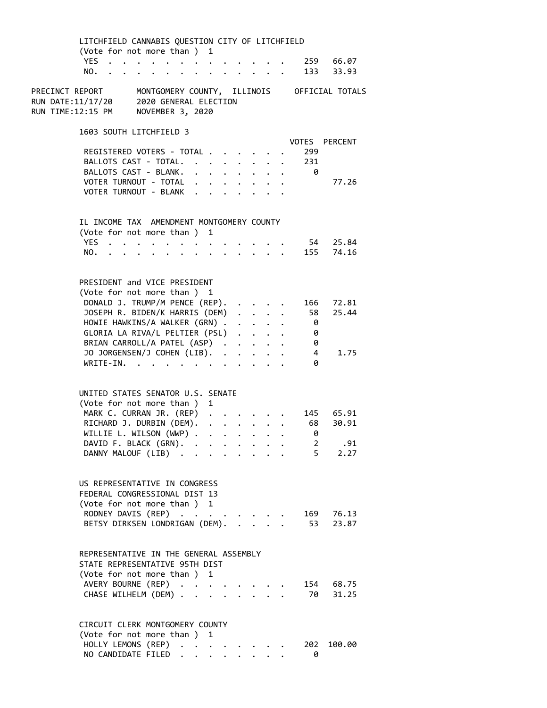| LITCHFIELD CANNABIS QUESTION CITY OF LITCHFIELD                                                         |                                                                                          |                                                                                                             |                                                                       |              |                                                                          |                 |                         |                |                     |  |
|---------------------------------------------------------------------------------------------------------|------------------------------------------------------------------------------------------|-------------------------------------------------------------------------------------------------------------|-----------------------------------------------------------------------|--------------|--------------------------------------------------------------------------|-----------------|-------------------------|----------------|---------------------|--|
| (Vote for not more than ) 1                                                                             |                                                                                          |                                                                                                             |                                                                       |              |                                                                          |                 |                         |                |                     |  |
| YES.<br>NO.                                                                                             |                                                                                          | $\begin{array}{cccccccccc} \bullet & \bullet & \bullet & \bullet & \bullet & \bullet & \bullet \end{array}$ |                                                                       |              |                                                                          |                 |                         |                | 259 66.07           |  |
|                                                                                                         | $\cdot$ $\cdot$ $\cdot$ $\cdot$                                                          |                                                                                                             | $\ddot{\phantom{a}}$                                                  |              |                                                                          |                 | $\cdot$ $\cdot$ $\cdot$ |                | 133 33.93           |  |
| PRECINCT REPORT<br>RUN DATE:11/17/20<br>RUN TIME:12:15 PM                                               | MONTGOMERY COUNTY, ILLINOIS OFFICIAL TOTALS<br>2020 GENERAL ELECTION<br>NOVEMBER 3, 2020 |                                                                                                             |                                                                       |              |                                                                          |                 |                         |                |                     |  |
| 1603 SOUTH LITCHFIELD 3                                                                                 |                                                                                          |                                                                                                             |                                                                       |              |                                                                          |                 |                         |                | VOTES PERCENT       |  |
| REGISTERED VOTERS - TOTAL                                                                               |                                                                                          |                                                                                                             |                                                                       |              |                                                                          |                 |                         | 299            |                     |  |
| BALLOTS CAST - TOTAL.                                                                                   |                                                                                          |                                                                                                             | $\ddot{\phantom{a}}$                                                  |              | $\mathbf{r} = \mathbf{r} + \mathbf{r}$ , where $\mathbf{r} = \mathbf{r}$ |                 |                         | 231            |                     |  |
| BALLOTS CAST - BLANK.                                                                                   |                                                                                          |                                                                                                             | $\mathbf{r}$ , and $\mathbf{r}$ , and $\mathbf{r}$ , and $\mathbf{r}$ |              |                                                                          |                 |                         | - 0            |                     |  |
| VOTER TURNOUT - TOTAL                                                                                   |                                                                                          |                                                                                                             | $\ddot{\phantom{0}}$                                                  |              |                                                                          |                 |                         |                | 77.26               |  |
| VOTER TURNOUT - BLANK                                                                                   |                                                                                          |                                                                                                             | $\mathbf{L} = \mathbf{L}$                                             |              |                                                                          |                 |                         |                |                     |  |
|                                                                                                         |                                                                                          |                                                                                                             |                                                                       |              |                                                                          |                 |                         |                |                     |  |
| IL INCOME TAX AMENDMENT MONTGOMERY COUNTY<br>(Vote for not more than ) 1                                |                                                                                          |                                                                                                             |                                                                       |              |                                                                          |                 |                         |                |                     |  |
| <b>YES</b>                                                                                              |                                                                                          | $\cdots$                                                                                                    |                                                                       |              |                                                                          |                 |                         |                | 54 25.84            |  |
| NO.                                                                                                     |                                                                                          |                                                                                                             |                                                                       |              |                                                                          |                 |                         |                | 155 74.16           |  |
|                                                                                                         |                                                                                          |                                                                                                             |                                                                       |              |                                                                          |                 |                         |                |                     |  |
| PRESIDENT and VICE PRESIDENT<br>(Vote for not more than ) 1                                             |                                                                                          |                                                                                                             |                                                                       |              |                                                                          |                 |                         |                |                     |  |
| DONALD J. TRUMP/M PENCE (REP).                                                                          |                                                                                          |                                                                                                             |                                                                       |              |                                                                          |                 |                         | 166            | 72.81               |  |
| JOSEPH R. BIDEN/K HARRIS (DEM)                                                                          |                                                                                          |                                                                                                             |                                                                       |              |                                                                          |                 |                         | 58             | 25.44               |  |
| HOWIE HAWKINS/A WALKER (GRN)                                                                            |                                                                                          |                                                                                                             |                                                                       |              |                                                                          |                 |                         | 0              |                     |  |
| GLORIA LA RIVA/L PELTIER (PSL)                                                                          |                                                                                          |                                                                                                             |                                                                       |              |                                                                          |                 |                         | 0              |                     |  |
| BRIAN CARROLL/A PATEL (ASP)                                                                             |                                                                                          |                                                                                                             |                                                                       |              |                                                                          |                 |                         | 0              |                     |  |
| JO JORGENSEN/J COHEN (LIB).                                                                             |                                                                                          |                                                                                                             |                                                                       |              | $\cdot$ $\cdot$ $\cdot$                                                  |                 |                         | $\overline{4}$ | 1.75                |  |
| $WRITE-IN.$                                                                                             |                                                                                          |                                                                                                             |                                                                       | $\mathbf{L}$ | $\ddot{\phantom{a}}$                                                     | $\sim$ $\sim$   |                         | 0              |                     |  |
| UNITED STATES SENATOR U.S. SENATE<br>(Vote for not more than )                                          |                                                                                          |                                                                                                             | 1                                                                     |              |                                                                          |                 |                         |                |                     |  |
| MARK C. CURRAN JR. (REP)                                                                                |                                                                                          |                                                                                                             |                                                                       |              |                                                                          |                 |                         |                | 145 65.91           |  |
| RICHARD J. DURBIN (DEM).                                                                                |                                                                                          |                                                                                                             | $\ddot{\phantom{a}}$                                                  |              | $\mathbf{z} = \mathbf{z} + \mathbf{z}$ . The $\mathbf{z}$                |                 |                         | 68             | 30.91               |  |
| WILLIE L. WILSON (WWP) .                                                                                |                                                                                          |                                                                                                             | $\ddot{\phantom{0}}$                                                  | $\sim$ $-$   | $\sigma_{\rm{eff}}$ , $\sigma_{\rm{eff}}$                                |                 |                         | 0              |                     |  |
| DAVID F. BLACK (GRN). .                                                                                 |                                                                                          |                                                                                                             |                                                                       |              |                                                                          |                 |                         | 2              | .91                 |  |
| DANNY MALOUF (LIB).                                                                                     |                                                                                          |                                                                                                             |                                                                       |              |                                                                          |                 |                         |                | $5^{\circ}$<br>2.27 |  |
|                                                                                                         |                                                                                          |                                                                                                             |                                                                       |              |                                                                          |                 |                         |                |                     |  |
| US REPRESENTATIVE IN CONGRESS<br>FEDERAL CONGRESSIONAL DIST 13                                          |                                                                                          |                                                                                                             |                                                                       |              |                                                                          |                 |                         |                |                     |  |
| (Vote for not more than ) 1                                                                             |                                                                                          |                                                                                                             |                                                                       |              |                                                                          |                 |                         |                |                     |  |
| RODNEY DAVIS (REP)                                                                                      |                                                                                          |                                                                                                             |                                                                       |              |                                                                          |                 |                         | 169            | 76.13               |  |
| BETSY DIRKSEN LONDRIGAN (DEM).                                                                          |                                                                                          |                                                                                                             |                                                                       |              |                                                                          | $\sim 10^{-11}$ |                         | 53             | 23.87               |  |
|                                                                                                         |                                                                                          |                                                                                                             |                                                                       |              |                                                                          |                 |                         |                |                     |  |
| REPRESENTATIVE IN THE GENERAL ASSEMBLY<br>STATE REPRESENTATIVE 95TH DIST<br>(Vote for not more than ) 1 |                                                                                          |                                                                                                             |                                                                       |              |                                                                          |                 |                         |                |                     |  |
| AVERY BOURNE (REP)                                                                                      |                                                                                          |                                                                                                             |                                                                       |              |                                                                          |                 |                         |                | 154 68.75           |  |
| CHASE WILHELM (DEM) .                                                                                   |                                                                                          |                                                                                                             |                                                                       |              |                                                                          |                 |                         | 70 —           | 31.25               |  |
| CIRCUIT CLERK MONTGOMERY COUNTY                                                                         |                                                                                          |                                                                                                             |                                                                       |              |                                                                          |                 |                         |                |                     |  |
| (Vote for not more than ) 1                                                                             |                                                                                          |                                                                                                             |                                                                       |              |                                                                          |                 |                         |                |                     |  |
| HOLLY LEMONS (REP)                                                                                      |                                                                                          |                                                                                                             | $\ddot{\phantom{a}}$                                                  |              |                                                                          |                 |                         | 202            | 100.00              |  |
| NO CANDIDATE FILED                                                                                      |                                                                                          |                                                                                                             |                                                                       |              |                                                                          |                 |                         | 0              |                     |  |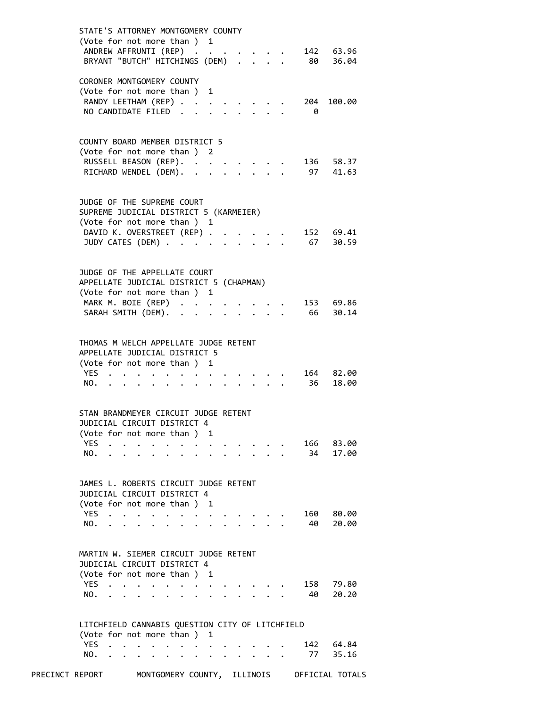| STATE'S ATTORNEY MONTGOMERY COUNTY                                                     |  |
|----------------------------------------------------------------------------------------|--|
| (Vote for not more than ) 1                                                            |  |
| ANDREW AFFRUNTI (REP)<br>142 63.96                                                     |  |
| 80 36.04<br>BRYANT "BUTCH" HITCHINGS (DEM)                                             |  |
| CORONER MONTGOMERY COUNTY                                                              |  |
| (Vote for not more than)<br>1                                                          |  |
| RANDY LEETHAM (REP)<br>204<br>100.00                                                   |  |
| NO CANDIDATE FILED<br>0                                                                |  |
|                                                                                        |  |
|                                                                                        |  |
| COUNTY BOARD MEMBER DISTRICT 5                                                         |  |
| (Vote for not more than ) 2                                                            |  |
| RUSSELL BEASON (REP).<br>136 58.37                                                     |  |
| RICHARD WENDEL (DEM). .<br>97<br>41.63<br>$\ddot{\phantom{a}}$<br>$\ddot{\phantom{0}}$ |  |
|                                                                                        |  |
| JUDGE OF THE SUPREME COURT                                                             |  |
| SUPREME JUDICIAL DISTRICT 5 (KARMEIER)                                                 |  |
| (Vote for not more than ) 1                                                            |  |
| DAVID K. OVERSTREET (REP).<br>152 69.41<br>$\ddot{\phantom{a}}$                        |  |
| 67<br>JUDY CATES (DEM)<br>30.59<br>$\ddot{\phantom{1}}$                                |  |
|                                                                                        |  |
|                                                                                        |  |
| JUDGE OF THE APPELLATE COURT                                                           |  |
| APPELLATE JUDICIAL DISTRICT 5 (CHAPMAN)                                                |  |
| (Vote for not more than ) 1                                                            |  |
| MARK M. BOIE (REP)<br>153 69.86                                                        |  |
| 66<br>SARAH SMITH (DEM).<br>30.14<br>$\mathbf{r}$<br>$\overline{a}$                    |  |
|                                                                                        |  |
|                                                                                        |  |
| THOMAS M WELCH APPELLATE JUDGE RETENT                                                  |  |
| APPELLATE JUDICIAL DISTRICT 5<br>(Vote for not more than ) 1                           |  |
| <b>YES</b><br>164 82.00                                                                |  |
| 36<br>18.00<br>NO.                                                                     |  |
|                                                                                        |  |
|                                                                                        |  |
| STAN BRANDMEYER CIRCUIT JUDGE RETENT                                                   |  |
| JUDICIAL CIRCUIT DISTRICT 4                                                            |  |
| (Vote for not more than)<br>1                                                          |  |
| <b>YES</b><br>166<br>83.00                                                             |  |
| NO.<br>34<br>17.00                                                                     |  |
|                                                                                        |  |
|                                                                                        |  |
| JAMES L. ROBERTS CIRCUIT JUDGE RETENT                                                  |  |
| JUDICIAL CIRCUIT DISTRICT 4                                                            |  |
| (Vote for not more than)<br>1                                                          |  |
| YES.<br>160<br>80.00<br>40<br>20.00<br>NO.                                             |  |
|                                                                                        |  |
|                                                                                        |  |
| MARTIN W. SIEMER CIRCUIT JUDGE RETENT                                                  |  |
| JUDICIAL CIRCUIT DISTRICT 4                                                            |  |
| (Vote for not more than )<br>- 1                                                       |  |
| <b>YES</b><br>158<br>79.80                                                             |  |
| 40<br>NO.<br>20.20                                                                     |  |
|                                                                                        |  |
|                                                                                        |  |
| LITCHFIELD CANNABIS QUESTION CITY OF LITCHFIELD                                        |  |
| (Vote for not more than ) 1                                                            |  |
| <b>YES</b><br>64.84<br>142<br>$\ddot{\phantom{a}}$                                     |  |
| NO.<br>77 -<br>35.16<br>$\ddot{\phantom{0}}$                                           |  |
|                                                                                        |  |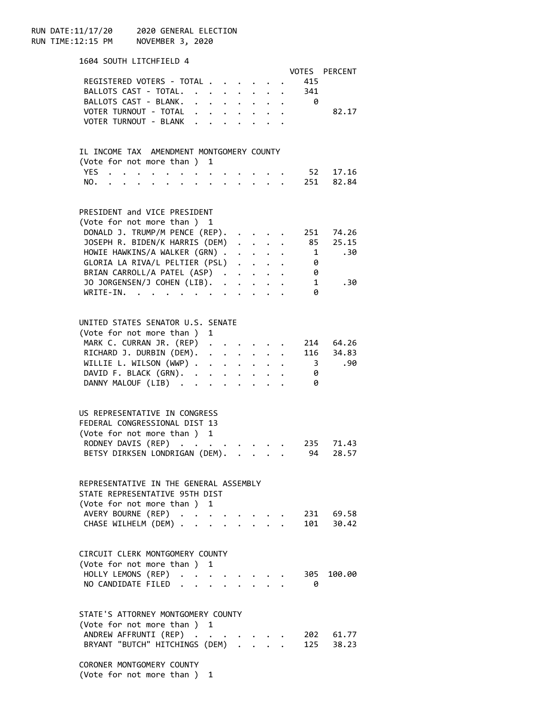RUN DATE:11/17/20 2020 GENERAL ELECTION RUN TIME:12:15 PM NOVEMBER 3, 2020

| 1604 SOUTH LITCHFIELD 4                   |                                                                                                                 |                                                |              |                                                           |                                                                  |                         |                   |
|-------------------------------------------|-----------------------------------------------------------------------------------------------------------------|------------------------------------------------|--------------|-----------------------------------------------------------|------------------------------------------------------------------|-------------------------|-------------------|
|                                           |                                                                                                                 |                                                |              |                                                           |                                                                  |                         | VOTES PERCENT     |
| REGISTERED VOTERS - TOTAL                 |                                                                                                                 |                                                |              |                                                           |                                                                  | 415                     |                   |
| BALLOTS CAST - TOTAL.                     |                                                                                                                 |                                                |              | $\ddot{\phantom{0}}$                                      | $\ddot{\phantom{0}}$                                             | 341                     |                   |
| BALLOTS CAST - BLANK.                     |                                                                                                                 | $\mathbf{r}$ and $\mathbf{r}$ and $\mathbf{r}$ |              |                                                           | <b>Service State</b>                                             | - 0                     |                   |
| VOTER TURNOUT - TOTAL                     |                                                                                                                 |                                                |              |                                                           |                                                                  |                         | 82.17             |
| VOTER TURNOUT - BLANK                     |                                                                                                                 |                                                |              |                                                           |                                                                  |                         |                   |
|                                           |                                                                                                                 |                                                |              |                                                           |                                                                  |                         |                   |
|                                           |                                                                                                                 |                                                |              |                                                           |                                                                  |                         |                   |
| IL INCOME TAX AMENDMENT MONTGOMERY COUNTY |                                                                                                                 |                                                |              |                                                           |                                                                  |                         |                   |
| (Vote for not more than ) 1               |                                                                                                                 |                                                |              |                                                           |                                                                  |                         |                   |
| YES                                       |                                                                                                                 |                                                |              |                                                           |                                                                  | 52                      | 17.16             |
| NO.<br>$\ddot{\phantom{a}}$               |                                                                                                                 |                                                |              | $\mathbf{r}$ and $\mathbf{r}$                             |                                                                  |                         | 251 82.84         |
|                                           |                                                                                                                 |                                                |              |                                                           |                                                                  |                         |                   |
|                                           |                                                                                                                 |                                                |              |                                                           |                                                                  |                         |                   |
| PRESIDENT and VICE PRESIDENT              |                                                                                                                 |                                                |              |                                                           |                                                                  |                         |                   |
| (Vote for not more than ) 1               |                                                                                                                 |                                                |              |                                                           |                                                                  |                         |                   |
| DONALD J. TRUMP/M PENCE (REP).            |                                                                                                                 |                                                |              |                                                           |                                                                  |                         | 251 74.26         |
| JOSEPH R. BIDEN/K HARRIS (DEM)            |                                                                                                                 |                                                |              | $\cdot$ $\cdot$ $\cdot$                                   |                                                                  |                         |                   |
| HOWIE HAWKINS/A WALKER (GRN) .            |                                                                                                                 |                                                |              | $\mathbf{L}^{\text{max}}$ , and $\mathbf{L}^{\text{max}}$ |                                                                  |                         | 85 25.15<br>1 .30 |
| GLORIA LA RIVA/L PELTIER (PSL)            |                                                                                                                 |                                                |              |                                                           |                                                                  | - 0                     |                   |
| BRIAN CARROLL/A PATEL (ASP)               |                                                                                                                 |                                                |              |                                                           |                                                                  | - 0                     |                   |
|                                           |                                                                                                                 |                                                |              |                                                           |                                                                  |                         |                   |
| JO JORGENSEN/J COHEN (LIB). .             |                                                                                                                 |                                                | $\mathbf{L}$ |                                                           | $\ddot{\phantom{a}}$                                             | $\overline{\mathbf{1}}$ | .30               |
| WRITE-IN.<br>$\sim$<br>$\cdots$           | the contract of the contract of the contract of the contract of the contract of the contract of the contract of |                                                |              |                                                           |                                                                  | 0                       |                   |
|                                           |                                                                                                                 |                                                |              |                                                           |                                                                  |                         |                   |
|                                           |                                                                                                                 |                                                |              |                                                           |                                                                  |                         |                   |
| UNITED STATES SENATOR U.S. SENATE         |                                                                                                                 |                                                |              |                                                           |                                                                  |                         |                   |
| (Vote for not more than ) 1               |                                                                                                                 |                                                |              |                                                           |                                                                  |                         |                   |
| MARK C. CURRAN JR. (REP)                  |                                                                                                                 |                                                |              |                                                           |                                                                  |                         | 214 64.26         |
| RICHARD J. DURBIN (DEM).                  |                                                                                                                 |                                                |              |                                                           |                                                                  |                         | 116 34.83         |
| WILLIE L. WILSON $(WWP)$                  |                                                                                                                 |                                                |              |                                                           |                                                                  | $\overline{\mathbf{3}}$ | .90               |
| DAVID F. BLACK (GRN).                     |                                                                                                                 |                                                |              |                                                           |                                                                  | - 0                     |                   |
| DANNY MALOUF (LIB)                        |                                                                                                                 |                                                |              |                                                           | $\mathbf{r} = \mathbf{r} + \mathbf{r} + \mathbf{r} + \mathbf{r}$ | - 0                     |                   |
|                                           |                                                                                                                 |                                                |              |                                                           |                                                                  |                         |                   |
|                                           |                                                                                                                 |                                                |              |                                                           |                                                                  |                         |                   |
| US REPRESENTATIVE IN CONGRESS             |                                                                                                                 |                                                |              |                                                           |                                                                  |                         |                   |
| FEDERAL CONGRESSIONAL DIST 13             |                                                                                                                 |                                                |              |                                                           |                                                                  |                         |                   |
| (Vote for not more than ) 1               |                                                                                                                 |                                                |              |                                                           |                                                                  |                         |                   |
| RODNEY DAVIS (REP)                        |                                                                                                                 |                                                |              |                                                           |                                                                  | 235                     | 71.43             |
| BETSY DIRKSEN LONDRIGAN (DEM).            |                                                                                                                 |                                                |              |                                                           |                                                                  |                         | 28.57             |
|                                           |                                                                                                                 |                                                |              |                                                           |                                                                  | 94                      |                   |
|                                           |                                                                                                                 |                                                |              |                                                           |                                                                  |                         |                   |
| REPRESENTATIVE IN THE GENERAL ASSEMBLY    |                                                                                                                 |                                                |              |                                                           |                                                                  |                         |                   |
| STATE REPRESENTATIVE 95TH DIST            |                                                                                                                 |                                                |              |                                                           |                                                                  |                         |                   |
|                                           |                                                                                                                 |                                                |              |                                                           |                                                                  |                         |                   |
| (Vote for not more than ) 1               |                                                                                                                 |                                                |              |                                                           |                                                                  |                         |                   |
| AVERY BOURNE (REP)                        |                                                                                                                 |                                                |              |                                                           |                                                                  |                         | 231 69.58         |
| CHASE WILHELM (DEM)                       |                                                                                                                 |                                                |              |                                                           | $\mathbf{r} = \mathbf{r} \times \mathbf{r}$                      |                         | 101 30.42         |
|                                           |                                                                                                                 |                                                |              |                                                           |                                                                  |                         |                   |
|                                           |                                                                                                                 |                                                |              |                                                           |                                                                  |                         |                   |
| CIRCUIT CLERK MONTGOMERY COUNTY           |                                                                                                                 |                                                |              |                                                           |                                                                  |                         |                   |
| (Vote for not more than ) 1               |                                                                                                                 |                                                |              |                                                           |                                                                  |                         |                   |
| HOLLY LEMONS (REP) .                      |                                                                                                                 |                                                |              |                                                           |                                                                  | 305                     | 100.00            |
| NO CANDIDATE FILED                        | $\mathbf{A}$                                                                                                    |                                                |              |                                                           |                                                                  | - 0                     |                   |
|                                           |                                                                                                                 |                                                |              |                                                           |                                                                  |                         |                   |
|                                           |                                                                                                                 |                                                |              |                                                           |                                                                  |                         |                   |
| STATE'S ATTORNEY MONTGOMERY COUNTY        |                                                                                                                 |                                                |              |                                                           |                                                                  |                         |                   |
| (Vote for not more than ) 1               |                                                                                                                 |                                                |              |                                                           |                                                                  |                         |                   |
| ANDREW AFFRUNTI (REP)                     |                                                                                                                 |                                                |              |                                                           |                                                                  |                         | 202 61.77         |
| BRYANT "BUTCH" HITCHINGS (DEM)            |                                                                                                                 |                                                |              |                                                           |                                                                  |                         | 125 38.23         |
|                                           |                                                                                                                 |                                                |              |                                                           |                                                                  |                         |                   |
| CORONER MONTGOMERY COUNTY                 |                                                                                                                 |                                                |              |                                                           |                                                                  |                         |                   |
|                                           |                                                                                                                 |                                                |              |                                                           |                                                                  |                         |                   |

(Vote for not more than ) 1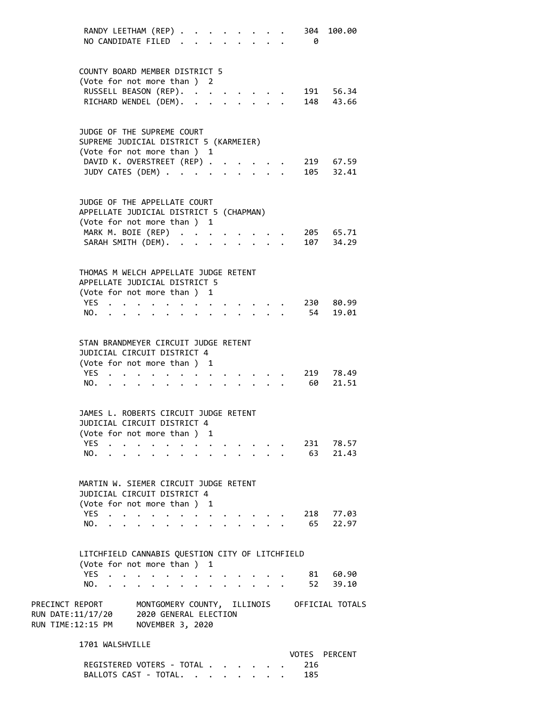| RANDY LEETHAM (REP)<br>NO CANDIDATE FILED.                                                                                                   |                                                                                                                 |                                                                     |                                                                                                                 | <b>Contract Contract Contract</b> | $\ddot{\phantom{a}}$ |                                                     |  | 304<br>- 0 | 100.00               |
|----------------------------------------------------------------------------------------------------------------------------------------------|-----------------------------------------------------------------------------------------------------------------|---------------------------------------------------------------------|-----------------------------------------------------------------------------------------------------------------|-----------------------------------|----------------------|-----------------------------------------------------|--|------------|----------------------|
| COUNTY BOARD MEMBER DISTRICT 5                                                                                                               |                                                                                                                 |                                                                     |                                                                                                                 |                                   |                      |                                                     |  |            |                      |
| (Vote for not more than ) 2                                                                                                                  |                                                                                                                 |                                                                     |                                                                                                                 |                                   |                      |                                                     |  |            |                      |
| RUSSELL BEASON (REP).                                                                                                                        |                                                                                                                 |                                                                     |                                                                                                                 |                                   |                      |                                                     |  |            | 191 56.34            |
| RICHARD WENDEL (DEM).                                                                                                                        |                                                                                                                 |                                                                     |                                                                                                                 |                                   |                      | $\mathbf{1}$ $\mathbf{1}$ $\mathbf{1}$ $\mathbf{1}$ |  |            | 148 43.66            |
| JUDGE OF THE SUPREME COURT<br>SUPREME JUDICIAL DISTRICT 5 (KARMEIER)                                                                         |                                                                                                                 |                                                                     |                                                                                                                 |                                   |                      |                                                     |  |            |                      |
| (Vote for not more than ) 1<br>DAVID K. OVERSTREET (REP) .                                                                                   |                                                                                                                 |                                                                     |                                                                                                                 |                                   |                      |                                                     |  |            | 219 67.59            |
| JUDY CATES (DEM)                                                                                                                             |                                                                                                                 |                                                                     |                                                                                                                 |                                   |                      | $\mathbf{A}$                                        |  |            | 105 32.41            |
|                                                                                                                                              |                                                                                                                 |                                                                     |                                                                                                                 |                                   |                      |                                                     |  |            |                      |
| JUDGE OF THE APPELLATE COURT<br>APPELLATE JUDICIAL DISTRICT 5 (CHAPMAN)<br>(Vote for not more than ) 1                                       |                                                                                                                 |                                                                     |                                                                                                                 |                                   |                      |                                                     |  |            |                      |
| MARK M. BOIE (REP)                                                                                                                           |                                                                                                                 |                                                                     |                                                                                                                 |                                   |                      |                                                     |  |            | 205 65.71            |
| SARAH SMITH (DEM). .                                                                                                                         |                                                                                                                 | $\ddot{\phantom{0}}$                                                |                                                                                                                 |                                   | $\cdot$ $\cdot$      |                                                     |  |            | 107 34.29            |
| THOMAS M WELCH APPELLATE JUDGE RETENT<br>APPELLATE JUDICIAL DISTRICT 5<br>(Vote for not more than ) 1<br>YES                                 |                                                                                                                 |                                                                     | $\begin{array}{cccccccccccccc} \bullet & \bullet & \bullet & \bullet & \bullet & \bullet & \bullet \end{array}$ |                                   |                      |                                                     |  |            | 230 80.99            |
| NO.                                                                                                                                          |                                                                                                                 |                                                                     |                                                                                                                 |                                   |                      |                                                     |  |            | 54 19.01             |
|                                                                                                                                              |                                                                                                                 |                                                                     |                                                                                                                 |                                   |                      |                                                     |  |            |                      |
| STAN BRANDMEYER CIRCUIT JUDGE RETENT<br>JUDICIAL CIRCUIT DISTRICT 4<br>(Vote for not more than ) 1                                           |                                                                                                                 |                                                                     |                                                                                                                 |                                   |                      |                                                     |  |            |                      |
| YES                                                                                                                                          |                                                                                                                 |                                                                     |                                                                                                                 |                                   |                      |                                                     |  |            | 219 78.49            |
| NO.                                                                                                                                          | the contract of the contract of the contract of the contract of the contract of the contract of the contract of |                                                                     |                                                                                                                 |                                   |                      |                                                     |  | 60         | 21.51                |
| JAMES L. ROBERTS CIRCUIT JUDGE RETENT<br>JUDICIAL CIRCUIT DISTRICT 4<br>(Vote for not more than ) 1                                          |                                                                                                                 |                                                                     |                                                                                                                 |                                   |                      |                                                     |  |            |                      |
| YES                                                                                                                                          |                                                                                                                 |                                                                     |                                                                                                                 |                                   |                      |                                                     |  |            | 231 78.57            |
| NO.                                                                                                                                          |                                                                                                                 | $\sim 100$ km s $^{-1}$                                             | $\bullet$                                                                                                       | $\cdot$                           |                      |                                                     |  |            | 63 21.43             |
| MARTIN W. SIEMER CIRCUIT JUDGE RETENT<br>JUDICIAL CIRCUIT DISTRICT 4<br>(Vote for not more than ) 1                                          |                                                                                                                 |                                                                     |                                                                                                                 |                                   |                      |                                                     |  |            |                      |
| YES                                                                                                                                          |                                                                                                                 | $\bullet$ .<br><br><br><br><br><br><br><br><br><br><br><br><br><br> | $\bullet$ .<br><br><br><br><br><br><br><br><br><br><br><br><br>                                                 | $\cdot$ $\cdot$ $\cdot$ $\cdot$   |                      |                                                     |  |            | 218 77.03            |
| NO.                                                                                                                                          | $\cdot$ $\cdot$ $\cdot$ $\cdot$ $\cdot$ $\cdot$                                                                 | $\ddot{\phantom{a}}$                                                | $\ddot{\phantom{a}}$                                                                                            |                                   |                      |                                                     |  |            | 65 22.97             |
| LITCHFIELD CANNABIS QUESTION CITY OF LITCHFIELD<br>(Vote for not more than ) 1                                                               |                                                                                                                 |                                                                     |                                                                                                                 |                                   |                      |                                                     |  |            |                      |
| YES<br>NO.                                                                                                                                   | $\mathcal{L}(\mathbf{X})$ , and $\mathcal{L}(\mathbf{X})$ , and $\mathcal{L}(\mathbf{X})$                       | $\ddot{\phantom{0}}$                                                | $\ddot{\phantom{a}}$                                                                                            | $\cdot$                           |                      |                                                     |  |            | 81 60.90<br>52 39.10 |
| PRECINCT REPORT MONTGOMERY COUNTY, ILLINOIS OFFICIAL TOTALS<br>RUN DATE:11/17/20 2020 GENERAL ELECTION<br>RUN TIME:12:15 PM NOVEMBER 3, 2020 |                                                                                                                 |                                                                     |                                                                                                                 |                                   |                      |                                                     |  |            |                      |
| 1701 WALSHVILLE                                                                                                                              |                                                                                                                 |                                                                     |                                                                                                                 |                                   |                      |                                                     |  |            |                      |
| REGISTERED VOTERS - TOTAL                                                                                                                    |                                                                                                                 |                                                                     |                                                                                                                 |                                   |                      |                                                     |  | 216        | VOTES PERCENT        |

BALLOTS CAST - TOTAL. . . . . . . . 185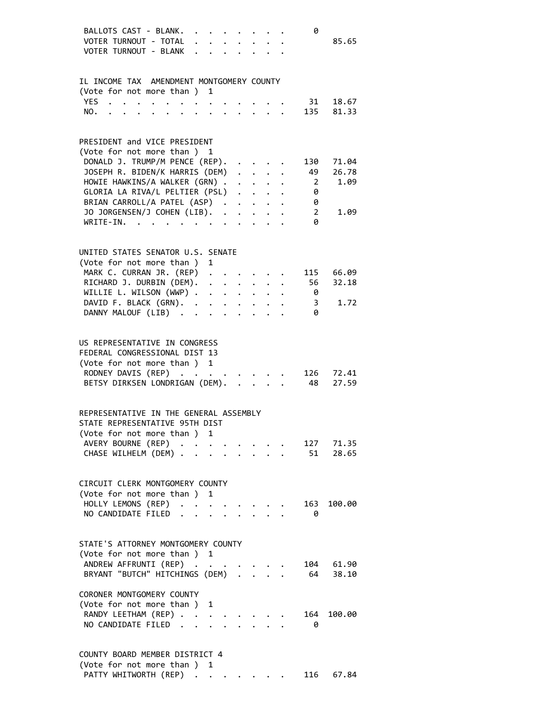| BALLOTS CAST - BLANK.<br>VOTER TURNOUT - TOTAL<br>VOTER TURNOUT - BLANK                                                                               |  |                      |         |  |                                             | 0                       | 85.65              |
|-------------------------------------------------------------------------------------------------------------------------------------------------------|--|----------------------|---------|--|---------------------------------------------|-------------------------|--------------------|
| IL INCOME TAX AMENDMENT MONTGOMERY COUNTY                                                                                                             |  |                      |         |  |                                             |                         |                    |
| (Vote for not more than ) 1                                                                                                                           |  |                      |         |  |                                             |                         |                    |
| YES<br>$\mathbf{r} = \mathbf{r} + \mathbf{r} + \mathbf{r} + \mathbf{r} + \mathbf{r} + \mathbf{r} + \mathbf{r} + \mathbf{r} + \mathbf{r}$              |  |                      |         |  |                                             | 31                      | 18.67              |
| NO.<br>the contract of the contract of the contract of the contract of the contract of the contract of the contract of                                |  |                      |         |  |                                             |                         | 135 81.33          |
|                                                                                                                                                       |  |                      |         |  |                                             |                         |                    |
| PRESIDENT and VICE PRESIDENT                                                                                                                          |  |                      |         |  |                                             |                         |                    |
| (Vote for not more than ) 1                                                                                                                           |  |                      |         |  |                                             |                         |                    |
| DONALD J. TRUMP/M PENCE (REP).                                                                                                                        |  |                      |         |  |                                             | 130                     | 71.04              |
| JOSEPH R. BIDEN/K HARRIS (DEM)                                                                                                                        |  |                      |         |  |                                             | 49                      | 26.78              |
| HOWIE HAWKINS/A WALKER (GRN)                                                                                                                          |  |                      |         |  |                                             | $\overline{\mathbf{2}}$ | 1.09               |
| GLORIA LA RIVA/L PELTIER (PSL)                                                                                                                        |  |                      |         |  |                                             | 0                       |                    |
| BRIAN CARROLL/A PATEL (ASP)                                                                                                                           |  |                      |         |  |                                             | 0                       |                    |
| JO JORGENSEN/J COHEN (LIB).                                                                                                                           |  |                      |         |  |                                             | $\overline{2}$          | 1.09               |
| WRITE-IN.                                                                                                                                             |  |                      |         |  |                                             | 0                       |                    |
|                                                                                                                                                       |  |                      |         |  |                                             |                         |                    |
| UNITED STATES SENATOR U.S. SENATE                                                                                                                     |  |                      |         |  |                                             |                         |                    |
| (Vote for not more than ) 1                                                                                                                           |  |                      |         |  |                                             |                         |                    |
| MARK C. CURRAN JR. (REP)                                                                                                                              |  |                      |         |  |                                             | 115                     | 66.09              |
| RICHARD J. DURBIN (DEM).                                                                                                                              |  |                      |         |  |                                             | 56                      | 32.18              |
| WILLIE L. WILSON (WWP)                                                                                                                                |  |                      |         |  |                                             | $\theta$                |                    |
| DAVID F. BLACK (GRN).                                                                                                                                 |  |                      |         |  |                                             | $\overline{\mathbf{3}}$ | 1.72               |
|                                                                                                                                                       |  |                      |         |  |                                             |                         |                    |
| DANNY MALOUF (LIB)                                                                                                                                    |  |                      |         |  |                                             | - 0                     |                    |
| US REPRESENTATIVE IN CONGRESS<br>FEDERAL CONGRESSIONAL DIST 13<br>(Vote for not more than ) 1<br>RODNEY DAVIS (REP)<br>BETSY DIRKSEN LONDRIGAN (DEM). |  |                      |         |  | $\mathbf{r} = \mathbf{r} \times \mathbf{r}$ | $-8$                    | 126 72.41<br>27.59 |
| REPRESENTATIVE IN THE GENERAL ASSEMBLY                                                                                                                |  |                      |         |  |                                             |                         |                    |
|                                                                                                                                                       |  |                      |         |  |                                             |                         |                    |
| STATE REPRESENTATIVE 95TH DIST                                                                                                                        |  |                      |         |  |                                             |                         |                    |
| (Vote for not more than ) 1                                                                                                                           |  |                      |         |  |                                             |                         |                    |
| AVERY BOURNE (REP)                                                                                                                                    |  | $\ddot{\phantom{a}}$ |         |  |                                             |                         | 127 71.35          |
| CHASE WILHELM (DEM)                                                                                                                                   |  |                      |         |  |                                             | 51                      | 28.65              |
| CIRCUIT CLERK MONTGOMERY COUNTY                                                                                                                       |  |                      |         |  |                                             |                         |                    |
| (Vote for not more than ) 1                                                                                                                           |  |                      |         |  |                                             |                         |                    |
| HOLLY LEMONS (REP)                                                                                                                                    |  | $\ddot{\phantom{a}}$ | $\cdot$ |  |                                             | 163                     | 100.00             |
| NO CANDIDATE FILED                                                                                                                                    |  | $\ddot{\phantom{a}}$ |         |  |                                             | - 0                     |                    |
| STATE'S ATTORNEY MONTGOMERY COUNTY                                                                                                                    |  |                      |         |  |                                             |                         |                    |
| (Vote for not more than ) 1                                                                                                                           |  |                      |         |  |                                             |                         |                    |
| ANDREW AFFRUNTI (REP)                                                                                                                                 |  |                      |         |  |                                             |                         | 104 61.90          |
| BRYANT "BUTCH" HITCHINGS (DEM)                                                                                                                        |  |                      |         |  |                                             |                         | 64 38.10           |
|                                                                                                                                                       |  |                      |         |  |                                             |                         |                    |
| CORONER MONTGOMERY COUNTY                                                                                                                             |  |                      |         |  |                                             |                         |                    |
|                                                                                                                                                       |  |                      |         |  |                                             |                         |                    |
| (Vote for not more than ) 1                                                                                                                           |  |                      |         |  |                                             |                         |                    |
| RANDY LEETHAM (REP)                                                                                                                                   |  | $\ddot{\phantom{a}}$ |         |  |                                             | 164                     | 100.00             |
| NO CANDIDATE FILED.                                                                                                                                   |  |                      |         |  |                                             | 0                       |                    |
|                                                                                                                                                       |  |                      |         |  |                                             |                         |                    |
| COUNTY BOARD MEMBER DISTRICT 4<br>$(10 + 6$ fan nat mana than $)$                                                                                     |  |                      |         |  |                                             |                         |                    |

| (Vote for not more than) 1 |  |  |  |  |           |
|----------------------------|--|--|--|--|-----------|
| PATTY WHITWORTH (REP)      |  |  |  |  | 116 67.84 |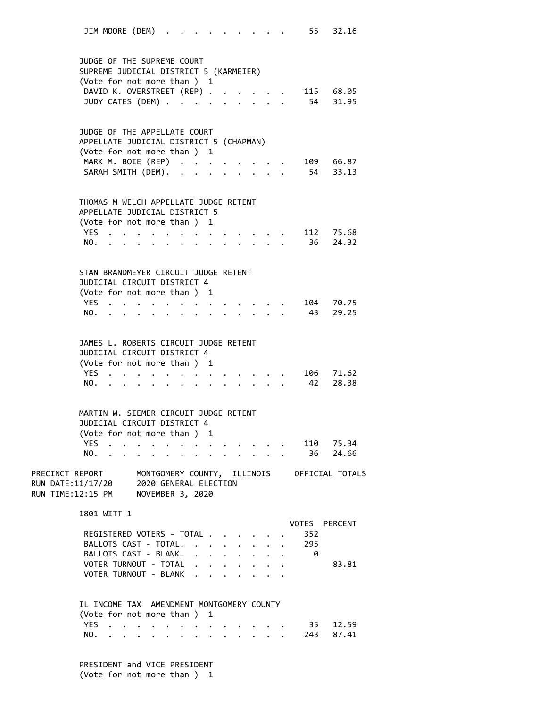JIM MOORE (DEM) . . . . . . . . . . 55 32.16 JUDGE OF THE SUPREME COURT SUPREME JUDICIAL DISTRICT 5 (KARMEIER) (Vote for not more than ) 1 DAVID K. OVERSTREET (REP) . . . . . 115 68.05 JUDY CATES (DEM) . . . . . . . . . . 54 31.95 JUDGE OF THE APPELLATE COURT APPELLATE JUDICIAL DISTRICT 5 (CHAPMAN) (Vote for not more than ) 1 MARK M. BOIE (REP) . . . . . . . . 109 66.87 SARAH SMITH (DEM). . . . . . . . . . 54 33.13 THOMAS M WELCH APPELLATE JUDGE RETENT APPELLATE JUDICIAL DISTRICT 5 (Vote for not more than ) 1 YES . . . . . . . . . . . . . 112 75.68 NO. . . . . . . . . . . . . . 36 24.32 STAN BRANDMEYER CIRCUIT JUDGE RETENT JUDICIAL CIRCUIT DISTRICT 4 (Vote for not more than ) 1 YES . . . . . . . . . . . . . 104 70.75 NO. . . . . . . . . . . . . . 43 29.25 JAMES L. ROBERTS CIRCUIT JUDGE RETENT JUDICIAL CIRCUIT DISTRICT 4 (Vote for not more than ) 1 YES . . . . . . . . . . . . . 106 71.62 NO. . . . . . . . . . . . . . 42 28.38 MARTIN W. SIEMER CIRCUIT JUDGE RETENT JUDICIAL CIRCUIT DISTRICT 4 (Vote for not more than ) 1 YES . . . . . . . . . . . . . 110 75.34 NO. . . . . . . . . . . . . . 36 24.66 PRECINCT REPORT MONTGOMERY COUNTY, ILLINOIS OFFICIAL TOTALS RUN DATE:11/17/20 2020 GENERAL ELECTION RUN TIME:12:15 PM NOVEMBER 3, 2020 1801 WITT 1 VOTES PERCENT REGISTERED VOTERS - TOTAL . . . . . . 352 BALLOTS CAST - TOTAL. . . . . . . . 295 BALLOTS CAST - BLANK. . . . . . . . 0 VOTER TURNOUT - TOTAL . . . . . . . . 83.81 VOTER TURNOUT - BLANK . . IL INCOME TAX AMENDMENT MONTGOMERY COUNTY (Vote for not more than ) 1 YES . . . . . . . . . . . . . 35 12.59 NO. . . . . . . . . . . . . . 243 87.41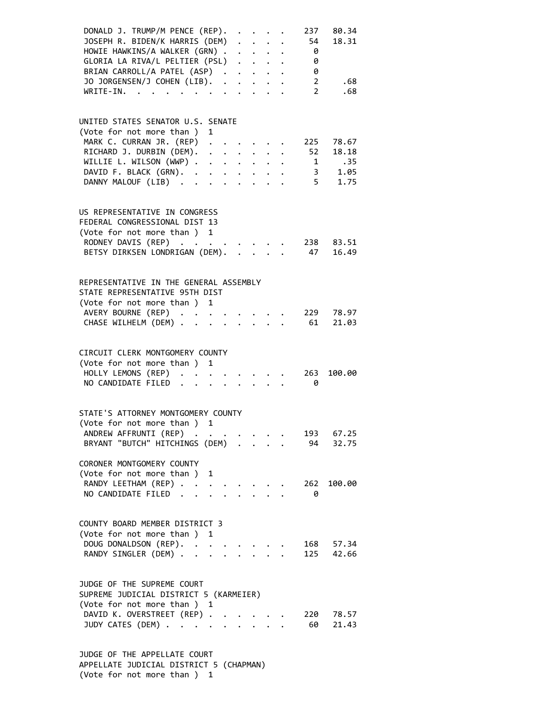| DONALD J. TRUMP/M PENCE (REP).<br>JOSEPH R. BIDEN/K HARRIS (DEM)<br>HOWIE HAWKINS/A WALKER (GRN)<br>GLORIA LA RIVA/L PELTIER (PSL)<br>BRIAN CARROLL/A PATEL (ASP)<br>JO JORGENSEN/J COHEN (LIB).<br>$WRITE-IN.$ |                                                                                           |                                                                                                                                      |              | $\cdot$ $\cdot$ $\cdot$ $\cdot$ | 237<br>54<br>$\theta$<br>0<br>$\theta$<br>$\overline{2}$<br>$\overline{2}$ | 80.34<br>18.31<br>.68<br>.68                                                   |
|-----------------------------------------------------------------------------------------------------------------------------------------------------------------------------------------------------------------|-------------------------------------------------------------------------------------------|--------------------------------------------------------------------------------------------------------------------------------------|--------------|---------------------------------|----------------------------------------------------------------------------|--------------------------------------------------------------------------------|
| UNITED STATES SENATOR U.S. SENATE<br>(Vote for not more than ) 1<br>MARK C. CURRAN JR. (REP)<br>RICHARD J. DURBIN (DEM).<br>WILLIE L. WILSON (WWP)<br>DAVID F. BLACK (GRN).<br>DANNY MALOUF (LIB)               | $\mathcal{L}(\mathbf{z})$ , and $\mathcal{L}(\mathbf{z})$ , and $\mathcal{L}(\mathbf{z})$ | $\mathbf{r} = \mathbf{r} + \mathbf{r} + \mathbf{r} + \mathbf{r}$<br>$\mathbf{1}$ $\mathbf{1}$ $\mathbf{1}$ $\mathbf{1}$ $\mathbf{1}$ |              |                                 | 225<br>52<br>5 <sup>7</sup>                                                | 78.67<br>18.18<br>$\begin{array}{ccc} 1 & .35 \\ 3 & 1.05 \end{array}$<br>1.75 |
| US REPRESENTATIVE IN CONGRESS<br>FEDERAL CONGRESSIONAL DIST 13<br>(Vote for not more than ) 1<br>RODNEY DAVIS (REP)<br>BETSY DIRKSEN LONDRIGAN (DEM).                                                           |                                                                                           | $\mathbf{L} = \mathbf{L}$                                                                                                            | $\mathbf{L}$ |                                 | 47                                                                         | 238 83.51<br>16.49                                                             |
| REPRESENTATIVE IN THE GENERAL ASSEMBLY<br>STATE REPRESENTATIVE 95TH DIST<br>(Vote for not more than ) 1<br>AVERY BOURNE (REP)<br>CHASE WILHELM (DEM)                                                            |                                                                                           | $\mathbf{L}^{\text{max}}$                                                                                                            |              |                                 | 61                                                                         | 229 78.97<br>21.03                                                             |
| CIRCUIT CLERK MONTGOMERY COUNTY<br>(Vote for not more than ) 1<br>HOLLY LEMONS (REP)<br>NO CANDIDATE FILED                                                                                                      | $\cdots$                                                                                  |                                                                                                                                      |              |                                 | 263<br>- 0                                                                 | 100.00                                                                         |
| STATE'S ATTORNEY MONTGOMERY COUNTY<br>(Vote for not more than ) 1<br>ANDREW AFFRUNTI (REP)<br>BRYANT "BUTCH" HITCHINGS (DEM)<br>CORONER MONTGOMERY COUNTY                                                       |                                                                                           |                                                                                                                                      |              |                                 | 193<br>94                                                                  | 67.25<br>32.75                                                                 |
| (Vote for not more than ) 1<br>RANDY LEETHAM (REP)<br>$\ddot{\phantom{a}}$<br>NO CANDIDATE FILED.                                                                                                               |                                                                                           |                                                                                                                                      |              |                                 | 262<br>0                                                                   | 100.00                                                                         |
| COUNTY BOARD MEMBER DISTRICT 3<br>(Vote for not more than )<br>1<br>DOUG DONALDSON (REP).<br>RANDY SINGLER (DEM)                                                                                                |                                                                                           |                                                                                                                                      |              |                                 | 168<br>125                                                                 | 57.34<br>42.66                                                                 |
| JUDGE OF THE SUPREME COURT<br>SUPREME JUDICIAL DISTRICT 5 (KARMEIER)<br>(Vote for not more than ) 1<br>DAVID K. OVERSTREET (REP) .<br>JUDY CATES (DEM)                                                          |                                                                                           |                                                                                                                                      |              |                                 | 220<br>60                                                                  | 78.57<br>21.43                                                                 |

 JUDGE OF THE APPELLATE COURT APPELLATE JUDICIAL DISTRICT 5 (CHAPMAN) (Vote for not more than ) 1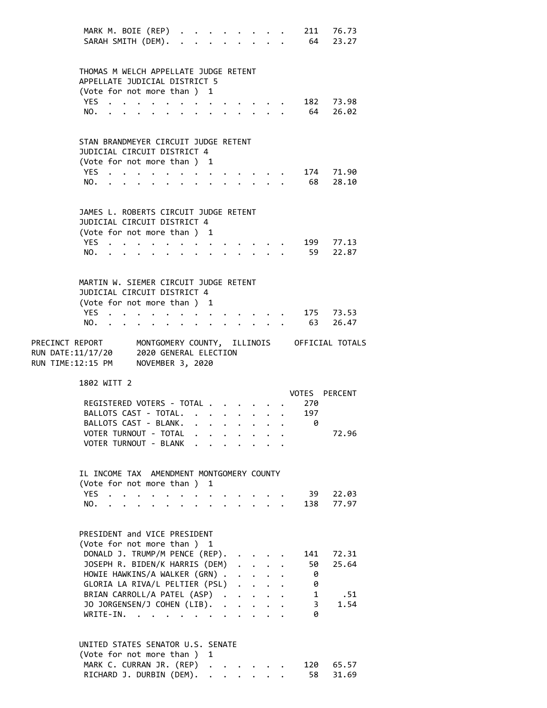|                                                                               | MARK M. BOIE (REP)<br>SARAH SMITH (DEM). .                                                                        |                           |                                                                       |                                                                                         |              |                      | $\mathbf{L}$ | $\ddot{\phantom{a}}$ |                      |                                                   |                                                           | $\cdot$ $\cdot$ $\cdot$ $\cdot$                                          | 64     | 211 76.73<br>23.27    |
|-------------------------------------------------------------------------------|-------------------------------------------------------------------------------------------------------------------|---------------------------|-----------------------------------------------------------------------|-----------------------------------------------------------------------------------------|--------------|----------------------|--------------|----------------------|----------------------|---------------------------------------------------|-----------------------------------------------------------|--------------------------------------------------------------------------|--------|-----------------------|
|                                                                               | THOMAS M WELCH APPELLATE JUDGE RETENT<br>APPELLATE JUDICIAL DISTRICT 5                                            |                           |                                                                       |                                                                                         |              |                      |              |                      |                      |                                                   |                                                           |                                                                          |        |                       |
|                                                                               | (Vote for not more than ) 1                                                                                       |                           |                                                                       |                                                                                         |              |                      |              |                      |                      |                                                   |                                                           |                                                                          |        |                       |
|                                                                               | YES                                                                                                               |                           | $\mathcal{A}$ . The contribution of the contribution of $\mathcal{A}$ |                                                                                         |              |                      |              |                      |                      |                                                   |                                                           |                                                                          |        | 182 73.98             |
|                                                                               | NO.                                                                                                               | $\mathbf{r} = \mathbf{r}$ |                                                                       |                                                                                         |              |                      |              |                      |                      |                                                   |                                                           | $\mathbf{r}$ , $\mathbf{r}$ , $\mathbf{r}$ , $\mathbf{r}$ , $\mathbf{r}$ |        | 64 26.02              |
|                                                                               | STAN BRANDMEYER CIRCUIT JUDGE RETENT<br>JUDICIAL CIRCUIT DISTRICT 4<br>(Vote for not more than ) 1<br>YES.<br>NO. |                           |                                                                       | $\mathbf{r}$<br>$\ddot{\phantom{a}}$                                                    | $\mathbf{r}$ |                      |              |                      |                      | $\mathcal{L}$ and $\mathcal{L}$ and $\mathcal{L}$ |                                                           |                                                                          | 68     | 174 71.90<br>28.10    |
|                                                                               | JAMES L. ROBERTS CIRCUIT JUDGE RETENT<br>JUDICIAL CIRCUIT DISTRICT 4<br>(Vote for not more than) 1<br>YES         |                           |                                                                       | $\ddot{\phantom{0}}$                                                                    |              | $\ddot{\phantom{0}}$ |              |                      |                      |                                                   |                                                           |                                                                          |        | 199 77.13<br>59 22.87 |
|                                                                               | NO.                                                                                                               |                           |                                                                       |                                                                                         |              |                      |              |                      |                      |                                                   | $\sim$                                                    |                                                                          |        |                       |
|                                                                               | MARTIN W. SIEMER CIRCUIT JUDGE RETENT<br>JUDICIAL CIRCUIT DISTRICT 4<br>(Vote for not more than ) 1<br>YES<br>NO. |                           |                                                                       | $\ddot{\phantom{a}}$                                                                    |              |                      |              |                      |                      |                                                   |                                                           |                                                                          |        | 175 73.53<br>63 26.47 |
|                                                                               |                                                                                                                   |                           |                                                                       |                                                                                         |              |                      |              |                      |                      |                                                   |                                                           |                                                                          |        |                       |
| PRECINCT REPORT MONTGOMERY COUNTY, ILLINOIS OFFICIAL TOTALS                   |                                                                                                                   |                           |                                                                       |                                                                                         |              |                      |              |                      |                      |                                                   |                                                           |                                                                          |        |                       |
| RUN DATE:11/17/20 2020 GENERAL ELECTION<br>RUN TIME:12:15 PM NOVEMBER 3, 2020 |                                                                                                                   |                           |                                                                       |                                                                                         |              |                      |              |                      |                      |                                                   |                                                           |                                                                          |        |                       |
|                                                                               | 1802 WITT 2                                                                                                       |                           |                                                                       |                                                                                         |              |                      |              |                      |                      |                                                   |                                                           |                                                                          |        | VOTES PERCENT         |
|                                                                               | REGISTERED VOTERS - TOTAL                                                                                         |                           |                                                                       |                                                                                         |              |                      |              |                      |                      |                                                   |                                                           |                                                                          | 270    |                       |
|                                                                               | BALLOTS CAST - TOTAL.                                                                                             |                           |                                                                       |                                                                                         |              |                      |              |                      | $\ddot{\phantom{0}}$ |                                                   | $\ddot{\phantom{a}}$                                      |                                                                          | 197    |                       |
|                                                                               | BALLOTS CAST - BLANK.                                                                                             |                           |                                                                       |                                                                                         |              |                      |              |                      |                      |                                                   |                                                           |                                                                          | - A    |                       |
|                                                                               | VOTER TURNOUT - TOTAL                                                                                             |                           |                                                                       |                                                                                         |              |                      |              |                      |                      |                                                   |                                                           |                                                                          |        | 72.96                 |
|                                                                               | VOTER TURNOUT - BLANK                                                                                             |                           |                                                                       |                                                                                         |              |                      |              |                      |                      |                                                   |                                                           |                                                                          |        |                       |
|                                                                               | IL INCOME TAX AMENDMENT MONTGOMERY COUNTY<br>(Vote for not more than ) 1                                          |                           |                                                                       |                                                                                         |              |                      |              |                      |                      |                                                   |                                                           |                                                                          |        |                       |
|                                                                               | YES .                                                                                                             |                           |                                                                       | $\bullet$                                                                               |              |                      |              |                      |                      |                                                   |                                                           |                                                                          | 39     | 22.03                 |
|                                                                               | NO.                                                                                                               |                           |                                                                       |                                                                                         |              |                      |              |                      |                      |                                                   |                                                           | $1 - 1 - 1 = 1$                                                          | 138    | 77.97                 |
|                                                                               | PRESIDENT and VICE PRESIDENT<br>(Vote for not more than ) 1                                                       |                           |                                                                       |                                                                                         |              |                      |              |                      |                      |                                                   |                                                           |                                                                          |        |                       |
|                                                                               | DONALD J. TRUMP/M PENCE (REP).                                                                                    |                           |                                                                       |                                                                                         |              |                      |              |                      |                      |                                                   |                                                           |                                                                          | 141    | 72.31                 |
|                                                                               | JOSEPH R. BIDEN/K HARRIS (DEM)                                                                                    |                           |                                                                       |                                                                                         |              |                      |              |                      |                      |                                                   | $\mathbf{L}^{\text{max}}$                                 | $\ddot{\phantom{0}}$                                                     | 50 -   | 25.64                 |
|                                                                               | HOWIE HAWKINS/A WALKER (GRN).                                                                                     |                           |                                                                       |                                                                                         |              |                      |              |                      |                      |                                                   | $\mathbf{L}^{\text{max}}$ , and $\mathbf{L}^{\text{max}}$ | $\ddot{\phantom{0}}$                                                     | - 0    |                       |
|                                                                               | GLORIA LA RIVA/L PELTIER (PSL)                                                                                    |                           |                                                                       |                                                                                         |              |                      |              |                      |                      |                                                   |                                                           |                                                                          | 0      |                       |
|                                                                               | BRIAN CARROLL/A PATEL (ASP)                                                                                       |                           |                                                                       |                                                                                         |              |                      |              |                      |                      |                                                   |                                                           |                                                                          | 1<br>3 | .51<br>1.54           |
|                                                                               | JO JORGENSEN/J COHEN (LIB).<br>WRITE-IN.                                                                          |                           |                                                                       | $\mathbf{r}$ , $\mathbf{r}$ , $\mathbf{r}$ , $\mathbf{r}$ , $\mathbf{r}$ , $\mathbf{r}$ |              |                      |              |                      |                      | $\ddot{\phantom{0}}$                              |                                                           | $\ddot{\phantom{a}}$                                                     | 0      |                       |
|                                                                               | UNITED STATES SENATOR U.S. SENATE                                                                                 |                           |                                                                       |                                                                                         |              |                      |              |                      |                      |                                                   |                                                           |                                                                          |        |                       |
|                                                                               | (Vote for not more than ) 1                                                                                       |                           |                                                                       |                                                                                         |              |                      |              |                      |                      |                                                   |                                                           |                                                                          |        |                       |
|                                                                               | MARK C. CURRAN JR. (REP) .<br>RICHARD J. DURBIN (DEM).                                                            |                           |                                                                       |                                                                                         |              |                      |              |                      |                      |                                                   |                                                           |                                                                          | 120    | 65.57                 |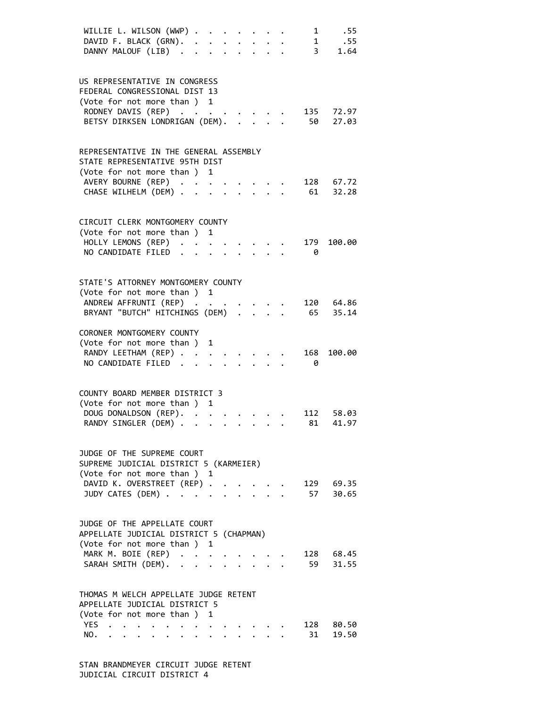| WILLIE L. WILSON (WWP)<br>.55<br>$\mathbf{1}$                                 |  |
|-------------------------------------------------------------------------------|--|
| DAVID F. BLACK (GRN).<br>1<br>.55<br>$\ddot{\phantom{0}}$                     |  |
| DANNY MALOUF (LIB)<br>$\overline{\mathbf{3}}$<br>1.64<br>$\ddot{\phantom{a}}$ |  |
|                                                                               |  |
|                                                                               |  |
| US REPRESENTATIVE IN CONGRESS<br>FEDERAL CONGRESSIONAL DIST 13                |  |
| (Vote for not more than ) 1                                                   |  |
| 135 72.97<br>RODNEY DAVIS (REP)                                               |  |
| BETSY DIRKSEN LONDRIGAN (DEM).<br>50 27.03                                    |  |
|                                                                               |  |
|                                                                               |  |
| REPRESENTATIVE IN THE GENERAL ASSEMBLY                                        |  |
| STATE REPRESENTATIVE 95TH DIST                                                |  |
| (Vote for not more than ) 1                                                   |  |
| AVERY BOURNE (REP)<br>128 67.72                                               |  |
| 61<br>CHASE WILHELM (DEM).<br>32.28                                           |  |
|                                                                               |  |
|                                                                               |  |
| CIRCUIT CLERK MONTGOMERY COUNTY                                               |  |
| (Vote for not more than ) 1                                                   |  |
| HOLLY LEMONS (REP) .<br>179 100.00                                            |  |
| NO CANDIDATE FILED<br>0                                                       |  |
|                                                                               |  |
|                                                                               |  |
| STATE'S ATTORNEY MONTGOMERY COUNTY                                            |  |
| (Vote for not more than ) 1                                                   |  |
| ANDREW AFFRUNTI (REP)<br>120 64.86<br>65<br>35.14                             |  |
| BRYANT "BUTCH" HITCHINGS (DEM) .                                              |  |
| CORONER MONTGOMERY COUNTY                                                     |  |
| (Vote for not more than)<br>1                                                 |  |
| RANDY LEETHAM (REP)<br>168<br>100.00                                          |  |
| NO CANDIDATE FILED.<br>0                                                      |  |
|                                                                               |  |
|                                                                               |  |
| COUNTY BOARD MEMBER DISTRICT 3                                                |  |
| (Vote for not more than ) 1                                                   |  |
| DOUG DONALDSON (REP). .<br>112<br>58.03                                       |  |
| RANDY SINGLER (DEM) .<br>41.97<br>81                                          |  |
|                                                                               |  |
|                                                                               |  |
| JUDGE OF THE SUPREME COURT                                                    |  |
| SUPREME JUDICIAL DISTRICT 5 (KARMEIER)                                        |  |
| (Vote for not more than ) 1                                                   |  |
| DAVID K. OVERSTREET (REP) .<br>129 69.35                                      |  |
| JUDY CATES (DEM).<br>30.65<br>57                                              |  |
|                                                                               |  |
| JUDGE OF THE APPELLATE COURT                                                  |  |
| APPELLATE JUDICIAL DISTRICT 5 (CHAPMAN)                                       |  |
| (Vote for not more than ) 1                                                   |  |
| MARK M. BOIE (REP)<br>128 68.45<br>$\ddot{\phantom{a}}$                       |  |
| 59<br>31.55<br>SARAH SMITH (DEM). .                                           |  |
|                                                                               |  |
|                                                                               |  |
| THOMAS M WELCH APPELLATE JUDGE RETENT                                         |  |
| APPELLATE JUDICIAL DISTRICT 5                                                 |  |
| (Vote for not more than ) 1                                                   |  |
| YES.<br>128 80.50                                                             |  |
| 31<br>19.50<br>NO.<br>$\cdot$ $\cdot$ $\cdot$ $\cdot$ $\cdot$                 |  |
|                                                                               |  |

 STAN BRANDMEYER CIRCUIT JUDGE RETENT JUDICIAL CIRCUIT DISTRICT 4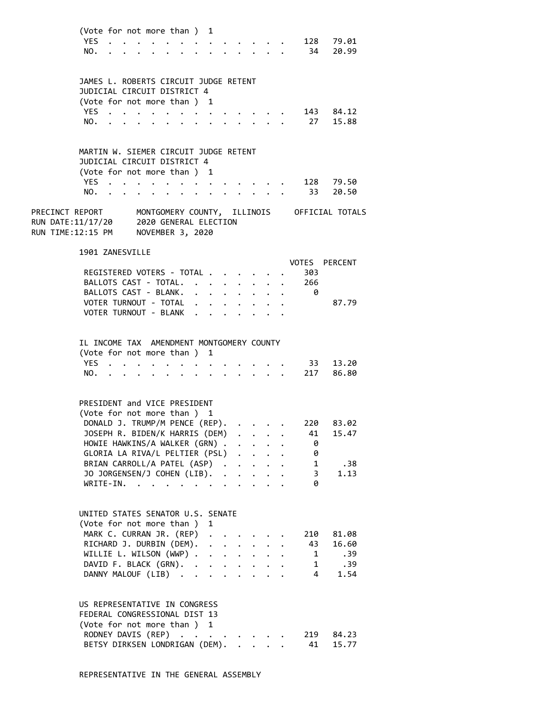| (Vote for not more than ) 1 |  |  |  |  |  |  |                |
|-----------------------------|--|--|--|--|--|--|----------------|
|                             |  |  |  |  |  |  | YES. 128 79.01 |
|                             |  |  |  |  |  |  | NO. 34 20.99   |

| JAMES L. ROBERTS CIRCUIT JUDGE RETENT |  |  |  |  |  |  |                |  |
|---------------------------------------|--|--|--|--|--|--|----------------|--|
| JUDICIAL CIRCUIT DISTRICT 4           |  |  |  |  |  |  |                |  |
| (Vote for not more than) 1            |  |  |  |  |  |  |                |  |
|                                       |  |  |  |  |  |  | YES. 143 84.12 |  |
|                                       |  |  |  |  |  |  | NO. 27 15.88   |  |

| MARTIN W. SIEMER CIRCUIT JUDGE RETENT |  |  |  |  |  |  |                |  |
|---------------------------------------|--|--|--|--|--|--|----------------|--|
| JUDICIAL CIRCUIT DISTRICT 4           |  |  |  |  |  |  |                |  |
| (Vote for not more than) 1            |  |  |  |  |  |  |                |  |
|                                       |  |  |  |  |  |  | YES. 128 79.50 |  |
|                                       |  |  |  |  |  |  | NO. 33 20.50   |  |

PRECINCT REPORT MONTGOMERY COUNTY, ILLINOIS OFFICIAL TOTALS RUN DATE:11/17/20 2020 GENERAL ELECTION RUN TIME:12:15 PM NOVEMBER 3, 2020

### 1901 ZANESVILLE

|                           |  |  |  |  |     | VOTES PERCENT |
|---------------------------|--|--|--|--|-----|---------------|
| REGISTERED VOTERS - TOTAL |  |  |  |  | 303 |               |
| BALLOTS CAST - TOTAL. 266 |  |  |  |  |     |               |
| BALLOTS CAST - BLANK.     |  |  |  |  |     |               |
| VOTER TURNOUT - TOTAL     |  |  |  |  |     | 87.79         |
| VOTER TURNOUT - BLANK     |  |  |  |  |     |               |
|                           |  |  |  |  |     |               |

# IL INCOME TAX AMENDMENT MONTGOMERY COUNTY

| (Vote for not more than ) 1 |  |  |  |  |  |  |               |              |
|-----------------------------|--|--|--|--|--|--|---------------|--------------|
|                             |  |  |  |  |  |  |               | YES 33 13.20 |
|                             |  |  |  |  |  |  | NO. 217 86.80 |              |

### PRESIDENT and VICE PRESIDENT

| (Vote for not more than) 1               |  |  |     |      |
|------------------------------------------|--|--|-----|------|
| DONALD J. TRUMP/M PENCE (REP). 220 83.02 |  |  |     |      |
| JOSEPH R. BIDEN/K HARRIS (DEM) 41 15.47  |  |  |     |      |
| HOWIE HAWKINS/A WALKER (GRN)             |  |  | - 0 |      |
| GLORIA LA RIVA/L PELTIER (PSL)           |  |  | 0   |      |
| BRIAN CARROLL/A PATEL (ASP) 1            |  |  |     | .38  |
| JO JORGENSEN/J COHEN (LIB). 3            |  |  |     | 1.13 |
| WRITE-IN.                                |  |  | 0   |      |

# UNITED STATES SENATOR U.S. SENATE (Vote for not more than ) 1 MARK C. CURRAN JR. (REP) . . . . . 210 81.08 RICHARD J. DURBIN (DEM). . . . . . . 43 16.60<br>WILLIE L. WILSON (WWP) . . . . . . . . 1 .39<br>DAVID F. BLACK (GRN). . . . . . . . 1 .39<br>DANNY MALOUF (LIB) . . . . . . . . 4 1.54 WILLIE L. WILSON  $(WWP)$  . . . . . . . DAVID F. BLACK  $(GRN)$ . . . . . . . DANNY MALOUF (LIB) . . . . . . . .

# US REPRESENTATIVE IN CONGRESS

| FEDERAL CONGRESSIONAL DIST 13           |  |
|-----------------------------------------|--|
| (Vote for not more than ) 1             |  |
| RODNEY DAVIS (REP) 219 84.23            |  |
| BETSY DIRKSEN LONDRIGAN (DEM). 41 15.77 |  |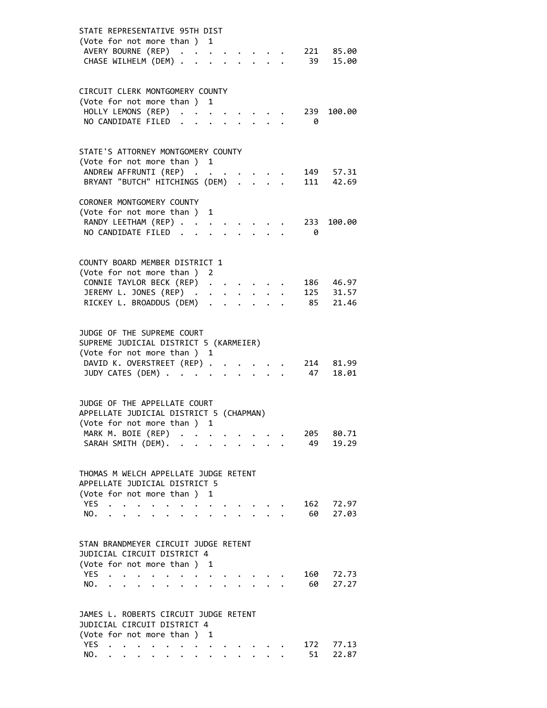| STATE REPRESENTATIVE 95TH DIST                                                                                                      |
|-------------------------------------------------------------------------------------------------------------------------------------|
| (Vote for not more than) 1                                                                                                          |
| AVERY BOURNE (REP)<br>221 85.00                                                                                                     |
| CHASE WILHELM (DEM)<br>39<br>15.00<br>$\cdot$ $\cdot$ $\cdot$                                                                       |
|                                                                                                                                     |
|                                                                                                                                     |
| CIRCUIT CLERK MONTGOMERY COUNTY                                                                                                     |
| (Vote for not more than ) 1                                                                                                         |
| HOLLY LEMONS (REP)<br>239<br>100.00                                                                                                 |
| NO CANDIDATE FILED<br>0                                                                                                             |
|                                                                                                                                     |
|                                                                                                                                     |
| STATE'S ATTORNEY MONTGOMERY COUNTY                                                                                                  |
| (Vote for not more than ) 1                                                                                                         |
| ANDREW AFFRUNTI (REP)<br>149 57.31                                                                                                  |
| 111 42.69<br>BRYANT "BUTCH" HITCHINGS (DEM) .                                                                                       |
|                                                                                                                                     |
| CORONER MONTGOMERY COUNTY                                                                                                           |
| (Vote for not more than )<br>1                                                                                                      |
| RANDY LEETHAM (REP)<br>100.00<br>233                                                                                                |
| NO CANDIDATE FILED<br>0                                                                                                             |
|                                                                                                                                     |
|                                                                                                                                     |
| COUNTY BOARD MEMBER DISTRICT 1                                                                                                      |
| (Vote for not more than ) 2                                                                                                         |
| CONNIE TAYLOR BECK (REP)<br>186 46.97                                                                                               |
| 125 31.57                                                                                                                           |
| JEREMY L. JONES (REP) .<br>$\ddot{\phantom{0}}$<br>$\bullet$ .                                                                      |
| RICKEY L. BROADDUS (DEM)<br>85 21.46<br>$\ddot{\phantom{0}}$<br>$\bullet$ .<br><br><br><br><br><br><br><br><br><br><br><br><br><br> |
|                                                                                                                                     |
|                                                                                                                                     |
| JUDGE OF THE SUPREME COURT                                                                                                          |
| SUPREME JUDICIAL DISTRICT 5 (KARMEIER)                                                                                              |
| (Vote for not more than ) 1                                                                                                         |
| DAVID K. OVERSTREET (REP) .<br>214 81.99                                                                                            |
| JUDY CATES (DEM)<br>47<br>18.01<br>$\mathbf{r}$ . The set of $\mathbf{r}$<br>$\ddot{\phantom{0}}$                                   |
|                                                                                                                                     |
|                                                                                                                                     |
| JUDGE OF THE APPELLATE COURT                                                                                                        |
| APPELLATE JUDICIAL DISTRICT 5 (CHAPMAN)                                                                                             |
| (Vote for not more than ) 1                                                                                                         |
| MARK M. BOIE (REP)<br>80.71<br>205                                                                                                  |
| SARAH SMITH (DEM).<br>19.29<br>49                                                                                                   |
|                                                                                                                                     |
|                                                                                                                                     |
| THOMAS M WELCH APPELLATE JUDGE RETENT                                                                                               |
| APPELLATE JUDICIAL DISTRICT 5                                                                                                       |
| (Vote for not more than ) 1                                                                                                         |
| <b>YES</b><br>162<br>72.97                                                                                                          |
| 60<br>27.03<br>NO.                                                                                                                  |
|                                                                                                                                     |
|                                                                                                                                     |
| STAN BRANDMEYER CIRCUIT JUDGE RETENT                                                                                                |
| JUDICIAL CIRCUIT DISTRICT 4                                                                                                         |
| (Vote for not more than) 1                                                                                                          |
| <b>YES</b><br>72.73<br>160                                                                                                          |
| 27.27<br>NO.<br>60                                                                                                                  |
|                                                                                                                                     |
|                                                                                                                                     |
| JAMES L. ROBERTS CIRCUIT JUDGE RETENT                                                                                               |
| JUDICIAL CIRCUIT DISTRICT 4                                                                                                         |
| (Vote for not more than ) 1                                                                                                         |
| YES.<br>172<br>77.13<br>$\mathcal{L}(\mathbf{z})$ , and $\mathcal{L}(\mathbf{z})$ , and $\mathcal{L}(\mathbf{z})$                   |
| 22.87<br>51<br>NO.<br>$\bullet$                                                                                                     |
|                                                                                                                                     |